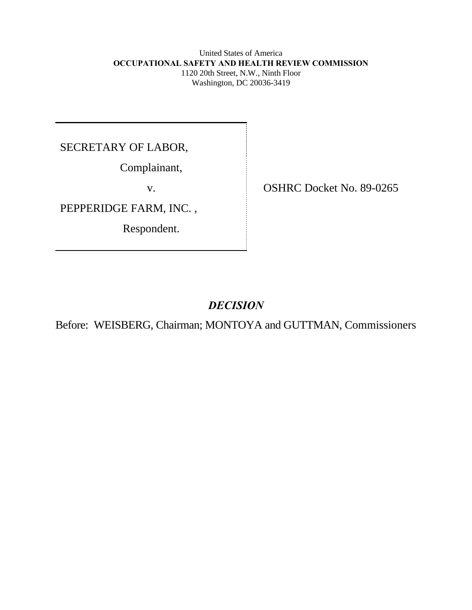United States of America  **OCCUPATIONAL SAFETY AND HEALTH REVIEW COMMISSION** 1120 20th Street, N.W., Ninth Floor Washington, DC 20036-3419

SECRETARY OF LABOR,

Complainant,

PEPPERIDGE FARM, INC. ,

Respondent.

v. **OSHRC Docket No. 89-0265** 

# *DECISION*

Before: WEISBERG, Chairman; MONTOYA and GUTTMAN, Commissioners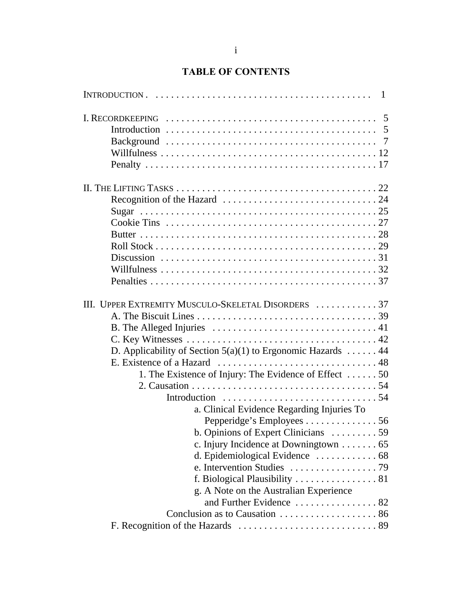# **TABLE OF CONTENTS**

| III. UPPER EXTREMITY MUSCULO-SKELETAL DISORDERS  37            |  |
|----------------------------------------------------------------|--|
|                                                                |  |
|                                                                |  |
|                                                                |  |
| D. Applicability of Section $5(a)(1)$ to Ergonomic Hazards  44 |  |
|                                                                |  |
| 1. The Existence of Injury: The Evidence of Effect 50          |  |
|                                                                |  |
|                                                                |  |
| a. Clinical Evidence Regarding Injuries To                     |  |
| Pepperidge's Employees 56                                      |  |
| b. Opinions of Expert Clinicians  59                           |  |
| c. Injury Incidence at Downingtown $\dots \dots 65$            |  |
|                                                                |  |
|                                                                |  |
|                                                                |  |
| g. A Note on the Australian Experience                         |  |
|                                                                |  |
|                                                                |  |
|                                                                |  |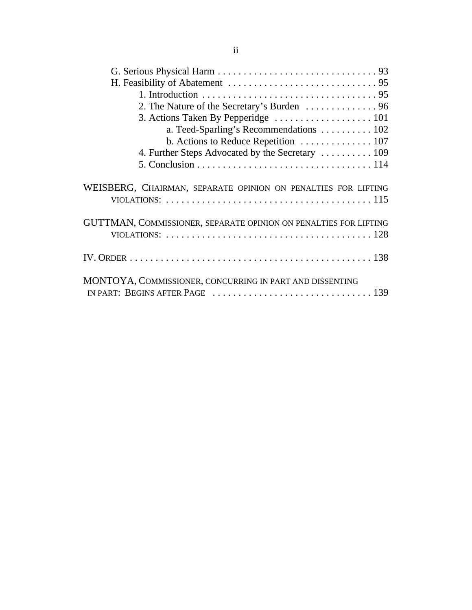| 2. The Nature of the Secretary's Burden  96                                                                                                                               |
|---------------------------------------------------------------------------------------------------------------------------------------------------------------------------|
|                                                                                                                                                                           |
| a. Teed-Sparling's Recommendations 102                                                                                                                                    |
| b. Actions to Reduce Repetition  107                                                                                                                                      |
| 4. Further Steps Advocated by the Secretary  109                                                                                                                          |
|                                                                                                                                                                           |
| WEISBERG, CHAIRMAN, SEPARATE OPINION ON PENALTIES FOR LIFTING                                                                                                             |
| GUTTMAN, COMMISSIONER, SEPARATE OPINION ON PENALTIES FOR LIFTING<br>VIOLATIONS: $\ldots \ldots \ldots \ldots \ldots \ldots \ldots \ldots \ldots \ldots \ldots \ldots 128$ |
|                                                                                                                                                                           |
| MONTOYA, COMMISSIONER, CONCURRING IN PART AND DISSENTING                                                                                                                  |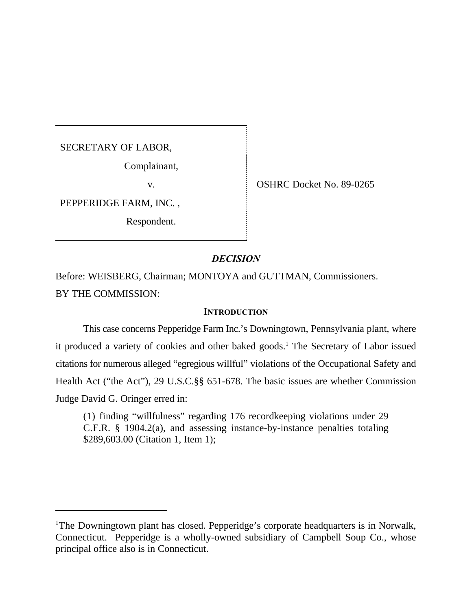SECRETARY OF LABOR,

Complainant,

PEPPERIDGE FARM, INC. ,

Respondent.

v. SHRC Docket No. 89-0265

## *DECISION*

Before: WEISBERG, Chairman; MONTOYA and GUTTMAN, Commissioners. BY THE COMMISSION:

## **INTRODUCTION**

This case concerns Pepperidge Farm Inc.'s Downingtown, Pennsylvania plant, where it produced a variety of cookies and other baked goods.<sup>1</sup> The Secretary of Labor issued citations for numerous alleged "egregious willful" violations of the Occupational Safety and Health Act ("the Act"), 29 U.S.C.§§ 651-678. The basic issues are whether Commission Judge David G. Oringer erred in:

(1) finding "willfulness" regarding 176 recordkeeping violations under 29 C.F.R. § 1904.2(a), and assessing instance-by-instance penalties totaling \$289,603.00 (Citation 1, Item 1);

<sup>&</sup>lt;sup>1</sup>The Downingtown plant has closed. Pepperidge's corporate headquarters is in Norwalk, Connecticut. Pepperidge is a wholly-owned subsidiary of Campbell Soup Co., whose principal office also is in Connecticut.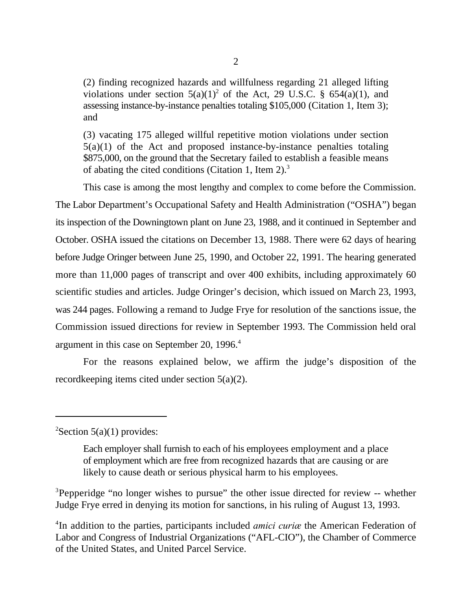(2) finding recognized hazards and willfulness regarding 21 alleged lifting violations under section  $5(a)(1)^2$  of the Act, 29 U.S.C. § 654(a)(1), and assessing instance-by-instance penalties totaling \$105,000 (Citation 1, Item 3); and

(3) vacating 175 alleged willful repetitive motion violations under section  $5(a)(1)$  of the Act and proposed instance-by-instance penalties totaling \$875,000, on the ground that the Secretary failed to establish a feasible means of abating the cited conditions (Citation 1, Item 2).<sup>3</sup>

This case is among the most lengthy and complex to come before the Commission. The Labor Department's Occupational Safety and Health Administration ("OSHA") began its inspection of the Downingtown plant on June 23, 1988, and it continued in September and October. OSHA issued the citations on December 13, 1988. There were 62 days of hearing before Judge Oringer between June 25, 1990, and October 22, 1991. The hearing generated more than 11,000 pages of transcript and over 400 exhibits, including approximately 60 scientific studies and articles. Judge Oringer's decision, which issued on March 23, 1993, was 244 pages. Following a remand to Judge Frye for resolution of the sanctions issue, the Commission issued directions for review in September 1993. The Commission held oral argument in this case on September 20, 1996.<sup>4</sup>

For the reasons explained below, we affirm the judge's disposition of the recordkeeping items cited under section 5(a)(2).

### ${}^{2}$ Section 5(a)(1) provides:

<sup>3</sup>Pepperidge "no longer wishes to pursue" the other issue directed for review -- whether Judge Frye erred in denying its motion for sanctions, in his ruling of August 13, 1993.

<sup>4</sup>In addition to the parties, participants included *amici curice* the American Federation of Labor and Congress of Industrial Organizations ("AFL-CIO"), the Chamber of Commerce of the United States, and United Parcel Service.

Each employer shall furnish to each of his employees employment and a place of employment which are free from recognized hazards that are causing or are likely to cause death or serious physical harm to his employees.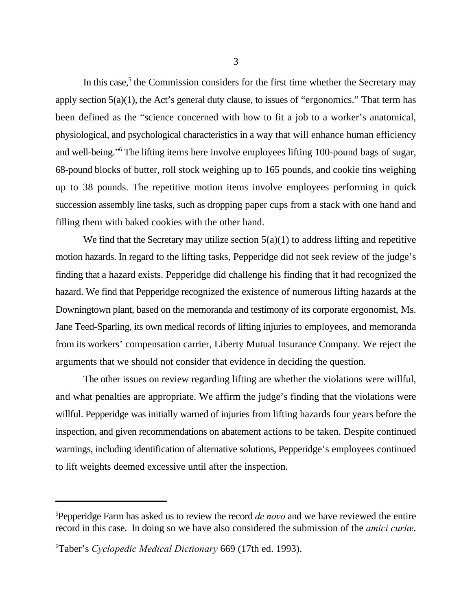In this case, $<sup>5</sup>$  the Commission considers for the first time whether the Secretary may</sup> apply section 5(a)(1), the Act's general duty clause, to issues of "ergonomics." That term has been defined as the "science concerned with how to fit a job to a worker's anatomical, physiological, and psychological characteristics in a way that will enhance human efficiency and well-being." The lifting items here involve employees lifting 100-pound bags of sugar, 68-pound blocks of butter, roll stock weighing up to 165 pounds, and cookie tins weighing up to 38 pounds. The repetitive motion items involve employees performing in quick succession assembly line tasks, such as dropping paper cups from a stack with one hand and filling them with baked cookies with the other hand.

We find that the Secretary may utilize section  $5(a)(1)$  to address lifting and repetitive motion hazards. In regard to the lifting tasks, Pepperidge did not seek review of the judge's finding that a hazard exists. Pepperidge did challenge his finding that it had recognized the hazard. We find that Pepperidge recognized the existence of numerous lifting hazards at the Downingtown plant, based on the memoranda and testimony of its corporate ergonomist, Ms. Jane Teed-Sparling, its own medical records of lifting injuries to employees, and memoranda from its workers' compensation carrier, Liberty Mutual Insurance Company. We reject the arguments that we should not consider that evidence in deciding the question.

The other issues on review regarding lifting are whether the violations were willful, and what penalties are appropriate. We affirm the judge's finding that the violations were willful. Pepperidge was initially warned of injuries from lifting hazards four years before the inspection, and given recommendations on abatement actions to be taken. Despite continued warnings, including identification of alternative solutions, Pepperidge's employees continued to lift weights deemed excessive until after the inspection.

<sup>&</sup>lt;sup>5</sup>Pepperidge Farm has asked us to review the record *de novo* and we have reviewed the entire record in this case. In doing so we have also considered the submission of the *amici curiæ*.

Taber's *Cyclopedic Medical Dictionary* 669 (17th ed. 1993). <sup>6</sup>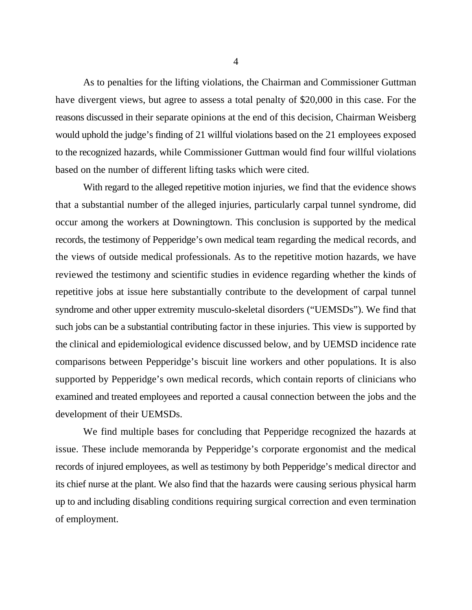As to penalties for the lifting violations, the Chairman and Commissioner Guttman have divergent views, but agree to assess a total penalty of \$20,000 in this case. For the reasons discussed in their separate opinions at the end of this decision, Chairman Weisberg would uphold the judge's finding of 21 willful violations based on the 21 employees exposed to the recognized hazards, while Commissioner Guttman would find four willful violations based on the number of different lifting tasks which were cited.

With regard to the alleged repetitive motion injuries, we find that the evidence shows that a substantial number of the alleged injuries, particularly carpal tunnel syndrome, did occur among the workers at Downingtown. This conclusion is supported by the medical records, the testimony of Pepperidge's own medical team regarding the medical records, and the views of outside medical professionals. As to the repetitive motion hazards, we have reviewed the testimony and scientific studies in evidence regarding whether the kinds of repetitive jobs at issue here substantially contribute to the development of carpal tunnel syndrome and other upper extremity musculo-skeletal disorders ("UEMSDs"). We find that such jobs can be a substantial contributing factor in these injuries. This view is supported by the clinical and epidemiological evidence discussed below, and by UEMSD incidence rate comparisons between Pepperidge's biscuit line workers and other populations. It is also supported by Pepperidge's own medical records, which contain reports of clinicians who examined and treated employees and reported a causal connection between the jobs and the development of their UEMSDs.

We find multiple bases for concluding that Pepperidge recognized the hazards at issue. These include memoranda by Pepperidge's corporate ergonomist and the medical records of injured employees, as well as testimony by both Pepperidge's medical director and its chief nurse at the plant. We also find that the hazards were causing serious physical harm up to and including disabling conditions requiring surgical correction and even termination of employment.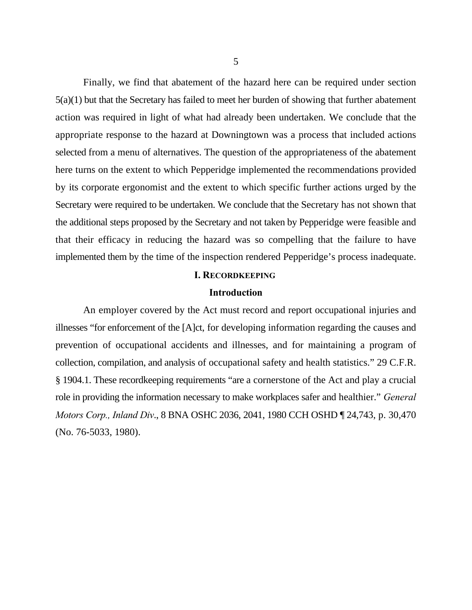Finally, we find that abatement of the hazard here can be required under section 5(a)(1) but that the Secretary has failed to meet her burden of showing that further abatement action was required in light of what had already been undertaken. We conclude that the appropriate response to the hazard at Downingtown was a process that included actions selected from a menu of alternatives. The question of the appropriateness of the abatement here turns on the extent to which Pepperidge implemented the recommendations provided by its corporate ergonomist and the extent to which specific further actions urged by the Secretary were required to be undertaken. We conclude that the Secretary has not shown that the additional steps proposed by the Secretary and not taken by Pepperidge were feasible and that their efficacy in reducing the hazard was so compelling that the failure to have implemented them by the time of the inspection rendered Pepperidge's process inadequate.

### **I. RECORDKEEPING**

#### **Introduction**

An employer covered by the Act must record and report occupational injuries and illnesses "for enforcement of the [A]ct, for developing information regarding the causes and prevention of occupational accidents and illnesses, and for maintaining a program of collection, compilation, and analysis of occupational safety and health statistics." 29 C.F.R. § 1904.1. These recordkeeping requirements "are a cornerstone of the Act and play a crucial role in providing the information necessary to make workplaces safer and healthier." *General Motors Corp., Inland Div*., 8 BNA OSHC 2036, 2041, 1980 CCH OSHD ¶ 24,743, p. 30,470 (No. 76-5033, 1980).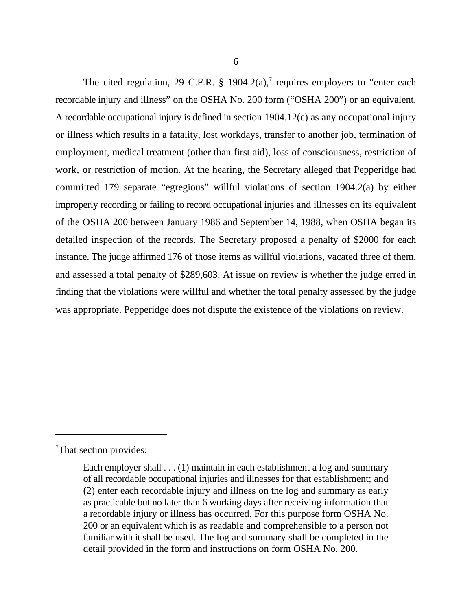The cited regulation, 29 C.F.R. § 1904.2(a),<sup>7</sup> requires employers to "enter each recordable injury and illness" on the OSHA No. 200 form ("OSHA 200") or an equivalent. A recordable occupational injury is defined in section 1904.12(c) as any occupational injury or illness which results in a fatality, lost workdays, transfer to another job, termination of employment, medical treatment (other than first aid), loss of consciousness, restriction of work, or restriction of motion. At the hearing, the Secretary alleged that Pepperidge had committed 179 separate "egregious" willful violations of section 1904.2(a) by either improperly recording or failing to record occupational injuries and illnesses on its equivalent of the OSHA 200 between January 1986 and September 14, 1988, when OSHA began its detailed inspection of the records. The Secretary proposed a penalty of \$2000 for each instance. The judge affirmed 176 of those items as willful violations, vacated three of them, and assessed a total penalty of \$289,603. At issue on review is whether the judge erred in finding that the violations were willful and whether the total penalty assessed by the judge was appropriate. Pepperidge does not dispute the existence of the violations on review.

<sup>7</sup>That section provides:

Each employer shall . . . (1) maintain in each establishment a log and summary of all recordable occupational injuries and illnesses for that establishment; and (2) enter each recordable injury and illness on the log and summary as early as practicable but no later than 6 working days after receiving information that a recordable injury or illness has occurred. For this purpose form OSHA No. 200 or an equivalent which is as readable and comprehensible to a person not familiar with it shall be used. The log and summary shall be completed in the detail provided in the form and instructions on form OSHA No. 200.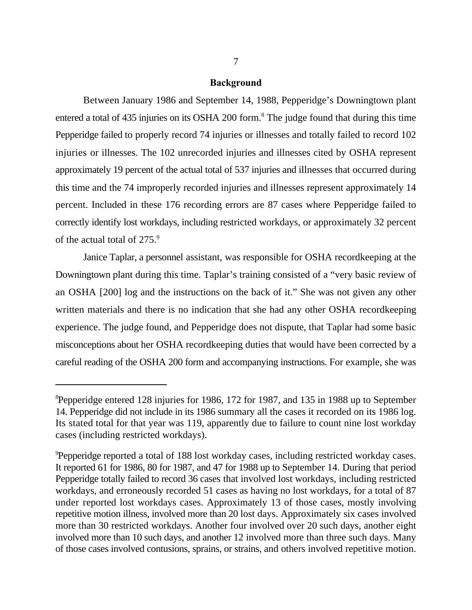#### **Background**

Between January 1986 and September 14, 1988, Pepperidge's Downingtown plant entered a total of 435 injuries on its OSHA 200 form.<sup>8</sup> The judge found that during this time Pepperidge failed to properly record 74 injuries or illnesses and totally failed to record 102 injuries or illnesses. The 102 unrecorded injuries and illnesses cited by OSHA represent approximately 19 percent of the actual total of 537 injuries and illnesses that occurred during this time and the 74 improperly recorded injuries and illnesses represent approximately 14 percent. Included in these 176 recording errors are 87 cases where Pepperidge failed to correctly identify lost workdays, including restricted workdays, or approximately 32 percent of the actual total of 275.<sup>9</sup>

Janice Taplar, a personnel assistant, was responsible for OSHA recordkeeping at the Downingtown plant during this time. Taplar's training consisted of a "very basic review of an OSHA [200] log and the instructions on the back of it." She was not given any other written materials and there is no indication that she had any other OSHA recordkeeping experience. The judge found, and Pepperidge does not dispute, that Taplar had some basic misconceptions about her OSHA recordkeeping duties that would have been corrected by a careful reading of the OSHA 200 form and accompanying instructions. For example, she was

<sup>&</sup>lt;sup>8</sup>Pepperidge entered 128 injuries for 1986, 172 for 1987, and 135 in 1988 up to September 14. Pepperidge did not include in its 1986 summary all the cases it recorded on its 1986 log. Its stated total for that year was 119, apparently due to failure to count nine lost workday cases (including restricted workdays).

<sup>&</sup>lt;sup>9</sup>Pepperidge reported a total of 188 lost workday cases, including restricted workday cases. It reported 61 for 1986, 80 for 1987, and 47 for 1988 up to September 14. During that period Pepperidge totally failed to record 36 cases that involved lost workdays, including restricted workdays, and erroneously recorded 51 cases as having no lost workdays, for a total of 87 under reported lost workdays cases. Approximately 13 of those cases, mostly involving repetitive motion illness, involved more than 20 lost days. Approximately six cases involved more than 30 restricted workdays. Another four involved over 20 such days, another eight involved more than 10 such days, and another 12 involved more than three such days. Many of those cases involved contusions, sprains, or strains, and others involved repetitive motion.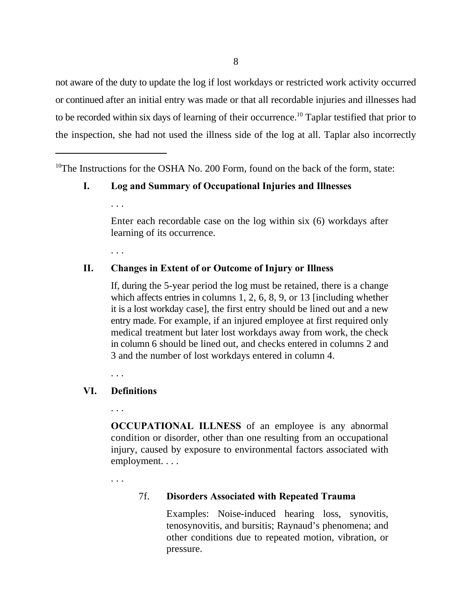not aware of the duty to update the log if lost workdays or restricted work activity occurred or continued after an initial entry was made or that all recordable injuries and illnesses had to be recorded within six days of learning of their occurrence.<sup>10</sup> Taplar testified that prior to the inspection, she had not used the illness side of the log at all. Taplar also incorrectly

<sup>10</sup>The Instructions for the OSHA No. 200 Form, found on the back of the form, state:

## **I. Log and Summary of Occupational Injuries and Illnesses**

Enter each recordable case on the log within six (6) workdays after learning of its occurrence.

. . .

. . .

## **II. Changes in Extent of or Outcome of Injury or Illness**

If, during the 5-year period the log must be retained, there is a change which affects entries in columns 1, 2, 6, 8, 9, or 13 [including whether it is a lost workday case], the first entry should be lined out and a new entry made. For example, if an injured employee at first required only medical treatment but later lost workdays away from work, the check in column 6 should be lined out, and checks entered in columns 2 and 3 and the number of lost workdays entered in column 4.

. . .

## **VI. Definitions**

. . .

**OCCUPATIONAL ILLNESS** of an employee is any abnormal condition or disorder, other than one resulting from an occupational injury, caused by exposure to environmental factors associated with employment. . . .

. . .

## 7f. **Disorders Associated with Repeated Trauma**

Examples: Noise-induced hearing loss, synovitis, tenosynovitis, and bursitis; Raynaud's phenomena; and other conditions due to repeated motion, vibration, or pressure.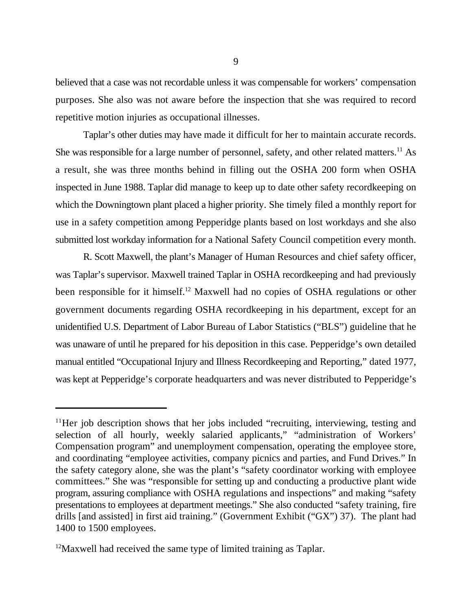believed that a case was not recordable unless it was compensable for workers' compensation purposes. She also was not aware before the inspection that she was required to record repetitive motion injuries as occupational illnesses.

Taplar's other duties may have made it difficult for her to maintain accurate records. She was responsible for a large number of personnel, safety, and other related matters.<sup>11</sup> As a result, she was three months behind in filling out the OSHA 200 form when OSHA inspected in June 1988. Taplar did manage to keep up to date other safety recordkeeping on which the Downingtown plant placed a higher priority. She timely filed a monthly report for use in a safety competition among Pepperidge plants based on lost workdays and she also submitted lost workday information for a National Safety Council competition every month.

R. Scott Maxwell, the plant's Manager of Human Resources and chief safety officer, was Taplar's supervisor. Maxwell trained Taplar in OSHA recordkeeping and had previously been responsible for it himself.<sup>12</sup> Maxwell had no copies of OSHA regulations or other government documents regarding OSHA recordkeeping in his department, except for an unidentified U.S. Department of Labor Bureau of Labor Statistics ("BLS") guideline that he was unaware of until he prepared for his deposition in this case. Pepperidge's own detailed manual entitled "Occupational Injury and Illness Recordkeeping and Reporting," dated 1977, was kept at Pepperidge's corporate headquarters and was never distributed to Pepperidge's

 $11$ Her job description shows that her jobs included "recruiting, interviewing, testing and selection of all hourly, weekly salaried applicants," "administration of Workers' Compensation program" and unemployment compensation, operating the employee store, and coordinating "employee activities, company picnics and parties, and Fund Drives." In the safety category alone, she was the plant's "safety coordinator working with employee committees." She was "responsible for setting up and conducting a productive plant wide program, assuring compliance with OSHA regulations and inspections" and making "safety presentations to employees at department meetings." She also conducted "safety training, fire drills [and assisted] in first aid training." (Government Exhibit ("GX") 37). The plant had 1400 to 1500 employees.

 $12$ Maxwell had received the same type of limited training as Taplar.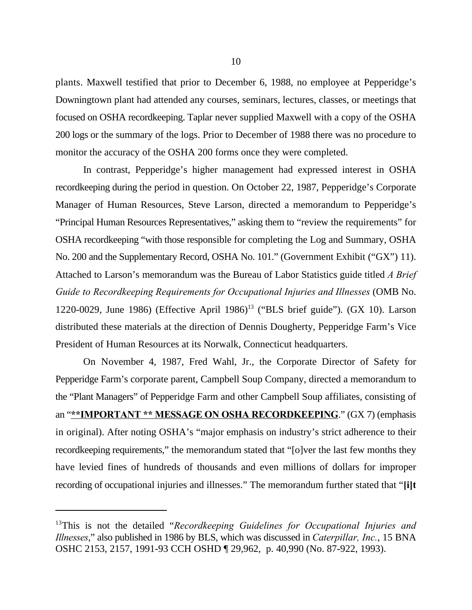plants. Maxwell testified that prior to December 6, 1988, no employee at Pepperidge's Downingtown plant had attended any courses, seminars, lectures, classes, or meetings that focused on OSHA recordkeeping. Taplar never supplied Maxwell with a copy of the OSHA 200 logs or the summary of the logs. Prior to December of 1988 there was no procedure to monitor the accuracy of the OSHA 200 forms once they were completed.

In contrast, Pepperidge's higher management had expressed interest in OSHA recordkeeping during the period in question. On October 22, 1987, Pepperidge's Corporate Manager of Human Resources, Steve Larson, directed a memorandum to Pepperidge's "Principal Human Resources Representatives," asking them to "review the requirements" for OSHA recordkeeping "with those responsible for completing the Log and Summary, OSHA No. 200 and the Supplementary Record, OSHA No. 101." (Government Exhibit ("GX") 11). Attached to Larson's memorandum was the Bureau of Labor Statistics guide titled *A Brief Guide to Recordkeeping Requirements for Occupational Injuries and Illnesses* (OMB No. 1220-0029, June 1986) (Effective April 1986)<sup>13</sup> ("BLS brief guide"). (GX 10). Larson distributed these materials at the direction of Dennis Dougherty, Pepperidge Farm's Vice President of Human Resources at its Norwalk, Connecticut headquarters.

On November 4, 1987, Fred Wahl, Jr., the Corporate Director of Safety for Pepperidge Farm's corporate parent, Campbell Soup Company, directed a memorandum to the "Plant Managers" of Pepperidge Farm and other Campbell Soup affiliates, consisting of an "**\*\*IMPORTANT \*\* MESSAGE ON OSHA RECORDKEEPING**." (GX 7) (emphasis in original). After noting OSHA's "major emphasis on industry's strict adherence to their recordkeeping requirements," the memorandum stated that "[o]ver the last few months they have levied fines of hundreds of thousands and even millions of dollars for improper recording of occupational injuries and illnesses." The memorandum further stated that "**[i]t**

<sup>&</sup>lt;sup>13</sup>This is not the detailed "Recordkeeping Guidelines for Occupational Injuries and *Illnesses*," also published in 1986 by BLS, which was discussed in *Caterpillar, Inc.*, 15 BNA OSHC 2153, 2157, 1991-93 CCH OSHD ¶ 29,962, p. 40,990 (No. 87-922, 1993).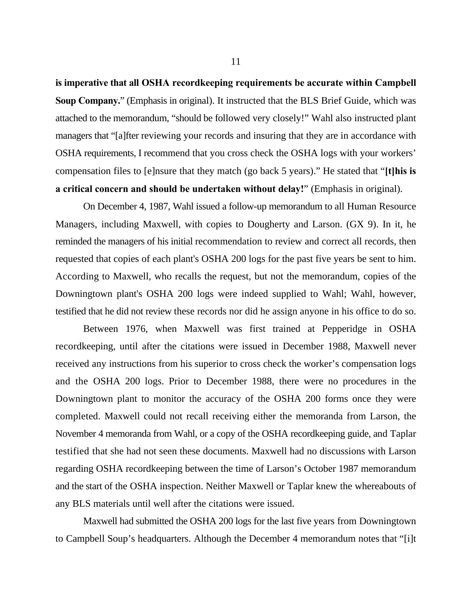**is imperative that all OSHA recordkeeping requirements be accurate within Campbell Soup Company.**" (Emphasis in original). It instructed that the BLS Brief Guide, which was attached to the memorandum, "should be followed very closely!" Wahl also instructed plant managers that "[a]fter reviewing your records and insuring that they are in accordance with OSHA requirements, I recommend that you cross check the OSHA logs with your workers' compensation files to [e]nsure that they match (go back 5 years)." He stated that "**[t]his is a critical concern and should be undertaken without delay!**" (Emphasis in original).

On December 4, 1987, Wahl issued a follow-up memorandum to all Human Resource Managers, including Maxwell, with copies to Dougherty and Larson. (GX 9). In it, he reminded the managers of his initial recommendation to review and correct all records, then requested that copies of each plant's OSHA 200 logs for the past five years be sent to him. According to Maxwell, who recalls the request, but not the memorandum, copies of the Downingtown plant's OSHA 200 logs were indeed supplied to Wahl; Wahl, however, testified that he did not review these records nor did he assign anyone in his office to do so.

Between 1976, when Maxwell was first trained at Pepperidge in OSHA recordkeeping, until after the citations were issued in December 1988, Maxwell never received any instructions from his superior to cross check the worker's compensation logs and the OSHA 200 logs. Prior to December 1988, there were no procedures in the Downingtown plant to monitor the accuracy of the OSHA 200 forms once they were completed. Maxwell could not recall receiving either the memoranda from Larson, the November 4 memoranda from Wahl, or a copy of the OSHA recordkeeping guide, and Taplar testified that she had not seen these documents. Maxwell had no discussions with Larson regarding OSHA recordkeeping between the time of Larson's October 1987 memorandum and the start of the OSHA inspection. Neither Maxwell or Taplar knew the whereabouts of any BLS materials until well after the citations were issued.

Maxwell had submitted the OSHA 200 logs for the last five years from Downingtown to Campbell Soup's headquarters. Although the December 4 memorandum notes that "[i]t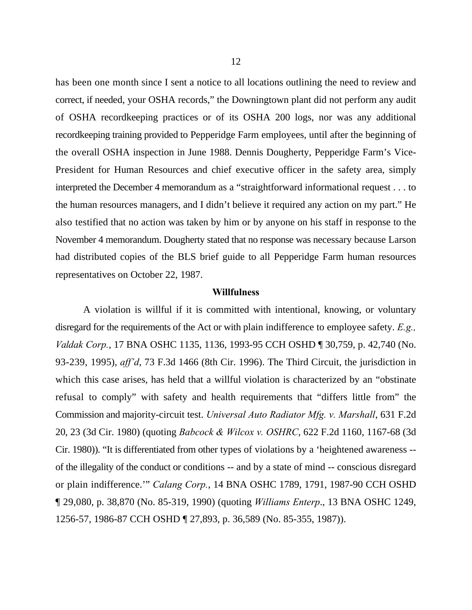has been one month since I sent a notice to all locations outlining the need to review and correct, if needed, your OSHA records," the Downingtown plant did not perform any audit of OSHA recordkeeping practices or of its OSHA 200 logs, nor was any additional recordkeeping training provided to Pepperidge Farm employees, until after the beginning of the overall OSHA inspection in June 1988. Dennis Dougherty, Pepperidge Farm's Vice-President for Human Resources and chief executive officer in the safety area, simply interpreted the December 4 memorandum as a "straightforward informational request . . . to the human resources managers, and I didn't believe it required any action on my part." He also testified that no action was taken by him or by anyone on his staff in response to the November 4 memorandum. Dougherty stated that no response was necessary because Larson had distributed copies of the BLS brief guide to all Pepperidge Farm human resources representatives on October 22, 1987.

## **Willfulness**

A violation is willful if it is committed with intentional, knowing, or voluntary disregard for the requirements of the Act or with plain indifference to employee safety. *E.g., Valdak Corp.*, 17 BNA OSHC 1135, 1136, 1993-95 CCH OSHD ¶ 30,759, p. 42,740 (No. 93-239, 1995), *aff'd*, 73 F.3d 1466 (8th Cir. 1996). The Third Circuit, the jurisdiction in which this case arises, has held that a willful violation is characterized by an "obstinate refusal to comply" with safety and health requirements that "differs little from" the Commission and majority-circuit test. *Universal Auto Radiator Mfg. v. Marshall*, 631 F.2d 20, 23 (3d Cir. 1980) (quoting *Babcock & Wilcox v. OSHRC*, 622 F.2d 1160, 1167-68 (3d Cir. 1980)). "It is differentiated from other types of violations by a 'heightened awareness - of the illegality of the conduct or conditions -- and by a state of mind -- conscious disregard or plain indifference.'" *Calang Corp.*, 14 BNA OSHC 1789, 1791, 1987-90 CCH OSHD ¶ 29,080, p. 38,870 (No. 85-319, 1990) (quoting *Williams Enterp*., 13 BNA OSHC 1249, 1256-57, 1986-87 CCH OSHD ¶ 27,893, p. 36,589 (No. 85-355, 1987)).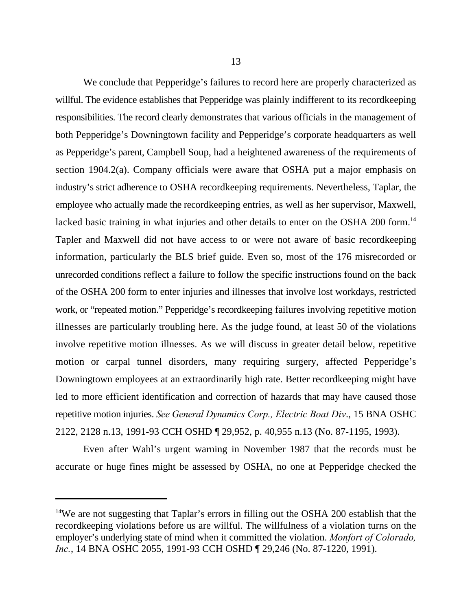We conclude that Pepperidge's failures to record here are properly characterized as willful. The evidence establishes that Pepperidge was plainly indifferent to its record keeping responsibilities. The record clearly demonstrates that various officials in the management of both Pepperidge's Downingtown facility and Pepperidge's corporate headquarters as well as Pepperidge's parent, Campbell Soup, had a heightened awareness of the requirements of section 1904.2(a). Company officials were aware that OSHA put a major emphasis on industry's strict adherence to OSHA recordkeeping requirements. Nevertheless, Taplar, the employee who actually made the recordkeeping entries, as well as her supervisor, Maxwell, lacked basic training in what injuries and other details to enter on the OSHA 200 form.<sup>14</sup> Tapler and Maxwell did not have access to or were not aware of basic recordkeeping information, particularly the BLS brief guide. Even so, most of the 176 misrecorded or unrecorded conditions reflect a failure to follow the specific instructions found on the back of the OSHA 200 form to enter injuries and illnesses that involve lost workdays, restricted work, or "repeated motion." Pepperidge's recordkeeping failures involving repetitive motion illnesses are particularly troubling here. As the judge found, at least 50 of the violations involve repetitive motion illnesses. As we will discuss in greater detail below, repetitive motion or carpal tunnel disorders, many requiring surgery, affected Pepperidge's Downingtown employees at an extraordinarily high rate. Better recordkeeping might have led to more efficient identification and correction of hazards that may have caused those repetitive motion injuries. *See General Dynamics Corp., Electric Boat Div*., 15 BNA OSHC 2122, 2128 n.13, 1991-93 CCH OSHD ¶ 29,952, p. 40,955 n.13 (No. 87-1195, 1993).

Even after Wahl's urgent warning in November 1987 that the records must be accurate or huge fines might be assessed by OSHA, no one at Pepperidge checked the

<sup>&</sup>lt;sup>14</sup>We are not suggesting that Taplar's errors in filling out the OSHA 200 establish that the recordkeeping violations before us are willful. The willfulness of a violation turns on the employer's underlying state of mind when it committed the violation. *Monfort of Colorado, Inc.*, 14 BNA OSHC 2055, 1991-93 CCH OSHD ¶ 29,246 (No. 87-1220, 1991).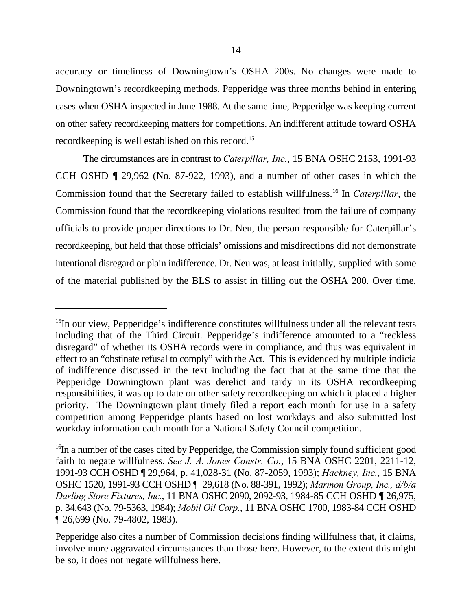accuracy or timeliness of Downingtown's OSHA 200s. No changes were made to Downingtown's recordkeeping methods. Pepperidge was three months behind in entering cases when OSHA inspected in June 1988. At the same time, Pepperidge was keeping current on other safety recordkeeping matters for competitions. An indifferent attitude toward OSHA recordkeeping is well established on this record.<sup>15</sup>

The circumstances are in contrast to *Caterpillar, Inc.*, 15 BNA OSHC 2153, 1991-93 CCH OSHD ¶ 29,962 (No. 87-922, 1993), and a number of other cases in which the Commission found that the Secretary failed to establish willfulness.<sup>16</sup> In *Caterpillar*, the Commission found that the recordkeeping violations resulted from the failure of company officials to provide proper directions to Dr. Neu, the person responsible for Caterpillar's recordkeeping, but held that those officials' omissions and misdirections did not demonstrate intentional disregard or plain indifference. Dr. Neu was, at least initially, supplied with some of the material published by the BLS to assist in filling out the OSHA 200. Over time,

 $15$ In our view, Pepperidge's indifference constitutes willfulness under all the relevant tests including that of the Third Circuit. Pepperidge's indifference amounted to a "reckless disregard" of whether its OSHA records were in compliance, and thus was equivalent in effect to an "obstinate refusal to comply" with the Act. This is evidenced by multiple indicia of indifference discussed in the text including the fact that at the same time that the Pepperidge Downingtown plant was derelict and tardy in its OSHA recordkeeping responsibilities, it was up to date on other safety recordkeeping on which it placed a higher priority. The Downingtown plant timely filed a report each month for use in a safety competition among Pepperidge plants based on lost workdays and also submitted lost workday information each month for a National Safety Council competition.

 $16$ In a number of the cases cited by Pepperidge, the Commission simply found sufficient good faith to negate willfulness. *See J. A. Jones Constr. Co.*, 15 BNA OSHC 2201, 2211-12, 1991-93 CCH OSHD ¶ 29,964, p. 41,028-31 (No. 87-2059, 1993); *Hackney, Inc.*, 15 BNA OSHC 1520, 1991-93 CCH OSHD ¶ 29,618 (No. 88-391, 1992); *Marmon Group, Inc., d/b/a Darling Store Fixtures, Inc.*, 11 BNA OSHC 2090, 2092-93, 1984-85 CCH OSHD ¶ 26,975, p. 34,643 (No. 79-5363, 1984); *Mobil Oil Corp.*, 11 BNA OSHC 1700, 1983-84 CCH OSHD ¶ 26,699 (No. 79-4802, 1983).

Pepperidge also cites a number of Commission decisions finding willfulness that, it claims, involve more aggravated circumstances than those here. However, to the extent this might be so, it does not negate willfulness here.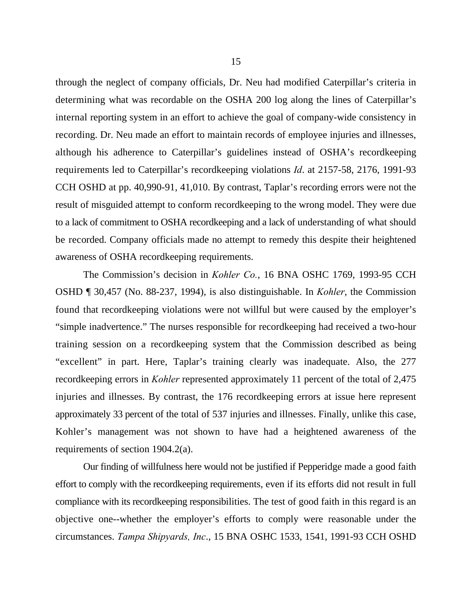through the neglect of company officials, Dr. Neu had modified Caterpillar's criteria in determining what was recordable on the OSHA 200 log along the lines of Caterpillar's internal reporting system in an effort to achieve the goal of company-wide consistency in recording. Dr. Neu made an effort to maintain records of employee injuries and illnesses, although his adherence to Caterpillar's guidelines instead of OSHA's recordkeeping requirements led to Caterpillar's recordkeeping violations *Id*. at 2157-58, 2176, 1991-93 CCH OSHD at pp. 40,990-91, 41,010. By contrast, Taplar's recording errors were not the result of misguided attempt to conform recordkeeping to the wrong model. They were due to a lack of commitment to OSHA recordkeeping and a lack of understanding of what should be recorded. Company officials made no attempt to remedy this despite their heightened awareness of OSHA recordkeeping requirements.

The Commission's decision in *Kohler Co.*, 16 BNA OSHC 1769, 1993-95 CCH OSHD ¶ 30,457 (No. 88-237, 1994), is also distinguishable. In *Kohler*, the Commission found that recordkeeping violations were not willful but were caused by the employer's "simple inadvertence." The nurses responsible for recordkeeping had received a two-hour training session on a recordkeeping system that the Commission described as being "excellent" in part. Here, Taplar's training clearly was inadequate. Also, the 277 recordkeeping errors in *Kohler* represented approximately 11 percent of the total of 2,475 injuries and illnesses. By contrast, the 176 recordkeeping errors at issue here represent approximately 33 percent of the total of 537 injuries and illnesses. Finally, unlike this case, Kohler's management was not shown to have had a heightened awareness of the requirements of section 1904.2(a).

Our finding of willfulness here would not be justified if Pepperidge made a good faith effort to comply with the recordkeeping requirements, even if its efforts did not result in full compliance with its recordkeeping responsibilities. The test of good faith in this regard is an objective one--whether the employer's efforts to comply were reasonable under the circumstances. *Tampa Shipyards, Inc*., 15 BNA OSHC 1533, 1541, 1991-93 CCH OSHD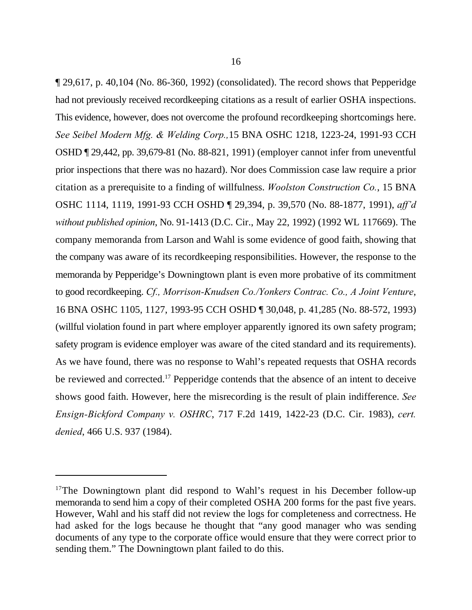¶ 29,617, p. 40,104 (No. 86-360, 1992) (consolidated). The record shows that Pepperidge had not previously received recordkeeping citations as a result of earlier OSHA inspections. This evidence, however, does not overcome the profound recordkeeping shortcomings here. *See Seibel Modern Mfg. & Welding Corp.,*15 BNA OSHC 1218, 1223-24, 1991-93 CCH OSHD ¶ 29,442, pp. 39,679-81 (No. 88-821, 1991) (employer cannot infer from uneventful prior inspections that there was no hazard). Nor does Commission case law require a prior citation as a prerequisite to a finding of willfulness. *Woolston Construction Co.*, 15 BNA OSHC 1114, 1119, 1991-93 CCH OSHD ¶ 29,394, p. 39,570 (No. 88-1877, 1991), *aff'd without published opinion*, No. 91-1413 (D.C. Cir., May 22, 1992) (1992 WL 117669). The company memoranda from Larson and Wahl is some evidence of good faith, showing that the company was aware of its recordkeeping responsibilities. However, the response to the memoranda by Pepperidge's Downingtown plant is even more probative of its commitment to good recordkeeping. *Cf., Morrison-Knudsen Co./Yonkers Contrac. Co., A Joint Venture*, 16 BNA OSHC 1105, 1127, 1993-95 CCH OSHD ¶ 30,048, p. 41,285 (No. 88-572, 1993) (willful violation found in part where employer apparently ignored its own safety program; safety program is evidence employer was aware of the cited standard and its requirements). As we have found, there was no response to Wahl's repeated requests that OSHA records be reviewed and corrected.<sup>17</sup> Pepperidge contends that the absence of an intent to deceive shows good faith. However, here the misrecording is the result of plain indifference. *See Ensign-Bickford Company v. OSHRC*, 717 F.2d 1419, 1422-23 (D.C. Cir. 1983), *cert. denied*, 466 U.S. 937 (1984).

<sup>&</sup>lt;sup>17</sup>The Downingtown plant did respond to Wahl's request in his December follow-up memoranda to send him a copy of their completed OSHA 200 forms for the past five years. However, Wahl and his staff did not review the logs for completeness and correctness. He had asked for the logs because he thought that "any good manager who was sending documents of any type to the corporate office would ensure that they were correct prior to sending them." The Downingtown plant failed to do this.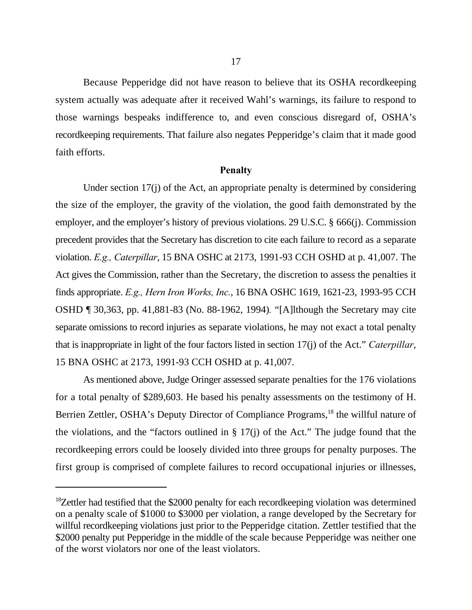Because Pepperidge did not have reason to believe that its OSHA recordkeeping system actually was adequate after it received Wahl's warnings, its failure to respond to those warnings bespeaks indifference to, and even conscious disregard of, OSHA's recordkeeping requirements. That failure also negates Pepperidge's claim that it made good faith efforts.

#### **Penalty**

Under section 17(j) of the Act, an appropriate penalty is determined by considering the size of the employer, the gravity of the violation, the good faith demonstrated by the employer, and the employer's history of previous violations. 29 U.S.C. § 666(j). Commission precedent provides that the Secretary has discretion to cite each failure to record as a separate violation. *E.g., Caterpillar*, 15 BNA OSHC at 2173, 1991-93 CCH OSHD at p. 41,007. The Act gives the Commission, rather than the Secretary, the discretion to assess the penalties it finds appropriate. *E.g., Hern Iron Works, Inc.*, 16 BNA OSHC 1619, 1621-23, 1993-95 CCH OSHD ¶ 30,363, pp. 41,881-83 (No. 88-1962, 1994)*.* "[A]lthough the Secretary may cite separate omissions to record injuries as separate violations, he may not exact a total penalty that is inappropriate in light of the four factors listed in section 17(j) of the Act." *Caterpillar*, 15 BNA OSHC at 2173, 1991-93 CCH OSHD at p. 41,007.

As mentioned above, Judge Oringer assessed separate penalties for the 176 violations for a total penalty of \$289,603. He based his penalty assessments on the testimony of H. Berrien Zettler, OSHA's Deputy Director of Compliance Programs,<sup>18</sup> the willful nature of the violations, and the "factors outlined in  $\S 17(i)$  of the Act." The judge found that the recordkeeping errors could be loosely divided into three groups for penalty purposes. The first group is comprised of complete failures to record occupational injuries or illnesses,

 $18$ Zettler had testified that the \$2000 penalty for each recordkeeping violation was determined on a penalty scale of \$1000 to \$3000 per violation, a range developed by the Secretary for willful recordkeeping violations just prior to the Pepperidge citation. Zettler testified that the \$2000 penalty put Pepperidge in the middle of the scale because Pepperidge was neither one of the worst violators nor one of the least violators.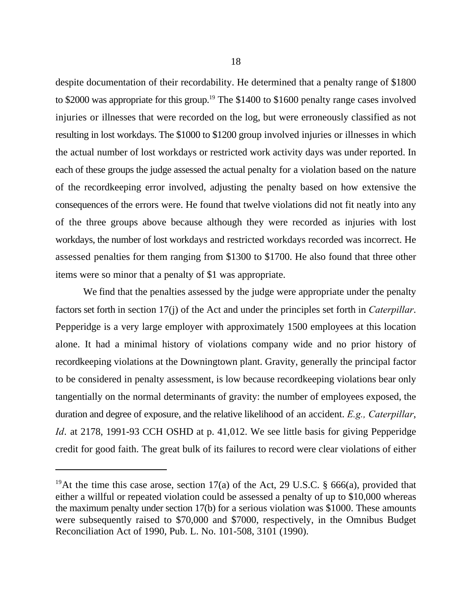despite documentation of their recordability. He determined that a penalty range of \$1800 to \$2000 was appropriate for this group.<sup>19</sup> The \$1400 to \$1600 penalty range cases involved injuries or illnesses that were recorded on the log, but were erroneously classified as not resulting in lost workdays. The \$1000 to \$1200 group involved injuries or illnesses in which the actual number of lost workdays or restricted work activity days was under reported. In each of these groups the judge assessed the actual penalty for a violation based on the nature of the recordkeeping error involved, adjusting the penalty based on how extensive the consequences of the errors were. He found that twelve violations did not fit neatly into any of the three groups above because although they were recorded as injuries with lost workdays, the number of lost workdays and restricted workdays recorded was incorrect. He assessed penalties for them ranging from \$1300 to \$1700. He also found that three other items were so minor that a penalty of \$1 was appropriate.

We find that the penalties assessed by the judge were appropriate under the penalty factors set forth in section 17(j) of the Act and under the principles set forth in *Caterpillar*. Pepperidge is a very large employer with approximately 1500 employees at this location alone. It had a minimal history of violations company wide and no prior history of recordkeeping violations at the Downingtown plant. Gravity, generally the principal factor to be considered in penalty assessment, is low because recordkeeping violations bear only tangentially on the normal determinants of gravity: the number of employees exposed, the duration and degree of exposure, and the relative likelihood of an accident. *E.g., Caterpillar*, *Id.* at 2178, 1991-93 CCH OSHD at p. 41,012. We see little basis for giving Pepperidge credit for good faith. The great bulk of its failures to record were clear violations of either

<sup>&</sup>lt;sup>19</sup>At the time this case arose, section 17(a) of the Act, 29 U.S.C. § 666(a), provided that either a willful or repeated violation could be assessed a penalty of up to \$10,000 whereas the maximum penalty under section 17(b) for a serious violation was \$1000. These amounts were subsequently raised to \$70,000 and \$7000, respectively, in the Omnibus Budget Reconciliation Act of 1990, Pub. L. No. 101-508, 3101 (1990).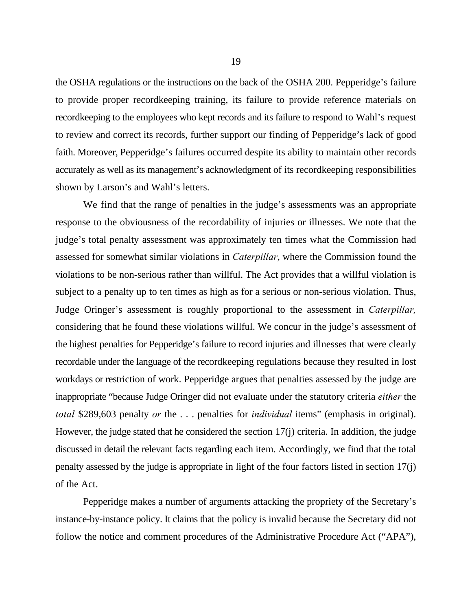the OSHA regulations or the instructions on the back of the OSHA 200. Pepperidge's failure to provide proper recordkeeping training, its failure to provide reference materials on recordkeeping to the employees who kept records and its failure to respond to Wahl's request to review and correct its records, further support our finding of Pepperidge's lack of good faith. Moreover, Pepperidge's failures occurred despite its ability to maintain other records accurately as well as its management's acknowledgment of its recordkeeping responsibilities shown by Larson's and Wahl's letters.

We find that the range of penalties in the judge's assessments was an appropriate response to the obviousness of the recordability of injuries or illnesses. We note that the judge's total penalty assessment was approximately ten times what the Commission had assessed for somewhat similar violations in *Caterpillar*, where the Commission found the violations to be non-serious rather than willful. The Act provides that a willful violation is subject to a penalty up to ten times as high as for a serious or non-serious violation. Thus, Judge Oringer's assessment is roughly proportional to the assessment in *Caterpillar,* considering that he found these violations willful. We concur in the judge's assessment of the highest penalties for Pepperidge's failure to record injuries and illnesses that were clearly recordable under the language of the recordkeeping regulations because they resulted in lost workdays or restriction of work. Pepperidge argues that penalties assessed by the judge are inappropriate "because Judge Oringer did not evaluate under the statutory criteria *either* the *total* \$289,603 penalty *or* the . . . penalties for *individual* items" (emphasis in original). However, the judge stated that he considered the section 17(j) criteria. In addition, the judge discussed in detail the relevant facts regarding each item. Accordingly, we find that the total penalty assessed by the judge is appropriate in light of the four factors listed in section 17(j) of the Act.

Pepperidge makes a number of arguments attacking the propriety of the Secretary's instance-by-instance policy. It claims that the policy is invalid because the Secretary did not follow the notice and comment procedures of the Administrative Procedure Act ("APA"),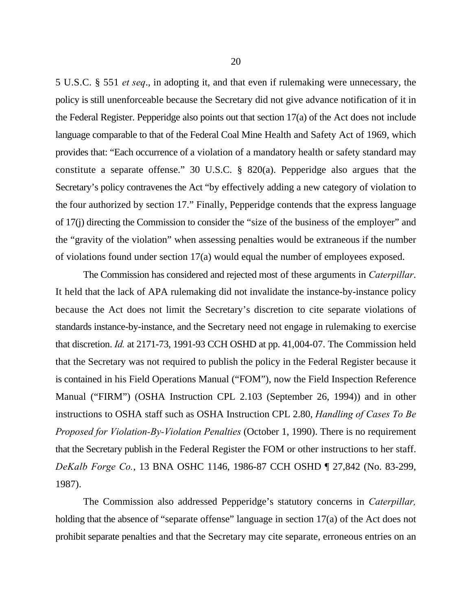5 U.S.C. § 551 *et seq*., in adopting it, and that even if rulemaking were unnecessary, the policy is still unenforceable because the Secretary did not give advance notification of it in the Federal Register. Pepperidge also points out that section 17(a) of the Act does not include language comparable to that of the Federal Coal Mine Health and Safety Act of 1969, which provides that: "Each occurrence of a violation of a mandatory health or safety standard may constitute a separate offense." 30 U.S.C. § 820(a). Pepperidge also argues that the Secretary's policy contravenes the Act "by effectively adding a new category of violation to the four authorized by section 17." Finally, Pepperidge contends that the express language of 17(j) directing the Commission to consider the "size of the business of the employer" and the "gravity of the violation" when assessing penalties would be extraneous if the number of violations found under section 17(a) would equal the number of employees exposed.

The Commission has considered and rejected most of these arguments in *Caterpillar*. It held that the lack of APA rulemaking did not invalidate the instance-by-instance policy because the Act does not limit the Secretary's discretion to cite separate violations of standards instance-by-instance, and the Secretary need not engage in rulemaking to exercise that discretion. *Id.* at 2171-73, 1991-93 CCH OSHD at pp. 41,004-07. The Commission held that the Secretary was not required to publish the policy in the Federal Register because it is contained in his Field Operations Manual ("FOM"), now the Field Inspection Reference Manual ("FIRM") (OSHA Instruction CPL 2.103 (September 26, 1994)) and in other instructions to OSHA staff such as OSHA Instruction CPL 2.80, *Handling of Cases To Be Proposed for Violation-By-Violation Penalties* (October 1, 1990). There is no requirement that the Secretary publish in the Federal Register the FOM or other instructions to her staff. *DeKalb Forge Co.*, 13 BNA OSHC 1146, 1986-87 CCH OSHD ¶ 27,842 (No. 83-299, 1987).

The Commission also addressed Pepperidge's statutory concerns in *Caterpillar,* holding that the absence of "separate offense" language in section 17(a) of the Act does not prohibit separate penalties and that the Secretary may cite separate, erroneous entries on an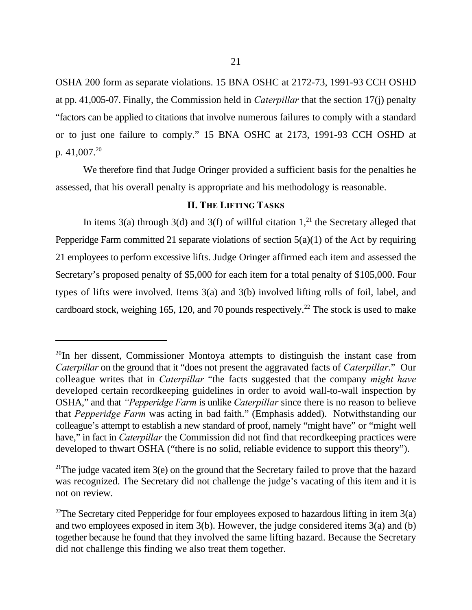OSHA 200 form as separate violations. 15 BNA OSHC at 2172-73, 1991-93 CCH OSHD at pp. 41,005-07. Finally, the Commission held in *Caterpillar* that the section 17(j) penalty "factors can be applied to citations that involve numerous failures to comply with a standard or to just one failure to comply." 15 BNA OSHC at 2173, 1991-93 CCH OSHD at p. 41,007.<sup>20</sup>

We therefore find that Judge Oringer provided a sufficient basis for the penalties he assessed, that his overall penalty is appropriate and his methodology is reasonable.

## **II. THE LIFTING TASKS**

In items 3(a) through 3(d) and 3(f) of willful citation  $1<sup>21</sup>$ , the Secretary alleged that Pepperidge Farm committed 21 separate violations of section 5(a)(1) of the Act by requiring 21 employees to perform excessive lifts. Judge Oringer affirmed each item and assessed the Secretary's proposed penalty of \$5,000 for each item for a total penalty of \$105,000. Four types of lifts were involved. Items 3(a) and 3(b) involved lifting rolls of foil, label, and cardboard stock, weighing 165, 120, and 70 pounds respectively.<sup>22</sup> The stock is used to make

 $^{20}$ In her dissent, Commissioner Montoya attempts to distinguish the instant case from *Caterpillar* on the ground that it "does not present the aggravated facts of *Caterpillar*." Our colleague writes that in *Caterpillar* "the facts suggested that the company *might have* developed certain recordkeeping guidelines in order to avoid wall-to-wall inspection by OSHA," and that *"Pepperidge Farm* is unlike *Caterpillar* since there is no reason to believe that *Pepperidge Farm* was acting in bad faith." (Emphasis added). Notwithstanding our colleague's attempt to establish a new standard of proof, namely "might have" or "might well have," in fact in *Caterpillar* the Commission did not find that recordkeeping practices were developed to thwart OSHA ("there is no solid, reliable evidence to support this theory").

<sup>&</sup>lt;sup>21</sup>The judge vacated item 3(e) on the ground that the Secretary failed to prove that the hazard was recognized. The Secretary did not challenge the judge's vacating of this item and it is not on review.

<sup>&</sup>lt;sup>22</sup>The Secretary cited Pepperidge for four employees exposed to hazardous lifting in item  $3(a)$ and two employees exposed in item 3(b). However, the judge considered items 3(a) and (b) together because he found that they involved the same lifting hazard. Because the Secretary did not challenge this finding we also treat them together.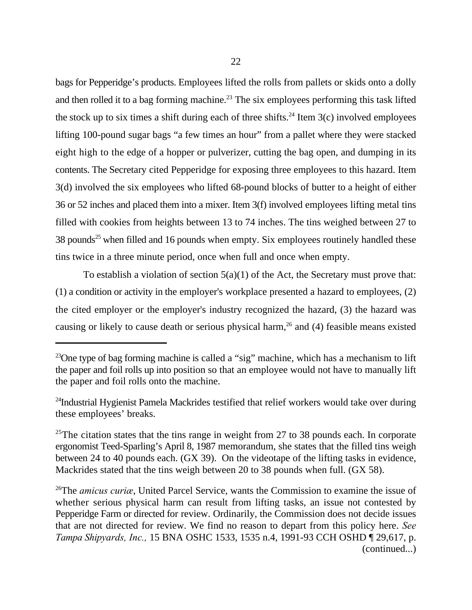bags for Pepperidge's products. Employees lifted the rolls from pallets or skids onto a dolly and then rolled it to a bag forming machine.<sup>23</sup> The six employees performing this task lifted the stock up to six times a shift during each of three shifts.<sup>24</sup> Item  $3(c)$  involved employees lifting 100-pound sugar bags "a few times an hour" from a pallet where they were stacked eight high to the edge of a hopper or pulverizer, cutting the bag open, and dumping in its contents. The Secretary cited Pepperidge for exposing three employees to this hazard. Item 3(d) involved the six employees who lifted 68-pound blocks of butter to a height of either 36 or 52 inches and placed them into a mixer. Item 3(f) involved employees lifting metal tins filled with cookies from heights between 13 to 74 inches. The tins weighed between 27 to  $38$  pounds<sup>25</sup> when filled and 16 pounds when empty. Six employees routinely handled these tins twice in a three minute period, once when full and once when empty.

To establish a violation of section  $5(a)(1)$  of the Act, the Secretary must prove that: (1) a condition or activity in the employer's workplace presented a hazard to employees, (2) the cited employer or the employer's industry recognized the hazard, (3) the hazard was causing or likely to cause death or serious physical harm,  $26$  and (4) feasible means existed

 $23$ One type of bag forming machine is called a "sig" machine, which has a mechanism to lift the paper and foil rolls up into position so that an employee would not have to manually lift the paper and foil rolls onto the machine.

 $24$ Industrial Hygienist Pamela Mackrides testified that relief workers would take over during these employees' breaks.

<sup>&</sup>lt;sup>25</sup>The citation states that the tins range in weight from 27 to 38 pounds each. In corporate ergonomist Teed-Sparling's April 8, 1987 memorandum, she states that the filled tins weigh between 24 to 40 pounds each. (GX 39). On the videotape of the lifting tasks in evidence, Mackrides stated that the tins weigh between 20 to 38 pounds when full. (GX 58).

<sup>&</sup>lt;sup>26</sup>The *amicus curice*, United Parcel Service, wants the Commission to examine the issue of whether serious physical harm can result from lifting tasks, an issue not contested by Pepperidge Farm or directed for review. Ordinarily, the Commission does not decide issues that are not directed for review. We find no reason to depart from this policy here. *See Tampa Shipyards, Inc.,* 15 BNA OSHC 1533, 1535 n.4, 1991-93 CCH OSHD ¶ 29,617, p. (continued...)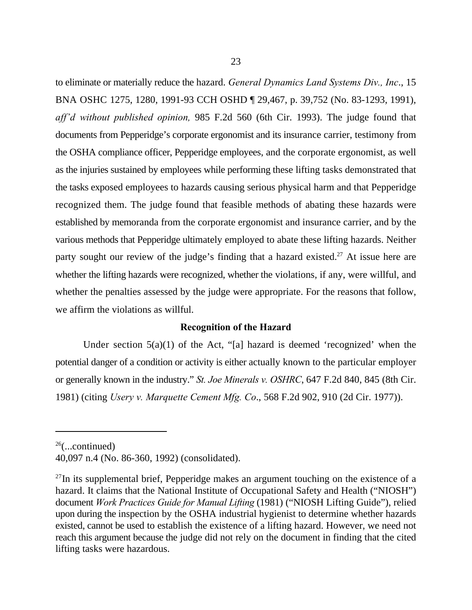to eliminate or materially reduce the hazard. *General Dynamics Land Systems Div., Inc*., 15 BNA OSHC 1275, 1280, 1991-93 CCH OSHD ¶ 29,467, p. 39,752 (No. 83-1293, 1991), *aff'd without published opinion,* 985 F.2d 560 (6th Cir. 1993). The judge found that documents from Pepperidge's corporate ergonomist and its insurance carrier, testimony from the OSHA compliance officer, Pepperidge employees, and the corporate ergonomist, as well as the injuries sustained by employees while performing these lifting tasks demonstrated that the tasks exposed employees to hazards causing serious physical harm and that Pepperidge recognized them. The judge found that feasible methods of abating these hazards were established by memoranda from the corporate ergonomist and insurance carrier, and by the various methods that Pepperidge ultimately employed to abate these lifting hazards. Neither party sought our review of the judge's finding that a hazard existed.<sup>27</sup> At issue here are whether the lifting hazards were recognized, whether the violations, if any, were willful, and whether the penalties assessed by the judge were appropriate. For the reasons that follow, we affirm the violations as willful.

### **Recognition of the Hazard**

Under section  $5(a)(1)$  of the Act, "[a] hazard is deemed 'recognized' when the potential danger of a condition or activity is either actually known to the particular employer or generally known in the industry." *St. Joe Minerals v. OSHRC*, 647 F.2d 840, 845 (8th Cir. 1981) (citing *Usery v. Marquette Cement Mfg. Co*., 568 F.2d 902, 910 (2d Cir. 1977)).

 $26$ (...continued)

<sup>40,097</sup> n.4 (No. 86-360, 1992) (consolidated).

 $27$ In its supplemental brief, Pepperidge makes an argument touching on the existence of a hazard. It claims that the National Institute of Occupational Safety and Health ("NIOSH") document *Work Practices Guide for Manual Lifting* (1981) ("NIOSH Lifting Guide"), relied upon during the inspection by the OSHA industrial hygienist to determine whether hazards existed, cannot be used to establish the existence of a lifting hazard. However, we need not reach this argument because the judge did not rely on the document in finding that the cited lifting tasks were hazardous.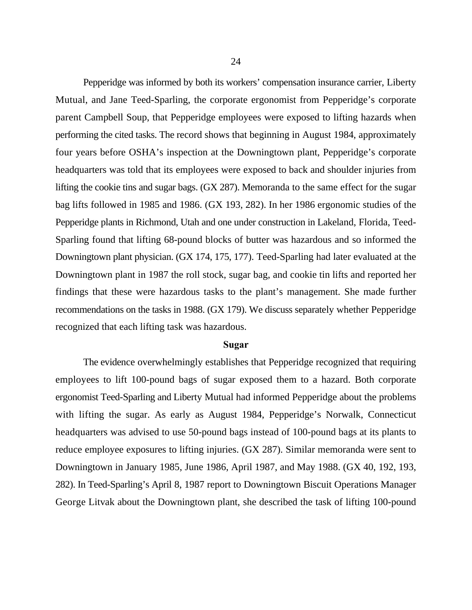Pepperidge was informed by both its workers' compensation insurance carrier, Liberty Mutual, and Jane Teed-Sparling, the corporate ergonomist from Pepperidge's corporate parent Campbell Soup, that Pepperidge employees were exposed to lifting hazards when performing the cited tasks. The record shows that beginning in August 1984, approximately four years before OSHA's inspection at the Downingtown plant, Pepperidge's corporate headquarters was told that its employees were exposed to back and shoulder injuries from lifting the cookie tins and sugar bags. (GX 287). Memoranda to the same effect for the sugar bag lifts followed in 1985 and 1986. (GX 193, 282). In her 1986 ergonomic studies of the Pepperidge plants in Richmond, Utah and one under construction in Lakeland, Florida, Teed-Sparling found that lifting 68-pound blocks of butter was hazardous and so informed the Downingtown plant physician. (GX 174, 175, 177). Teed-Sparling had later evaluated at the Downingtown plant in 1987 the roll stock, sugar bag, and cookie tin lifts and reported her findings that these were hazardous tasks to the plant's management. She made further recommendations on the tasks in 1988. (GX 179). We discuss separately whether Pepperidge recognized that each lifting task was hazardous.

#### **Sugar**

The evidence overwhelmingly establishes that Pepperidge recognized that requiring employees to lift 100-pound bags of sugar exposed them to a hazard. Both corporate ergonomist Teed-Sparling and Liberty Mutual had informed Pepperidge about the problems with lifting the sugar. As early as August 1984, Pepperidge's Norwalk, Connecticut headquarters was advised to use 50-pound bags instead of 100-pound bags at its plants to reduce employee exposures to lifting injuries. (GX 287). Similar memoranda were sent to Downingtown in January 1985, June 1986, April 1987, and May 1988. (GX 40, 192, 193, 282). In Teed-Sparling's April 8, 1987 report to Downingtown Biscuit Operations Manager George Litvak about the Downingtown plant, she described the task of lifting 100-pound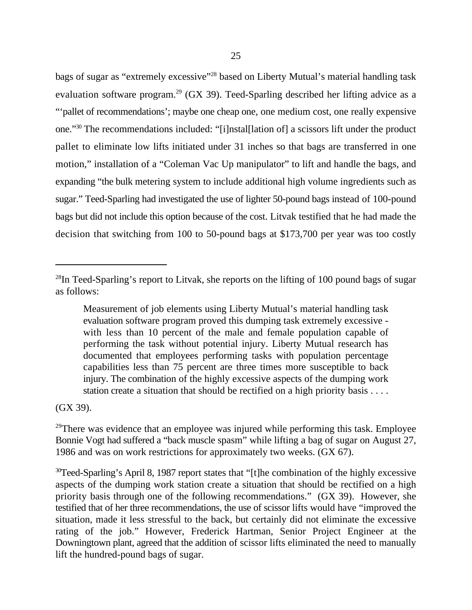bags of sugar as "extremely excessive"<sup>28</sup> based on Liberty Mutual's material handling task evaluation software program.<sup>29</sup> (GX 39). Teed-Sparling described her lifting advice as a "'pallet of recommendations'; maybe one cheap one, one medium cost, one really expensive one."<sup>30</sup> The recommendations included: "[i]nstal[lation of] a scissors lift under the product pallet to eliminate low lifts initiated under 31 inches so that bags are transferred in one motion," installation of a "Coleman Vac Up manipulator" to lift and handle the bags, and expanding "the bulk metering system to include additional high volume ingredients such as sugar." Teed-Sparling had investigated the use of lighter 50-pound bags instead of 100-pound bags but did not include this option because of the cost. Litvak testified that he had made the decision that switching from 100 to 50-pound bags at \$173,700 per year was too costly

(GX 39).

 $^{28}$ In Teed-Sparling's report to Litvak, she reports on the lifting of 100 pound bags of sugar as follows:

Measurement of job elements using Liberty Mutual's material handling task evaluation software program proved this dumping task extremely excessive with less than 10 percent of the male and female population capable of performing the task without potential injury. Liberty Mutual research has documented that employees performing tasks with population percentage capabilities less than 75 percent are three times more susceptible to back injury. The combination of the highly excessive aspects of the dumping work station create a situation that should be rectified on a high priority basis . . . .

 $29$ There was evidence that an employee was injured while performing this task. Employee Bonnie Vogt had suffered a "back muscle spasm" while lifting a bag of sugar on August 27, 1986 and was on work restrictions for approximately two weeks. (GX 67).

 $30$ Teed-Sparling's April 8, 1987 report states that "[t] he combination of the highly excessive aspects of the dumping work station create a situation that should be rectified on a high priority basis through one of the following recommendations." (GX 39). However, she testified that of her three recommendations, the use of scissor lifts would have "improved the situation, made it less stressful to the back, but certainly did not eliminate the excessive rating of the job." However, Frederick Hartman, Senior Project Engineer at the Downingtown plant, agreed that the addition of scissor lifts eliminated the need to manually lift the hundred-pound bags of sugar.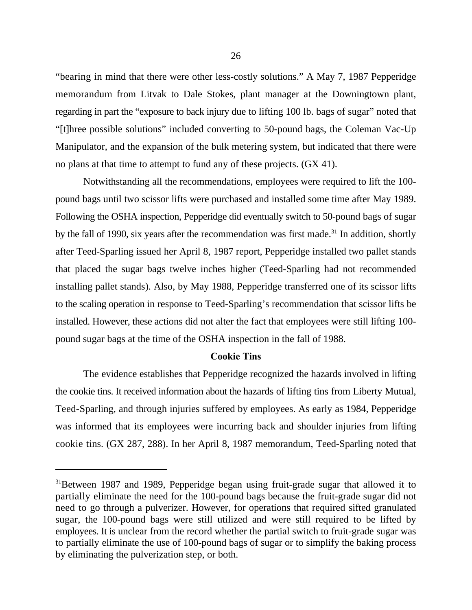"bearing in mind that there were other less-costly solutions." A May 7, 1987 Pepperidge memorandum from Litvak to Dale Stokes, plant manager at the Downingtown plant, regarding in part the "exposure to back injury due to lifting 100 lb. bags of sugar" noted that "[t]hree possible solutions" included converting to 50-pound bags, the Coleman Vac-Up Manipulator, and the expansion of the bulk metering system, but indicated that there were no plans at that time to attempt to fund any of these projects. (GX 41).

Notwithstanding all the recommendations, employees were required to lift the 100 pound bags until two scissor lifts were purchased and installed some time after May 1989. Following the OSHA inspection, Pepperidge did eventually switch to 50-pound bags of sugar by the fall of 1990, six years after the recommendation was first made.<sup>31</sup> In addition, shortly after Teed-Sparling issued her April 8, 1987 report, Pepperidge installed two pallet stands that placed the sugar bags twelve inches higher (Teed-Sparling had not recommended installing pallet stands). Also, by May 1988, Pepperidge transferred one of its scissor lifts to the scaling operation in response to Teed-Sparling's recommendation that scissor lifts be installed. However, these actions did not alter the fact that employees were still lifting 100 pound sugar bags at the time of the OSHA inspection in the fall of 1988.

#### **Cookie Tins**

The evidence establishes that Pepperidge recognized the hazards involved in lifting the cookie tins. It received information about the hazards of lifting tins from Liberty Mutual, Teed-Sparling, and through injuries suffered by employees. As early as 1984, Pepperidge was informed that its employees were incurring back and shoulder injuries from lifting cookie tins. (GX 287, 288). In her April 8, 1987 memorandum, Teed-Sparling noted that

<sup>&</sup>lt;sup>31</sup>Between 1987 and 1989, Pepperidge began using fruit-grade sugar that allowed it to partially eliminate the need for the 100-pound bags because the fruit-grade sugar did not need to go through a pulverizer. However, for operations that required sifted granulated sugar, the 100-pound bags were still utilized and were still required to be lifted by employees. It is unclear from the record whether the partial switch to fruit-grade sugar was to partially eliminate the use of 100-pound bags of sugar or to simplify the baking process by eliminating the pulverization step, or both.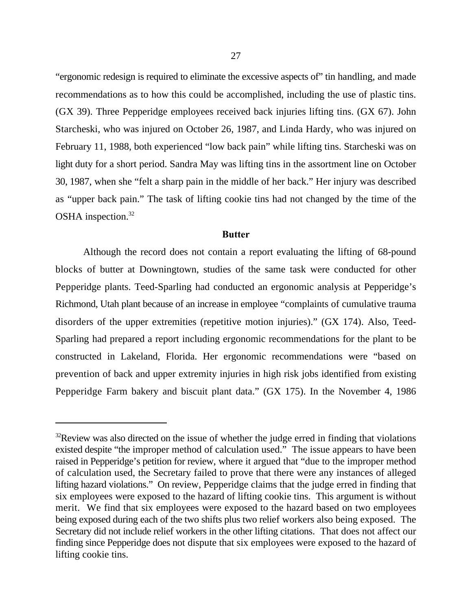"ergonomic redesign is required to eliminate the excessive aspects of" tin handling, and made recommendations as to how this could be accomplished, including the use of plastic tins. (GX 39). Three Pepperidge employees received back injuries lifting tins. (GX 67). John Starcheski, who was injured on October 26, 1987, and Linda Hardy, who was injured on February 11, 1988, both experienced "low back pain" while lifting tins. Starcheski was on light duty for a short period. Sandra May was lifting tins in the assortment line on October 30, 1987, when she "felt a sharp pain in the middle of her back." Her injury was described as "upper back pain." The task of lifting cookie tins had not changed by the time of the OSHA inspection.<sup>32</sup>

#### **Butter**

Although the record does not contain a report evaluating the lifting of 68-pound blocks of butter at Downingtown, studies of the same task were conducted for other Pepperidge plants. Teed-Sparling had conducted an ergonomic analysis at Pepperidge's Richmond, Utah plant because of an increase in employee "complaints of cumulative trauma disorders of the upper extremities (repetitive motion injuries)." (GX 174). Also, Teed-Sparling had prepared a report including ergonomic recommendations for the plant to be constructed in Lakeland, Florida. Her ergonomic recommendations were "based on prevention of back and upper extremity injuries in high risk jobs identified from existing Pepperidge Farm bakery and biscuit plant data." (GX 175). In the November 4, 1986

 $32$ Review was also directed on the issue of whether the judge erred in finding that violations existed despite "the improper method of calculation used." The issue appears to have been raised in Pepperidge's petition for review, where it argued that "due to the improper method of calculation used, the Secretary failed to prove that there were any instances of alleged lifting hazard violations." On review, Pepperidge claims that the judge erred in finding that six employees were exposed to the hazard of lifting cookie tins. This argument is without merit. We find that six employees were exposed to the hazard based on two employees being exposed during each of the two shifts plus two relief workers also being exposed. The Secretary did not include relief workers in the other lifting citations. That does not affect our finding since Pepperidge does not dispute that six employees were exposed to the hazard of lifting cookie tins.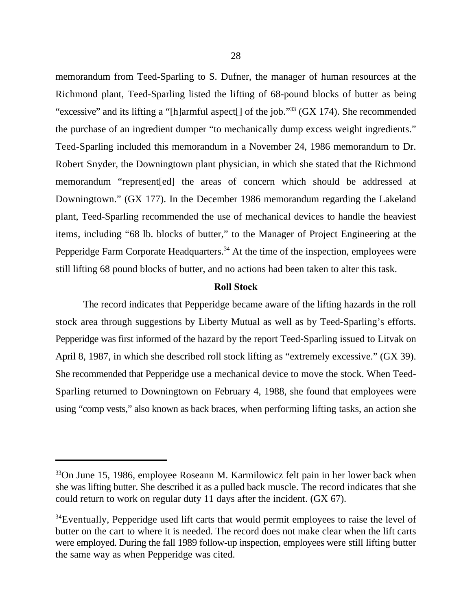memorandum from Teed-Sparling to S. Dufner, the manager of human resources at the Richmond plant, Teed-Sparling listed the lifting of 68-pound blocks of butter as being "excessive" and its lifting a "[h]armful aspect[] of the job."<sup>33</sup> (GX 174). She recommended the purchase of an ingredient dumper "to mechanically dump excess weight ingredients." Teed-Sparling included this memorandum in a November 24, 1986 memorandum to Dr. Robert Snyder, the Downingtown plant physician, in which she stated that the Richmond memorandum "represent[ed] the areas of concern which should be addressed at Downingtown." (GX 177). In the December 1986 memorandum regarding the Lakeland plant, Teed-Sparling recommended the use of mechanical devices to handle the heaviest items, including "68 lb. blocks of butter," to the Manager of Project Engineering at the Pepperidge Farm Corporate Headquarters.<sup> $34$ </sup> At the time of the inspection, employees were still lifting 68 pound blocks of butter, and no actions had been taken to alter this task.

### **Roll Stock**

The record indicates that Pepperidge became aware of the lifting hazards in the roll stock area through suggestions by Liberty Mutual as well as by Teed-Sparling's efforts. Pepperidge was first informed of the hazard by the report Teed-Sparling issued to Litvak on April 8, 1987, in which she described roll stock lifting as "extremely excessive." (GX 39). She recommended that Pepperidge use a mechanical device to move the stock. When Teed-Sparling returned to Downingtown on February 4, 1988, she found that employees were using "comp vests," also known as back braces, when performing lifting tasks, an action she

 $33$ On June 15, 1986, employee Roseann M. Karmilowicz felt pain in her lower back when she was lifting butter. She described it as a pulled back muscle. The record indicates that she could return to work on regular duty 11 days after the incident. (GX 67).

<sup>&</sup>lt;sup>34</sup> Eventually, Pepperidge used lift carts that would permit employees to raise the level of butter on the cart to where it is needed. The record does not make clear when the lift carts were employed. During the fall 1989 follow-up inspection, employees were still lifting butter the same way as when Pepperidge was cited.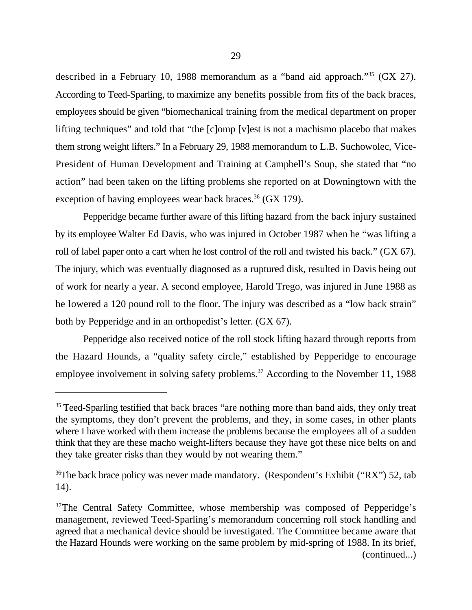described in a February 10, 1988 memorandum as a "band aid approach."<sup>35</sup> (GX 27). According to Teed-Sparling, to maximize any benefits possible from fits of the back braces, employees should be given "biomechanical training from the medical department on proper lifting techniques" and told that "the [c]omp [v]est is not a machismo placebo that makes them strong weight lifters." In a February 29, 1988 memorandum to L.B. Suchowolec, Vice-President of Human Development and Training at Campbell's Soup, she stated that "no action" had been taken on the lifting problems she reported on at Downingtown with the exception of having employees wear back braces.<sup>36</sup> (GX 179).

Pepperidge became further aware of this lifting hazard from the back injury sustained by its employee Walter Ed Davis, who was injured in October 1987 when he "was lifting a roll of label paper onto a cart when he lost control of the roll and twisted his back." (GX 67). The injury, which was eventually diagnosed as a ruptured disk, resulted in Davis being out of work for nearly a year. A second employee, Harold Trego, was injured in June 1988 as he lowered a 120 pound roll to the floor. The injury was described as a "low back strain" both by Pepperidge and in an orthopedist's letter. (GX 67).

Pepperidge also received notice of the roll stock lifting hazard through reports from the Hazard Hounds, a "quality safety circle," established by Pepperidge to encourage employee involvement in solving safety problems.<sup> $37$ </sup> According to the November 11, 1988

<sup>&</sup>lt;sup>35</sup> Teed-Sparling testified that back braces "are nothing more than band aids, they only treat the symptoms, they don't prevent the problems, and they, in some cases, in other plants where I have worked with them increase the problems because the employees all of a sudden think that they are these macho weight-lifters because they have got these nice belts on and they take greater risks than they would by not wearing them."

<sup>&</sup>lt;sup>36</sup>The back brace policy was never made mandatory. (Respondent's Exhibit ("RX") 52, tab 14).

<sup>&</sup>lt;sup>37</sup>The Central Safety Committee, whose membership was composed of Pepperidge's management, reviewed Teed-Sparling's memorandum concerning roll stock handling and agreed that a mechanical device should be investigated. The Committee became aware that the Hazard Hounds were working on the same problem by mid-spring of 1988. In its brief, (continued...)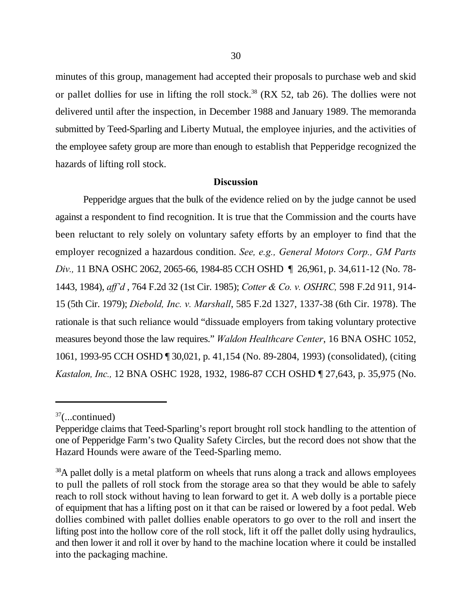minutes of this group, management had accepted their proposals to purchase web and skid or pallet dollies for use in lifting the roll stock.<sup>38</sup> (RX 52, tab 26). The dollies were not delivered until after the inspection, in December 1988 and January 1989. The memoranda submitted by Teed-Sparling and Liberty Mutual, the employee injuries, and the activities of the employee safety group are more than enough to establish that Pepperidge recognized the hazards of lifting roll stock.

### **Discussion**

Pepperidge argues that the bulk of the evidence relied on by the judge cannot be used against a respondent to find recognition. It is true that the Commission and the courts have been reluctant to rely solely on voluntary safety efforts by an employer to find that the employer recognized a hazardous condition. *See, e.g., General Motors Corp., GM Parts Div.,* 11 BNA OSHC 2062, 2065-66, 1984-85 CCH OSHD ¶ 26,961, p. 34,611-12 (No. 78- 1443, 1984), *aff'd* , 764 F.2d 32 (1st Cir. 1985); *Cotter & Co. v. OSHRC,* 598 F.2d 911, 914- 15 (5th Cir. 1979); *Diebold, Inc. v. Marshall*, 585 F.2d 1327, 1337-38 (6th Cir. 1978). The rationale is that such reliance would "dissuade employers from taking voluntary protective measures beyond those the law requires." *Waldon Healthcare Center*, 16 BNA OSHC 1052, 1061, 1993-95 CCH OSHD ¶ 30,021, p. 41,154 (No. 89-2804, 1993) (consolidated), (citing *Kastalon, Inc.,* 12 BNA OSHC 1928, 1932, 1986-87 CCH OSHD ¶ 27,643, p. 35,975 (No.

 $37$ (...continued)

Pepperidge claims that Teed-Sparling's report brought roll stock handling to the attention of one of Pepperidge Farm's two Quality Safety Circles, but the record does not show that the Hazard Hounds were aware of the Teed-Sparling memo.

 $38A$  pallet dolly is a metal platform on wheels that runs along a track and allows employees to pull the pallets of roll stock from the storage area so that they would be able to safely reach to roll stock without having to lean forward to get it. A web dolly is a portable piece of equipment that has a lifting post on it that can be raised or lowered by a foot pedal. Web dollies combined with pallet dollies enable operators to go over to the roll and insert the lifting post into the hollow core of the roll stock, lift it off the pallet dolly using hydraulics, and then lower it and roll it over by hand to the machine location where it could be installed into the packaging machine.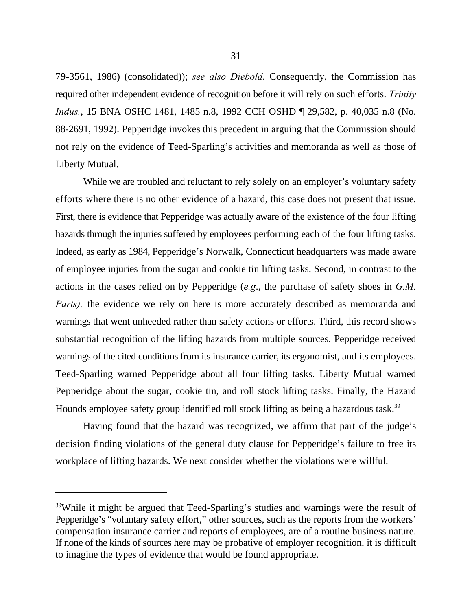79-3561, 1986) (consolidated)); *see also Diebold*. Consequently, the Commission has required other independent evidence of recognition before it will rely on such efforts. *Trinity Indus.*, 15 BNA OSHC 1481, 1485 n.8, 1992 CCH OSHD ¶ 29,582, p. 40,035 n.8 (No. 88-2691, 1992). Pepperidge invokes this precedent in arguing that the Commission should not rely on the evidence of Teed-Sparling's activities and memoranda as well as those of Liberty Mutual.

While we are troubled and reluctant to rely solely on an employer's voluntary safety efforts where there is no other evidence of a hazard, this case does not present that issue. First, there is evidence that Pepperidge was actually aware of the existence of the four lifting hazards through the injuries suffered by employees performing each of the four lifting tasks. Indeed, as early as 1984, Pepperidge's Norwalk, Connecticut headquarters was made aware of employee injuries from the sugar and cookie tin lifting tasks. Second, in contrast to the actions in the cases relied on by Pepperidge (*e.g*., the purchase of safety shoes in *G.M. Parts),* the evidence we rely on here is more accurately described as memoranda and warnings that went unheeded rather than safety actions or efforts. Third, this record shows substantial recognition of the lifting hazards from multiple sources. Pepperidge received warnings of the cited conditions from its insurance carrier, its ergonomist, and its employees. Teed-Sparling warned Pepperidge about all four lifting tasks. Liberty Mutual warned Pepperidge about the sugar, cookie tin, and roll stock lifting tasks. Finally, the Hazard Hounds employee safety group identified roll stock lifting as being a hazardous task.<sup>39</sup>

Having found that the hazard was recognized, we affirm that part of the judge's decision finding violations of the general duty clause for Pepperidge's failure to free its workplace of lifting hazards. We next consider whether the violations were willful.

<sup>&</sup>lt;sup>39</sup>While it might be argued that Teed-Sparling's studies and warnings were the result of Pepperidge's "voluntary safety effort," other sources, such as the reports from the workers' compensation insurance carrier and reports of employees, are of a routine business nature. If none of the kinds of sources here may be probative of employer recognition, it is difficult to imagine the types of evidence that would be found appropriate.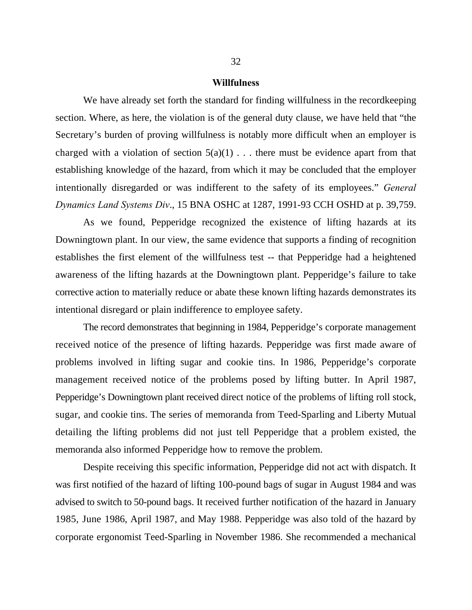#### **Willfulness**

We have already set forth the standard for finding willfulness in the recordkeeping section. Where, as here, the violation is of the general duty clause, we have held that "the Secretary's burden of proving willfulness is notably more difficult when an employer is charged with a violation of section  $5(a)(1)$ ... there must be evidence apart from that establishing knowledge of the hazard, from which it may be concluded that the employer intentionally disregarded or was indifferent to the safety of its employees." *General Dynamics Land Systems Div*., 15 BNA OSHC at 1287, 1991-93 CCH OSHD at p. 39,759.

As we found, Pepperidge recognized the existence of lifting hazards at its Downingtown plant. In our view, the same evidence that supports a finding of recognition establishes the first element of the willfulness test -- that Pepperidge had a heightened awareness of the lifting hazards at the Downingtown plant. Pepperidge's failure to take corrective action to materially reduce or abate these known lifting hazards demonstrates its intentional disregard or plain indifference to employee safety.

The record demonstrates that beginning in 1984, Pepperidge's corporate management received notice of the presence of lifting hazards. Pepperidge was first made aware of problems involved in lifting sugar and cookie tins. In 1986, Pepperidge's corporate management received notice of the problems posed by lifting butter. In April 1987, Pepperidge's Downingtown plant received direct notice of the problems of lifting roll stock, sugar, and cookie tins. The series of memoranda from Teed-Sparling and Liberty Mutual detailing the lifting problems did not just tell Pepperidge that a problem existed, the memoranda also informed Pepperidge how to remove the problem.

Despite receiving this specific information, Pepperidge did not act with dispatch. It was first notified of the hazard of lifting 100-pound bags of sugar in August 1984 and was advised to switch to 50-pound bags. It received further notification of the hazard in January 1985, June 1986, April 1987, and May 1988. Pepperidge was also told of the hazard by corporate ergonomist Teed-Sparling in November 1986. She recommended a mechanical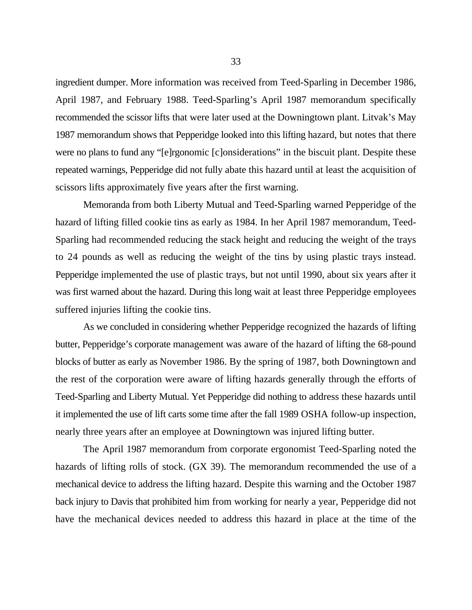ingredient dumper. More information was received from Teed-Sparling in December 1986, April 1987, and February 1988. Teed-Sparling's April 1987 memorandum specifically recommended the scissor lifts that were later used at the Downingtown plant. Litvak's May 1987 memorandum shows that Pepperidge looked into this lifting hazard, but notes that there were no plans to fund any "[e]rgonomic [c]onsiderations" in the biscuit plant. Despite these repeated warnings, Pepperidge did not fully abate this hazard until at least the acquisition of scissors lifts approximately five years after the first warning.

Memoranda from both Liberty Mutual and Teed-Sparling warned Pepperidge of the hazard of lifting filled cookie tins as early as 1984. In her April 1987 memorandum, Teed-Sparling had recommended reducing the stack height and reducing the weight of the trays to 24 pounds as well as reducing the weight of the tins by using plastic trays instead. Pepperidge implemented the use of plastic trays, but not until 1990, about six years after it was first warned about the hazard. During this long wait at least three Pepperidge employees suffered injuries lifting the cookie tins.

As we concluded in considering whether Pepperidge recognized the hazards of lifting butter, Pepperidge's corporate management was aware of the hazard of lifting the 68-pound blocks of butter as early as November 1986. By the spring of 1987, both Downingtown and the rest of the corporation were aware of lifting hazards generally through the efforts of Teed-Sparling and Liberty Mutual. Yet Pepperidge did nothing to address these hazards until it implemented the use of lift carts some time after the fall 1989 OSHA follow-up inspection, nearly three years after an employee at Downingtown was injured lifting butter.

The April 1987 memorandum from corporate ergonomist Teed-Sparling noted the hazards of lifting rolls of stock. (GX 39). The memorandum recommended the use of a mechanical device to address the lifting hazard. Despite this warning and the October 1987 back injury to Davis that prohibited him from working for nearly a year, Pepperidge did not have the mechanical devices needed to address this hazard in place at the time of the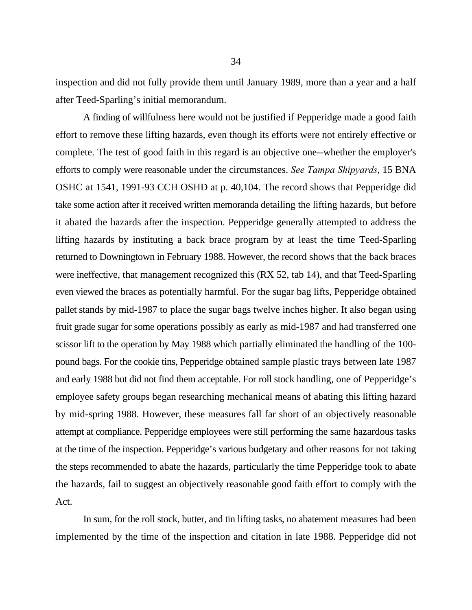inspection and did not fully provide them until January 1989, more than a year and a half after Teed-Sparling's initial memorandum.

A finding of willfulness here would not be justified if Pepperidge made a good faith effort to remove these lifting hazards, even though its efforts were not entirely effective or complete. The test of good faith in this regard is an objective one--whether the employer's efforts to comply were reasonable under the circumstances. *See Tampa Shipyards*, 15 BNA OSHC at 1541, 1991-93 CCH OSHD at p. 40,104. The record shows that Pepperidge did take some action after it received written memoranda detailing the lifting hazards, but before it abated the hazards after the inspection. Pepperidge generally attempted to address the lifting hazards by instituting a back brace program by at least the time Teed-Sparling returned to Downingtown in February 1988. However, the record shows that the back braces were ineffective, that management recognized this (RX 52, tab 14), and that Teed-Sparling even viewed the braces as potentially harmful. For the sugar bag lifts, Pepperidge obtained pallet stands by mid-1987 to place the sugar bags twelve inches higher. It also began using fruit grade sugar for some operations possibly as early as mid-1987 and had transferred one scissor lift to the operation by May 1988 which partially eliminated the handling of the 100 pound bags. For the cookie tins, Pepperidge obtained sample plastic trays between late 1987 and early 1988 but did not find them acceptable. For roll stock handling, one of Pepperidge's employee safety groups began researching mechanical means of abating this lifting hazard by mid-spring 1988. However, these measures fall far short of an objectively reasonable attempt at compliance. Pepperidge employees were still performing the same hazardous tasks at the time of the inspection. Pepperidge's various budgetary and other reasons for not taking the steps recommended to abate the hazards, particularly the time Pepperidge took to abate the hazards, fail to suggest an objectively reasonable good faith effort to comply with the Act.

In sum, for the roll stock, butter, and tin lifting tasks, no abatement measures had been implemented by the time of the inspection and citation in late 1988. Pepperidge did not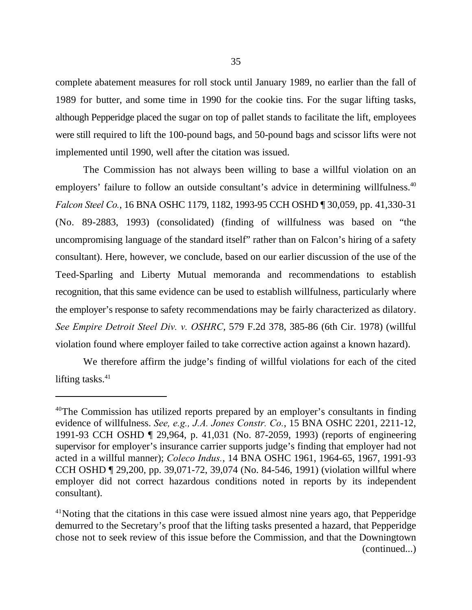complete abatement measures for roll stock until January 1989, no earlier than the fall of 1989 for butter, and some time in 1990 for the cookie tins. For the sugar lifting tasks, although Pepperidge placed the sugar on top of pallet stands to facilitate the lift, employees were still required to lift the 100-pound bags, and 50-pound bags and scissor lifts were not implemented until 1990, well after the citation was issued.

The Commission has not always been willing to base a willful violation on an employers' failure to follow an outside consultant's advice in determining willfulness.<sup>40</sup> *Falcon Steel Co.*, 16 BNA OSHC 1179, 1182, 1993-95 CCH OSHD ¶ 30,059, pp. 41,330-31 (No. 89-2883, 1993) (consolidated) (finding of willfulness was based on "the uncompromising language of the standard itself" rather than on Falcon's hiring of a safety consultant). Here, however, we conclude, based on our earlier discussion of the use of the Teed-Sparling and Liberty Mutual memoranda and recommendations to establish recognition, that this same evidence can be used to establish willfulness, particularly where the employer's response to safety recommendations may be fairly characterized as dilatory. *See Empire Detroit Steel Div. v. OSHRC*, 579 F.2d 378, 385-86 (6th Cir. 1978) (willful violation found where employer failed to take corrective action against a known hazard).

We therefore affirm the judge's finding of willful violations for each of the cited lifting tasks. $41$ 

<sup>&</sup>lt;sup>40</sup>The Commission has utilized reports prepared by an employer's consultants in finding evidence of willfulness. *See, e.g., J.A. Jones Constr. Co.*, 15 BNA OSHC 2201, 2211-12, 1991-93 CCH OSHD ¶ 29,964, p. 41,031 (No. 87-2059, 1993) (reports of engineering supervisor for employer's insurance carrier supports judge's finding that employer had not acted in a willful manner); *Coleco Indus.*, 14 BNA OSHC 1961, 1964-65, 1967, 1991-93 CCH OSHD ¶ 29,200, pp. 39,071-72, 39,074 (No. 84-546, 1991) (violation willful where employer did not correct hazardous conditions noted in reports by its independent consultant).

 $41$ Noting that the citations in this case were issued almost nine years ago, that Pepperidge demurred to the Secretary's proof that the lifting tasks presented a hazard, that Pepperidge chose not to seek review of this issue before the Commission, and that the Downingtown (continued...)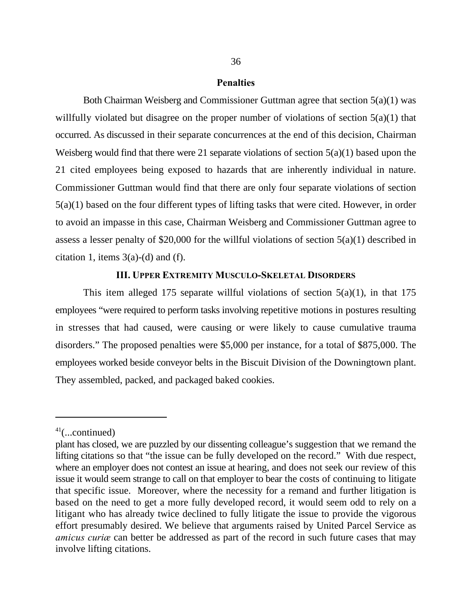#### **Penalties**

Both Chairman Weisberg and Commissioner Guttman agree that section 5(a)(1) was willfully violated but disagree on the proper number of violations of section 5(a)(1) that occurred. As discussed in their separate concurrences at the end of this decision, Chairman Weisberg would find that there were 21 separate violations of section 5(a)(1) based upon the 21 cited employees being exposed to hazards that are inherently individual in nature. Commissioner Guttman would find that there are only four separate violations of section 5(a)(1) based on the four different types of lifting tasks that were cited. However, in order to avoid an impasse in this case, Chairman Weisberg and Commissioner Guttman agree to assess a lesser penalty of \$20,000 for the willful violations of section  $5(a)(1)$  described in citation 1, items  $3(a)-(d)$  and (f).

## **III. UPPER EXTREMITY MUSCULO-SKELETAL DISORDERS**

This item alleged 175 separate willful violations of section  $5(a)(1)$ , in that 175 employees "were required to perform tasks involving repetitive motions in postures resulting in stresses that had caused, were causing or were likely to cause cumulative trauma disorders." The proposed penalties were \$5,000 per instance, for a total of \$875,000. The employees worked beside conveyor belts in the Biscuit Division of the Downingtown plant. They assembled, packed, and packaged baked cookies.

 $41$ (...continued)

plant has closed, we are puzzled by our dissenting colleague's suggestion that we remand the lifting citations so that "the issue can be fully developed on the record." With due respect, where an employer does not contest an issue at hearing, and does not seek our review of this issue it would seem strange to call on that employer to bear the costs of continuing to litigate that specific issue. Moreover, where the necessity for a remand and further litigation is based on the need to get a more fully developed record, it would seem odd to rely on a litigant who has already twice declined to fully litigate the issue to provide the vigorous effort presumably desired. We believe that arguments raised by United Parcel Service as *amicus curiæ* can better be addressed as part of the record in such future cases that may involve lifting citations.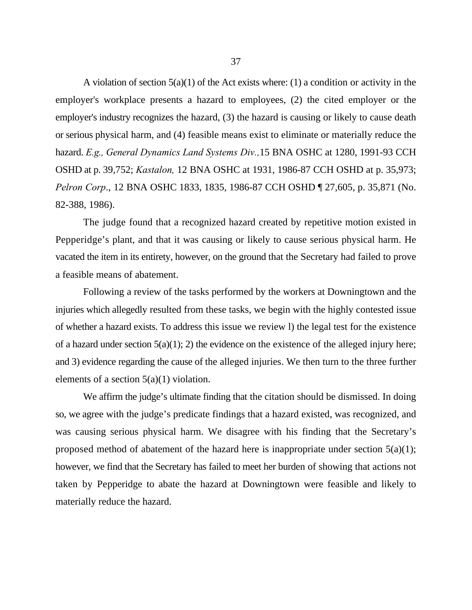A violation of section  $5(a)(1)$  of the Act exists where: (1) a condition or activity in the employer's workplace presents a hazard to employees, (2) the cited employer or the employer's industry recognizes the hazard, (3) the hazard is causing or likely to cause death or serious physical harm, and (4) feasible means exist to eliminate or materially reduce the hazard. *E.g., General Dynamics Land Systems Div.,*15 BNA OSHC at 1280, 1991-93 CCH OSHD at p. 39,752; *Kastalon,* 12 BNA OSHC at 1931, 1986-87 CCH OSHD at p. 35,973; *Pelron Corp*., 12 BNA OSHC 1833, 1835, 1986-87 CCH OSHD ¶ 27,605, p. 35,871 (No. 82-388, 1986).

The judge found that a recognized hazard created by repetitive motion existed in Pepperidge's plant, and that it was causing or likely to cause serious physical harm. He vacated the item in its entirety, however, on the ground that the Secretary had failed to prove a feasible means of abatement.

Following a review of the tasks performed by the workers at Downingtown and the injuries which allegedly resulted from these tasks, we begin with the highly contested issue of whether a hazard exists. To address this issue we review l) the legal test for the existence of a hazard under section  $5(a)(1)$ ; 2) the evidence on the existence of the alleged injury here; and 3) evidence regarding the cause of the alleged injuries. We then turn to the three further elements of a section  $5(a)(1)$  violation.

We affirm the judge's ultimate finding that the citation should be dismissed. In doing so, we agree with the judge's predicate findings that a hazard existed, was recognized, and was causing serious physical harm. We disagree with his finding that the Secretary's proposed method of abatement of the hazard here is inappropriate under section  $5(a)(1)$ ; however, we find that the Secretary has failed to meet her burden of showing that actions not taken by Pepperidge to abate the hazard at Downingtown were feasible and likely to materially reduce the hazard.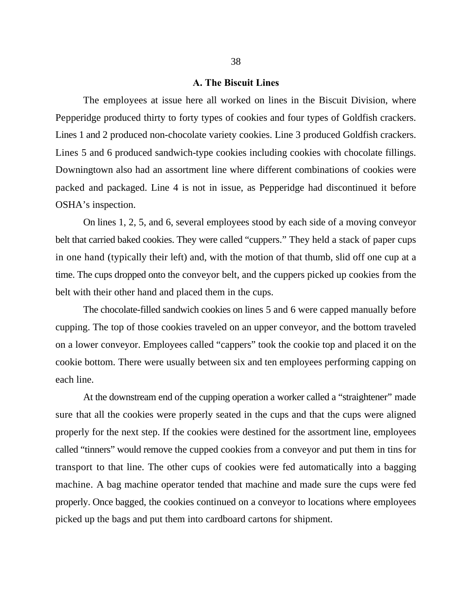#### **A. The Biscuit Lines**

The employees at issue here all worked on lines in the Biscuit Division, where Pepperidge produced thirty to forty types of cookies and four types of Goldfish crackers. Lines 1 and 2 produced non-chocolate variety cookies. Line 3 produced Goldfish crackers. Lines 5 and 6 produced sandwich-type cookies including cookies with chocolate fillings. Downingtown also had an assortment line where different combinations of cookies were packed and packaged. Line 4 is not in issue, as Pepperidge had discontinued it before OSHA's inspection.

On lines 1, 2, 5, and 6, several employees stood by each side of a moving conveyor belt that carried baked cookies. They were called "cuppers." They held a stack of paper cups in one hand (typically their left) and, with the motion of that thumb, slid off one cup at a time. The cups dropped onto the conveyor belt, and the cuppers picked up cookies from the belt with their other hand and placed them in the cups.

The chocolate-filled sandwich cookies on lines 5 and 6 were capped manually before cupping. The top of those cookies traveled on an upper conveyor, and the bottom traveled on a lower conveyor. Employees called "cappers" took the cookie top and placed it on the cookie bottom. There were usually between six and ten employees performing capping on each line.

At the downstream end of the cupping operation a worker called a "straightener" made sure that all the cookies were properly seated in the cups and that the cups were aligned properly for the next step. If the cookies were destined for the assortment line, employees called "tinners" would remove the cupped cookies from a conveyor and put them in tins for transport to that line. The other cups of cookies were fed automatically into a bagging machine. A bag machine operator tended that machine and made sure the cups were fed properly. Once bagged, the cookies continued on a conveyor to locations where employees picked up the bags and put them into cardboard cartons for shipment.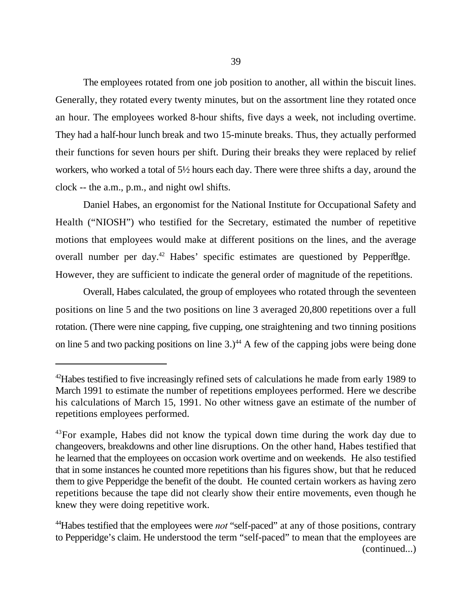The employees rotated from one job position to another, all within the biscuit lines. Generally, they rotated every twenty minutes, but on the assortment line they rotated once an hour. The employees worked 8-hour shifts, five days a week, not including overtime. They had a half-hour lunch break and two 15-minute breaks. Thus, they actually performed their functions for seven hours per shift. During their breaks they were replaced by relief workers, who worked a total of 5½ hours each day. There were three shifts a day, around the clock -- the a.m., p.m., and night owl shifts.

Daniel Habes, an ergonomist for the National Institute for Occupational Safety and Health ("NIOSH") who testified for the Secretary, estimated the number of repetitive motions that employees would make at different positions on the lines, and the average overall number per day.<sup>42</sup> Habes' specific estimates are questioned by Pepperidge. However, they are sufficient to indicate the general order of magnitude of the repetitions.

Overall, Habes calculated, the group of employees who rotated through the seventeen positions on line 5 and the two positions on line 3 averaged 20,800 repetitions over a full rotation. (There were nine capping, five cupping, one straightening and two tinning positions on line 5 and two packing positions on line 3.)<sup> $44$ </sup> A few of the capping jobs were being done

 $42$ Habes testified to five increasingly refined sets of calculations he made from early 1989 to March 1991 to estimate the number of repetitions employees performed. Here we describe his calculations of March 15, 1991. No other witness gave an estimate of the number of repetitions employees performed.

 $43$ For example, Habes did not know the typical down time during the work day due to changeovers, breakdowns and other line disruptions. On the other hand, Habes testified that he learned that the employees on occasion work overtime and on weekends. He also testified that in some instances he counted more repetitions than his figures show, but that he reduced them to give Pepperidge the benefit of the doubt. He counted certain workers as having zero repetitions because the tape did not clearly show their entire movements, even though he knew they were doing repetitive work.

<sup>&</sup>lt;sup>44</sup> Habes testified that the employees were *not* "self-paced" at any of those positions, contrary to Pepperidge's claim. He understood the term "self-paced" to mean that the employees are (continued...)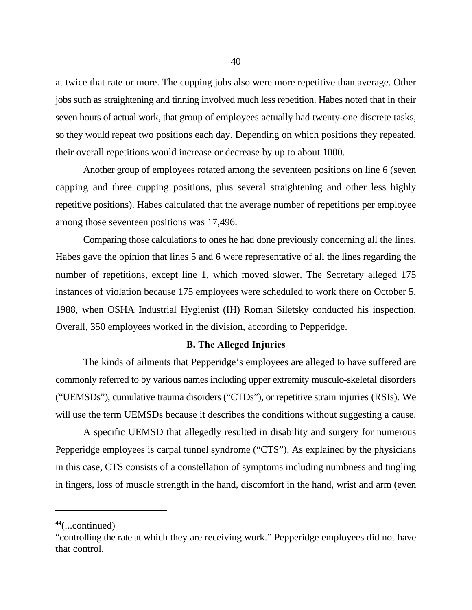at twice that rate or more. The cupping jobs also were more repetitive than average. Other jobs such as straightening and tinning involved much less repetition. Habes noted that in their seven hours of actual work, that group of employees actually had twenty-one discrete tasks, so they would repeat two positions each day. Depending on which positions they repeated, their overall repetitions would increase or decrease by up to about 1000.

Another group of employees rotated among the seventeen positions on line 6 (seven capping and three cupping positions, plus several straightening and other less highly repetitive positions). Habes calculated that the average number of repetitions per employee among those seventeen positions was 17,496.

Comparing those calculations to ones he had done previously concerning all the lines, Habes gave the opinion that lines 5 and 6 were representative of all the lines regarding the number of repetitions, except line 1, which moved slower. The Secretary alleged 175 instances of violation because 175 employees were scheduled to work there on October 5, 1988, when OSHA Industrial Hygienist (IH) Roman Siletsky conducted his inspection. Overall, 350 employees worked in the division, according to Pepperidge.

# **B. The Alleged Injuries**

The kinds of ailments that Pepperidge's employees are alleged to have suffered are commonly referred to by various names including upper extremity musculo-skeletal disorders ("UEMSDs"), cumulative trauma disorders ("CTDs"), or repetitive strain injuries (RSIs). We will use the term UEMSDs because it describes the conditions without suggesting a cause.

A specific UEMSD that allegedly resulted in disability and surgery for numerous Pepperidge employees is carpal tunnel syndrome ("CTS"). As explained by the physicians in this case, CTS consists of a constellation of symptoms including numbness and tingling in fingers, loss of muscle strength in the hand, discomfort in the hand, wrist and arm (even

 $44$ (...continued)

<sup>&</sup>quot;controlling the rate at which they are receiving work." Pepperidge employees did not have that control.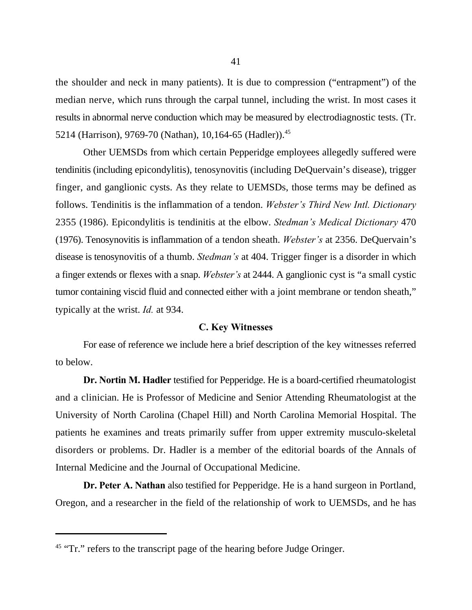the shoulder and neck in many patients). It is due to compression ("entrapment") of the median nerve, which runs through the carpal tunnel, including the wrist. In most cases it results in abnormal nerve conduction which may be measured by electrodiagnostic tests. (Tr. 5214 (Harrison), 9769-70 (Nathan), 10,164-65 (Hadler)).<sup>45</sup>

Other UEMSDs from which certain Pepperidge employees allegedly suffered were tendinitis (including epicondylitis), tenosynovitis (including DeQuervain's disease), trigger finger, and ganglionic cysts. As they relate to UEMSDs, those terms may be defined as follows. Tendinitis is the inflammation of a tendon. *Webster's Third New Intl. Dictionary* 2355 (1986). Epicondylitis is tendinitis at the elbow. *Stedman's Medical Dictionary* 470 (1976). Tenosynovitis is inflammation of a tendon sheath. *Webster's* at 2356. DeQuervain's disease is tenosynovitis of a thumb. *Stedman's* at 404. Trigger finger is a disorder in which a finger extends or flexes with a snap. *Webster's* at 2444. A ganglionic cyst is "a small cystic tumor containing viscid fluid and connected either with a joint membrane or tendon sheath," typically at the wrist. *Id.* at 934.

#### **C. Key Witnesses**

For ease of reference we include here a brief description of the key witnesses referred to below.

**Dr. Nortin M. Hadler** testified for Pepperidge. He is a board-certified rheumatologist and a clinician. He is Professor of Medicine and Senior Attending Rheumatologist at the University of North Carolina (Chapel Hill) and North Carolina Memorial Hospital. The patients he examines and treats primarily suffer from upper extremity musculo-skeletal disorders or problems. Dr. Hadler is a member of the editorial boards of the Annals of Internal Medicine and the Journal of Occupational Medicine.

**Dr. Peter A. Nathan** also testified for Pepperidge. He is a hand surgeon in Portland, Oregon, and a researcher in the field of the relationship of work to UEMSDs, and he has

 $45$  "Tr." refers to the transcript page of the hearing before Judge Oringer.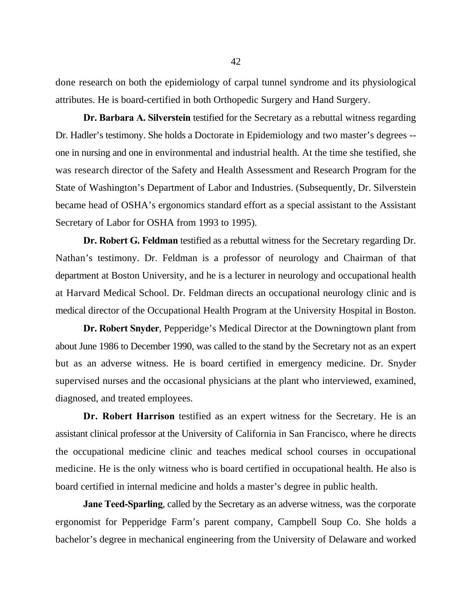done research on both the epidemiology of carpal tunnel syndrome and its physiological attributes. He is board-certified in both Orthopedic Surgery and Hand Surgery.

**Dr. Barbara A. Silverstein** testified for the Secretary as a rebuttal witness regarding Dr. Hadler's testimony. She holds a Doctorate in Epidemiology and two master's degrees - one in nursing and one in environmental and industrial health. At the time she testified, she was research director of the Safety and Health Assessment and Research Program for the State of Washington's Department of Labor and Industries. (Subsequently, Dr. Silverstein became head of OSHA's ergonomics standard effort as a special assistant to the Assistant Secretary of Labor for OSHA from 1993 to 1995).

**Dr. Robert G. Feldman** testified as a rebuttal witness for the Secretary regarding Dr. Nathan's testimony. Dr. Feldman is a professor of neurology and Chairman of that department at Boston University, and he is a lecturer in neurology and occupational health at Harvard Medical School. Dr. Feldman directs an occupational neurology clinic and is medical director of the Occupational Health Program at the University Hospital in Boston.

**Dr. Robert Snyder**, Pepperidge's Medical Director at the Downingtown plant from about June 1986 to December 1990, was called to the stand by the Secretary not as an expert but as an adverse witness. He is board certified in emergency medicine. Dr. Snyder supervised nurses and the occasional physicians at the plant who interviewed, examined, diagnosed, and treated employees.

**Dr. Robert Harrison** testified as an expert witness for the Secretary. He is an assistant clinical professor at the University of California in San Francisco, where he directs the occupational medicine clinic and teaches medical school courses in occupational medicine. He is the only witness who is board certified in occupational health. He also is board certified in internal medicine and holds a master's degree in public health.

**Jane Teed-Sparling**, called by the Secretary as an adverse witness, was the corporate ergonomist for Pepperidge Farm's parent company, Campbell Soup Co. She holds a bachelor's degree in mechanical engineering from the University of Delaware and worked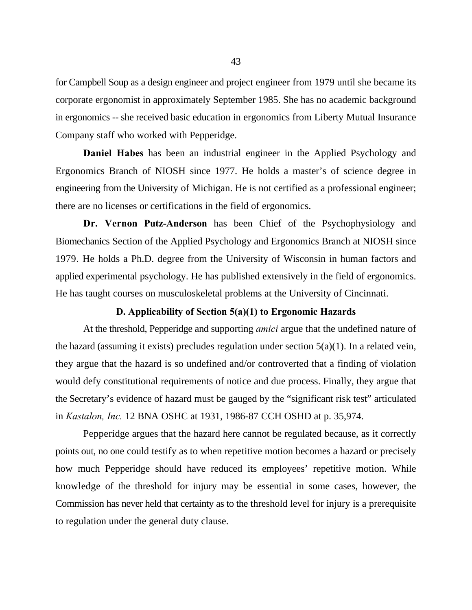for Campbell Soup as a design engineer and project engineer from 1979 until she became its corporate ergonomist in approximately September 1985. She has no academic background in ergonomics -- she received basic education in ergonomics from Liberty Mutual Insurance Company staff who worked with Pepperidge.

**Daniel Habes** has been an industrial engineer in the Applied Psychology and Ergonomics Branch of NIOSH since 1977. He holds a master's of science degree in engineering from the University of Michigan. He is not certified as a professional engineer; there are no licenses or certifications in the field of ergonomics.

**Dr. Vernon Putz-Anderson** has been Chief of the Psychophysiology and Biomechanics Section of the Applied Psychology and Ergonomics Branch at NIOSH since 1979. He holds a Ph.D. degree from the University of Wisconsin in human factors and applied experimental psychology. He has published extensively in the field of ergonomics. He has taught courses on musculoskeletal problems at the University of Cincinnati.

## **D. Applicability of Section 5(a)(1) to Ergonomic Hazards**

At the threshold, Pepperidge and supporting *amici* argue that the undefined nature of the hazard (assuming it exists) precludes regulation under section  $5(a)(1)$ . In a related vein, they argue that the hazard is so undefined and/or controverted that a finding of violation would defy constitutional requirements of notice and due process. Finally, they argue that the Secretary's evidence of hazard must be gauged by the "significant risk test" articulated in *Kastalon, Inc.* 12 BNA OSHC at 1931, 1986-87 CCH OSHD at p. 35,974.

Pepperidge argues that the hazard here cannot be regulated because, as it correctly points out, no one could testify as to when repetitive motion becomes a hazard or precisely how much Pepperidge should have reduced its employees' repetitive motion. While knowledge of the threshold for injury may be essential in some cases, however, the Commission has never held that certainty as to the threshold level for injury is a prerequisite to regulation under the general duty clause.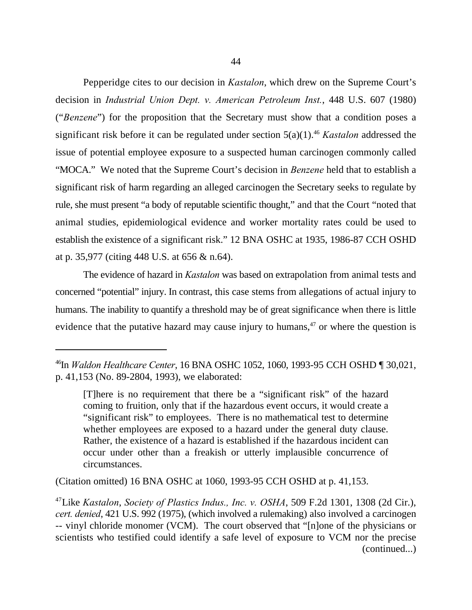Pepperidge cites to our decision in *Kastalon*, which drew on the Supreme Court's decision in *Industrial Union Dept. v. American Petroleum Inst.*, 448 U.S. 607 (1980) ("*Benzene*") for the proposition that the Secretary must show that a condition poses a significant risk before it can be regulated under section 5(a)(1).<sup>46</sup> Kastalon addressed the issue of potential employee exposure to a suspected human carcinogen commonly called "MOCA." We noted that the Supreme Court's decision in *Benzene* held that to establish a significant risk of harm regarding an alleged carcinogen the Secretary seeks to regulate by rule, she must present "a body of reputable scientific thought," and that the Court "noted that animal studies, epidemiological evidence and worker mortality rates could be used to establish the existence of a significant risk." 12 BNA OSHC at 1935, 1986-87 CCH OSHD at p. 35,977 (citing 448 U.S. at 656 & n.64).

The evidence of hazard in *Kastalon* was based on extrapolation from animal tests and concerned "potential" injury. In contrast, this case stems from allegations of actual injury to humans. The inability to quantify a threshold may be of great significance when there is little evidence that the putative hazard may cause injury to humans, $47$  or where the question is

(Citation omitted) 16 BNA OSHC at 1060, 1993-95 CCH OSHD at p. 41,153.

In *Waldon Healthcare Center*, 16 BNA OSHC 1052, 1060, 1993-95 CCH OSHD ¶ 30,021, <sup>46</sup> p. 41,153 (No. 89-2804, 1993), we elaborated:

<sup>[</sup>T]here is no requirement that there be a "significant risk" of the hazard coming to fruition, only that if the hazardous event occurs, it would create a "significant risk" to employees. There is no mathematical test to determine whether employees are exposed to a hazard under the general duty clause. Rather, the existence of a hazard is established if the hazardous incident can occur under other than a freakish or utterly implausible concurrence of circumstances.

<sup>&</sup>lt;sup>47</sup>Like *Kastalon, Society of Plastics Indus., Inc. v. OSHA*, 509 F.2d 1301, 1308 (2d Cir.), *cert. denied*, 421 U.S. 992 (1975), (which involved a rulemaking) also involved a carcinogen -- vinyl chloride monomer (VCM). The court observed that "[n]one of the physicians or scientists who testified could identify a safe level of exposure to VCM nor the precise (continued...)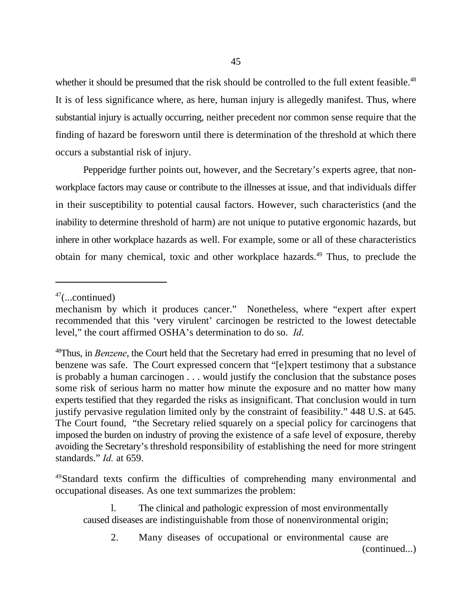whether it should be presumed that the risk should be controlled to the full extent feasible.<sup>48</sup> It is of less significance where, as here, human injury is allegedly manifest. Thus, where substantial injury is actually occurring, neither precedent nor common sense require that the finding of hazard be foresworn until there is determination of the threshold at which there occurs a substantial risk of injury.

Pepperidge further points out, however, and the Secretary's experts agree, that nonworkplace factors may cause or contribute to the illnesses at issue, and that individuals differ in their susceptibility to potential causal factors. However, such characteristics (and the inability to determine threshold of harm) are not unique to putative ergonomic hazards, but inhere in other workplace hazards as well. For example, some or all of these characteristics obtain for many chemical, toxic and other workplace hazards.<sup>49</sup> Thus, to preclude the

 $47$ (...continued)

mechanism by which it produces cancer." Nonetheless, where "expert after expert recommended that this 'very virulent' carcinogen be restricted to the lowest detectable level," the court affirmed OSHA's determination to do so. *Id*.

<sup>&</sup>lt;sup>48</sup>Thus, in *Benzene*, the Court held that the Secretary had erred in presuming that no level of benzene was safe. The Court expressed concern that "[e]xpert testimony that a substance is probably a human carcinogen . . . would justify the conclusion that the substance poses some risk of serious harm no matter how minute the exposure and no matter how many experts testified that they regarded the risks as insignificant. That conclusion would in turn justify pervasive regulation limited only by the constraint of feasibility." 448 U.S. at 645. The Court found, "the Secretary relied squarely on a special policy for carcinogens that imposed the burden on industry of proving the existence of a safe level of exposure, thereby avoiding the Secretary's threshold responsibility of establishing the need for more stringent standards." *Id.* at 659.

<sup>&</sup>lt;sup>49</sup>Standard texts confirm the difficulties of comprehending many environmental and occupational diseases. As one text summarizes the problem:

l. The clinical and pathologic expression of most environmentally caused diseases are indistinguishable from those of nonenvironmental origin;

<sup>2.</sup> Many diseases of occupational or environmental cause are (continued...)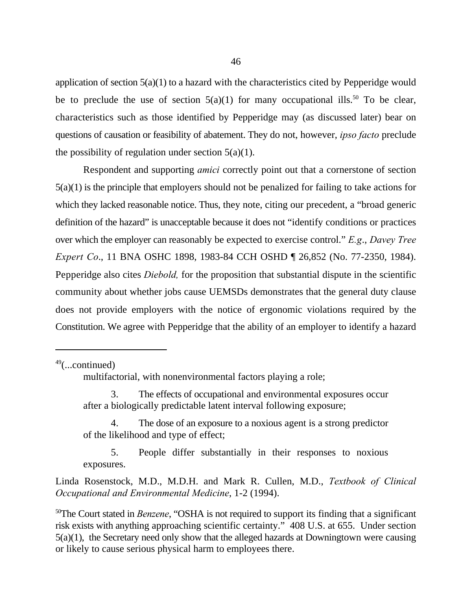application of section  $5(a)(1)$  to a hazard with the characteristics cited by Pepperidge would be to preclude the use of section  $5(a)(1)$  for many occupational ills.<sup>50</sup> To be clear, characteristics such as those identified by Pepperidge may (as discussed later) bear on questions of causation or feasibility of abatement. They do not, however, *ipso facto* preclude the possibility of regulation under section  $5(a)(1)$ .

Respondent and supporting *amici* correctly point out that a cornerstone of section 5(a)(1) is the principle that employers should not be penalized for failing to take actions for which they lacked reasonable notice. Thus, they note, citing our precedent, a "broad generic definition of the hazard" is unacceptable because it does not "identify conditions or practices over which the employer can reasonably be expected to exercise control." *E.g*., *Davey Tree Expert Co*., 11 BNA OSHC 1898, 1983-84 CCH OSHD ¶ 26,852 (No. 77-2350, 1984). Pepperidge also cites *Diebold,* for the proposition that substantial dispute in the scientific community about whether jobs cause UEMSDs demonstrates that the general duty clause does not provide employers with the notice of ergonomic violations required by the Constitution. We agree with Pepperidge that the ability of an employer to identify a hazard

 $49$ (...continued)

multifactorial, with nonenvironmental factors playing a role;

3. The effects of occupational and environmental exposures occur after a biologically predictable latent interval following exposure;

4. The dose of an exposure to a noxious agent is a strong predictor of the likelihood and type of effect;

5. People differ substantially in their responses to noxious exposures.

Linda Rosenstock, M.D., M.D.H. and Mark R. Cullen, M.D., *Textbook of Clinical Occupational and Environmental Medicine*, 1-2 (1994).

<sup>50</sup>The Court stated in *Benzene*, "OSHA is not required to support its finding that a significant risk exists with anything approaching scientific certainty." 408 U.S. at 655. Under section 5(a)(1), the Secretary need only show that the alleged hazards at Downingtown were causing or likely to cause serious physical harm to employees there.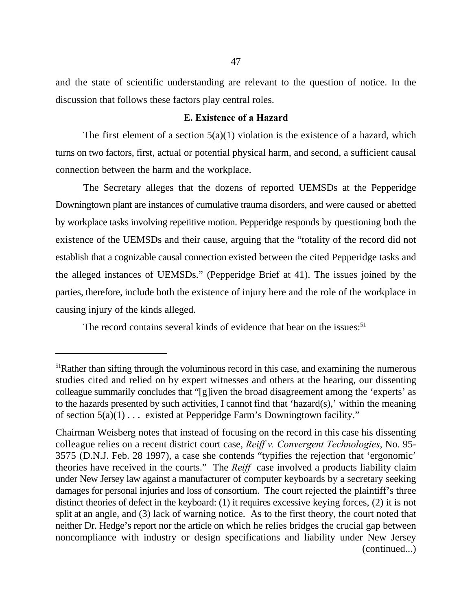and the state of scientific understanding are relevant to the question of notice. In the discussion that follows these factors play central roles.

## **E. Existence of a Hazard**

The first element of a section  $5(a)(1)$  violation is the existence of a hazard, which turns on two factors, first, actual or potential physical harm, and second, a sufficient causal connection between the harm and the workplace.

The Secretary alleges that the dozens of reported UEMSDs at the Pepperidge Downingtown plant are instances of cumulative trauma disorders, and were caused or abetted by workplace tasks involving repetitive motion. Pepperidge responds by questioning both the existence of the UEMSDs and their cause, arguing that the "totality of the record did not establish that a cognizable causal connection existed between the cited Pepperidge tasks and the alleged instances of UEMSDs." (Pepperidge Brief at 41). The issues joined by the parties, therefore, include both the existence of injury here and the role of the workplace in causing injury of the kinds alleged.

The record contains several kinds of evidence that bear on the issues:<sup>51</sup>

 $<sup>51</sup>Rather than sifting through the voluminous record in this case, and examining the numerous$ </sup> studies cited and relied on by expert witnesses and others at the hearing, our dissenting colleague summarily concludes that "[g]iven the broad disagreement among the 'experts' as to the hazards presented by such activities, I cannot find that 'hazard(s),' within the meaning of section  $5(a)(1) \ldots$  existed at Pepperidge Farm's Downingtown facility."

Chairman Weisberg notes that instead of focusing on the record in this case his dissenting colleague relies on a recent district court case, *Reiff v. Convergent Technologies*, No. 95- 3575 (D.N.J. Feb. 28 1997), a case she contends "typifies the rejection that 'ergonomic' theories have received in the courts." The *Reiff* case involved a products liability claim under New Jersey law against a manufacturer of computer keyboards by a secretary seeking damages for personal injuries and loss of consortium. The court rejected the plaintiff's three distinct theories of defect in the keyboard: (1) it requires excessive keying forces, (2) it is not split at an angle, and (3) lack of warning notice. As to the first theory, the court noted that neither Dr. Hedge's report nor the article on which he relies bridges the crucial gap between noncompliance with industry or design specifications and liability under New Jersey (continued...)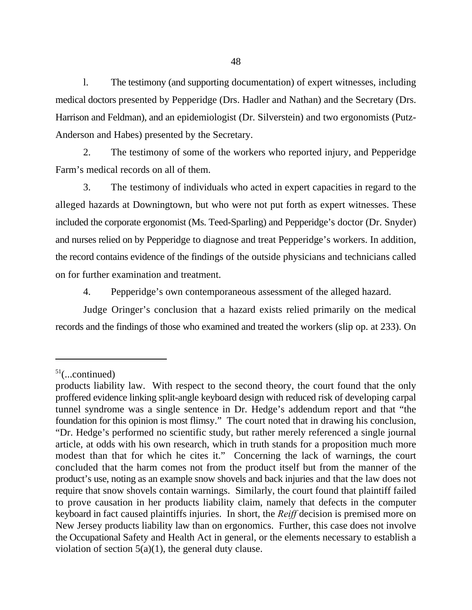l. The testimony (and supporting documentation) of expert witnesses, including medical doctors presented by Pepperidge (Drs. Hadler and Nathan) and the Secretary (Drs. Harrison and Feldman), and an epidemiologist (Dr. Silverstein) and two ergonomists (Putz-Anderson and Habes) presented by the Secretary.

2. The testimony of some of the workers who reported injury, and Pepperidge Farm's medical records on all of them.

3. The testimony of individuals who acted in expert capacities in regard to the alleged hazards at Downingtown, but who were not put forth as expert witnesses. These included the corporate ergonomist (Ms. Teed-Sparling) and Pepperidge's doctor (Dr. Snyder) and nurses relied on by Pepperidge to diagnose and treat Pepperidge's workers. In addition, the record contains evidence of the findings of the outside physicians and technicians called on for further examination and treatment.

4. Pepperidge's own contemporaneous assessment of the alleged hazard.

Judge Oringer's conclusion that a hazard exists relied primarily on the medical records and the findings of those who examined and treated the workers (slip op. at 233). On

 $51$ (...continued)

products liability law. With respect to the second theory, the court found that the only proffered evidence linking split-angle keyboard design with reduced risk of developing carpal tunnel syndrome was a single sentence in Dr. Hedge's addendum report and that "the foundation for this opinion is most flimsy." The court noted that in drawing his conclusion, "Dr. Hedge's performed no scientific study, but rather merely referenced a single journal article, at odds with his own research, which in truth stands for a proposition much more modest than that for which he cites it." Concerning the lack of warnings, the court concluded that the harm comes not from the product itself but from the manner of the product's use, noting as an example snow shovels and back injuries and that the law does not require that snow shovels contain warnings. Similarly, the court found that plaintiff failed to prove causation in her products liability claim, namely that defects in the computer keyboard in fact caused plaintiffs injuries. In short, the *Reiff* decision is premised more on New Jersey products liability law than on ergonomics. Further, this case does not involve the Occupational Safety and Health Act in general, or the elements necessary to establish a violation of section  $5(a)(1)$ , the general duty clause.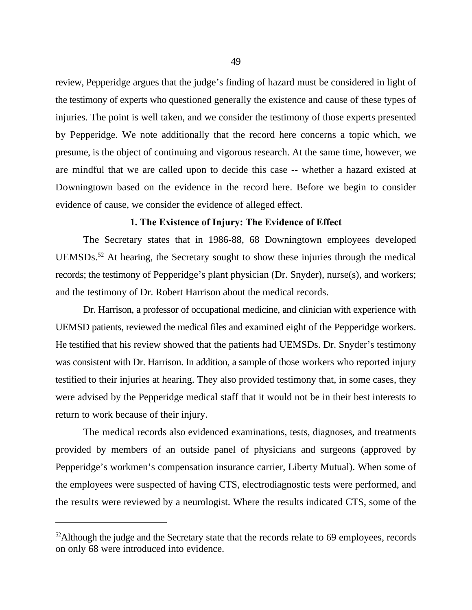review, Pepperidge argues that the judge's finding of hazard must be considered in light of the testimony of experts who questioned generally the existence and cause of these types of injuries. The point is well taken, and we consider the testimony of those experts presented by Pepperidge. We note additionally that the record here concerns a topic which, we presume, is the object of continuing and vigorous research. At the same time, however, we are mindful that we are called upon to decide this case -- whether a hazard existed at Downingtown based on the evidence in the record here. Before we begin to consider evidence of cause, we consider the evidence of alleged effect.

## **1. The Existence of Injury: The Evidence of Effect**

The Secretary states that in 1986-88, 68 Downingtown employees developed UEMSDs. $52$  At hearing, the Secretary sought to show these injuries through the medical records; the testimony of Pepperidge's plant physician (Dr. Snyder), nurse(s), and workers; and the testimony of Dr. Robert Harrison about the medical records.

Dr. Harrison, a professor of occupational medicine, and clinician with experience with UEMSD patients, reviewed the medical files and examined eight of the Pepperidge workers. He testified that his review showed that the patients had UEMSDs. Dr. Snyder's testimony was consistent with Dr. Harrison. In addition, a sample of those workers who reported injury testified to their injuries at hearing. They also provided testimony that, in some cases, they were advised by the Pepperidge medical staff that it would not be in their best interests to return to work because of their injury.

The medical records also evidenced examinations, tests, diagnoses, and treatments provided by members of an outside panel of physicians and surgeons (approved by Pepperidge's workmen's compensation insurance carrier, Liberty Mutual). When some of the employees were suspected of having CTS, electrodiagnostic tests were performed, and the results were reviewed by a neurologist. Where the results indicated CTS, some of the

 $52$ Although the judge and the Secretary state that the records relate to 69 employees, records on only 68 were introduced into evidence.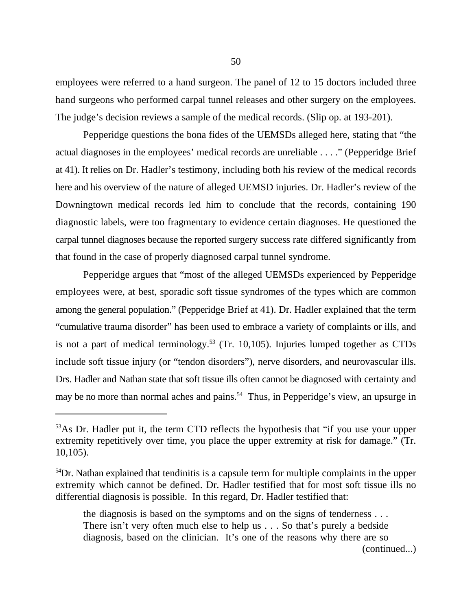employees were referred to a hand surgeon. The panel of 12 to 15 doctors included three hand surgeons who performed carpal tunnel releases and other surgery on the employees. The judge's decision reviews a sample of the medical records. (Slip op. at 193-201).

Pepperidge questions the bona fides of the UEMSDs alleged here, stating that "the actual diagnoses in the employees' medical records are unreliable . . . ." (Pepperidge Brief at 41). It relies on Dr. Hadler's testimony, including both his review of the medical records here and his overview of the nature of alleged UEMSD injuries. Dr. Hadler's review of the Downingtown medical records led him to conclude that the records, containing 190 diagnostic labels, were too fragmentary to evidence certain diagnoses. He questioned the carpal tunnel diagnoses because the reported surgery success rate differed significantly from that found in the case of properly diagnosed carpal tunnel syndrome.

Pepperidge argues that "most of the alleged UEMSDs experienced by Pepperidge employees were, at best, sporadic soft tissue syndromes of the types which are common among the general population." (Pepperidge Brief at 41). Dr. Hadler explained that the term "cumulative trauma disorder" has been used to embrace a variety of complaints or ills, and is not a part of medical terminology.<sup>53</sup> (Tr. 10,105). Injuries lumped together as CTDs include soft tissue injury (or "tendon disorders"), nerve disorders, and neurovascular ills. Drs. Hadler and Nathan state that soft tissue ills often cannot be diagnosed with certainty and may be no more than normal aches and pains.<sup>54</sup> Thus, in Pepperidge's view, an upsurge in

the diagnosis is based on the symptoms and on the signs of tenderness . . . There isn't very often much else to help us . . . So that's purely a bedside diagnosis, based on the clinician. It's one of the reasons why there are so (continued...)

<sup>&</sup>lt;sup>53</sup>As Dr. Hadler put it, the term CTD reflects the hypothesis that "if you use your upper extremity repetitively over time, you place the upper extremity at risk for damage." (Tr. 10,105).

 $54$ Dr. Nathan explained that tendinitis is a capsule term for multiple complaints in the upper extremity which cannot be defined. Dr. Hadler testified that for most soft tissue ills no differential diagnosis is possible. In this regard, Dr. Hadler testified that: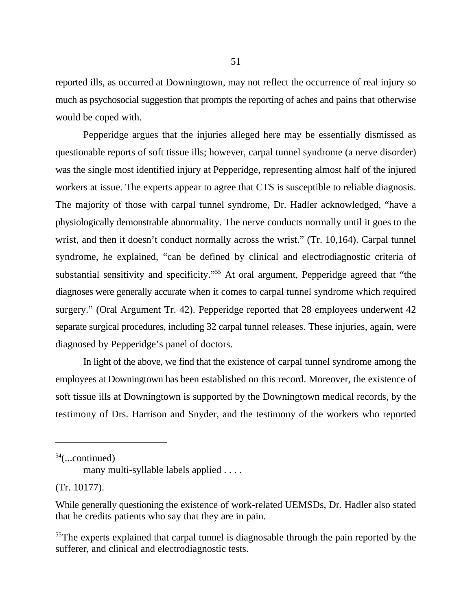reported ills, as occurred at Downingtown, may not reflect the occurrence of real injury so much as psychosocial suggestion that prompts the reporting of aches and pains that otherwise would be coped with.

Pepperidge argues that the injuries alleged here may be essentially dismissed as questionable reports of soft tissue ills; however, carpal tunnel syndrome (a nerve disorder) was the single most identified injury at Pepperidge, representing almost half of the injured workers at issue. The experts appear to agree that CTS is susceptible to reliable diagnosis. The majority of those with carpal tunnel syndrome, Dr. Hadler acknowledged, "have a physiologically demonstrable abnormality. The nerve conducts normally until it goes to the wrist, and then it doesn't conduct normally across the wrist." (Tr. 10,164). Carpal tunnel syndrome, he explained, "can be defined by clinical and electrodiagnostic criteria of substantial sensitivity and specificity."<sup>55</sup> At oral argument, Pepperidge agreed that "the diagnoses were generally accurate when it comes to carpal tunnel syndrome which required surgery." (Oral Argument Tr. 42). Pepperidge reported that 28 employees underwent 42 separate surgical procedures, including 32 carpal tunnel releases. These injuries, again, were diagnosed by Pepperidge's panel of doctors.

In light of the above, we find that the existence of carpal tunnel syndrome among the employees at Downingtown has been established on this record. Moreover, the existence of soft tissue ills at Downingtown is supported by the Downingtown medical records, by the testimony of Drs. Harrison and Snyder, and the testimony of the workers who reported

 $54$ (...continued)

many multi-syllable labels applied . . . .

<sup>(</sup>Tr. 10177).

While generally questioning the existence of work-related UEMSDs, Dr. Hadler also stated that he credits patients who say that they are in pain.

<sup>&</sup>lt;sup>55</sup>The experts explained that carpal tunnel is diagnosable through the pain reported by the sufferer, and clinical and electrodiagnostic tests.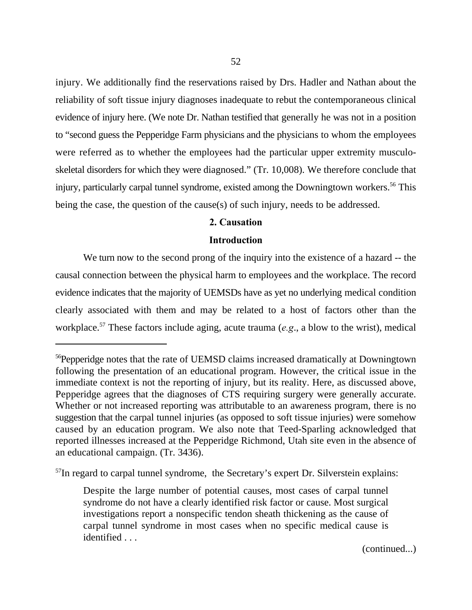injury. We additionally find the reservations raised by Drs. Hadler and Nathan about the reliability of soft tissue injury diagnoses inadequate to rebut the contemporaneous clinical evidence of injury here. (We note Dr. Nathan testified that generally he was not in a position to "second guess the Pepperidge Farm physicians and the physicians to whom the employees were referred as to whether the employees had the particular upper extremity musculoskeletal disorders for which they were diagnosed." (Tr. 10,008). We therefore conclude that injury, particularly carpal tunnel syndrome, existed among the Downingtown workers.<sup>56</sup> This being the case, the question of the cause(s) of such injury, needs to be addressed.

## **2. Causation**

## **Introduction**

We turn now to the second prong of the inquiry into the existence of a hazard -- the causal connection between the physical harm to employees and the workplace. The record evidence indicates that the majority of UEMSDs have as yet no underlying medical condition clearly associated with them and may be related to a host of factors other than the workplace.<sup>57</sup> These factors include aging, acute trauma (*e.g.*, a blow to the wrist), medical

 $<sup>57</sup>$ In regard to carpal tunnel syndrome, the Secretary's expert Dr. Silverstein explains:</sup>

(continued...)

<sup>&</sup>lt;sup>56</sup>Pepperidge notes that the rate of UEMSD claims increased dramatically at Downingtown following the presentation of an educational program. However, the critical issue in the immediate context is not the reporting of injury, but its reality. Here, as discussed above, Pepperidge agrees that the diagnoses of CTS requiring surgery were generally accurate. Whether or not increased reporting was attributable to an awareness program, there is no suggestion that the carpal tunnel injuries (as opposed to soft tissue injuries) were somehow caused by an education program. We also note that Teed-Sparling acknowledged that reported illnesses increased at the Pepperidge Richmond, Utah site even in the absence of an educational campaign. (Tr. 3436).

Despite the large number of potential causes, most cases of carpal tunnel syndrome do not have a clearly identified risk factor or cause. Most surgical investigations report a nonspecific tendon sheath thickening as the cause of carpal tunnel syndrome in most cases when no specific medical cause is identified . . .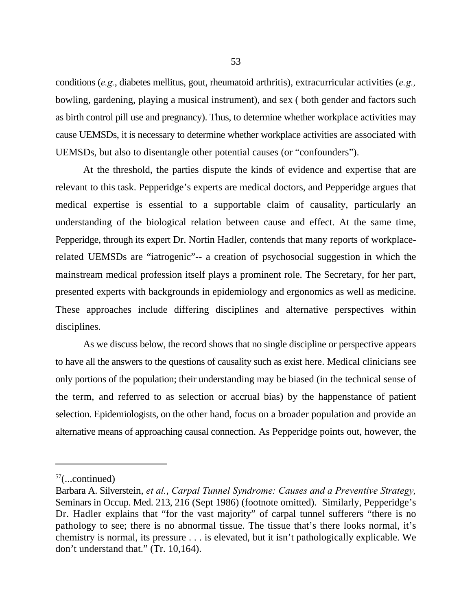conditions (*e.g.*, diabetes mellitus, gout, rheumatoid arthritis), extracurricular activities (*e.g.,* bowling, gardening, playing a musical instrument), and sex ( both gender and factors such as birth control pill use and pregnancy). Thus, to determine whether workplace activities may cause UEMSDs, it is necessary to determine whether workplace activities are associated with UEMSDs, but also to disentangle other potential causes (or "confounders").

At the threshold, the parties dispute the kinds of evidence and expertise that are relevant to this task. Pepperidge's experts are medical doctors, and Pepperidge argues that medical expertise is essential to a supportable claim of causality, particularly an understanding of the biological relation between cause and effect. At the same time, Pepperidge, through its expert Dr. Nortin Hadler, contends that many reports of workplacerelated UEMSDs are "iatrogenic"-- a creation of psychosocial suggestion in which the mainstream medical profession itself plays a prominent role. The Secretary, for her part, presented experts with backgrounds in epidemiology and ergonomics as well as medicine. These approaches include differing disciplines and alternative perspectives within disciplines.

As we discuss below, the record shows that no single discipline or perspective appears to have all the answers to the questions of causality such as exist here. Medical clinicians see only portions of the population; their understanding may be biased (in the technical sense of the term, and referred to as selection or accrual bias) by the happenstance of patient selection. Epidemiologists, on the other hand, focus on a broader population and provide an alternative means of approaching causal connection. As Pepperidge points out, however, the

 $57$ (...continued)

Barbara A. Silverstein, *et al.*, *Carpal Tunnel Syndrome: Causes and a Preventive Strategy,* Seminars in Occup. Med. 213, 216 (Sept 1986) (footnote omitted). Similarly, Pepperidge's Dr. Hadler explains that "for the vast majority" of carpal tunnel sufferers "there is no pathology to see; there is no abnormal tissue. The tissue that's there looks normal, it's chemistry is normal, its pressure . . . is elevated, but it isn't pathologically explicable. We don't understand that." (Tr. 10,164).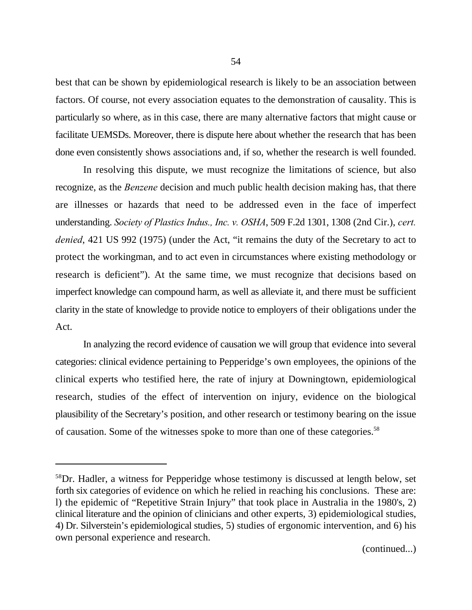best that can be shown by epidemiological research is likely to be an association between factors. Of course, not every association equates to the demonstration of causality. This is particularly so where, as in this case, there are many alternative factors that might cause or facilitate UEMSDs. Moreover, there is dispute here about whether the research that has been done even consistently shows associations and, if so, whether the research is well founded.

In resolving this dispute, we must recognize the limitations of science, but also recognize, as the *Benzene* decision and much public health decision making has, that there are illnesses or hazards that need to be addressed even in the face of imperfect understanding. *Society of Plastics Indus., Inc. v. OSHA*, 509 F.2d 1301, 1308 (2nd Cir.), *cert. denied*, 421 US 992 (1975) (under the Act, "it remains the duty of the Secretary to act to protect the workingman, and to act even in circumstances where existing methodology or research is deficient"). At the same time, we must recognize that decisions based on imperfect knowledge can compound harm, as well as alleviate it, and there must be sufficient clarity in the state of knowledge to provide notice to employers of their obligations under the Act.

In analyzing the record evidence of causation we will group that evidence into several categories: clinical evidence pertaining to Pepperidge's own employees, the opinions of the clinical experts who testified here, the rate of injury at Downingtown, epidemiological research, studies of the effect of intervention on injury, evidence on the biological plausibility of the Secretary's position, and other research or testimony bearing on the issue of causation. Some of the witnesses spoke to more than one of these categories.<sup>58</sup>

<sup>&</sup>lt;sup>58</sup>Dr. Hadler, a witness for Pepperidge whose testimony is discussed at length below, set forth six categories of evidence on which he relied in reaching his conclusions. These are: l) the epidemic of "Repetitive Strain Injury" that took place in Australia in the 1980's, 2) clinical literature and the opinion of clinicians and other experts, 3) epidemiological studies, 4) Dr. Silverstein's epidemiological studies, 5) studies of ergonomic intervention, and 6) his own personal experience and research.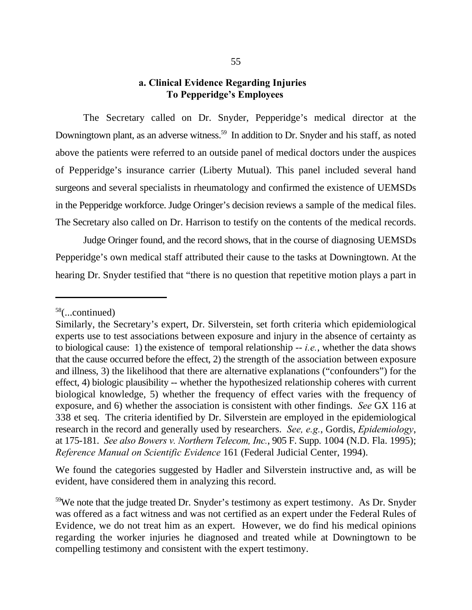# **a. Clinical Evidence Regarding Injuries To Pepperidge's Employees**

The Secretary called on Dr. Snyder, Pepperidge's medical director at the Downingtown plant, as an adverse witness.<sup>59</sup> In addition to Dr. Snyder and his staff, as noted above the patients were referred to an outside panel of medical doctors under the auspices of Pepperidge's insurance carrier (Liberty Mutual). This panel included several hand surgeons and several specialists in rheumatology and confirmed the existence of UEMSDs in the Pepperidge workforce. Judge Oringer's decision reviews a sample of the medical files. The Secretary also called on Dr. Harrison to testify on the contents of the medical records.

Judge Oringer found, and the record shows, that in the course of diagnosing UEMSDs Pepperidge's own medical staff attributed their cause to the tasks at Downingtown. At the hearing Dr. Snyder testified that "there is no question that repetitive motion plays a part in

We found the categories suggested by Hadler and Silverstein instructive and, as will be evident, have considered them in analyzing this record.

 $58$ (...continued)

Similarly, the Secretary's expert, Dr. Silverstein, set forth criteria which epidemiological experts use to test associations between exposure and injury in the absence of certainty as to biological cause: 1) the existence of temporal relationship -- *i.e.*, whether the data shows that the cause occurred before the effect, 2) the strength of the association between exposure and illness, 3) the likelihood that there are alternative explanations ("confounders") for the effect, 4) biologic plausibility -- whether the hypothesized relationship coheres with current biological knowledge, 5) whether the frequency of effect varies with the frequency of exposure, and 6) whether the association is consistent with other findings. *See* GX 116 at 338 et seq. The criteria identified by Dr. Silverstein are employed in the epidemiological research in the record and generally used by researchers. *See, e.g.*, Gordis, *Epidemiology*, at 175-181. *See also Bowers v. Northern Telecom, Inc.*, 905 F. Supp. 1004 (N.D. Fla. 1995); *Reference Manual on Scientific Evidence* 161 (Federal Judicial Center, 1994).

 $59$ We note that the judge treated Dr. Snyder's testimony as expert testimony. As Dr. Snyder was offered as a fact witness and was not certified as an expert under the Federal Rules of Evidence, we do not treat him as an expert. However, we do find his medical opinions regarding the worker injuries he diagnosed and treated while at Downingtown to be compelling testimony and consistent with the expert testimony.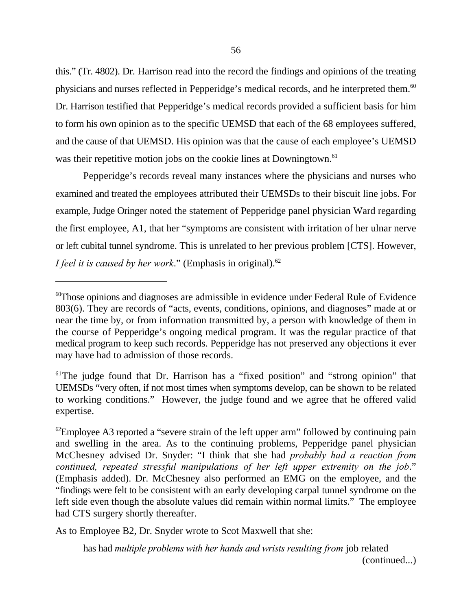this." (Tr. 4802). Dr. Harrison read into the record the findings and opinions of the treating physicians and nurses reflected in Pepperidge's medical records, and he interpreted them.<sup>60</sup> Dr. Harrison testified that Pepperidge's medical records provided a sufficient basis for him to form his own opinion as to the specific UEMSD that each of the 68 employees suffered, and the cause of that UEMSD. His opinion was that the cause of each employee's UEMSD was their repetitive motion jobs on the cookie lines at Downingtown.<sup>61</sup>

Pepperidge's records reveal many instances where the physicians and nurses who examined and treated the employees attributed their UEMSDs to their biscuit line jobs. For example, Judge Oringer noted the statement of Pepperidge panel physician Ward regarding the first employee, A1, that her "symptoms are consistent with irritation of her ulnar nerve or left cubital tunnel syndrome. This is unrelated to her previous problem [CTS]. However, *I feel it is caused by her work.*" (Emphasis in original).<sup>62</sup>

As to Employee B2, Dr. Snyder wrote to Scot Maxwell that she:

has had *multiple problems with her hands and wrists resulting from* job related (continued...)

 ${}^{60}$ Those opinions and diagnoses are admissible in evidence under Federal Rule of Evidence 803(6). They are records of "acts, events, conditions, opinions, and diagnoses" made at or near the time by, or from information transmitted by, a person with knowledge of them in the course of Pepperidge's ongoing medical program. It was the regular practice of that medical program to keep such records. Pepperidge has not preserved any objections it ever may have had to admission of those records.

<sup>&</sup>lt;sup>61</sup>The judge found that Dr. Harrison has a "fixed position" and "strong opinion" that UEMSDs "very often, if not most times when symptoms develop, can be shown to be related to working conditions." However, the judge found and we agree that he offered valid expertise.

 ${}^{\circ2}$ Employee A3 reported a "severe strain of the left upper arm" followed by continuing pain and swelling in the area. As to the continuing problems, Pepperidge panel physician McChesney advised Dr. Snyder: "I think that she had *probably had a reaction from continued, repeated stressful manipulations of her left upper extremity on the job*." (Emphasis added). Dr. McChesney also performed an EMG on the employee, and the "findings were felt to be consistent with an early developing carpal tunnel syndrome on the left side even though the absolute values did remain within normal limits." The employee had CTS surgery shortly thereafter.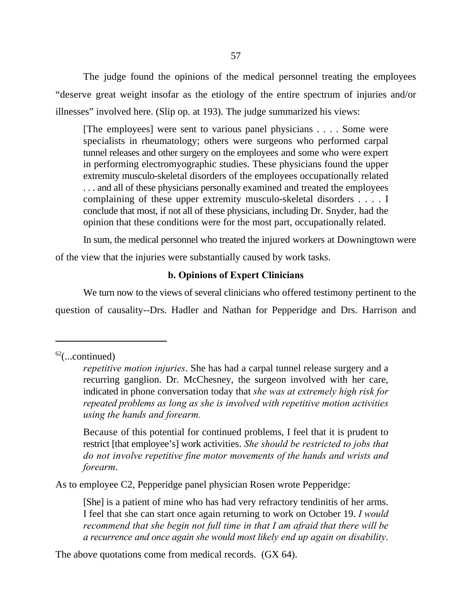57

The judge found the opinions of the medical personnel treating the employees "deserve great weight insofar as the etiology of the entire spectrum of injuries and/or illnesses" involved here. (Slip op. at 193). The judge summarized his views:

[The employees] were sent to various panel physicians . . . . Some were specialists in rheumatology; others were surgeons who performed carpal tunnel releases and other surgery on the employees and some who were expert in performing electromyographic studies. These physicians found the upper extremity musculo-skeletal disorders of the employees occupationally related . . . and all of these physicians personally examined and treated the employees complaining of these upper extremity musculo-skeletal disorders . . . . I conclude that most, if not all of these physicians, including Dr. Snyder, had the opinion that these conditions were for the most part, occupationally related.

In sum, the medical personnel who treated the injured workers at Downingtown were of the view that the injuries were substantially caused by work tasks.

# **b. Opinions of Expert Clinicians**

We turn now to the views of several clinicians who offered testimony pertinent to the question of causality--Drs. Hadler and Nathan for Pepperidge and Drs. Harrison and

Because of this potential for continued problems, I feel that it is prudent to restrict [that employee's] work activities. *She should be restricted to jobs that do not involve repetitive fine motor movements of the hands and wrists and forearm*.

As to employee C2, Pepperidge panel physician Rosen wrote Pepperidge:

[She] is a patient of mine who has had very refractory tendinitis of her arms. I feel that she can start once again returning to work on October 19. *I would recommend that she begin not full time in that I am afraid that there will be a recurrence and once again she would most likely end up again on disability*.

The above quotations come from medical records. (GX 64).

 $62$ (...continued)

*repetitive motion injuries*. She has had a carpal tunnel release surgery and a recurring ganglion. Dr. McChesney, the surgeon involved with her care, indicated in phone conversation today that *she was at extremely high risk for repeated problems as long as she is involved with repetitive motion activities using the hands and forearm.*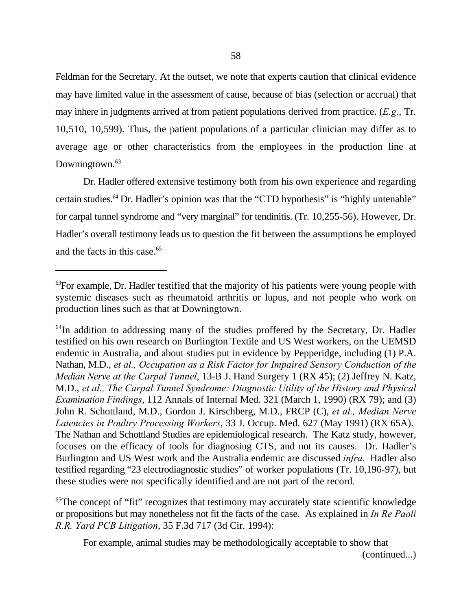Feldman for the Secretary. At the outset, we note that experts caution that clinical evidence may have limited value in the assessment of cause, because of bias (selection or accrual) that may inhere in judgments arrived at from patient populations derived from practice. (*E.g.*, Tr. 10,510, 10,599). Thus, the patient populations of a particular clinician may differ as to average age or other characteristics from the employees in the production line at Downingtown.<sup>63</sup>

Dr. Hadler offered extensive testimony both from his own experience and regarding certain studies.  $64$  Dr. Hadler's opinion was that the "CTD hypothesis" is "highly untenable" for carpal tunnel syndrome and "very marginal" for tendinitis. (Tr. 10,255-56). However, Dr. Hadler's overall testimony leads us to question the fit between the assumptions he employed and the facts in this case.<sup>65</sup>

 ${}^{65}$ The concept of "fit" recognizes that testimony may accurately state scientific knowledge or propositions but may nonetheless not fit the facts of the case. As explained in *In Re Paoli R.R. Yard PCB Litigation*, 35 F.3d 717 (3d Cir. 1994):

For example, animal studies may be methodologically acceptable to show that

(continued...)

 ${}^{63}$ For example, Dr. Hadler testified that the majority of his patients were young people with systemic diseases such as rheumatoid arthritis or lupus, and not people who work on production lines such as that at Downingtown.

<sup>&</sup>lt;sup>64</sup>In addition to addressing many of the studies proffered by the Secretary, Dr. Hadler testified on his own research on Burlington Textile and US West workers, on the UEMSD endemic in Australia, and about studies put in evidence by Pepperidge, including (1) P.A. Nathan, M.D., *et al., Occupation as a Risk Factor for Impaired Sensory Conduction of the Median Nerve at the Carpal Tunnel*, 13-B J. Hand Surgery 1 (RX 45); (2) Jeffrey N. Katz, M.D., *et al., The Carpal Tunnel Syndrome: Diagnostic Utility of the History and Physical Examination Findings*, 112 Annals of Internal Med. 321 (March 1, 1990) (RX 79); and (3) John R. Schottland, M.D., Gordon J. Kirschberg, M.D., FRCP (C), *et al., Median Nerve Latencies in Poultry Processing Workers*, 33 J. Occup. Med. 627 (May 1991) (RX 65A). The Nathan and Schottland Studies are epidemiological research. The Katz study, however, focuses on the efficacy of tools for diagnosing CTS, and not its causes. Dr. Hadler's Burlington and US West work and the Australia endemic are discussed *infra*. Hadler also testified regarding "23 electrodiagnostic studies" of worker populations (Tr. 10,196-97), but these studies were not specifically identified and are not part of the record.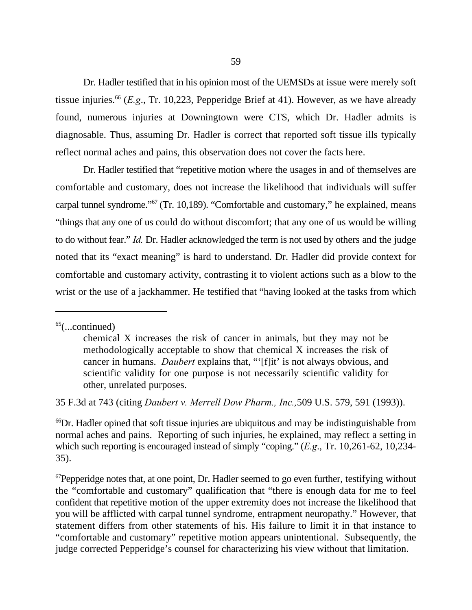Dr. Hadler testified that in his opinion most of the UEMSDs at issue were merely soft tissue injuries.<sup>66</sup> (*E.g.*, Tr. 10,223, Pepperidge Brief at 41). However, as we have already found, numerous injuries at Downingtown were CTS, which Dr. Hadler admits is diagnosable. Thus, assuming Dr. Hadler is correct that reported soft tissue ills typically reflect normal aches and pains, this observation does not cover the facts here.

Dr. Hadler testified that "repetitive motion where the usages in and of themselves are comfortable and customary, does not increase the likelihood that individuals will suffer carpal tunnel syndrome." $67$  (Tr. 10,189). "Comfortable and customary," he explained, means "things that any one of us could do without discomfort; that any one of us would be willing to do without fear." *Id.* Dr. Hadler acknowledged the term is not used by others and the judge noted that its "exact meaning" is hard to understand. Dr. Hadler did provide context for comfortable and customary activity, contrasting it to violent actions such as a blow to the wrist or the use of a jackhammer. He testified that "having looked at the tasks from which

35 F.3d at 743 (citing *Daubert v. Merrell Dow Pharm., Inc.,*509 U.S. 579, 591 (1993)).

<sup>66</sup>Dr. Hadler opined that soft tissue injuries are ubiquitous and may be indistinguishable from normal aches and pains. Reporting of such injuries, he explained, may reflect a setting in which such reporting is encouraged instead of simply "coping." (*E.g*., Tr. 10,261-62, 10,234- 35).

 ${}^{67}$ Pepperidge notes that, at one point, Dr. Hadler seemed to go even further, testifying without the "comfortable and customary" qualification that "there is enough data for me to feel confident that repetitive motion of the upper extremity does not increase the likelihood that you will be afflicted with carpal tunnel syndrome, entrapment neuropathy." However, that statement differs from other statements of his. His failure to limit it in that instance to "comfortable and customary" repetitive motion appears unintentional. Subsequently, the judge corrected Pepperidge's counsel for characterizing his view without that limitation.

 $65$ (...continued)

chemical X increases the risk of cancer in animals, but they may not be methodologically acceptable to show that chemical X increases the risk of cancer in humans. *Daubert* explains that, "'[f]it' is not always obvious, and scientific validity for one purpose is not necessarily scientific validity for other, unrelated purposes.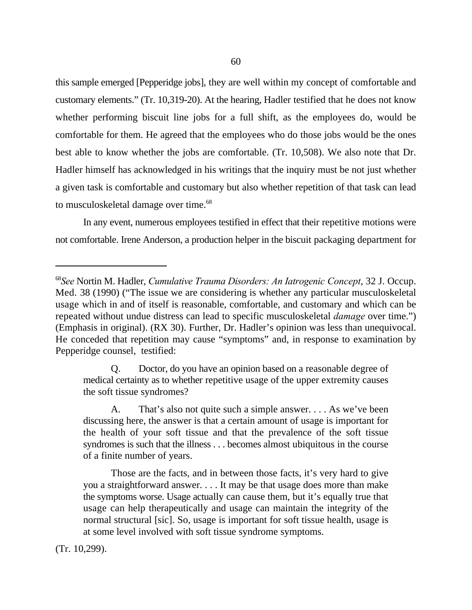this sample emerged [Pepperidge jobs], they are well within my concept of comfortable and customary elements." (Tr. 10,319-20). At the hearing, Hadler testified that he does not know whether performing biscuit line jobs for a full shift, as the employees do, would be comfortable for them. He agreed that the employees who do those jobs would be the ones best able to know whether the jobs are comfortable. (Tr. 10,508). We also note that Dr. Hadler himself has acknowledged in his writings that the inquiry must be not just whether a given task is comfortable and customary but also whether repetition of that task can lead to musculoskeletal damage over time.<sup>68</sup>

In any event, numerous employees testified in effect that their repetitive motions were not comfortable. Irene Anderson, a production helper in the biscuit packaging department for

Q. Doctor, do you have an opinion based on a reasonable degree of medical certainty as to whether repetitive usage of the upper extremity causes the soft tissue syndromes?

A. That's also not quite such a simple answer. . . . As we've been discussing here, the answer is that a certain amount of usage is important for the health of your soft tissue and that the prevalence of the soft tissue syndromes is such that the illness . . . becomes almost ubiquitous in the course of a finite number of years.

Those are the facts, and in between those facts, it's very hard to give you a straightforward answer. . . . It may be that usage does more than make the symptoms worse. Usage actually can cause them, but it's equally true that usage can help therapeutically and usage can maintain the integrity of the normal structural [sic]. So, usage is important for soft tissue health, usage is at some level involved with soft tissue syndrome symptoms.

(Tr. 10,299).

*See* Nortin M. Hadler, *Cumulative Trauma Disorders: An Iatrogenic Concept*, 32 J. Occup. <sup>68</sup> Med. 38 (1990) ("The issue we are considering is whether any particular musculoskeletal usage which in and of itself is reasonable, comfortable, and customary and which can be repeated without undue distress can lead to specific musculoskeletal *damage* over time.") (Emphasis in original). (RX 30). Further, Dr. Hadler's opinion was less than unequivocal. He conceded that repetition may cause "symptoms" and, in response to examination by Pepperidge counsel, testified: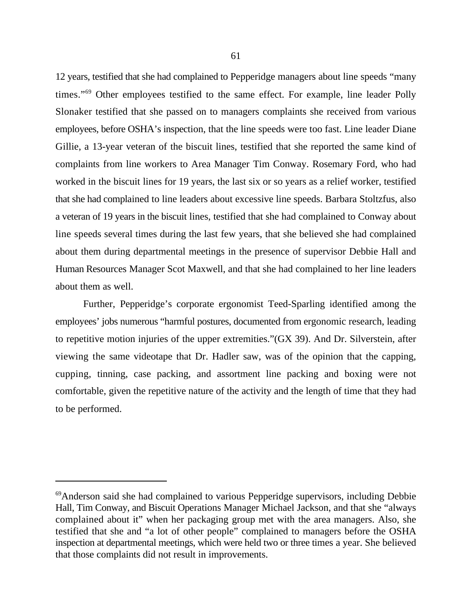12 years, testified that she had complained to Pepperidge managers about line speeds "many times."<sup>69</sup> Other employees testified to the same effect. For example, line leader Polly Slonaker testified that she passed on to managers complaints she received from various employees, before OSHA's inspection, that the line speeds were too fast. Line leader Diane Gillie, a 13-year veteran of the biscuit lines, testified that she reported the same kind of complaints from line workers to Area Manager Tim Conway. Rosemary Ford, who had worked in the biscuit lines for 19 years, the last six or so years as a relief worker, testified that she had complained to line leaders about excessive line speeds. Barbara Stoltzfus, also a veteran of 19 years in the biscuit lines, testified that she had complained to Conway about line speeds several times during the last few years, that she believed she had complained about them during departmental meetings in the presence of supervisor Debbie Hall and Human Resources Manager Scot Maxwell, and that she had complained to her line leaders about them as well.

Further, Pepperidge's corporate ergonomist Teed-Sparling identified among the employees' jobs numerous "harmful postures, documented from ergonomic research, leading to repetitive motion injuries of the upper extremities."(GX 39). And Dr. Silverstein, after viewing the same videotape that Dr. Hadler saw, was of the opinion that the capping, cupping, tinning, case packing, and assortment line packing and boxing were not comfortable, given the repetitive nature of the activity and the length of time that they had to be performed.

<sup>&</sup>lt;sup>69</sup> Anderson said she had complained to various Pepperidge supervisors, including Debbie Hall, Tim Conway, and Biscuit Operations Manager Michael Jackson, and that she "always complained about it" when her packaging group met with the area managers. Also, she testified that she and "a lot of other people" complained to managers before the OSHA inspection at departmental meetings, which were held two or three times a year. She believed that those complaints did not result in improvements.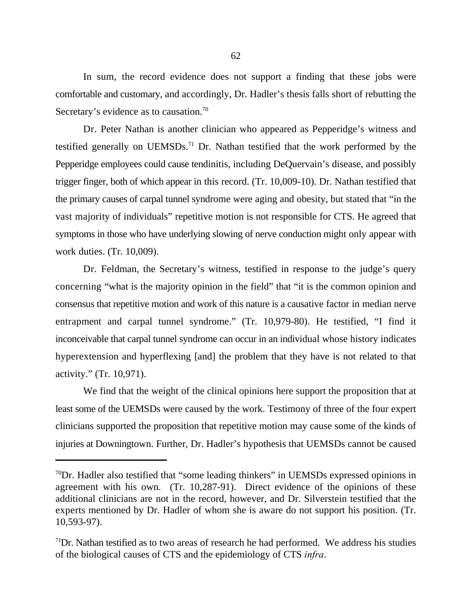In sum, the record evidence does not support a finding that these jobs were comfortable and customary, and accordingly, Dr. Hadler's thesis falls short of rebutting the Secretary's evidence as to causation.<sup>70</sup>

Dr. Peter Nathan is another clinician who appeared as Pepperidge's witness and testified generally on UEMSDs.<sup>71</sup> Dr. Nathan testified that the work performed by the Pepperidge employees could cause tendinitis, including DeQuervain's disease, and possibly trigger finger, both of which appear in this record. (Tr. 10,009-10). Dr. Nathan testified that the primary causes of carpal tunnel syndrome were aging and obesity, but stated that "in the vast majority of individuals" repetitive motion is not responsible for CTS. He agreed that symptoms in those who have underlying slowing of nerve conduction might only appear with work duties. (Tr. 10,009).

Dr. Feldman, the Secretary's witness, testified in response to the judge's query concerning "what is the majority opinion in the field" that "it is the common opinion and consensus that repetitive motion and work of this nature is a causative factor in median nerve entrapment and carpal tunnel syndrome." (Tr. 10,979-80). He testified, "I find it inconceivable that carpal tunnel syndrome can occur in an individual whose history indicates hyperextension and hyperflexing [and] the problem that they have is not related to that activity." (Tr. 10,971).

We find that the weight of the clinical opinions here support the proposition that at least some of the UEMSDs were caused by the work. Testimony of three of the four expert clinicians supported the proposition that repetitive motion may cause some of the kinds of injuries at Downingtown. Further, Dr. Hadler's hypothesis that UEMSDs cannot be caused

 $\rm{^{70}Dr}$ . Hadler also testified that "some leading thinkers" in UEMSDs expressed opinions in agreement with his own. (Tr. 10,287-91). Direct evidence of the opinions of these additional clinicians are not in the record, however, and Dr. Silverstein testified that the experts mentioned by Dr. Hadler of whom she is aware do not support his position. (Tr. 10,593-97).

 $1^{71}$ Dr. Nathan testified as to two areas of research he had performed. We address his studies of the biological causes of CTS and the epidemiology of CTS *infra*.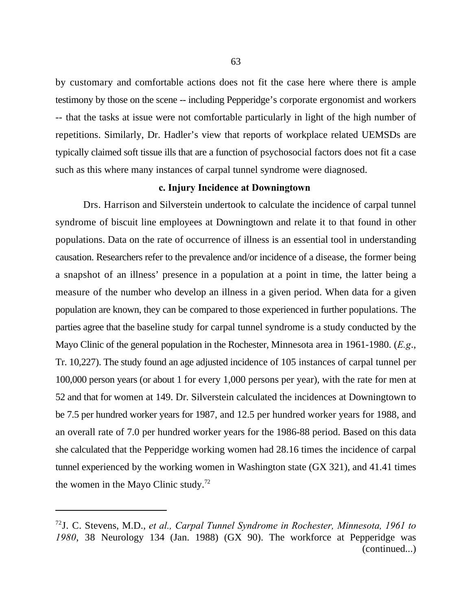by customary and comfortable actions does not fit the case here where there is ample testimony by those on the scene -- including Pepperidge's corporate ergonomist and workers -- that the tasks at issue were not comfortable particularly in light of the high number of repetitions. Similarly, Dr. Hadler's view that reports of workplace related UEMSDs are typically claimed soft tissue ills that are a function of psychosocial factors does not fit a case such as this where many instances of carpal tunnel syndrome were diagnosed.

### **c. Injury Incidence at Downingtown**

Drs. Harrison and Silverstein undertook to calculate the incidence of carpal tunnel syndrome of biscuit line employees at Downingtown and relate it to that found in other populations. Data on the rate of occurrence of illness is an essential tool in understanding causation. Researchers refer to the prevalence and/or incidence of a disease, the former being a snapshot of an illness' presence in a population at a point in time, the latter being a measure of the number who develop an illness in a given period. When data for a given population are known, they can be compared to those experienced in further populations. The parties agree that the baseline study for carpal tunnel syndrome is a study conducted by the Mayo Clinic of the general population in the Rochester, Minnesota area in 1961-1980. (*E.g*., Tr. 10,227). The study found an age adjusted incidence of 105 instances of carpal tunnel per 100,000 person years (or about 1 for every 1,000 persons per year), with the rate for men at 52 and that for women at 149. Dr. Silverstein calculated the incidences at Downingtown to be 7.5 per hundred worker years for 1987, and 12.5 per hundred worker years for 1988, and an overall rate of 7.0 per hundred worker years for the 1986-88 period. Based on this data she calculated that the Pepperidge working women had 28.16 times the incidence of carpal tunnel experienced by the working women in Washington state (GX 321), and 41.41 times the women in the Mayo Clinic study.72

J. C. Stevens, M.D., *et al., Carpal Tunnel Syndrome in Rochester, Minnesota, 1961 to* 72 *1980*, 38 Neurology 134 (Jan. 1988) (GX 90). The workforce at Pepperidge was (continued...)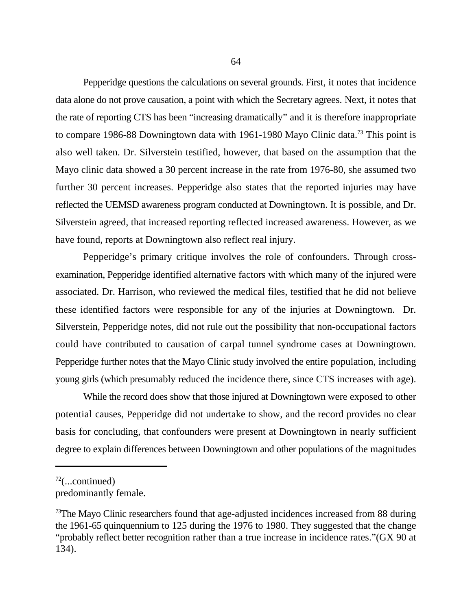Pepperidge questions the calculations on several grounds. First, it notes that incidence data alone do not prove causation, a point with which the Secretary agrees. Next, it notes that the rate of reporting CTS has been "increasing dramatically" and it is therefore inappropriate to compare 1986-88 Downingtown data with 1961-1980 Mayo Clinic data.<sup>73</sup> This point is also well taken. Dr. Silverstein testified, however, that based on the assumption that the Mayo clinic data showed a 30 percent increase in the rate from 1976-80, she assumed two further 30 percent increases. Pepperidge also states that the reported injuries may have reflected the UEMSD awareness program conducted at Downingtown. It is possible, and Dr. Silverstein agreed, that increased reporting reflected increased awareness. However, as we have found, reports at Downingtown also reflect real injury.

Pepperidge's primary critique involves the role of confounders. Through crossexamination, Pepperidge identified alternative factors with which many of the injured were associated. Dr. Harrison, who reviewed the medical files, testified that he did not believe these identified factors were responsible for any of the injuries at Downingtown. Dr. Silverstein, Pepperidge notes, did not rule out the possibility that non-occupational factors could have contributed to causation of carpal tunnel syndrome cases at Downingtown. Pepperidge further notes that the Mayo Clinic study involved the entire population, including young girls (which presumably reduced the incidence there, since CTS increases with age).

While the record does show that those injured at Downingtown were exposed to other potential causes, Pepperidge did not undertake to show, and the record provides no clear basis for concluding, that confounders were present at Downingtown in nearly sufficient degree to explain differences between Downingtown and other populations of the magnitudes

 $72$ (...continued)

predominantly female.

 $73$ The Mayo Clinic researchers found that age-adjusted incidences increased from 88 during the 1961-65 quinquennium to 125 during the 1976 to 1980. They suggested that the change "probably reflect better recognition rather than a true increase in incidence rates."(GX 90 at 134).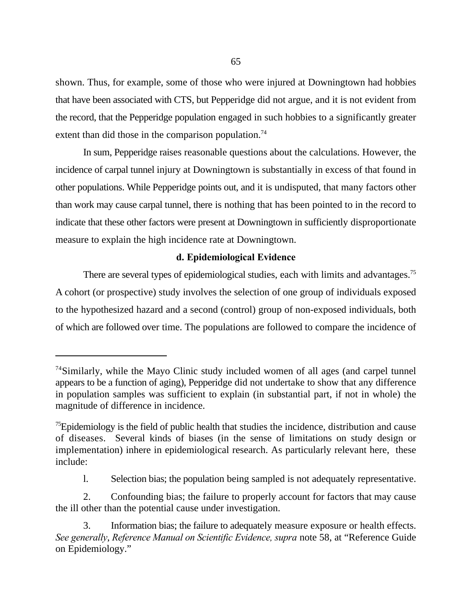shown. Thus, for example, some of those who were injured at Downingtown had hobbies that have been associated with CTS, but Pepperidge did not argue, and it is not evident from the record, that the Pepperidge population engaged in such hobbies to a significantly greater extent than did those in the comparison population.<sup>74</sup>

In sum, Pepperidge raises reasonable questions about the calculations. However, the incidence of carpal tunnel injury at Downingtown is substantially in excess of that found in other populations. While Pepperidge points out, and it is undisputed, that many factors other than work may cause carpal tunnel, there is nothing that has been pointed to in the record to indicate that these other factors were present at Downingtown in sufficiently disproportionate measure to explain the high incidence rate at Downingtown.

### **d. Epidemiological Evidence**

There are several types of epidemiological studies, each with limits and advantages.<sup>75</sup> A cohort (or prospective) study involves the selection of one group of individuals exposed to the hypothesized hazard and a second (control) group of non-exposed individuals, both of which are followed over time. The populations are followed to compare the incidence of

 $74$ Similarly, while the Mayo Clinic study included women of all ages (and carpel tunnel appears to be a function of aging), Pepperidge did not undertake to show that any difference in population samples was sufficient to explain (in substantial part, if not in whole) the magnitude of difference in incidence.

 $\frac{75}{2}$ Epidemiology is the field of public health that studies the incidence, distribution and cause of diseases. Several kinds of biases (in the sense of limitations on study design or implementation) inhere in epidemiological research. As particularly relevant here, these include:

l. Selection bias; the population being sampled is not adequately representative.

<sup>2.</sup> Confounding bias; the failure to properly account for factors that may cause the ill other than the potential cause under investigation.

<sup>3.</sup> Information bias; the failure to adequately measure exposure or health effects. *See generally*, *Reference Manual on Scientific Evidence, supra* note 58, at "Reference Guide on Epidemiology."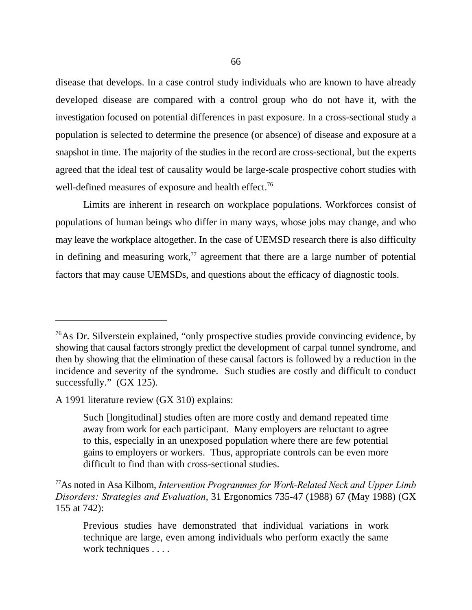disease that develops. In a case control study individuals who are known to have already developed disease are compared with a control group who do not have it, with the investigation focused on potential differences in past exposure. In a cross-sectional study a population is selected to determine the presence (or absence) of disease and exposure at a snapshot in time. The majority of the studies in the record are cross-sectional, but the experts agreed that the ideal test of causality would be large-scale prospective cohort studies with well-defined measures of exposure and health effect.<sup>76</sup>

Limits are inherent in research on workplace populations. Workforces consist of populations of human beings who differ in many ways, whose jobs may change, and who may leave the workplace altogether. In the case of UEMSD research there is also difficulty in defining and measuring work, $77$  agreement that there are a large number of potential factors that may cause UEMSDs, and questions about the efficacy of diagnostic tools.

 $76$ As Dr. Silverstein explained, "only prospective studies provide convincing evidence, by showing that causal factors strongly predict the development of carpal tunnel syndrome, and then by showing that the elimination of these causal factors is followed by a reduction in the incidence and severity of the syndrome. Such studies are costly and difficult to conduct successfully." (GX 125).

A 1991 literature review (GX 310) explains:

Such [longitudinal] studies often are more costly and demand repeated time away from work for each participant. Many employers are reluctant to agree to this, especially in an unexposed population where there are few potential gains to employers or workers. Thus, appropriate controls can be even more difficult to find than with cross-sectional studies.

As noted in Asa Kilbom, *Intervention Programmes for Work-Related Neck and Upper Limb* <sup>77</sup> *Disorders: Strategies and Evaluation*, 31 Ergonomics 735-47 (1988) 67 (May 1988) (GX 155 at 742):

Previous studies have demonstrated that individual variations in work technique are large, even among individuals who perform exactly the same work techniques . . . .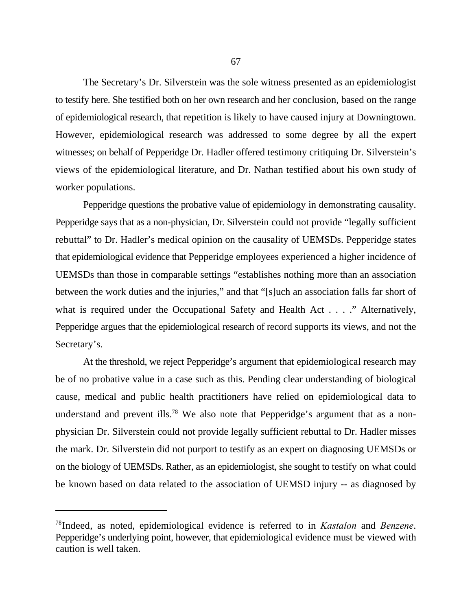The Secretary's Dr. Silverstein was the sole witness presented as an epidemiologist to testify here. She testified both on her own research and her conclusion, based on the range of epidemiological research, that repetition is likely to have caused injury at Downingtown. However, epidemiological research was addressed to some degree by all the expert witnesses; on behalf of Pepperidge Dr. Hadler offered testimony critiquing Dr. Silverstein's views of the epidemiological literature, and Dr. Nathan testified about his own study of worker populations.

Pepperidge questions the probative value of epidemiology in demonstrating causality. Pepperidge says that as a non-physician, Dr. Silverstein could not provide "legally sufficient rebuttal" to Dr. Hadler's medical opinion on the causality of UEMSDs. Pepperidge states that epidemiological evidence that Pepperidge employees experienced a higher incidence of UEMSDs than those in comparable settings "establishes nothing more than an association between the work duties and the injuries," and that "[s]uch an association falls far short of what is required under the Occupational Safety and Health Act . . . ." Alternatively, Pepperidge argues that the epidemiological research of record supports its views, and not the Secretary's.

At the threshold, we reject Pepperidge's argument that epidemiological research may be of no probative value in a case such as this. Pending clear understanding of biological cause, medical and public health practitioners have relied on epidemiological data to understand and prevent ills.<sup>78</sup> We also note that Pepperidge's argument that as a nonphysician Dr. Silverstein could not provide legally sufficient rebuttal to Dr. Hadler misses the mark. Dr. Silverstein did not purport to testify as an expert on diagnosing UEMSDs or on the biology of UEMSDs. Rather, as an epidemiologist, she sought to testify on what could be known based on data related to the association of UEMSD injury -- as diagnosed by

<sup>&</sup>lt;sup>78</sup>Indeed, as noted, epidemiological evidence is referred to in *Kastalon* and *Benzene*. Pepperidge's underlying point, however, that epidemiological evidence must be viewed with caution is well taken.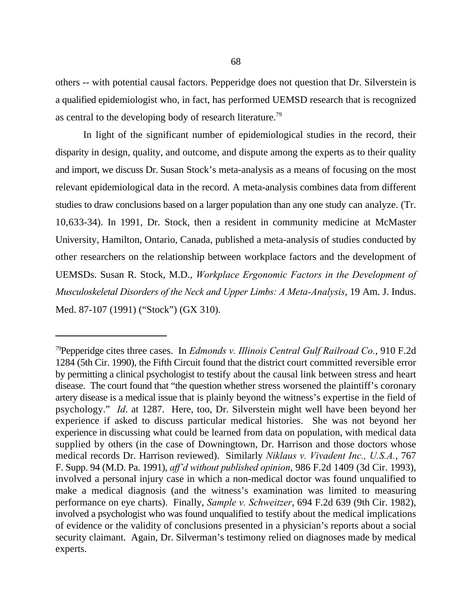others -- with potential causal factors. Pepperidge does not question that Dr. Silverstein is a qualified epidemiologist who, in fact, has performed UEMSD research that is recognized as central to the developing body of research literature.<sup>79</sup>

In light of the significant number of epidemiological studies in the record, their disparity in design, quality, and outcome, and dispute among the experts as to their quality and import, we discuss Dr. Susan Stock's meta-analysis as a means of focusing on the most relevant epidemiological data in the record. A meta-analysis combines data from different studies to draw conclusions based on a larger population than any one study can analyze. (Tr. 10,633-34). In 1991, Dr. Stock, then a resident in community medicine at McMaster University, Hamilton, Ontario, Canada, published a meta-analysis of studies conducted by other researchers on the relationship between workplace factors and the development of UEMSDs. Susan R. Stock, M.D., *Workplace Ergonomic Factors in the Development of Musculoskeletal Disorders of the Neck and Upper Limbs: A Meta-Analysis*, 19 Am. J. Indus. Med. 87-107 (1991) ("Stock") (GX 310).

<sup>&</sup>lt;sup>79</sup> Pepperidge cites three cases. In *Edmonds v. Illinois Central Gulf Railroad Co.*, 910 F.2d 1284 (5th Cir. 1990), the Fifth Circuit found that the district court committed reversible error by permitting a clinical psychologist to testify about the causal link between stress and heart disease. The court found that "the question whether stress worsened the plaintiff's coronary artery disease is a medical issue that is plainly beyond the witness's expertise in the field of psychology." *Id*. at 1287. Here, too, Dr. Silverstein might well have been beyond her experience if asked to discuss particular medical histories. She was not beyond her experience in discussing what could be learned from data on population, with medical data supplied by others (in the case of Downingtown, Dr. Harrison and those doctors whose medical records Dr. Harrison reviewed). Similarly *Niklaus v. Vivadent Inc., U.S.A.*, 767 F. Supp. 94 (M.D. Pa. 1991), *aff'd without published opinion*, 986 F.2d 1409 (3d Cir. 1993), involved a personal injury case in which a non-medical doctor was found unqualified to make a medical diagnosis (and the witness's examination was limited to measuring performance on eye charts). Finally, *Sample v. Schweitzer*, 694 F.2d 639 (9th Cir. 1982), involved a psychologist who was found unqualified to testify about the medical implications of evidence or the validity of conclusions presented in a physician's reports about a social security claimant. Again, Dr. Silverman's testimony relied on diagnoses made by medical experts.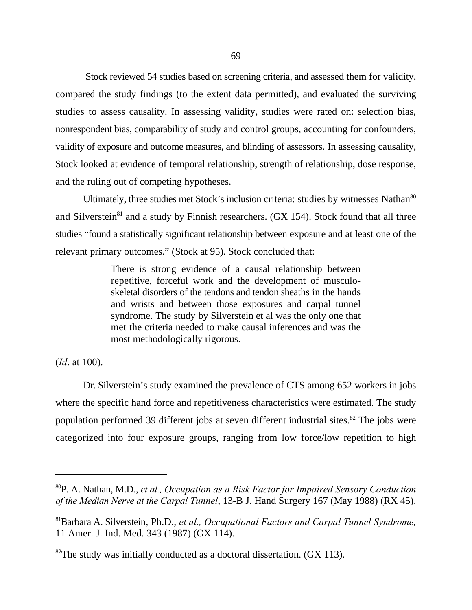Stock reviewed 54 studies based on screening criteria, and assessed them for validity, compared the study findings (to the extent data permitted), and evaluated the surviving studies to assess causality. In assessing validity, studies were rated on: selection bias, nonrespondent bias, comparability of study and control groups, accounting for confounders, validity of exposure and outcome measures, and blinding of assessors. In assessing causality, Stock looked at evidence of temporal relationship, strength of relationship, dose response, and the ruling out of competing hypotheses.

Ultimately, three studies met Stock's inclusion criteria: studies by witnesses Nathan<sup>80</sup> and Silverstein<sup>81</sup> and a study by Finnish researchers. (GX 154). Stock found that all three studies "found a statistically significant relationship between exposure and at least one of the relevant primary outcomes." (Stock at 95). Stock concluded that:

> There is strong evidence of a causal relationship between repetitive, forceful work and the development of musculoskeletal disorders of the tendons and tendon sheaths in the hands and wrists and between those exposures and carpal tunnel syndrome. The study by Silverstein et al was the only one that met the criteria needed to make causal inferences and was the most methodologically rigorous.

(*Id*. at 100).

Dr. Silverstein's study examined the prevalence of CTS among 652 workers in jobs where the specific hand force and repetitiveness characteristics were estimated. The study population performed 39 different jobs at seven different industrial sites.<sup>82</sup> The jobs were categorized into four exposure groups, ranging from low force/low repetition to high

<sup>&</sup>lt;sup>80</sup>P. A. Nathan, M.D., *et al., Occupation as a Risk Factor for Impaired Sensory Conduction of the Median Nerve at the Carpal Tunnel*, 13-B J. Hand Surgery 167 (May 1988) (RX 45).

Barbara A. Silverstein, Ph.D., *et al., Occupational Factors and Carpal Tunnel Syndrome,* <sup>81</sup> 11 Amer. J. Ind. Med. 343 (1987) (GX 114).

 ${}^{82}$ The study was initially conducted as a doctoral dissertation. (GX 113).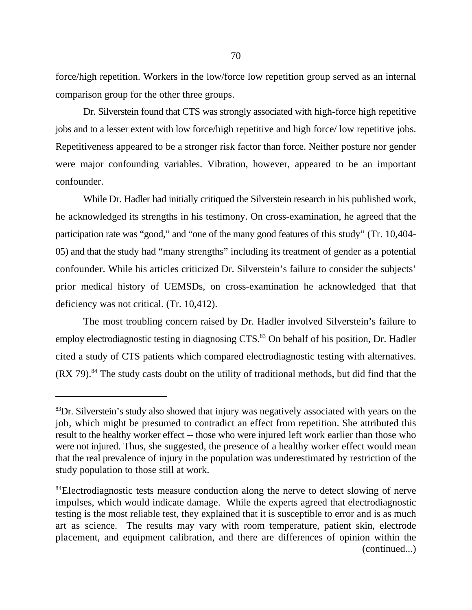force/high repetition. Workers in the low/force low repetition group served as an internal comparison group for the other three groups.

Dr. Silverstein found that CTS was strongly associated with high-force high repetitive jobs and to a lesser extent with low force/high repetitive and high force/ low repetitive jobs. Repetitiveness appeared to be a stronger risk factor than force. Neither posture nor gender were major confounding variables. Vibration, however, appeared to be an important confounder.

While Dr. Hadler had initially critiqued the Silverstein research in his published work, he acknowledged its strengths in his testimony. On cross-examination, he agreed that the participation rate was "good," and "one of the many good features of this study" (Tr. 10,404- 05) and that the study had "many strengths" including its treatment of gender as a potential confounder. While his articles criticized Dr. Silverstein's failure to consider the subjects' prior medical history of UEMSDs, on cross-examination he acknowledged that that deficiency was not critical. (Tr. 10,412).

The most troubling concern raised by Dr. Hadler involved Silverstein's failure to employ electrodiagnostic testing in diagnosing CTS.<sup>83</sup> On behalf of his position, Dr. Hadler cited a study of CTS patients which compared electrodiagnostic testing with alternatives.  $(RX 79).<sup>84</sup>$  The study casts doubt on the utility of traditional methods, but did find that the

 ${}^{83}$ Dr. Silverstein's study also showed that injury was negatively associated with years on the job, which might be presumed to contradict an effect from repetition. She attributed this result to the healthy worker effect -- those who were injured left work earlier than those who were not injured. Thus, she suggested, the presence of a healthy worker effect would mean that the real prevalence of injury in the population was underestimated by restriction of the study population to those still at work.

<sup>&</sup>lt;sup>84</sup>Electrodiagnostic tests measure conduction along the nerve to detect slowing of nerve impulses, which would indicate damage. While the experts agreed that electrodiagnostic testing is the most reliable test, they explained that it is susceptible to error and is as much art as science. The results may vary with room temperature, patient skin, electrode placement, and equipment calibration, and there are differences of opinion within the (continued...)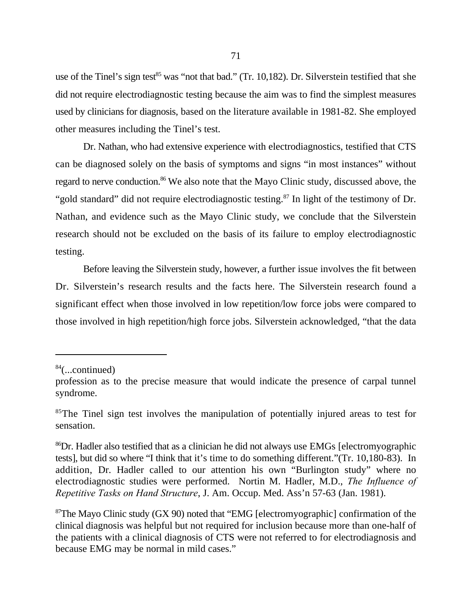use of the Tinel's sign test $^{85}$  was "not that bad." (Tr. 10,182). Dr. Silverstein testified that she did not require electrodiagnostic testing because the aim was to find the simplest measures used by clinicians for diagnosis, based on the literature available in 1981-82. She employed other measures including the Tinel's test.

Dr. Nathan, who had extensive experience with electrodiagnostics, testified that CTS can be diagnosed solely on the basis of symptoms and signs "in most instances" without regard to nerve conduction.<sup>86</sup> We also note that the Mayo Clinic study, discussed above, the "gold standard" did not require electrodiagnostic testing. $^{87}$  In light of the testimony of Dr. Nathan, and evidence such as the Mayo Clinic study, we conclude that the Silverstein research should not be excluded on the basis of its failure to employ electrodiagnostic testing.

Before leaving the Silverstein study, however, a further issue involves the fit between Dr. Silverstein's research results and the facts here. The Silverstein research found a significant effect when those involved in low repetition/low force jobs were compared to those involved in high repetition/high force jobs. Silverstein acknowledged, "that the data

 $84$ (...continued)

profession as to the precise measure that would indicate the presence of carpal tunnel syndrome.

<sup>&</sup>lt;sup>85</sup>The Tinel sign test involves the manipulation of potentially injured areas to test for sensation.

<sup>&</sup>lt;sup>86</sup>Dr. Hadler also testified that as a clinician he did not always use EMGs [electromyographic tests], but did so where "I think that it's time to do something different."(Tr. 10,180-83). In addition, Dr. Hadler called to our attention his own "Burlington study" where no electrodiagnostic studies were performed. Nortin M. Hadler, M.D., *The Influence of Repetitive Tasks on Hand Structure*, J. Am. Occup. Med. Ass'n 57-63 (Jan. 1981).

 $87$ The Mayo Clinic study (GX 90) noted that "EMG [electromyographic] confirmation of the clinical diagnosis was helpful but not required for inclusion because more than one-half of the patients with a clinical diagnosis of CTS were not referred to for electrodiagnosis and because EMG may be normal in mild cases."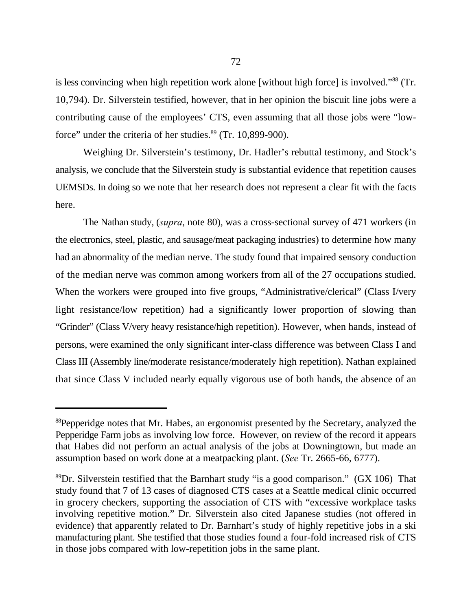is less convincing when high repetition work alone [without high force] is involved."<sup>88</sup> (Tr. 10,794). Dr. Silverstein testified, however, that in her opinion the biscuit line jobs were a contributing cause of the employees' CTS, even assuming that all those jobs were "lowforce" under the criteria of her studies. $89$  (Tr. 10,899-900).

Weighing Dr. Silverstein's testimony, Dr. Hadler's rebuttal testimony, and Stock's analysis, we conclude that the Silverstein study is substantial evidence that repetition causes UEMSDs. In doing so we note that her research does not represent a clear fit with the facts here.

The Nathan study, (*supra*, note 80), was a cross-sectional survey of 471 workers (in the electronics, steel, plastic, and sausage/meat packaging industries) to determine how many had an abnormality of the median nerve. The study found that impaired sensory conduction of the median nerve was common among workers from all of the 27 occupations studied. When the workers were grouped into five groups, "Administrative/clerical" (Class I/very light resistance/low repetition) had a significantly lower proportion of slowing than "Grinder" (Class V/very heavy resistance/high repetition). However, when hands, instead of persons, were examined the only significant inter-class difference was between Class I and Class III (Assembly line/moderate resistance/moderately high repetition). Nathan explained that since Class V included nearly equally vigorous use of both hands, the absence of an

<sup>&</sup>lt;sup>88</sup>Pepperidge notes that Mr. Habes, an ergonomist presented by the Secretary, analyzed the Pepperidge Farm jobs as involving low force. However, on review of the record it appears that Habes did not perform an actual analysis of the jobs at Downingtown, but made an assumption based on work done at a meatpacking plant. (*See* Tr. 2665-66, 6777).

 ${}^{89}$ Dr. Silverstein testified that the Barnhart study "is a good comparison." (GX 106) That study found that 7 of 13 cases of diagnosed CTS cases at a Seattle medical clinic occurred in grocery checkers, supporting the association of CTS with "excessive workplace tasks involving repetitive motion." Dr. Silverstein also cited Japanese studies (not offered in evidence) that apparently related to Dr. Barnhart's study of highly repetitive jobs in a ski manufacturing plant. She testified that those studies found a four-fold increased risk of CTS in those jobs compared with low-repetition jobs in the same plant.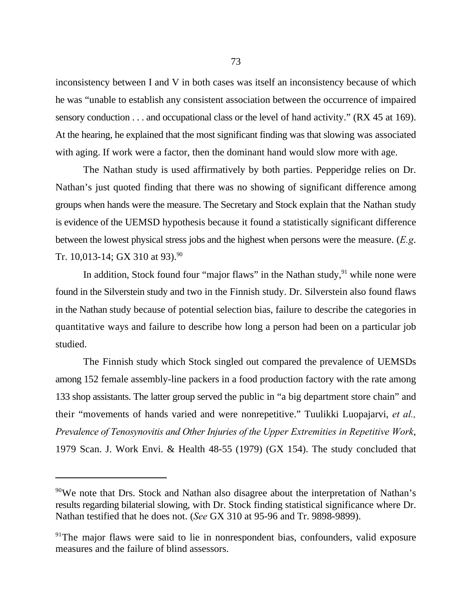inconsistency between I and V in both cases was itself an inconsistency because of which he was "unable to establish any consistent association between the occurrence of impaired sensory conduction . . . and occupational class or the level of hand activity." (RX 45 at 169). At the hearing, he explained that the most significant finding was that slowing was associated with aging. If work were a factor, then the dominant hand would slow more with age.

The Nathan study is used affirmatively by both parties. Pepperidge relies on Dr. Nathan's just quoted finding that there was no showing of significant difference among groups when hands were the measure. The Secretary and Stock explain that the Nathan study is evidence of the UEMSD hypothesis because it found a statistically significant difference between the lowest physical stress jobs and the highest when persons were the measure. (*E.g*. Tr. 10,013-14; GX 310 at 93).<sup>90</sup>

In addition, Stock found four "major flaws" in the Nathan study,  $91$  while none were found in the Silverstein study and two in the Finnish study. Dr. Silverstein also found flaws in the Nathan study because of potential selection bias, failure to describe the categories in quantitative ways and failure to describe how long a person had been on a particular job studied.

The Finnish study which Stock singled out compared the prevalence of UEMSDs among 152 female assembly-line packers in a food production factory with the rate among 133 shop assistants. The latter group served the public in "a big department store chain" and their "movements of hands varied and were nonrepetitive." Tuulikki Luopajarvi, *et al., Prevalence of Tenosynovitis and Other Injuries of the Upper Extremities in Repetitive Work*, 1979 Scan. J. Work Envi. & Health 48-55 (1979) (GX 154). The study concluded that

<sup>&</sup>lt;sup>90</sup>We note that Drs. Stock and Nathan also disagree about the interpretation of Nathan's results regarding bilaterial slowing, with Dr. Stock finding statistical significance where Dr. Nathan testified that he does not. (*See* GX 310 at 95-96 and Tr. 9898-9899).

<sup>&</sup>lt;sup>91</sup>The major flaws were said to lie in nonrespondent bias, confounders, valid exposure measures and the failure of blind assessors.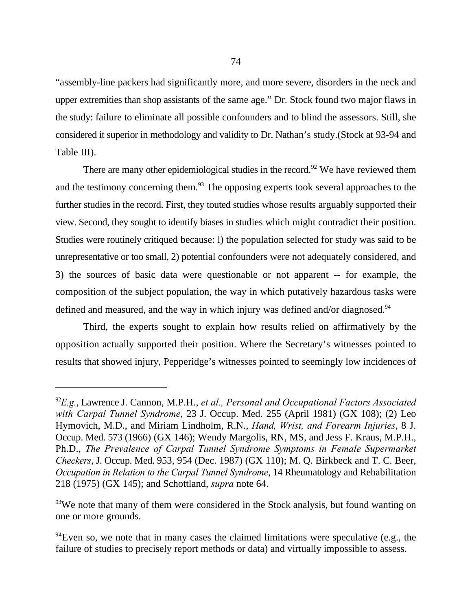"assembly-line packers had significantly more, and more severe, disorders in the neck and upper extremities than shop assistants of the same age." Dr. Stock found two major flaws in the study: failure to eliminate all possible confounders and to blind the assessors. Still, she considered it superior in methodology and validity to Dr. Nathan's study.(Stock at 93-94 and Table III).

There are many other epidemiological studies in the record.<sup>92</sup> We have reviewed them and the testimony concerning them.<sup>93</sup> The opposing experts took several approaches to the further studies in the record. First, they touted studies whose results arguably supported their view. Second, they sought to identify biases in studies which might contradict their position. Studies were routinely critiqued because: l) the population selected for study was said to be unrepresentative or too small, 2) potential confounders were not adequately considered, and 3) the sources of basic data were questionable or not apparent -- for example, the composition of the subject population, the way in which putatively hazardous tasks were defined and measured, and the way in which injury was defined and/or diagnosed.<sup>94</sup>

Third, the experts sought to explain how results relied on affirmatively by the opposition actually supported their position. Where the Secretary's witnesses pointed to results that showed injury, Pepperidge's witnesses pointed to seemingly low incidences of

<sup>&</sup>lt;sup>92</sup>E.g., Lawrence J. Cannon, M.P.H., *et al., Personal and Occupational Factors Associated with Carpal Tunnel Syndrome*, 23 J. Occup. Med. 255 (April 1981) (GX 108); (2) Leo Hymovich, M.D., and Miriam Lindholm, R.N., *Hand, Wrist, and Forearm Injuries*, 8 J. Occup. Med. 573 (1966) (GX 146); Wendy Margolis, RN, MS, and Jess F. Kraus, M.P.H., Ph.D., *The Prevalence of Carpal Tunnel Syndrome Symptoms in Female Supermarket Checkers*, J. Occup. Med. 953, 954 (Dec. 1987) (GX 110); M. Q. Birkbeck and T. C. Beer, *Occupation in Relation to the Carpal Tunnel Syndrome*, 14 Rheumatology and Rehabilitation 218 (1975) (GX 145); and Schottland, *supra* note 64.

 $\mu$ <sup>93</sup>We note that many of them were considered in the Stock analysis, but found wanting on one or more grounds.

 $94$  Even so, we note that in many cases the claimed limitations were speculative (e.g., the failure of studies to precisely report methods or data) and virtually impossible to assess.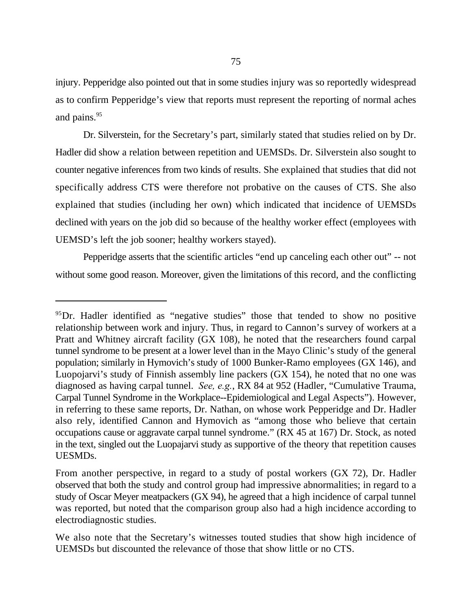injury. Pepperidge also pointed out that in some studies injury was so reportedly widespread as to confirm Pepperidge's view that reports must represent the reporting of normal aches and pains.<sup>95</sup>

Dr. Silverstein, for the Secretary's part, similarly stated that studies relied on by Dr. Hadler did show a relation between repetition and UEMSDs. Dr. Silverstein also sought to counter negative inferences from two kinds of results. She explained that studies that did not specifically address CTS were therefore not probative on the causes of CTS. She also explained that studies (including her own) which indicated that incidence of UEMSDs declined with years on the job did so because of the healthy worker effect (employees with UEMSD's left the job sooner; healthy workers stayed).

Pepperidge asserts that the scientific articles "end up canceling each other out" -- not without some good reason. Moreover, given the limitations of this record, and the conflicting

<sup>&</sup>lt;sup>95</sup>Dr. Hadler identified as "negative studies" those that tended to show no positive relationship between work and injury. Thus, in regard to Cannon's survey of workers at a Pratt and Whitney aircraft facility (GX 108), he noted that the researchers found carpal tunnel syndrome to be present at a lower level than in the Mayo Clinic's study of the general population; similarly in Hymovich's study of 1000 Bunker-Ramo employees (GX 146), and Luopojarvi's study of Finnish assembly line packers (GX 154), he noted that no one was diagnosed as having carpal tunnel. *See, e.g.*, RX 84 at 952 (Hadler, "Cumulative Trauma, Carpal Tunnel Syndrome in the Workplace--Epidemiological and Legal Aspects"). However, in referring to these same reports, Dr. Nathan, on whose work Pepperidge and Dr. Hadler also rely, identified Cannon and Hymovich as "among those who believe that certain occupations cause or aggravate carpal tunnel syndrome." (RX 45 at 167) Dr. Stock, as noted in the text, singled out the Luopajarvi study as supportive of the theory that repetition causes UESMDs.

From another perspective, in regard to a study of postal workers (GX 72), Dr. Hadler observed that both the study and control group had impressive abnormalities; in regard to a study of Oscar Meyer meatpackers (GX 94), he agreed that a high incidence of carpal tunnel was reported, but noted that the comparison group also had a high incidence according to electrodiagnostic studies.

We also note that the Secretary's witnesses touted studies that show high incidence of UEMSDs but discounted the relevance of those that show little or no CTS.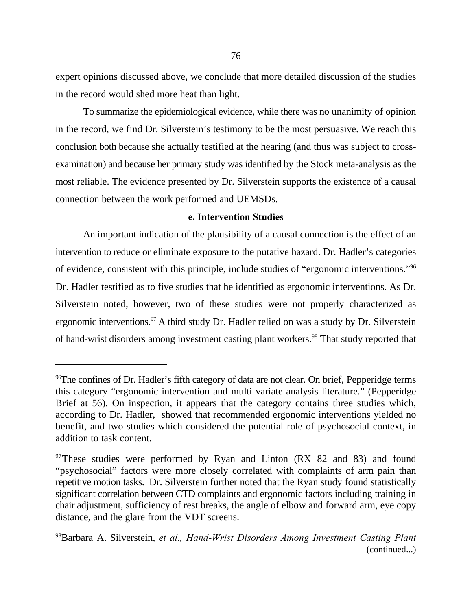expert opinions discussed above, we conclude that more detailed discussion of the studies in the record would shed more heat than light.

To summarize the epidemiological evidence, while there was no unanimity of opinion in the record, we find Dr. Silverstein's testimony to be the most persuasive. We reach this conclusion both because she actually testified at the hearing (and thus was subject to crossexamination) and because her primary study was identified by the Stock meta-analysis as the most reliable. The evidence presented by Dr. Silverstein supports the existence of a causal connection between the work performed and UEMSDs.

## **e. Intervention Studies**

An important indication of the plausibility of a causal connection is the effect of an intervention to reduce or eliminate exposure to the putative hazard. Dr. Hadler's categories of evidence, consistent with this principle, include studies of "ergonomic interventions."<sup>96</sup> Dr. Hadler testified as to five studies that he identified as ergonomic interventions. As Dr. Silverstein noted, however, two of these studies were not properly characterized as ergonomic interventions.<sup>97</sup> A third study Dr. Hadler relied on was a study by Dr. Silverstein of hand-wrist disorders among investment casting plant workers.<sup>98</sup> That study reported that

<sup>&</sup>lt;sup>96</sup>The confines of Dr. Hadler's fifth category of data are not clear. On brief, Pepperidge terms this category "ergonomic intervention and multi variate analysis literature." (Pepperidge Brief at 56). On inspection, it appears that the category contains three studies which, according to Dr. Hadler, showed that recommended ergonomic interventions yielded no benefit, and two studies which considered the potential role of psychosocial context, in addition to task content.

 $97$ These studies were performed by Ryan and Linton (RX 82 and 83) and found "psychosocial" factors were more closely correlated with complaints of arm pain than repetitive motion tasks. Dr. Silverstein further noted that the Ryan study found statistically significant correlation between CTD complaints and ergonomic factors including training in chair adjustment, sufficiency of rest breaks, the angle of elbow and forward arm, eye copy distance, and the glare from the VDT screens.

Barbara A. Silverstein, *et al., Hand-Wrist Disorders Among Investment Casting Plant* 98 (continued...)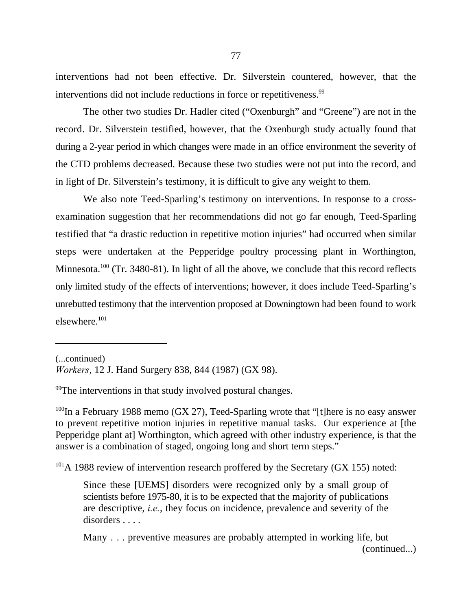interventions had not been effective. Dr. Silverstein countered, however, that the interventions did not include reductions in force or repetitiveness.<sup>99</sup>

The other two studies Dr. Hadler cited ("Oxenburgh" and "Greene") are not in the record. Dr. Silverstein testified, however, that the Oxenburgh study actually found that during a 2-year period in which changes were made in an office environment the severity of the CTD problems decreased. Because these two studies were not put into the record, and in light of Dr. Silverstein's testimony, it is difficult to give any weight to them.

We also note Teed-Sparling's testimony on interventions. In response to a crossexamination suggestion that her recommendations did not go far enough, Teed-Sparling testified that "a drastic reduction in repetitive motion injuries" had occurred when similar steps were undertaken at the Pepperidge poultry processing plant in Worthington, Minnesota.  $100$  (Tr. 3480-81). In light of all the above, we conclude that this record reflects only limited study of the effects of interventions; however, it does include Teed-Sparling's unrebutted testimony that the intervention proposed at Downingtown had been found to work elsewhere.101

(...continued)

 $\frac{99}{2}$ The interventions in that study involved postural changes.

<sup>100</sup>In a February 1988 memo (GX 27), Teed-Sparling wrote that "[t]here is no easy answer to prevent repetitive motion injuries in repetitive manual tasks. Our experience at [the Pepperidge plant at] Worthington, which agreed with other industry experience, is that the answer is a combination of staged, ongoing long and short term steps."

 $^{101}$ A 1988 review of intervention research proffered by the Secretary (GX 155) noted:

Since these [UEMS] disorders were recognized only by a small group of scientists before 1975-80, it is to be expected that the majority of publications are descriptive, *i.e.*, they focus on incidence, prevalence and severity of the disorders . . . .

*Workers*, 12 J. Hand Surgery 838, 844 (1987) (GX 98).

Many . . . preventive measures are probably attempted in working life, but (continued...)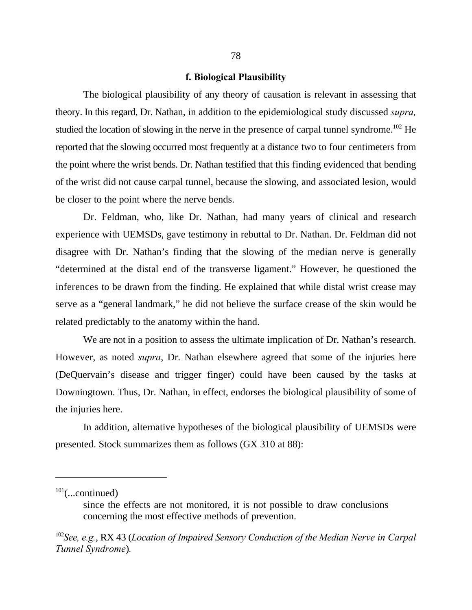#### **f. Biological Plausibility**

The biological plausibility of any theory of causation is relevant in assessing that theory. In this regard, Dr. Nathan, in addition to the epidemiological study discussed *supra,* studied the location of slowing in the nerve in the presence of carpal tunnel syndrome.<sup>102</sup> He reported that the slowing occurred most frequently at a distance two to four centimeters from the point where the wrist bends. Dr. Nathan testified that this finding evidenced that bending of the wrist did not cause carpal tunnel, because the slowing, and associated lesion, would be closer to the point where the nerve bends.

Dr. Feldman, who, like Dr. Nathan, had many years of clinical and research experience with UEMSDs, gave testimony in rebuttal to Dr. Nathan. Dr. Feldman did not disagree with Dr. Nathan's finding that the slowing of the median nerve is generally "determined at the distal end of the transverse ligament." However, he questioned the inferences to be drawn from the finding. He explained that while distal wrist crease may serve as a "general landmark," he did not believe the surface crease of the skin would be related predictably to the anatomy within the hand.

We are not in a position to assess the ultimate implication of Dr. Nathan's research. However, as noted *supra*, Dr. Nathan elsewhere agreed that some of the injuries here (DeQuervain's disease and trigger finger) could have been caused by the tasks at Downingtown. Thus, Dr. Nathan, in effect, endorses the biological plausibility of some of the injuries here.

In addition, alternative hypotheses of the biological plausibility of UEMSDs were presented. Stock summarizes them as follows (GX 310 at 88):

 $101$ (...continued)

since the effects are not monitored, it is not possible to draw conclusions concerning the most effective methods of prevention.

<sup>&</sup>lt;sup>102</sup>See, e.g., RX 43 (*Location of Impaired Sensory Conduction of the Median Nerve in Carpal Tunnel Syndrome*)*.*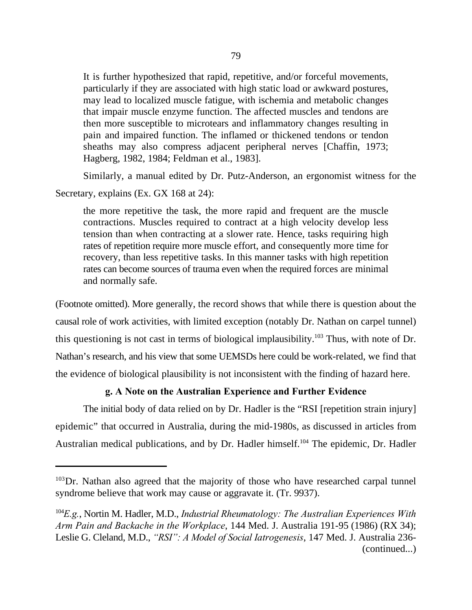It is further hypothesized that rapid, repetitive, and/or forceful movements, particularly if they are associated with high static load or awkward postures, may lead to localized muscle fatigue, with ischemia and metabolic changes that impair muscle enzyme function. The affected muscles and tendons are then more susceptible to microtears and inflammatory changes resulting in pain and impaired function. The inflamed or thickened tendons or tendon sheaths may also compress adjacent peripheral nerves [Chaffin, 1973; Hagberg, 1982, 1984; Feldman et al., 1983].

Similarly, a manual edited by Dr. Putz-Anderson, an ergonomist witness for the Secretary, explains (Ex. GX 168 at 24):

the more repetitive the task, the more rapid and frequent are the muscle contractions. Muscles required to contract at a high velocity develop less tension than when contracting at a slower rate. Hence, tasks requiring high rates of repetition require more muscle effort, and consequently more time for recovery, than less repetitive tasks. In this manner tasks with high repetition rates can become sources of trauma even when the required forces are minimal and normally safe.

(Footnote omitted). More generally, the record shows that while there is question about the causal role of work activities, with limited exception (notably Dr. Nathan on carpel tunnel) this questioning is not cast in terms of biological implausibility.<sup>103</sup> Thus, with note of Dr. Nathan's research, and his view that some UEMSDs here could be work-related, we find that the evidence of biological plausibility is not inconsistent with the finding of hazard here.

# **g. A Note on the Australian Experience and Further Evidence**

The initial body of data relied on by Dr. Hadler is the "RSI [repetition strain injury] epidemic" that occurred in Australia, during the mid-1980s, as discussed in articles from Australian medical publications, and by Dr. Hadler himself.<sup>104</sup> The epidemic, Dr. Hadler

 $103$  Dr. Nathan also agreed that the majority of those who have researched carpal tunnel syndrome believe that work may cause or aggravate it. (Tr. 9937).

<sup>&</sup>lt;sup>104</sup>E.g., Nortin M. Hadler, M.D., *Industrial Rheumatology: The Australian Experiences With Arm Pain and Backache in the Workplace*, 144 Med. J. Australia 191-95 (1986) (RX 34); Leslie G. Cleland, M.D., *"RSI": A Model of Social Iatrogenesis*, 147 Med. J. Australia 236- (continued...)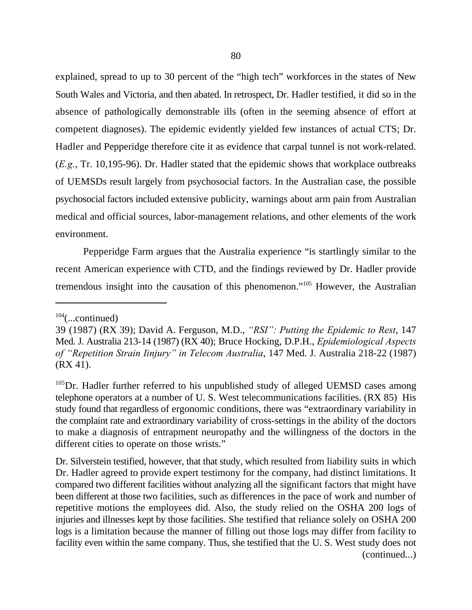explained, spread to up to 30 percent of the "high tech" workforces in the states of New South Wales and Victoria, and then abated. In retrospect, Dr. Hadler testified, it did so in the absence of pathologically demonstrable ills (often in the seeming absence of effort at competent diagnoses). The epidemic evidently yielded few instances of actual CTS; Dr. Hadler and Pepperidge therefore cite it as evidence that carpal tunnel is not work-related. (*E.g.*, Tr. 10,195-96). Dr. Hadler stated that the epidemic shows that workplace outbreaks of UEMSDs result largely from psychosocial factors. In the Australian case, the possible psychosocial factors included extensive publicity, warnings about arm pain from Australian medical and official sources, labor-management relations, and other elements of the work environment.

Pepperidge Farm argues that the Australia experience "is startlingly similar to the recent American experience with CTD, and the findings reviewed by Dr. Hadler provide tremendous insight into the causation of this phenomenon."<sup>105</sup> However, the Australian

 $104$ (...continued)

<sup>39 (1987) (</sup>RX 39); David A. Ferguson, M.D., *"RSI": Putting the Epidemic to Rest*, 147 Med. J. Australia 213-14 (1987) (RX 40); Bruce Hocking, D.P.H., *Epidemiological Aspects of "Repetition Strain Iinjury" in Telecom Australia*, 147 Med. J. Australia 218-22 (1987) (RX 41).

 $105$ Dr. Hadler further referred to his unpublished study of alleged UEMSD cases among telephone operators at a number of U. S. West telecommunications facilities. (RX 85) His study found that regardless of ergonomic conditions, there was "extraordinary variability in the complaint rate and extraordinary variability of cross-settings in the ability of the doctors to make a diagnosis of entrapment neuropathy and the willingness of the doctors in the different cities to operate on those wrists."

Dr. Silverstein testified, however, that that study, which resulted from liability suits in which Dr. Hadler agreed to provide expert testimony for the company, had distinct limitations. It compared two different facilities without analyzing all the significant factors that might have been different at those two facilities, such as differences in the pace of work and number of repetitive motions the employees did. Also, the study relied on the OSHA 200 logs of injuries and illnesses kept by those facilities. She testified that reliance solely on OSHA 200 logs is a limitation because the manner of filling out those logs may differ from facility to facility even within the same company. Thus, she testified that the U. S. West study does not (continued...)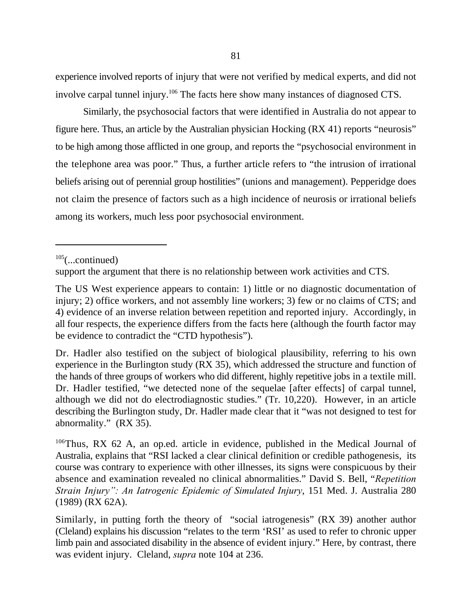experience involved reports of injury that were not verified by medical experts, and did not involve carpal tunnel injury.<sup>106</sup> The facts here show many instances of diagnosed CTS.

Similarly, the psychosocial factors that were identified in Australia do not appear to figure here. Thus, an article by the Australian physician Hocking (RX 41) reports "neurosis" to be high among those afflicted in one group, and reports the "psychosocial environment in the telephone area was poor." Thus, a further article refers to "the intrusion of irrational beliefs arising out of perennial group hostilities" (unions and management). Pepperidge does not claim the presence of factors such as a high incidence of neurosis or irrational beliefs among its workers, much less poor psychosocial environment.

 $105$ (...continued)

support the argument that there is no relationship between work activities and CTS.

The US West experience appears to contain: 1) little or no diagnostic documentation of injury; 2) office workers, and not assembly line workers; 3) few or no claims of CTS; and 4) evidence of an inverse relation between repetition and reported injury. Accordingly, in all four respects, the experience differs from the facts here (although the fourth factor may be evidence to contradict the "CTD hypothesis").

Dr. Hadler also testified on the subject of biological plausibility, referring to his own experience in the Burlington study (RX 35), which addressed the structure and function of the hands of three groups of workers who did different, highly repetitive jobs in a textile mill. Dr. Hadler testified, "we detected none of the sequelae [after effects] of carpal tunnel, although we did not do electrodiagnostic studies." (Tr. 10,220). However, in an article describing the Burlington study, Dr. Hadler made clear that it "was not designed to test for abnormality." (RX 35).

 $106$ Thus, RX 62 A, an op.ed. article in evidence, published in the Medical Journal of Australia, explains that "RSI lacked a clear clinical definition or credible pathogenesis, its course was contrary to experience with other illnesses, its signs were conspicuous by their absence and examination revealed no clinical abnormalities." David S. Bell, "*Repetition Strain Injury": An Iatrogenic Epidemic of Simulated Injury*, 151 Med. J. Australia 280 (1989) (RX 62A).

Similarly, in putting forth the theory of "social iatrogenesis" (RX 39) another author (Cleland) explains his discussion "relates to the term 'RSI' as used to refer to chronic upper limb pain and associated disability in the absence of evident injury." Here, by contrast, there was evident injury. Cleland, *supra* note 104 at 236.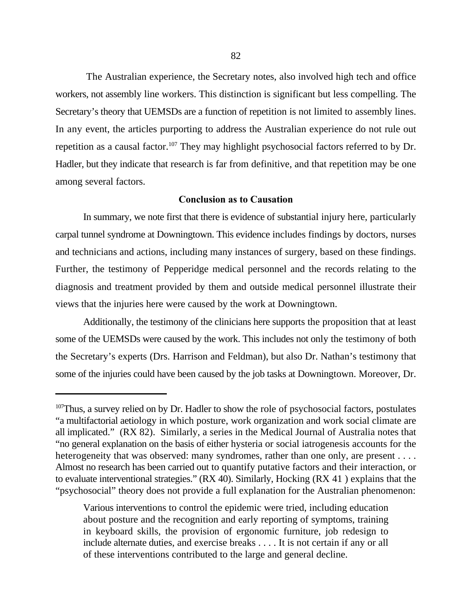The Australian experience, the Secretary notes, also involved high tech and office workers, not assembly line workers. This distinction is significant but less compelling. The Secretary's theory that UEMSDs are a function of repetition is not limited to assembly lines. In any event, the articles purporting to address the Australian experience do not rule out repetition as a causal factor.<sup>107</sup> They may highlight psychosocial factors referred to by Dr. Hadler, but they indicate that research is far from definitive, and that repetition may be one among several factors.

### **Conclusion as to Causation**

In summary, we note first that there is evidence of substantial injury here, particularly carpal tunnel syndrome at Downingtown. This evidence includes findings by doctors, nurses and technicians and actions, including many instances of surgery, based on these findings. Further, the testimony of Pepperidge medical personnel and the records relating to the diagnosis and treatment provided by them and outside medical personnel illustrate their views that the injuries here were caused by the work at Downingtown.

Additionally, the testimony of the clinicians here supports the proposition that at least some of the UEMSDs were caused by the work. This includes not only the testimony of both the Secretary's experts (Drs. Harrison and Feldman), but also Dr. Nathan's testimony that some of the injuries could have been caused by the job tasks at Downingtown. Moreover, Dr.

Various interventions to control the epidemic were tried, including education about posture and the recognition and early reporting of symptoms, training in keyboard skills, the provision of ergonomic furniture, job redesign to include alternate duties, and exercise breaks . . . . It is not certain if any or all of these interventions contributed to the large and general decline.

<sup>&</sup>lt;sup>107</sup>Thus, a survey relied on by Dr. Hadler to show the role of psychosocial factors, postulates "a multifactorial aetiology in which posture, work organization and work social climate are all implicated." (RX 82). Similarly, a series in the Medical Journal of Australia notes that "no general explanation on the basis of either hysteria or social iatrogenesis accounts for the heterogeneity that was observed: many syndromes, rather than one only, are present . . . . Almost no research has been carried out to quantify putative factors and their interaction, or to evaluate interventional strategies." (RX 40). Similarly, Hocking (RX 41 ) explains that the "psychosocial" theory does not provide a full explanation for the Australian phenomenon: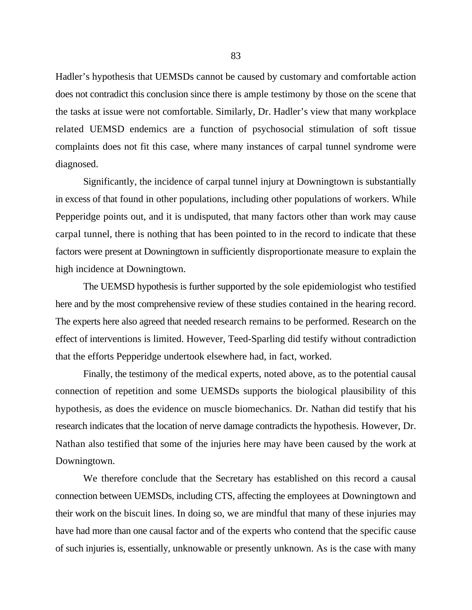Hadler's hypothesis that UEMSDs cannot be caused by customary and comfortable action does not contradict this conclusion since there is ample testimony by those on the scene that the tasks at issue were not comfortable. Similarly, Dr. Hadler's view that many workplace related UEMSD endemics are a function of psychosocial stimulation of soft tissue complaints does not fit this case, where many instances of carpal tunnel syndrome were diagnosed.

Significantly, the incidence of carpal tunnel injury at Downingtown is substantially in excess of that found in other populations, including other populations of workers. While Pepperidge points out, and it is undisputed, that many factors other than work may cause carpal tunnel, there is nothing that has been pointed to in the record to indicate that these factors were present at Downingtown in sufficiently disproportionate measure to explain the high incidence at Downingtown.

The UEMSD hypothesis is further supported by the sole epidemiologist who testified here and by the most comprehensive review of these studies contained in the hearing record. The experts here also agreed that needed research remains to be performed. Research on the effect of interventions is limited. However, Teed-Sparling did testify without contradiction that the efforts Pepperidge undertook elsewhere had, in fact, worked.

Finally, the testimony of the medical experts, noted above, as to the potential causal connection of repetition and some UEMSDs supports the biological plausibility of this hypothesis, as does the evidence on muscle biomechanics. Dr. Nathan did testify that his research indicates that the location of nerve damage contradicts the hypothesis. However, Dr. Nathan also testified that some of the injuries here may have been caused by the work at Downingtown.

We therefore conclude that the Secretary has established on this record a causal connection between UEMSDs, including CTS, affecting the employees at Downingtown and their work on the biscuit lines. In doing so, we are mindful that many of these injuries may have had more than one causal factor and of the experts who contend that the specific cause of such injuries is, essentially, unknowable or presently unknown. As is the case with many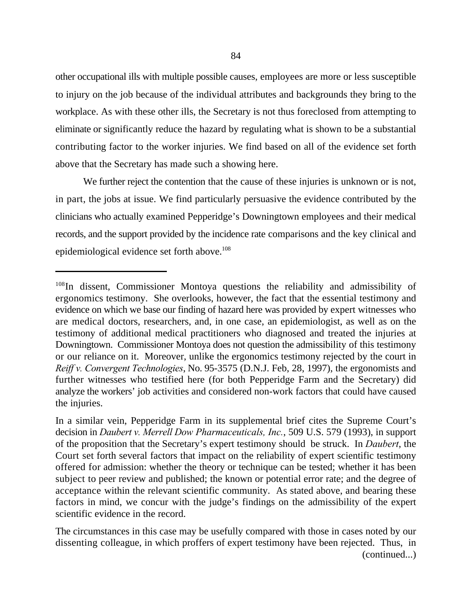other occupational ills with multiple possible causes, employees are more or less susceptible to injury on the job because of the individual attributes and backgrounds they bring to the workplace. As with these other ills, the Secretary is not thus foreclosed from attempting to eliminate or significantly reduce the hazard by regulating what is shown to be a substantial contributing factor to the worker injuries. We find based on all of the evidence set forth above that the Secretary has made such a showing here.

We further reject the contention that the cause of these injuries is unknown or is not, in part, the jobs at issue. We find particularly persuasive the evidence contributed by the clinicians who actually examined Pepperidge's Downingtown employees and their medical records, and the support provided by the incidence rate comparisons and the key clinical and epidemiological evidence set forth above.<sup>108</sup>

<sup>&</sup>lt;sup>108</sup>In dissent, Commissioner Montoya questions the reliability and admissibility of ergonomics testimony. She overlooks, however, the fact that the essential testimony and evidence on which we base our finding of hazard here was provided by expert witnesses who are medical doctors, researchers, and, in one case, an epidemiologist, as well as on the testimony of additional medical practitioners who diagnosed and treated the injuries at Downingtown. Commissioner Montoya does not question the admissibility of this testimony or our reliance on it. Moreover, unlike the ergonomics testimony rejected by the court in *Reiff v. Convergent Technologies*, No. 95-3575 (D.N.J. Feb, 28, 1997), the ergonomists and further witnesses who testified here (for both Pepperidge Farm and the Secretary) did analyze the workers' job activities and considered non-work factors that could have caused the injuries.

In a similar vein, Pepperidge Farm in its supplemental brief cites the Supreme Court's decision in *Daubert v. Merrell Dow Pharmaceuticals, Inc.*, 509 U.S. 579 (1993), in support of the proposition that the Secretary's expert testimony should be struck. In *Daubert*, the Court set forth several factors that impact on the reliability of expert scientific testimony offered for admission: whether the theory or technique can be tested; whether it has been subject to peer review and published; the known or potential error rate; and the degree of acceptance within the relevant scientific community. As stated above, and bearing these factors in mind, we concur with the judge's findings on the admissibility of the expert scientific evidence in the record.

The circumstances in this case may be usefully compared with those in cases noted by our dissenting colleague, in which proffers of expert testimony have been rejected. Thus, in (continued...)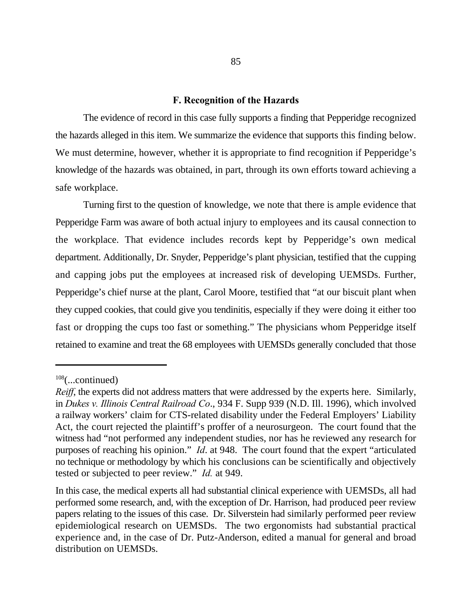#### **F. Recognition of the Hazards**

The evidence of record in this case fully supports a finding that Pepperidge recognized the hazards alleged in this item. We summarize the evidence that supports this finding below. We must determine, however, whether it is appropriate to find recognition if Pepperidge's knowledge of the hazards was obtained, in part, through its own efforts toward achieving a safe workplace.

Turning first to the question of knowledge, we note that there is ample evidence that Pepperidge Farm was aware of both actual injury to employees and its causal connection to the workplace. That evidence includes records kept by Pepperidge's own medical department. Additionally, Dr. Snyder, Pepperidge's plant physician, testified that the cupping and capping jobs put the employees at increased risk of developing UEMSDs. Further, Pepperidge's chief nurse at the plant, Carol Moore, testified that "at our biscuit plant when they cupped cookies, that could give you tendinitis, especially if they were doing it either too fast or dropping the cups too fast or something." The physicians whom Pepperidge itself retained to examine and treat the 68 employees with UEMSDs generally concluded that those

 $108$ (...continued)

*Reiff*, the experts did not address matters that were addressed by the experts here. Similarly, in *Dukes v. Illinois Central Railroad Co*., 934 F. Supp 939 (N.D. Ill. 1996), which involved a railway workers' claim for CTS-related disability under the Federal Employers' Liability Act, the court rejected the plaintiff's proffer of a neurosurgeon. The court found that the witness had "not performed any independent studies, nor has he reviewed any research for purposes of reaching his opinion." *Id*. at 948. The court found that the expert "articulated no technique or methodology by which his conclusions can be scientifically and objectively tested or subjected to peer review." *Id.* at 949.

In this case, the medical experts all had substantial clinical experience with UEMSDs, all had performed some research, and, with the exception of Dr. Harrison, had produced peer review papers relating to the issues of this case. Dr. Silverstein had similarly performed peer review epidemiological research on UEMSDs. The two ergonomists had substantial practical experience and, in the case of Dr. Putz-Anderson, edited a manual for general and broad distribution on UEMSDs.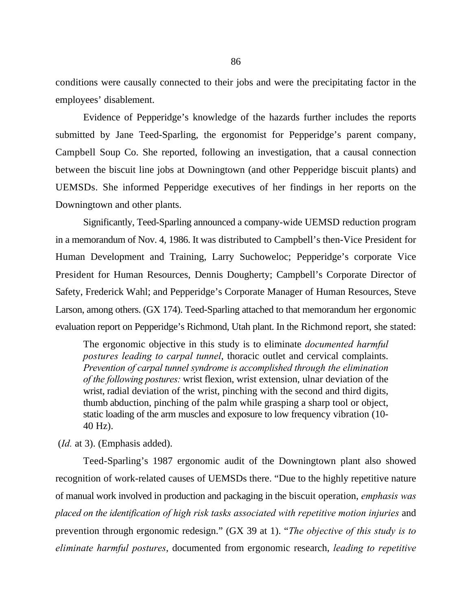conditions were causally connected to their jobs and were the precipitating factor in the employees' disablement.

Evidence of Pepperidge's knowledge of the hazards further includes the reports submitted by Jane Teed-Sparling, the ergonomist for Pepperidge's parent company, Campbell Soup Co. She reported, following an investigation, that a causal connection between the biscuit line jobs at Downingtown (and other Pepperidge biscuit plants) and UEMSDs. She informed Pepperidge executives of her findings in her reports on the Downingtown and other plants.

Significantly, Teed-Sparling announced a company-wide UEMSD reduction program in a memorandum of Nov. 4, 1986. It was distributed to Campbell's then-Vice President for Human Development and Training, Larry Suchoweloc; Pepperidge's corporate Vice President for Human Resources, Dennis Dougherty; Campbell's Corporate Director of Safety, Frederick Wahl; and Pepperidge's Corporate Manager of Human Resources, Steve Larson, among others. (GX 174). Teed-Sparling attached to that memorandum her ergonomic evaluation report on Pepperidge's Richmond, Utah plant. In the Richmond report, she stated:

The ergonomic objective in this study is to eliminate *documented harmful postures leading to carpal tunnel*, thoracic outlet and cervical complaints. *Prevention of carpal tunnel syndrome is accomplished through the elimination of the following postures:* wrist flexion, wrist extension, ulnar deviation of the wrist, radial deviation of the wrist, pinching with the second and third digits, thumb abduction, pinching of the palm while grasping a sharp tool or object, static loading of the arm muscles and exposure to low frequency vibration (10- 40 Hz).

(*Id.* at 3). (Emphasis added).

Teed-Sparling's 1987 ergonomic audit of the Downingtown plant also showed recognition of work-related causes of UEMSDs there. "Due to the highly repetitive nature of manual work involved in production and packaging in the biscuit operation, *emphasis was placed on the identification of high risk tasks associated with repetitive motion injuries* and prevention through ergonomic redesign." (GX 39 at 1). "*The objective of this study is to eliminate harmful postures*, documented from ergonomic research, *leading to repetitive*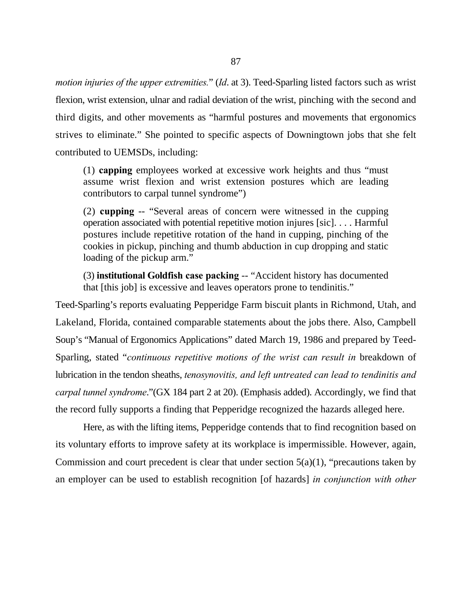*motion injuries of the upper extremities.*" (*Id*. at 3). Teed-Sparling listed factors such as wrist flexion, wrist extension, ulnar and radial deviation of the wrist, pinching with the second and third digits, and other movements as "harmful postures and movements that ergonomics strives to eliminate." She pointed to specific aspects of Downingtown jobs that she felt contributed to UEMSDs, including:

(1) **capping** employees worked at excessive work heights and thus "must assume wrist flexion and wrist extension postures which are leading contributors to carpal tunnel syndrome")

(2) **cupping** -- "Several areas of concern were witnessed in the cupping operation associated with potential repetitive motion injures [sic]. . . . Harmful postures include repetitive rotation of the hand in cupping, pinching of the cookies in pickup, pinching and thumb abduction in cup dropping and static loading of the pickup arm."

(3) **institutional Goldfish case packing** -- "Accident history has documented that [this job] is excessive and leaves operators prone to tendinitis."

Teed-Sparling's reports evaluating Pepperidge Farm biscuit plants in Richmond, Utah, and Lakeland, Florida, contained comparable statements about the jobs there. Also, Campbell Soup's "Manual of Ergonomics Applications" dated March 19, 1986 and prepared by Teed-Sparling, stated "*continuous repetitive motions of the wrist can result in* breakdown of lubrication in the tendon sheaths, *tenosynovitis, and left untreated can lead to tendinitis and carpal tunnel syndrome*."(GX 184 part 2 at 20). (Emphasis added). Accordingly, we find that the record fully supports a finding that Pepperidge recognized the hazards alleged here.

Here, as with the lifting items, Pepperidge contends that to find recognition based on its voluntary efforts to improve safety at its workplace is impermissible. However, again, Commission and court precedent is clear that under section  $5(a)(1)$ , "precautions taken by an employer can be used to establish recognition [of hazards] *in conjunction with other*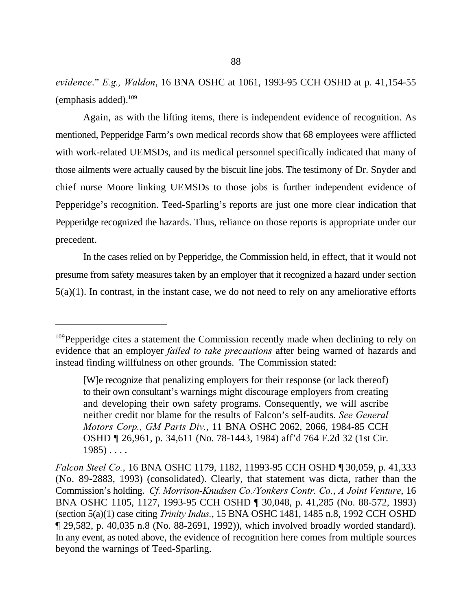*evidence*." *E.g., Waldon*, 16 BNA OSHC at 1061, 1993-95 CCH OSHD at p. 41,154-55 (emphasis added). $109$ 

Again, as with the lifting items, there is independent evidence of recognition. As mentioned, Pepperidge Farm's own medical records show that 68 employees were afflicted with work-related UEMSDs, and its medical personnel specifically indicated that many of those ailments were actually caused by the biscuit line jobs. The testimony of Dr. Snyder and chief nurse Moore linking UEMSDs to those jobs is further independent evidence of Pepperidge's recognition. Teed-Sparling's reports are just one more clear indication that Pepperidge recognized the hazards. Thus, reliance on those reports is appropriate under our precedent.

In the cases relied on by Pepperidge, the Commission held, in effect, that it would not presume from safety measures taken by an employer that it recognized a hazard under section 5(a)(1). In contrast, in the instant case, we do not need to rely on any ameliorative efforts

 $109$  Pepperidge cites a statement the Commission recently made when declining to rely on evidence that an employer *failed to take precautions* after being warned of hazards and instead finding willfulness on other grounds. The Commission stated:

<sup>[</sup>W]e recognize that penalizing employers for their response (or lack thereof) to their own consultant's warnings might discourage employers from creating and developing their own safety programs. Consequently, we will ascribe neither credit nor blame for the results of Falcon's self-audits. *See General Motors Corp., GM Parts Div.*, 11 BNA OSHC 2062, 2066, 1984-85 CCH OSHD ¶ 26,961, p. 34,611 (No. 78-1443, 1984) aff'd 764 F.2d 32 (1st Cir.  $1985) \ldots$ 

*Falcon Steel Co.*, 16 BNA OSHC 1179, 1182, 11993-95 CCH OSHD ¶ 30,059, p. 41,333 (No. 89-2883, 1993) (consolidated). Clearly, that statement was dicta, rather than the Commission's holding. *Cf. Morrison-Knudsen Co./Yonkers Contr. Co.*, *A Joint Venture*, 16 BNA OSHC 1105, 1127, 1993-95 CCH OSHD ¶ 30,048, p. 41,285 (No. 88-572, 1993) (section 5(a)(1) case citing *Trinity Indus.*, 15 BNA OSHC 1481, 1485 n.8, 1992 CCH OSHD ¶ 29,582, p. 40,035 n.8 (No. 88-2691, 1992)), which involved broadly worded standard). In any event, as noted above, the evidence of recognition here comes from multiple sources beyond the warnings of Teed-Sparling.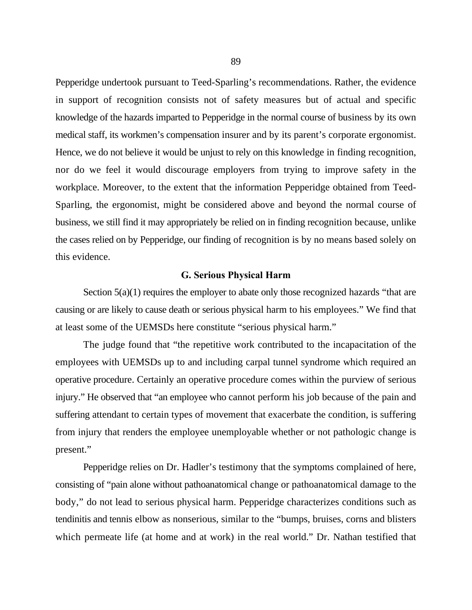Pepperidge undertook pursuant to Teed-Sparling's recommendations. Rather, the evidence in support of recognition consists not of safety measures but of actual and specific knowledge of the hazards imparted to Pepperidge in the normal course of business by its own medical staff, its workmen's compensation insurer and by its parent's corporate ergonomist. Hence, we do not believe it would be unjust to rely on this knowledge in finding recognition, nor do we feel it would discourage employers from trying to improve safety in the workplace. Moreover, to the extent that the information Pepperidge obtained from Teed-Sparling, the ergonomist, might be considered above and beyond the normal course of business, we still find it may appropriately be relied on in finding recognition because, unlike the cases relied on by Pepperidge, our finding of recognition is by no means based solely on this evidence.

### **G. Serious Physical Harm**

Section 5(a)(1) requires the employer to abate only those recognized hazards "that are causing or are likely to cause death or serious physical harm to his employees." We find that at least some of the UEMSDs here constitute "serious physical harm."

The judge found that "the repetitive work contributed to the incapacitation of the employees with UEMSDs up to and including carpal tunnel syndrome which required an operative procedure. Certainly an operative procedure comes within the purview of serious injury." He observed that "an employee who cannot perform his job because of the pain and suffering attendant to certain types of movement that exacerbate the condition, is suffering from injury that renders the employee unemployable whether or not pathologic change is present."

Pepperidge relies on Dr. Hadler's testimony that the symptoms complained of here, consisting of "pain alone without pathoanatomical change or pathoanatomical damage to the body," do not lead to serious physical harm. Pepperidge characterizes conditions such as tendinitis and tennis elbow as nonserious, similar to the "bumps, bruises, corns and blisters which permeate life (at home and at work) in the real world." Dr. Nathan testified that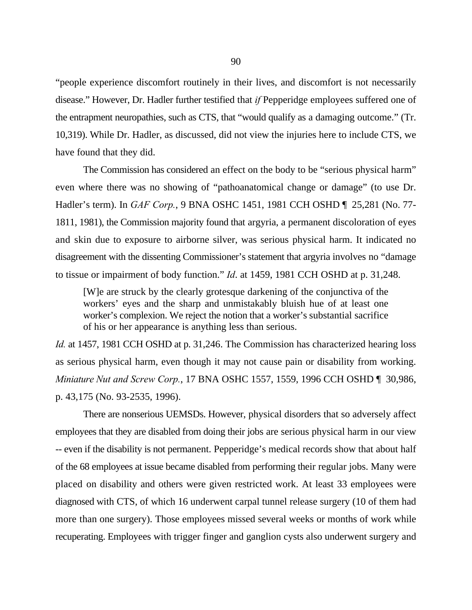"people experience discomfort routinely in their lives, and discomfort is not necessarily disease." However, Dr. Hadler further testified that *if* Pepperidge employees suffered one of the entrapment neuropathies, such as CTS, that "would qualify as a damaging outcome." (Tr. 10,319). While Dr. Hadler, as discussed, did not view the injuries here to include CTS, we have found that they did.

The Commission has considered an effect on the body to be "serious physical harm" even where there was no showing of "pathoanatomical change or damage" (to use Dr. Hadler's term). In *GAF Corp.*, 9 BNA OSHC 1451, 1981 CCH OSHD ¶ 25,281 (No. 77- 1811, 1981), the Commission majority found that argyria, a permanent discoloration of eyes and skin due to exposure to airborne silver, was serious physical harm. It indicated no disagreement with the dissenting Commissioner's statement that argyria involves no "damage to tissue or impairment of body function." *Id*. at 1459, 1981 CCH OSHD at p. 31,248.

[W]e are struck by the clearly grotesque darkening of the conjunctiva of the workers' eyes and the sharp and unmistakably bluish hue of at least one worker's complexion. We reject the notion that a worker's substantial sacrifice of his or her appearance is anything less than serious.

*Id.* at 1457, 1981 CCH OSHD at p. 31,246. The Commission has characterized hearing loss as serious physical harm, even though it may not cause pain or disability from working. *Miniature Nut and Screw Corp.*, 17 BNA OSHC 1557, 1559, 1996 CCH OSHD ¶ 30,986, p. 43,175 (No. 93-2535, 1996).

There are nonserious UEMSDs. However, physical disorders that so adversely affect employees that they are disabled from doing their jobs are serious physical harm in our view -- even if the disability is not permanent. Pepperidge's medical records show that about half of the 68 employees at issue became disabled from performing their regular jobs. Many were placed on disability and others were given restricted work. At least 33 employees were diagnosed with CTS, of which 16 underwent carpal tunnel release surgery (10 of them had more than one surgery). Those employees missed several weeks or months of work while recuperating. Employees with trigger finger and ganglion cysts also underwent surgery and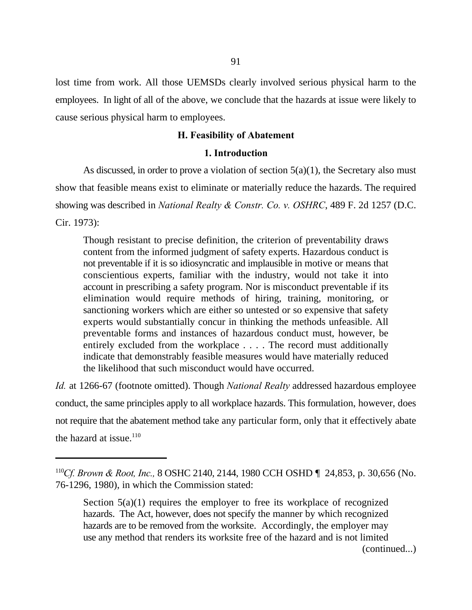lost time from work. All those UEMSDs clearly involved serious physical harm to the employees. In light of all of the above, we conclude that the hazards at issue were likely to cause serious physical harm to employees.

## **H. Feasibility of Abatement**

### **1. Introduction**

As discussed, in order to prove a violation of section 5(a)(1), the Secretary also must show that feasible means exist to eliminate or materially reduce the hazards. The required showing was described in *National Realty & Constr. Co. v. OSHRC*, 489 F. 2d 1257 (D.C. Cir. 1973):

Though resistant to precise definition, the criterion of preventability draws content from the informed judgment of safety experts. Hazardous conduct is not preventable if it is so idiosyncratic and implausible in motive or means that conscientious experts, familiar with the industry, would not take it into account in prescribing a safety program. Nor is misconduct preventable if its elimination would require methods of hiring, training, monitoring, or sanctioning workers which are either so untested or so expensive that safety experts would substantially concur in thinking the methods unfeasible. All preventable forms and instances of hazardous conduct must, however, be entirely excluded from the workplace . . . . The record must additionally indicate that demonstrably feasible measures would have materially reduced the likelihood that such misconduct would have occurred.

*Id.* at 1266-67 (footnote omitted). Though *National Realty* addressed hazardous employee conduct, the same principles apply to all workplace hazards. This formulation, however, does not require that the abatement method take any particular form, only that it effectively abate the hazard at issue. $110$ 

(continued...)

<sup>&</sup>lt;sup>110</sup>Cf. Brown & Root, Inc., 8 OSHC 2140, 2144, 1980 CCH OSHD  $\P$  24,853, p. 30,656 (No. 76-1296, 1980), in which the Commission stated:

Section  $5(a)(1)$  requires the employer to free its workplace of recognized hazards. The Act, however, does not specify the manner by which recognized hazards are to be removed from the worksite. Accordingly, the employer may use any method that renders its worksite free of the hazard and is not limited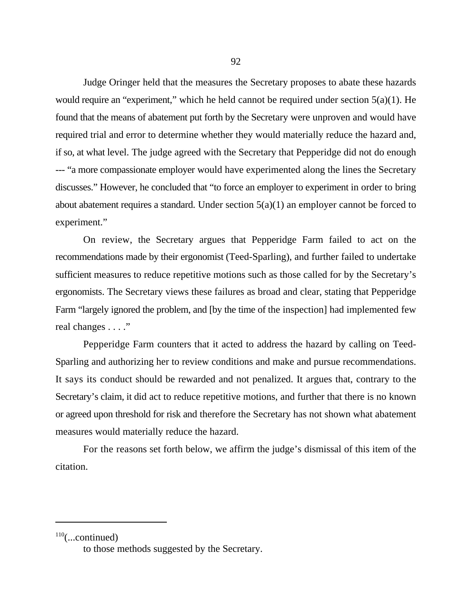Judge Oringer held that the measures the Secretary proposes to abate these hazards would require an "experiment," which he held cannot be required under section 5(a)(1). He found that the means of abatement put forth by the Secretary were unproven and would have required trial and error to determine whether they would materially reduce the hazard and, if so, at what level. The judge agreed with the Secretary that Pepperidge did not do enough --- "a more compassionate employer would have experimented along the lines the Secretary discusses." However, he concluded that "to force an employer to experiment in order to bring about abatement requires a standard. Under section  $5(a)(1)$  an employer cannot be forced to experiment."

On review, the Secretary argues that Pepperidge Farm failed to act on the recommendations made by their ergonomist (Teed-Sparling), and further failed to undertake sufficient measures to reduce repetitive motions such as those called for by the Secretary's ergonomists. The Secretary views these failures as broad and clear, stating that Pepperidge Farm "largely ignored the problem, and [by the time of the inspection] had implemented few real changes . . . ."

Pepperidge Farm counters that it acted to address the hazard by calling on Teed-Sparling and authorizing her to review conditions and make and pursue recommendations. It says its conduct should be rewarded and not penalized. It argues that, contrary to the Secretary's claim, it did act to reduce repetitive motions, and further that there is no known or agreed upon threshold for risk and therefore the Secretary has not shown what abatement measures would materially reduce the hazard.

For the reasons set forth below, we affirm the judge's dismissal of this item of the citation.

 $110$ (...continued)

to those methods suggested by the Secretary.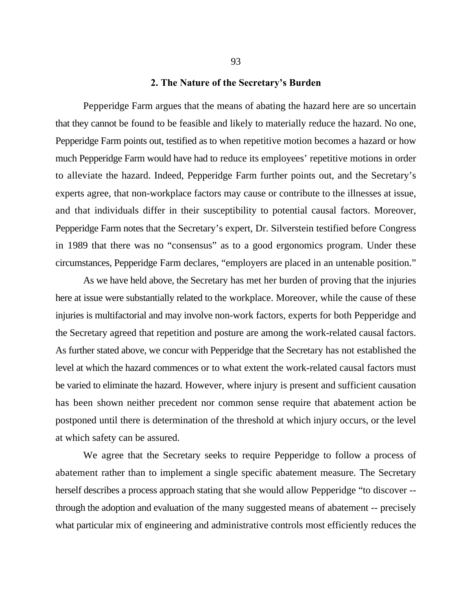#### **2. The Nature of the Secretary's Burden**

Pepperidge Farm argues that the means of abating the hazard here are so uncertain that they cannot be found to be feasible and likely to materially reduce the hazard. No one, Pepperidge Farm points out, testified as to when repetitive motion becomes a hazard or how much Pepperidge Farm would have had to reduce its employees' repetitive motions in order to alleviate the hazard. Indeed, Pepperidge Farm further points out, and the Secretary's experts agree, that non-workplace factors may cause or contribute to the illnesses at issue, and that individuals differ in their susceptibility to potential causal factors. Moreover, Pepperidge Farm notes that the Secretary's expert, Dr. Silverstein testified before Congress in 1989 that there was no "consensus" as to a good ergonomics program. Under these circumstances, Pepperidge Farm declares, "employers are placed in an untenable position."

As we have held above, the Secretary has met her burden of proving that the injuries here at issue were substantially related to the workplace. Moreover, while the cause of these injuries is multifactorial and may involve non-work factors, experts for both Pepperidge and the Secretary agreed that repetition and posture are among the work-related causal factors. As further stated above, we concur with Pepperidge that the Secretary has not established the level at which the hazard commences or to what extent the work-related causal factors must be varied to eliminate the hazard. However, where injury is present and sufficient causation has been shown neither precedent nor common sense require that abatement action be postponed until there is determination of the threshold at which injury occurs, or the level at which safety can be assured.

We agree that the Secretary seeks to require Pepperidge to follow a process of abatement rather than to implement a single specific abatement measure. The Secretary herself describes a process approach stating that she would allow Pepperidge "to discover - through the adoption and evaluation of the many suggested means of abatement -- precisely what particular mix of engineering and administrative controls most efficiently reduces the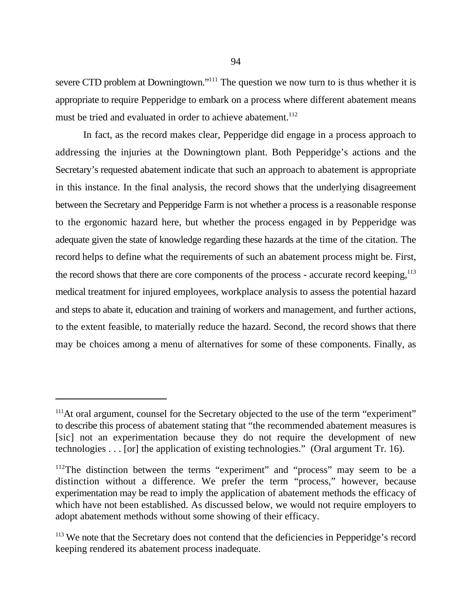severe CTD problem at Downingtown."<sup> $111$ </sup> The question we now turn to is thus whether it is appropriate to require Pepperidge to embark on a process where different abatement means must be tried and evaluated in order to achieve abatement.<sup>112</sup>

In fact, as the record makes clear, Pepperidge did engage in a process approach to addressing the injuries at the Downingtown plant. Both Pepperidge's actions and the Secretary's requested abatement indicate that such an approach to abatement is appropriate in this instance. In the final analysis, the record shows that the underlying disagreement between the Secretary and Pepperidge Farm is not whether a process is a reasonable response to the ergonomic hazard here, but whether the process engaged in by Pepperidge was adequate given the state of knowledge regarding these hazards at the time of the citation. The record helps to define what the requirements of such an abatement process might be. First, the record shows that there are core components of the process - accurate record keeping, $113$ medical treatment for injured employees, workplace analysis to assess the potential hazard and steps to abate it, education and training of workers and management, and further actions, to the extent feasible, to materially reduce the hazard. Second, the record shows that there may be choices among a menu of alternatives for some of these components. Finally, as

 $111$ At oral argument, counsel for the Secretary objected to the use of the term "experiment" to describe this process of abatement stating that "the recommended abatement measures is [sic] not an experimentation because they do not require the development of new technologies . . . [or] the application of existing technologies." (Oral argument Tr. 16).

 $112$ The distinction between the terms "experiment" and "process" may seem to be a distinction without a difference. We prefer the term "process," however, because experimentation may be read to imply the application of abatement methods the efficacy of which have not been established. As discussed below, we would not require employers to adopt abatement methods without some showing of their efficacy.

 $113$  We note that the Secretary does not contend that the deficiencies in Pepperidge's record keeping rendered its abatement process inadequate.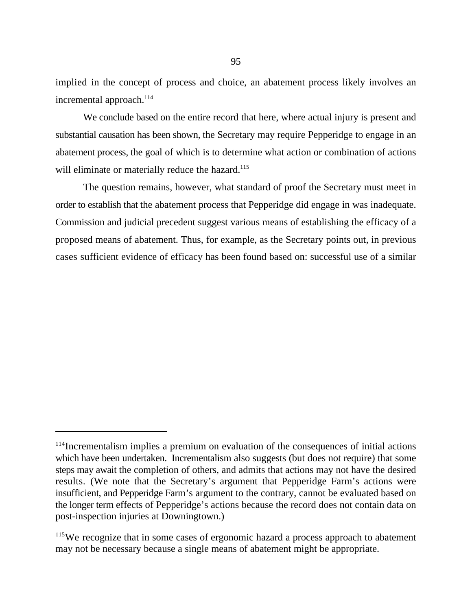implied in the concept of process and choice, an abatement process likely involves an incremental approach.<sup>114</sup>

We conclude based on the entire record that here, where actual injury is present and substantial causation has been shown, the Secretary may require Pepperidge to engage in an abatement process, the goal of which is to determine what action or combination of actions will eliminate or materially reduce the hazard.<sup>115</sup>

The question remains, however, what standard of proof the Secretary must meet in order to establish that the abatement process that Pepperidge did engage in was inadequate. Commission and judicial precedent suggest various means of establishing the efficacy of a proposed means of abatement. Thus, for example, as the Secretary points out, in previous cases sufficient evidence of efficacy has been found based on: successful use of a similar

<sup>&</sup>lt;sup>114</sup>Incrementalism implies a premium on evaluation of the consequences of initial actions which have been undertaken. Incrementalism also suggests (but does not require) that some steps may await the completion of others, and admits that actions may not have the desired results. (We note that the Secretary's argument that Pepperidge Farm's actions were insufficient, and Pepperidge Farm's argument to the contrary, cannot be evaluated based on the longer term effects of Pepperidge's actions because the record does not contain data on post-inspection injuries at Downingtown.)

<sup>&</sup>lt;sup>115</sup>We recognize that in some cases of ergonomic hazard a process approach to abatement may not be necessary because a single means of abatement might be appropriate.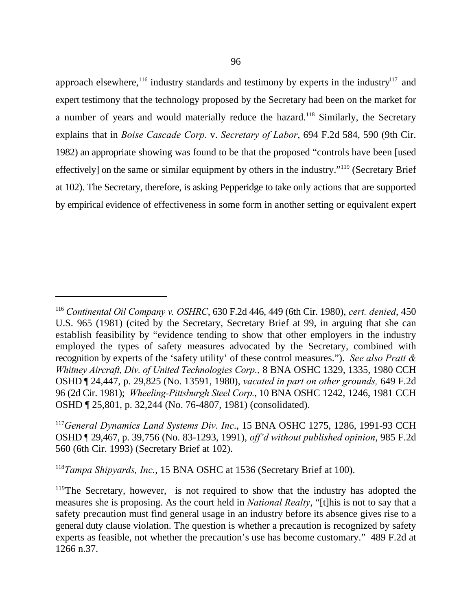approach elsewhere,<sup>116</sup> industry standards and testimony by experts in the industry<sup>117</sup> and expert testimony that the technology proposed by the Secretary had been on the market for a number of years and would materially reduce the hazard.<sup>118</sup> Similarly, the Secretary explains that in *Boise Cascade Corp*. v. *Secretary of Labor*, 694 F.2d 584, 590 (9th Cir. 1982) an appropriate showing was found to be that the proposed "controls have been [used effectively] on the same or similar equipment by others in the industry." $119$  (Secretary Brief at 102). The Secretary, therefore, is asking Pepperidge to take only actions that are supported by empirical evidence of effectiveness in some form in another setting or equivalent expert

<sup>118</sup>Tampa Shipyards, Inc., 15 BNA OSHC at 1536 (Secretary Brief at 100).

<sup>&</sup>lt;sup>116</sup> Continental Oil Company v. OSHRC, 630 F.2d 446, 449 (6th Cir. 1980), *cert. denied*, 450 U.S. 965 (1981) (cited by the Secretary, Secretary Brief at 99, in arguing that she can establish feasibility by "evidence tending to show that other employers in the industry employed the types of safety measures advocated by the Secretary, combined with recognition by experts of the 'safety utility' of these control measures."). *See also Pratt & Whitney Aircraft, Div. of United Technologies Corp.,* 8 BNA OSHC 1329, 1335, 1980 CCH OSHD ¶ 24,447, p. 29,825 (No. 13591, 1980), *vacated in part on other grounds,* 649 F.2d 96 (2d Cir. 1981); *Wheeling-Pittsburgh Steel Corp.*, 10 BNA OSHC 1242, 1246, 1981 CCH OSHD ¶ 25,801, p. 32,244 (No. 76-4807, 1981) (consolidated).

<sup>&</sup>lt;sup>117</sup> General Dynamics Land Systems Div. Inc., 15 BNA OSHC 1275, 1286, 1991-93 CCH OSHD ¶ 29,467, p. 39,756 (No. 83-1293, 1991), *off'd without published opinion*, 985 F.2d 560 (6th Cir. 1993) (Secretary Brief at 102).

 $119$ The Secretary, however, is not required to show that the industry has adopted the measures she is proposing. As the court held in *National Realty*, "[t]his is not to say that a safety precaution must find general usage in an industry before its absence gives rise to a general duty clause violation. The question is whether a precaution is recognized by safety experts as feasible, not whether the precaution's use has become customary." 489 F.2d at 1266 n.37.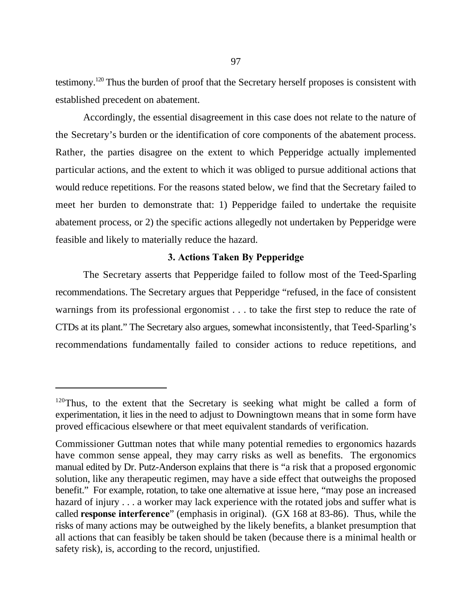testimony.<sup>120</sup> Thus the burden of proof that the Secretary herself proposes is consistent with established precedent on abatement.

Accordingly, the essential disagreement in this case does not relate to the nature of the Secretary's burden or the identification of core components of the abatement process. Rather, the parties disagree on the extent to which Pepperidge actually implemented particular actions, and the extent to which it was obliged to pursue additional actions that would reduce repetitions. For the reasons stated below, we find that the Secretary failed to meet her burden to demonstrate that: 1) Pepperidge failed to undertake the requisite abatement process, or 2) the specific actions allegedly not undertaken by Pepperidge were feasible and likely to materially reduce the hazard.

## **3. Actions Taken By Pepperidge**

The Secretary asserts that Pepperidge failed to follow most of the Teed-Sparling recommendations. The Secretary argues that Pepperidge "refused, in the face of consistent warnings from its professional ergonomist . . . to take the first step to reduce the rate of CTDs at its plant." The Secretary also argues, somewhat inconsistently, that Teed-Sparling's recommendations fundamentally failed to consider actions to reduce repetitions, and

 $120$ Thus, to the extent that the Secretary is seeking what might be called a form of experimentation, it lies in the need to adjust to Downingtown means that in some form have proved efficacious elsewhere or that meet equivalent standards of verification.

Commissioner Guttman notes that while many potential remedies to ergonomics hazards have common sense appeal, they may carry risks as well as benefits. The ergonomics manual edited by Dr. Putz-Anderson explains that there is "a risk that a proposed ergonomic solution, like any therapeutic regimen, may have a side effect that outweighs the proposed benefit." For example, rotation, to take one alternative at issue here, "may pose an increased hazard of injury . . . a worker may lack experience with the rotated jobs and suffer what is called **response interference**" (emphasis in original). (GX 168 at 83-86). Thus, while the risks of many actions may be outweighed by the likely benefits, a blanket presumption that all actions that can feasibly be taken should be taken (because there is a minimal health or safety risk), is, according to the record, unjustified.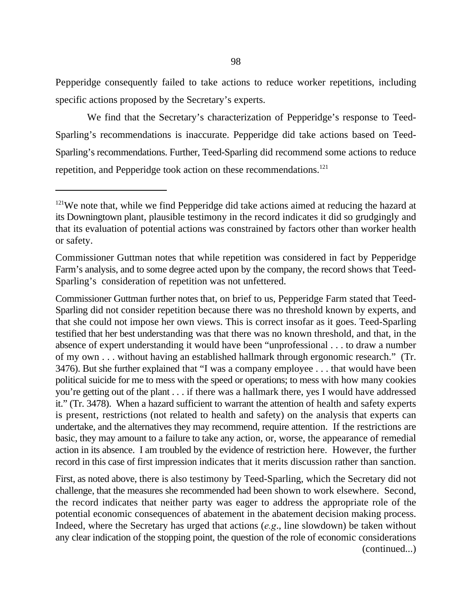Pepperidge consequently failed to take actions to reduce worker repetitions, including specific actions proposed by the Secretary's experts.

We find that the Secretary's characterization of Pepperidge's response to Teed-Sparling's recommendations is inaccurate. Pepperidge did take actions based on Teed-Sparling's recommendations. Further, Teed-Sparling did recommend some actions to reduce repetition, and Pepperidge took action on these recommendations.<sup>121</sup>

Commissioner Guttman further notes that, on brief to us, Pepperidge Farm stated that Teed-Sparling did not consider repetition because there was no threshold known by experts, and that she could not impose her own views. This is correct insofar as it goes. Teed-Sparling testified that her best understanding was that there was no known threshold, and that, in the absence of expert understanding it would have been "unprofessional . . . to draw a number of my own . . . without having an established hallmark through ergonomic research." (Tr. 3476). But she further explained that "I was a company employee . . . that would have been political suicide for me to mess with the speed or operations; to mess with how many cookies you're getting out of the plant . . . if there was a hallmark there, yes I would have addressed it." (Tr. 3478). When a hazard sufficient to warrant the attention of health and safety experts is present, restrictions (not related to health and safety) on the analysis that experts can undertake, and the alternatives they may recommend, require attention. If the restrictions are basic, they may amount to a failure to take any action, or, worse, the appearance of remedial action in its absence. I am troubled by the evidence of restriction here. However, the further record in this case of first impression indicates that it merits discussion rather than sanction.

First, as noted above, there is also testimony by Teed-Sparling, which the Secretary did not challenge, that the measures she recommended had been shown to work elsewhere. Second, the record indicates that neither party was eager to address the appropriate role of the potential economic consequences of abatement in the abatement decision making process. Indeed, where the Secretary has urged that actions (*e.g*., line slowdown) be taken without any clear indication of the stopping point, the question of the role of economic considerations (continued...)

 $121$ We note that, while we find Pepperidge did take actions aimed at reducing the hazard at its Downingtown plant, plausible testimony in the record indicates it did so grudgingly and that its evaluation of potential actions was constrained by factors other than worker health or safety.

Commissioner Guttman notes that while repetition was considered in fact by Pepperidge Farm's analysis, and to some degree acted upon by the company, the record shows that Teed-Sparling's consideration of repetition was not unfettered.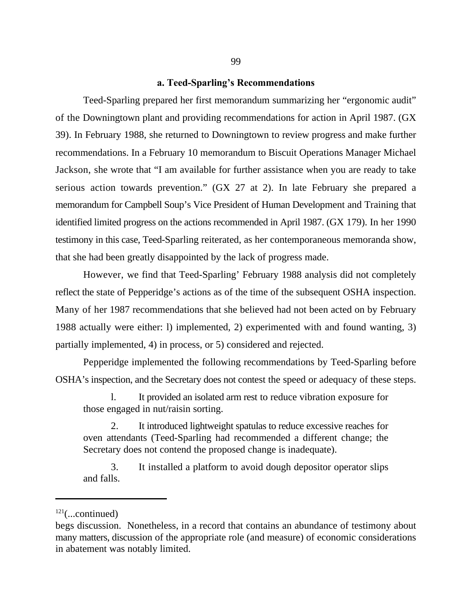#### **a. Teed-Sparling's Recommendations**

Teed-Sparling prepared her first memorandum summarizing her "ergonomic audit" of the Downingtown plant and providing recommendations for action in April 1987. (GX 39). In February 1988, she returned to Downingtown to review progress and make further recommendations. In a February 10 memorandum to Biscuit Operations Manager Michael Jackson, she wrote that "I am available for further assistance when you are ready to take serious action towards prevention." (GX 27 at 2). In late February she prepared a memorandum for Campbell Soup's Vice President of Human Development and Training that identified limited progress on the actions recommended in April 1987. (GX 179). In her 1990 testimony in this case, Teed-Sparling reiterated, as her contemporaneous memoranda show, that she had been greatly disappointed by the lack of progress made.

However, we find that Teed-Sparling' February 1988 analysis did not completely reflect the state of Pepperidge's actions as of the time of the subsequent OSHA inspection. Many of her 1987 recommendations that she believed had not been acted on by February 1988 actually were either: l) implemented, 2) experimented with and found wanting, 3) partially implemented, 4) in process, or 5) considered and rejected.

Pepperidge implemented the following recommendations by Teed-Sparling before OSHA's inspection, and the Secretary does not contest the speed or adequacy of these steps.

l. It provided an isolated arm rest to reduce vibration exposure for those engaged in nut/raisin sorting.

2. It introduced lightweight spatulas to reduce excessive reaches for oven attendants (Teed-Sparling had recommended a different change; the Secretary does not contend the proposed change is inadequate).

3. It installed a platform to avoid dough depositor operator slips and falls.

 $^{121}$ (...continued)

begs discussion. Nonetheless, in a record that contains an abundance of testimony about many matters, discussion of the appropriate role (and measure) of economic considerations in abatement was notably limited.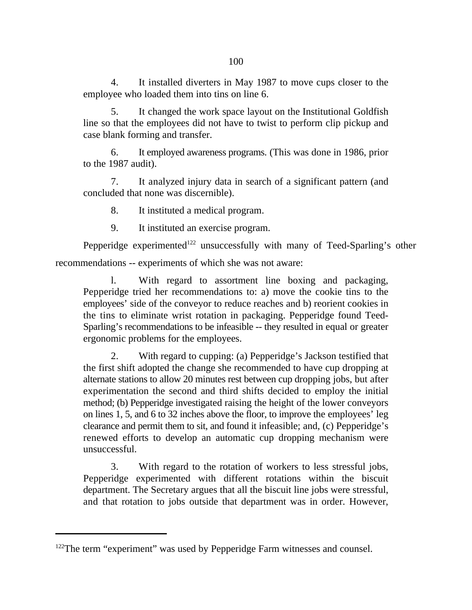4. It installed diverters in May 1987 to move cups closer to the employee who loaded them into tins on line 6.

5. It changed the work space layout on the Institutional Goldfish line so that the employees did not have to twist to perform clip pickup and case blank forming and transfer.

6. It employed awareness programs. (This was done in 1986, prior to the 1987 audit).

7. It analyzed injury data in search of a significant pattern (and concluded that none was discernible).

8. It instituted a medical program.

9. It instituted an exercise program.

Pepperidge experimented<sup>122</sup> unsuccessfully with many of Teed-Sparling's other recommendations -- experiments of which she was not aware:

l. With regard to assortment line boxing and packaging, Pepperidge tried her recommendations to: a) move the cookie tins to the employees' side of the conveyor to reduce reaches and b) reorient cookies in the tins to eliminate wrist rotation in packaging. Pepperidge found Teed-Sparling's recommendations to be infeasible -- they resulted in equal or greater ergonomic problems for the employees.

2. With regard to cupping: (a) Pepperidge's Jackson testified that the first shift adopted the change she recommended to have cup dropping at alternate stations to allow 20 minutes rest between cup dropping jobs, but after experimentation the second and third shifts decided to employ the initial method; (b) Pepperidge investigated raising the height of the lower conveyors on lines 1, 5, and 6 to 32 inches above the floor, to improve the employees' leg clearance and permit them to sit, and found it infeasible; and, (c) Pepperidge's renewed efforts to develop an automatic cup dropping mechanism were unsuccessful.

3. With regard to the rotation of workers to less stressful jobs, Pepperidge experimented with different rotations within the biscuit department. The Secretary argues that all the biscuit line jobs were stressful, and that rotation to jobs outside that department was in order. However,

 $122$ The term "experiment" was used by Pepperidge Farm witnesses and counsel.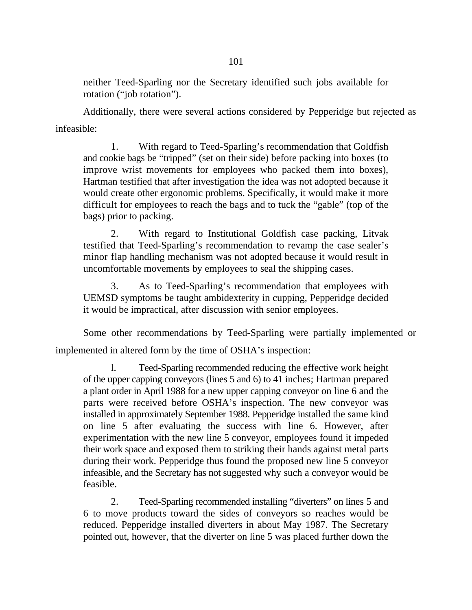neither Teed-Sparling nor the Secretary identified such jobs available for rotation ("job rotation").

Additionally, there were several actions considered by Pepperidge but rejected as infeasible:

1. With regard to Teed-Sparling's recommendation that Goldfish and cookie bags be "tripped" (set on their side) before packing into boxes (to improve wrist movements for employees who packed them into boxes), Hartman testified that after investigation the idea was not adopted because it would create other ergonomic problems. Specifically, it would make it more difficult for employees to reach the bags and to tuck the "gable" (top of the bags) prior to packing.

2. With regard to Institutional Goldfish case packing, Litvak testified that Teed-Sparling's recommendation to revamp the case sealer's minor flap handling mechanism was not adopted because it would result in uncomfortable movements by employees to seal the shipping cases.

3. As to Teed-Sparling's recommendation that employees with UEMSD symptoms be taught ambidexterity in cupping, Pepperidge decided it would be impractical, after discussion with senior employees.

Some other recommendations by Teed-Sparling were partially implemented or implemented in altered form by the time of OSHA's inspection:

l. Teed-Sparling recommended reducing the effective work height of the upper capping conveyors (lines 5 and 6) to 41 inches; Hartman prepared a plant order in April 1988 for a new upper capping conveyor on line 6 and the parts were received before OSHA's inspection. The new conveyor was installed in approximately September 1988. Pepperidge installed the same kind on line 5 after evaluating the success with line 6. However, after experimentation with the new line 5 conveyor, employees found it impeded their work space and exposed them to striking their hands against metal parts during their work. Pepperidge thus found the proposed new line 5 conveyor infeasible, and the Secretary has not suggested why such a conveyor would be feasible.

2. Teed-Sparling recommended installing "diverters" on lines 5 and 6 to move products toward the sides of conveyors so reaches would be reduced. Pepperidge installed diverters in about May 1987. The Secretary pointed out, however, that the diverter on line 5 was placed further down the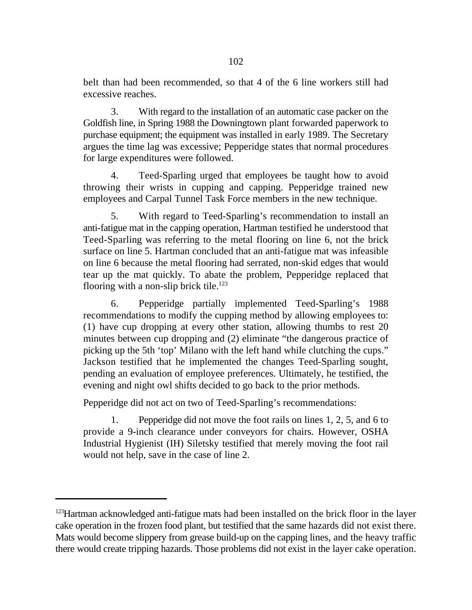belt than had been recommended, so that 4 of the 6 line workers still had excessive reaches.

3. With regard to the installation of an automatic case packer on the Goldfish line, in Spring 1988 the Downingtown plant forwarded paperwork to purchase equipment; the equipment was installed in early 1989. The Secretary argues the time lag was excessive; Pepperidge states that normal procedures for large expenditures were followed.

4. Teed-Sparling urged that employees be taught how to avoid throwing their wrists in cupping and capping. Pepperidge trained new employees and Carpal Tunnel Task Force members in the new technique.

5. With regard to Teed-Sparling's recommendation to install an anti-fatigue mat in the capping operation, Hartman testified he understood that Teed-Sparling was referring to the metal flooring on line 6, not the brick surface on line 5. Hartman concluded that an anti-fatigue mat was infeasible on line 6 because the metal flooring had serrated, non-skid edges that would tear up the mat quickly. To abate the problem, Pepperidge replaced that flooring with a non-slip brick tile.<sup>123</sup>

6. Pepperidge partially implemented Teed-Sparling's 1988 recommendations to modify the cupping method by allowing employees to: (1) have cup dropping at every other station, allowing thumbs to rest 20 minutes between cup dropping and (2) eliminate "the dangerous practice of picking up the 5th 'top' Milano with the left hand while clutching the cups." Jackson testified that he implemented the changes Teed-Sparling sought, pending an evaluation of employee preferences. Ultimately, he testified, the evening and night owl shifts decided to go back to the prior methods.

Pepperidge did not act on two of Teed-Sparling's recommendations:

1. Pepperidge did not move the foot rails on lines 1, 2, 5, and 6 to provide a 9-inch clearance under conveyors for chairs. However, OSHA Industrial Hygienist (IH) Siletsky testified that merely moving the foot rail would not help, save in the case of line 2.

 $^{123}$ Hartman acknowledged anti-fatigue mats had been installed on the brick floor in the layer cake operation in the frozen food plant, but testified that the same hazards did not exist there. Mats would become slippery from grease build-up on the capping lines, and the heavy traffic there would create tripping hazards. Those problems did not exist in the layer cake operation.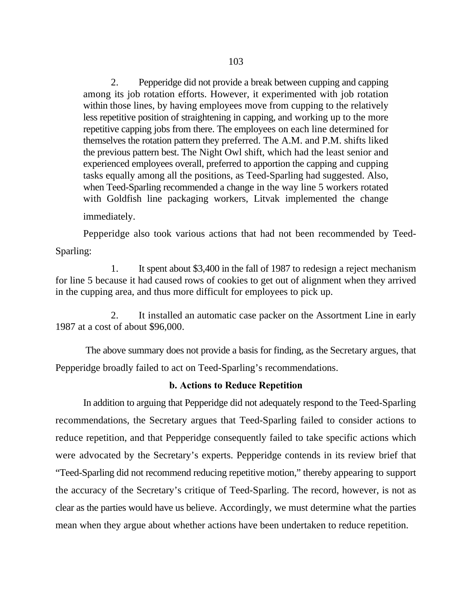2. Pepperidge did not provide a break between cupping and capping among its job rotation efforts. However, it experimented with job rotation within those lines, by having employees move from cupping to the relatively less repetitive position of straightening in capping, and working up to the more repetitive capping jobs from there. The employees on each line determined for themselves the rotation pattern they preferred. The A.M. and P.M. shifts liked the previous pattern best. The Night Owl shift, which had the least senior and experienced employees overall, preferred to apportion the capping and cupping tasks equally among all the positions, as Teed-Sparling had suggested. Also, when Teed-Sparling recommended a change in the way line 5 workers rotated with Goldfish line packaging workers, Litvak implemented the change

immediately.

Pepperidge also took various actions that had not been recommended by Teed-Sparling:

1. It spent about \$3,400 in the fall of 1987 to redesign a reject mechanism for line 5 because it had caused rows of cookies to get out of alignment when they arrived in the cupping area, and thus more difficult for employees to pick up.

2. It installed an automatic case packer on the Assortment Line in early 1987 at a cost of about \$96,000.

 The above summary does not provide a basis for finding, as the Secretary argues, that Pepperidge broadly failed to act on Teed-Sparling's recommendations.

## **b. Actions to Reduce Repetition**

In addition to arguing that Pepperidge did not adequately respond to the Teed-Sparling recommendations, the Secretary argues that Teed-Sparling failed to consider actions to reduce repetition, and that Pepperidge consequently failed to take specific actions which were advocated by the Secretary's experts. Pepperidge contends in its review brief that "Teed-Sparling did not recommend reducing repetitive motion," thereby appearing to support the accuracy of the Secretary's critique of Teed-Sparling. The record, however, is not as clear as the parties would have us believe. Accordingly, we must determine what the parties mean when they argue about whether actions have been undertaken to reduce repetition.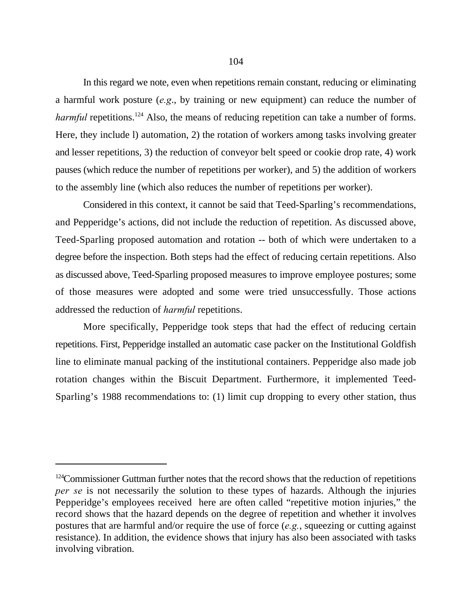In this regard we note, even when repetitions remain constant, reducing or eliminating a harmful work posture (*e.g*., by training or new equipment) can reduce the number of harmful repetitions.<sup>124</sup> Also, the means of reducing repetition can take a number of forms. Here, they include l) automation, 2) the rotation of workers among tasks involving greater and lesser repetitions, 3) the reduction of conveyor belt speed or cookie drop rate, 4) work pauses (which reduce the number of repetitions per worker), and 5) the addition of workers to the assembly line (which also reduces the number of repetitions per worker).

Considered in this context, it cannot be said that Teed-Sparling's recommendations, and Pepperidge's actions, did not include the reduction of repetition. As discussed above, Teed-Sparling proposed automation and rotation -- both of which were undertaken to a degree before the inspection. Both steps had the effect of reducing certain repetitions. Also as discussed above, Teed-Sparling proposed measures to improve employee postures; some of those measures were adopted and some were tried unsuccessfully. Those actions addressed the reduction of *harmful* repetitions.

More specifically, Pepperidge took steps that had the effect of reducing certain repetitions. First, Pepperidge installed an automatic case packer on the Institutional Goldfish line to eliminate manual packing of the institutional containers. Pepperidge also made job rotation changes within the Biscuit Department. Furthermore, it implemented Teed-Sparling's 1988 recommendations to: (1) limit cup dropping to every other station, thus

 $124$ Commissioner Guttman further notes that the record shows that the reduction of repetitions *per se* is not necessarily the solution to these types of hazards. Although the injuries Pepperidge's employees received here are often called "repetitive motion injuries," the record shows that the hazard depends on the degree of repetition and whether it involves postures that are harmful and/or require the use of force (*e.g.*, squeezing or cutting against resistance). In addition, the evidence shows that injury has also been associated with tasks involving vibration.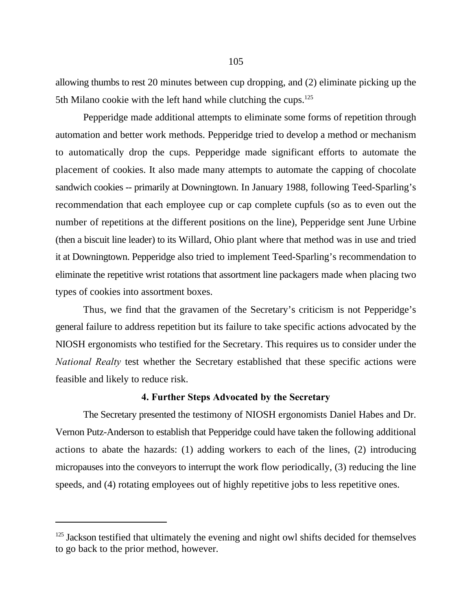allowing thumbs to rest 20 minutes between cup dropping, and (2) eliminate picking up the 5th Milano cookie with the left hand while clutching the cups.<sup>125</sup>

Pepperidge made additional attempts to eliminate some forms of repetition through automation and better work methods. Pepperidge tried to develop a method or mechanism to automatically drop the cups. Pepperidge made significant efforts to automate the placement of cookies. It also made many attempts to automate the capping of chocolate sandwich cookies -- primarily at Downingtown. In January 1988, following Teed-Sparling's recommendation that each employee cup or cap complete cupfuls (so as to even out the number of repetitions at the different positions on the line), Pepperidge sent June Urbine (then a biscuit line leader) to its Willard, Ohio plant where that method was in use and tried it at Downingtown. Pepperidge also tried to implement Teed-Sparling's recommendation to eliminate the repetitive wrist rotations that assortment line packagers made when placing two types of cookies into assortment boxes.

Thus, we find that the gravamen of the Secretary's criticism is not Pepperidge's general failure to address repetition but its failure to take specific actions advocated by the NIOSH ergonomists who testified for the Secretary. This requires us to consider under the *National Realty* test whether the Secretary established that these specific actions were feasible and likely to reduce risk.

#### **4. Further Steps Advocated by the Secretary**

The Secretary presented the testimony of NIOSH ergonomists Daniel Habes and Dr. Vernon Putz-Anderson to establish that Pepperidge could have taken the following additional actions to abate the hazards: (1) adding workers to each of the lines, (2) introducing micropauses into the conveyors to interrupt the work flow periodically, (3) reducing the line speeds, and (4) rotating employees out of highly repetitive jobs to less repetitive ones.

 $125$  Jackson testified that ultimately the evening and night owl shifts decided for themselves to go back to the prior method, however.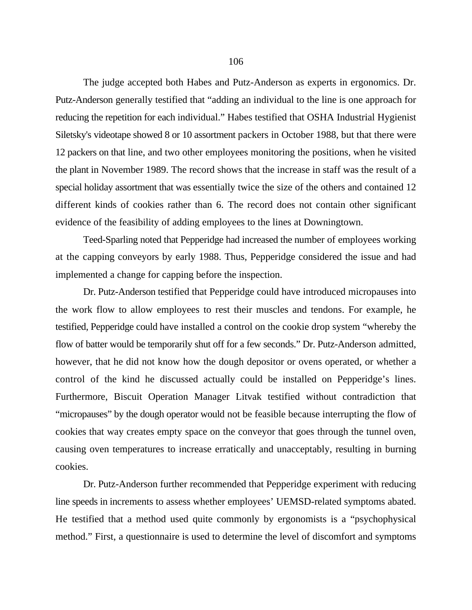The judge accepted both Habes and Putz-Anderson as experts in ergonomics. Dr. Putz-Anderson generally testified that "adding an individual to the line is one approach for reducing the repetition for each individual." Habes testified that OSHA Industrial Hygienist Siletsky's videotape showed 8 or 10 assortment packers in October 1988, but that there were 12 packers on that line, and two other employees monitoring the positions, when he visited the plant in November 1989. The record shows that the increase in staff was the result of a special holiday assortment that was essentially twice the size of the others and contained 12 different kinds of cookies rather than 6. The record does not contain other significant evidence of the feasibility of adding employees to the lines at Downingtown.

Teed-Sparling noted that Pepperidge had increased the number of employees working at the capping conveyors by early 1988. Thus, Pepperidge considered the issue and had implemented a change for capping before the inspection.

Dr. Putz-Anderson testified that Pepperidge could have introduced micropauses into the work flow to allow employees to rest their muscles and tendons. For example, he testified, Pepperidge could have installed a control on the cookie drop system "whereby the flow of batter would be temporarily shut off for a few seconds." Dr. Putz-Anderson admitted, however, that he did not know how the dough depositor or ovens operated, or whether a control of the kind he discussed actually could be installed on Pepperidge's lines. Furthermore, Biscuit Operation Manager Litvak testified without contradiction that "micropauses" by the dough operator would not be feasible because interrupting the flow of cookies that way creates empty space on the conveyor that goes through the tunnel oven, causing oven temperatures to increase erratically and unacceptably, resulting in burning cookies.

Dr. Putz-Anderson further recommended that Pepperidge experiment with reducing line speeds in increments to assess whether employees' UEMSD-related symptoms abated. He testified that a method used quite commonly by ergonomists is a "psychophysical method." First, a questionnaire is used to determine the level of discomfort and symptoms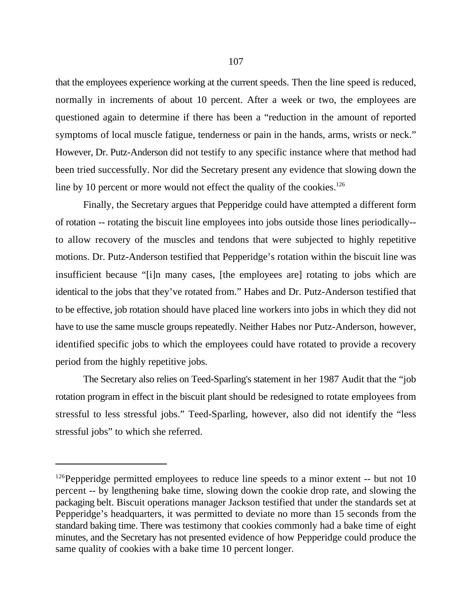that the employees experience working at the current speeds. Then the line speed is reduced, normally in increments of about 10 percent. After a week or two, the employees are questioned again to determine if there has been a "reduction in the amount of reported symptoms of local muscle fatigue, tenderness or pain in the hands, arms, wrists or neck." However, Dr. Putz-Anderson did not testify to any specific instance where that method had been tried successfully. Nor did the Secretary present any evidence that slowing down the line by 10 percent or more would not effect the quality of the cookies.<sup>126</sup>

Finally, the Secretary argues that Pepperidge could have attempted a different form of rotation -- rotating the biscuit line employees into jobs outside those lines periodically- to allow recovery of the muscles and tendons that were subjected to highly repetitive motions. Dr. Putz-Anderson testified that Pepperidge's rotation within the biscuit line was insufficient because "[i]n many cases, [the employees are] rotating to jobs which are identical to the jobs that they've rotated from." Habes and Dr. Putz-Anderson testified that to be effective, job rotation should have placed line workers into jobs in which they did not have to use the same muscle groups repeatedly. Neither Habes nor Putz-Anderson, however, identified specific jobs to which the employees could have rotated to provide a recovery period from the highly repetitive jobs.

The Secretary also relies on Teed-Sparling's statement in her 1987 Audit that the "job rotation program in effect in the biscuit plant should be redesigned to rotate employees from stressful to less stressful jobs." Teed-Sparling, however, also did not identify the "less stressful jobs" to which she referred.

 $126$ Pepperidge permitted employees to reduce line speeds to a minor extent -- but not 10 percent -- by lengthening bake time, slowing down the cookie drop rate, and slowing the packaging belt. Biscuit operations manager Jackson testified that under the standards set at Pepperidge's headquarters, it was permitted to deviate no more than 15 seconds from the standard baking time. There was testimony that cookies commonly had a bake time of eight minutes, and the Secretary has not presented evidence of how Pepperidge could produce the same quality of cookies with a bake time 10 percent longer.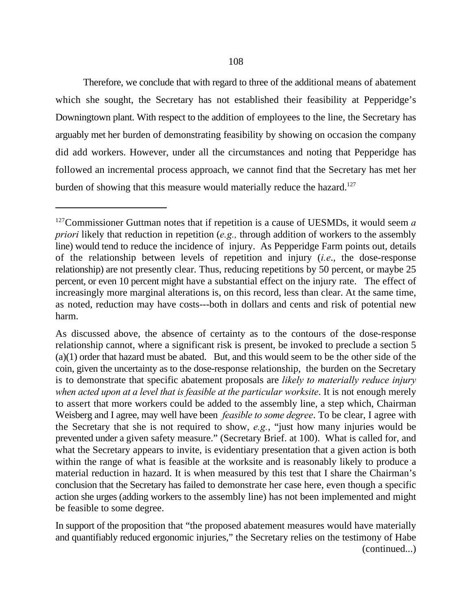Therefore, we conclude that with regard to three of the additional means of abatement which she sought, the Secretary has not established their feasibility at Pepperidge's Downingtown plant. With respect to the addition of employees to the line, the Secretary has arguably met her burden of demonstrating feasibility by showing on occasion the company did add workers. However, under all the circumstances and noting that Pepperidge has followed an incremental process approach, we cannot find that the Secretary has met her burden of showing that this measure would materially reduce the hazard.<sup>127</sup>

 $127$  Commissioner Guttman notes that if repetition is a cause of UESMDs, it would seem  $a$ *priori* likely that reduction in repetition (*e.g.,* through addition of workers to the assembly line) would tend to reduce the incidence of injury. As Pepperidge Farm points out, details of the relationship between levels of repetition and injury (*i.e*., the dose-response relationship) are not presently clear. Thus, reducing repetitions by 50 percent, or maybe 25 percent, or even 10 percent might have a substantial effect on the injury rate. The effect of increasingly more marginal alterations is, on this record, less than clear. At the same time, as noted, reduction may have costs---both in dollars and cents and risk of potential new harm.

As discussed above, the absence of certainty as to the contours of the dose-response relationship cannot, where a significant risk is present, be invoked to preclude a section 5 (a)(1) order that hazard must be abated. But, and this would seem to be the other side of the coin, given the uncertainty as to the dose-response relationship, the burden on the Secretary is to demonstrate that specific abatement proposals are *likely to materially reduce injury when acted upon at a level that is feasible at the particular worksite*. It is not enough merely to assert that more workers could be added to the assembly line, a step which, Chairman Weisberg and I agree, may well have been *feasible to some degree*. To be clear, I agree with the Secretary that she is not required to show, *e.g.*, "just how many injuries would be prevented under a given safety measure." (Secretary Brief. at 100). What is called for, and what the Secretary appears to invite, is evidentiary presentation that a given action is both within the range of what is feasible at the worksite and is reasonably likely to produce a material reduction in hazard. It is when measured by this test that I share the Chairman's conclusion that the Secretary has failed to demonstrate her case here, even though a specific action she urges (adding workers to the assembly line) has not been implemented and might be feasible to some degree.

In support of the proposition that "the proposed abatement measures would have materially and quantifiably reduced ergonomic injuries," the Secretary relies on the testimony of Habe (continued...)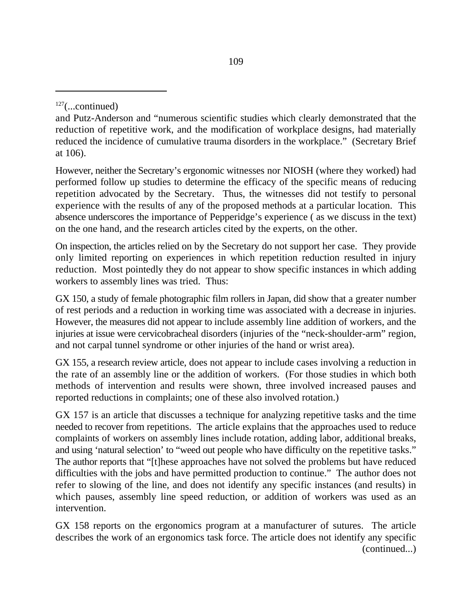However, neither the Secretary's ergonomic witnesses nor NIOSH (where they worked) had performed follow up studies to determine the efficacy of the specific means of reducing repetition advocated by the Secretary. Thus, the witnesses did not testify to personal experience with the results of any of the proposed methods at a particular location. This absence underscores the importance of Pepperidge's experience ( as we discuss in the text) on the one hand, and the research articles cited by the experts, on the other.

On inspection, the articles relied on by the Secretary do not support her case. They provide only limited reporting on experiences in which repetition reduction resulted in injury reduction. Most pointedly they do not appear to show specific instances in which adding workers to assembly lines was tried. Thus:

GX 150, a study of female photographic film rollers in Japan, did show that a greater number of rest periods and a reduction in working time was associated with a decrease in injuries. However, the measures did not appear to include assembly line addition of workers, and the injuries at issue were cervicobracheal disorders (injuries of the "neck-shoulder-arm" region, and not carpal tunnel syndrome or other injuries of the hand or wrist area).

GX 155, a research review article, does not appear to include cases involving a reduction in the rate of an assembly line or the addition of workers. (For those studies in which both methods of intervention and results were shown, three involved increased pauses and reported reductions in complaints; one of these also involved rotation.)

GX 157 is an article that discusses a technique for analyzing repetitive tasks and the time needed to recover from repetitions. The article explains that the approaches used to reduce complaints of workers on assembly lines include rotation, adding labor, additional breaks, and using 'natural selection' to "weed out people who have difficulty on the repetitive tasks." The author reports that "[t]hese approaches have not solved the problems but have reduced difficulties with the jobs and have permitted production to continue." The author does not refer to slowing of the line, and does not identify any specific instances (and results) in which pauses, assembly line speed reduction, or addition of workers was used as an intervention.

GX 158 reports on the ergonomics program at a manufacturer of sutures. The article describes the work of an ergonomics task force. The article does not identify any specific (continued...)

 $127$ (...continued)

and Putz-Anderson and "numerous scientific studies which clearly demonstrated that the reduction of repetitive work, and the modification of workplace designs, had materially reduced the incidence of cumulative trauma disorders in the workplace." (Secretary Brief at 106).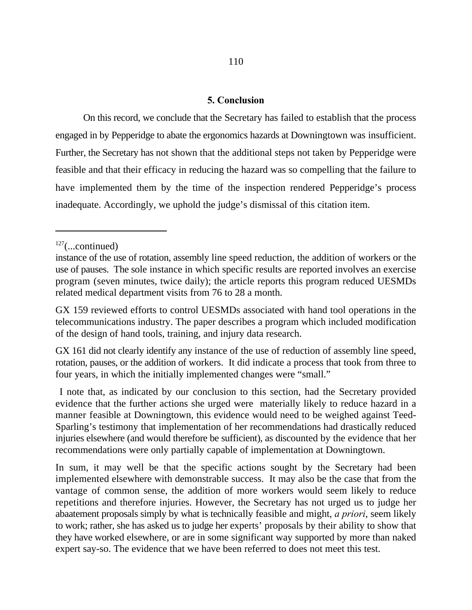# **5. Conclusion**

On this record, we conclude that the Secretary has failed to establish that the process engaged in by Pepperidge to abate the ergonomics hazards at Downingtown was insufficient. Further, the Secretary has not shown that the additional steps not taken by Pepperidge were feasible and that their efficacy in reducing the hazard was so compelling that the failure to have implemented them by the time of the inspection rendered Pepperidge's process inadequate. Accordingly, we uphold the judge's dismissal of this citation item.

GX 159 reviewed efforts to control UESMDs associated with hand tool operations in the telecommunications industry. The paper describes a program which included modification of the design of hand tools, training, and injury data research.

GX 161 did not clearly identify any instance of the use of reduction of assembly line speed, rotation, pauses, or the addition of workers. It did indicate a process that took from three to four years, in which the initially implemented changes were "small."

 I note that, as indicated by our conclusion to this section, had the Secretary provided evidence that the further actions she urged were materially likely to reduce hazard in a manner feasible at Downingtown, this evidence would need to be weighed against Teed-Sparling's testimony that implementation of her recommendations had drastically reduced injuries elsewhere (and would therefore be sufficient), as discounted by the evidence that her recommendations were only partially capable of implementation at Downingtown.

In sum, it may well be that the specific actions sought by the Secretary had been implemented elsewhere with demonstrable success. It may also be the case that from the vantage of common sense, the addition of more workers would seem likely to reduce repetitions and therefore injuries. However, the Secretary has not urged us to judge her abaatement proposals simply by what is technically feasible and might, *a priori*, seem likely to work; rather, she has asked us to judge her experts' proposals by their ability to show that they have worked elsewhere, or are in some significant way supported by more than naked expert say-so. The evidence that we have been referred to does not meet this test.

 $127$ (...continued)

instance of the use of rotation, assembly line speed reduction, the addition of workers or the use of pauses. The sole instance in which specific results are reported involves an exercise program (seven minutes, twice daily); the article reports this program reduced UESMDs related medical department visits from 76 to 28 a month.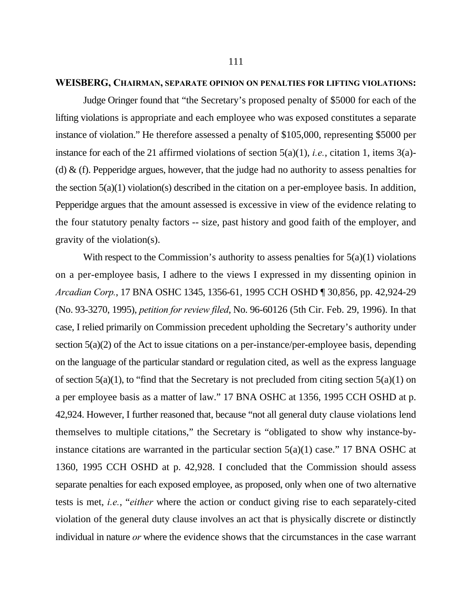#### **WEISBERG, CHAIRMAN, SEPARATE OPINION ON PENALTIES FOR LIFTING VIOLATIONS:**

Judge Oringer found that "the Secretary's proposed penalty of \$5000 for each of the lifting violations is appropriate and each employee who was exposed constitutes a separate instance of violation." He therefore assessed a penalty of \$105,000, representing \$5000 per instance for each of the 21 affirmed violations of section 5(a)(1), *i.e.*, citation 1, items 3(a)- (d)  $\&$  (f). Pepperidge argues, however, that the judge had no authority to assess penalties for the section 5(a)(1) violation(s) described in the citation on a per-employee basis. In addition, Pepperidge argues that the amount assessed is excessive in view of the evidence relating to the four statutory penalty factors -- size, past history and good faith of the employer, and gravity of the violation(s).

With respect to the Commission's authority to assess penalties for  $5(a)(1)$  violations on a per-employee basis, I adhere to the views I expressed in my dissenting opinion in *Arcadian Corp.*, 17 BNA OSHC 1345, 1356-61, 1995 CCH OSHD ¶ 30,856, pp. 42,924-29 (No. 93-3270, 1995), *petition for review filed*, No. 96-60126 (5th Cir. Feb. 29, 1996). In that case, I relied primarily on Commission precedent upholding the Secretary's authority under section 5(a)(2) of the Act to issue citations on a per-instance/per-employee basis, depending on the language of the particular standard or regulation cited, as well as the express language of section  $5(a)(1)$ , to "find that the Secretary is not precluded from citing section  $5(a)(1)$  on a per employee basis as a matter of law." 17 BNA OSHC at 1356, 1995 CCH OSHD at p. 42,924. However, I further reasoned that, because "not all general duty clause violations lend themselves to multiple citations," the Secretary is "obligated to show why instance-byinstance citations are warranted in the particular section  $5(a)(1)$  case." 17 BNA OSHC at 1360, 1995 CCH OSHD at p. 42,928. I concluded that the Commission should assess separate penalties for each exposed employee, as proposed, only when one of two alternative tests is met, *i.e.*, "*either* where the action or conduct giving rise to each separately-cited violation of the general duty clause involves an act that is physically discrete or distinctly individual in nature *or* where the evidence shows that the circumstances in the case warrant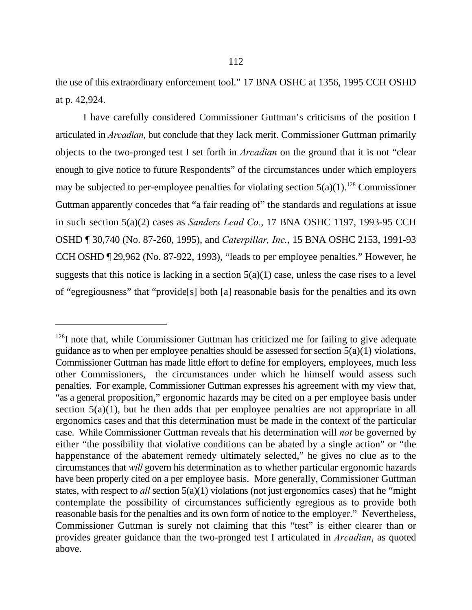the use of this extraordinary enforcement tool." 17 BNA OSHC at 1356, 1995 CCH OSHD at p. 42,924.

I have carefully considered Commissioner Guttman's criticisms of the position I articulated in *Arcadian*, but conclude that they lack merit. Commissioner Guttman primarily objects to the two-pronged test I set forth in *Arcadian* on the ground that it is not "clear enough to give notice to future Respondents" of the circumstances under which employers may be subjected to per-employee penalties for violating section  $5(a)(1)$ .<sup>128</sup> Commissioner Guttman apparently concedes that "a fair reading of" the standards and regulations at issue in such section 5(a)(2) cases as *Sanders Lead Co.*, 17 BNA OSHC 1197, 1993-95 CCH OSHD ¶ 30,740 (No. 87-260, 1995), and *Caterpillar, Inc.*, 15 BNA OSHC 2153, 1991-93 CCH OSHD ¶ 29,962 (No. 87-922, 1993), "leads to per employee penalties." However, he suggests that this notice is lacking in a section  $5(a)(1)$  case, unless the case rises to a level of "egregiousness" that "provide[s] both [a] reasonable basis for the penalties and its own

 $128$ I note that, while Commissioner Guttman has criticized me for failing to give adequate guidance as to when per employee penalties should be assessed for section  $5(a)(1)$  violations, Commissioner Guttman has made little effort to define for employers, employees, much less other Commissioners, the circumstances under which he himself would assess such penalties. For example, Commissioner Guttman expresses his agreement with my view that, "as a general proposition," ergonomic hazards may be cited on a per employee basis under section  $5(a)(1)$ , but he then adds that per employee penalties are not appropriate in all ergonomics cases and that this determination must be made in the context of the particular case. While Commissioner Guttman reveals that his determination will *not* be governed by either "the possibility that violative conditions can be abated by a single action" or "the happenstance of the abatement remedy ultimately selected," he gives no clue as to the circumstances that *will* govern his determination as to whether particular ergonomic hazards have been properly cited on a per employee basis. More generally, Commissioner Guttman states, with respect to *all* section 5(a)(1) violations (not just ergonomics cases) that he "might" contemplate the possibility of circumstances sufficiently egregious as to provide both reasonable basis for the penalties and its own form of notice to the employer." Nevertheless, Commissioner Guttman is surely not claiming that this "test" is either clearer than or provides greater guidance than the two-pronged test I articulated in *Arcadian*, as quoted above.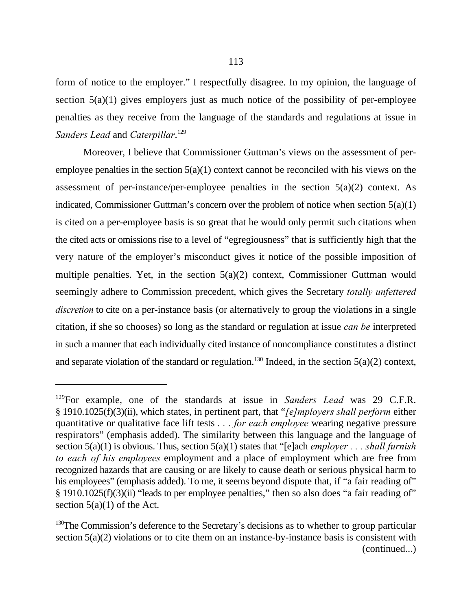form of notice to the employer." I respectfully disagree. In my opinion, the language of section  $5(a)(1)$  gives employers just as much notice of the possibility of per-employee penalties as they receive from the language of the standards and regulations at issue in *Sanders Lead* and *Caterpillar*. 129

Moreover, I believe that Commissioner Guttman's views on the assessment of peremployee penalties in the section  $5(a)(1)$  context cannot be reconciled with his views on the assessment of per-instance/per-employee penalties in the section  $5(a)(2)$  context. As indicated, Commissioner Guttman's concern over the problem of notice when section 5(a)(1) is cited on a per-employee basis is so great that he would only permit such citations when the cited acts or omissions rise to a level of "egregiousness" that is sufficiently high that the very nature of the employer's misconduct gives it notice of the possible imposition of multiple penalties. Yet, in the section 5(a)(2) context, Commissioner Guttman would seemingly adhere to Commission precedent, which gives the Secretary *totally unfettered discretion* to cite on a per-instance basis (or alternatively to group the violations in a single citation, if she so chooses) so long as the standard or regulation at issue *can be* interpreted in such a manner that each individually cited instance of noncompliance constitutes a distinct and separate violation of the standard or regulation.<sup>130</sup> Indeed, in the section  $5(a)(2)$  context,

<sup>&</sup>lt;sup>129</sup>For example, one of the standards at issue in *Sanders Lead* was 29 C.F.R. § 1910.1025(f)(3)(ii), which states, in pertinent part, that "*[e]mployers shall perform* either quantitative or qualitative face lift tests *. . . for each employee* wearing negative pressure respirators" (emphasis added). The similarity between this language and the language of section 5(a)(1) is obvious. Thus, section 5(a)(1) states that "[e]ach *employer . . . shall furnish to each of his employees* employment and a place of employment which are free from recognized hazards that are causing or are likely to cause death or serious physical harm to his employees" (emphasis added). To me, it seems beyond dispute that, if "a fair reading of" § 1910.1025(f)(3)(ii) "leads to per employee penalties," then so also does "a fair reading of" section  $5(a)(1)$  of the Act.

 $130$ The Commission's deference to the Secretary's decisions as to whether to group particular section 5(a)(2) violations or to cite them on an instance-by-instance basis is consistent with (continued...)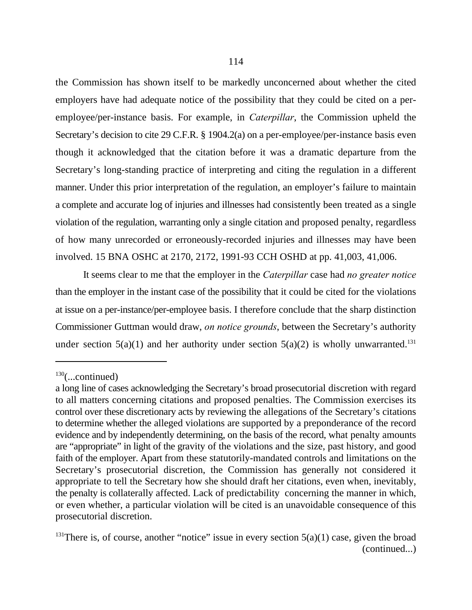the Commission has shown itself to be markedly unconcerned about whether the cited employers have had adequate notice of the possibility that they could be cited on a peremployee/per-instance basis. For example, in *Caterpillar*, the Commission upheld the Secretary's decision to cite 29 C.F.R. § 1904.2(a) on a per-employee/per-instance basis even though it acknowledged that the citation before it was a dramatic departure from the Secretary's long-standing practice of interpreting and citing the regulation in a different manner. Under this prior interpretation of the regulation, an employer's failure to maintain a complete and accurate log of injuries and illnesses had consistently been treated as a single violation of the regulation, warranting only a single citation and proposed penalty, regardless of how many unrecorded or erroneously-recorded injuries and illnesses may have been involved. 15 BNA OSHC at 2170, 2172, 1991-93 CCH OSHD at pp. 41,003, 41,006.

It seems clear to me that the employer in the *Caterpillar* case had *no greater notice* than the employer in the instant case of the possibility that it could be cited for the violations at issue on a per-instance/per-employee basis. I therefore conclude that the sharp distinction Commissioner Guttman would draw, *on notice grounds*, between the Secretary's authority under section  $5(a)(1)$  and her authority under section  $5(a)(2)$  is wholly unwarranted.<sup>131</sup>

 $130$ (...continued)

a long line of cases acknowledging the Secretary's broad prosecutorial discretion with regard to all matters concerning citations and proposed penalties. The Commission exercises its control over these discretionary acts by reviewing the allegations of the Secretary's citations to determine whether the alleged violations are supported by a preponderance of the record evidence and by independently determining, on the basis of the record, what penalty amounts are "appropriate" in light of the gravity of the violations and the size, past history, and good faith of the employer. Apart from these statutorily-mandated controls and limitations on the Secretary's prosecutorial discretion, the Commission has generally not considered it appropriate to tell the Secretary how she should draft her citations, even when, inevitably, the penalty is collaterally affected. Lack of predictability concerning the manner in which, or even whether, a particular violation will be cited is an unavoidable consequence of this prosecutorial discretion.

<sup>&</sup>lt;sup>131</sup>There is, of course, another "notice" issue in every section  $5(a)(1)$  case, given the broad (continued...)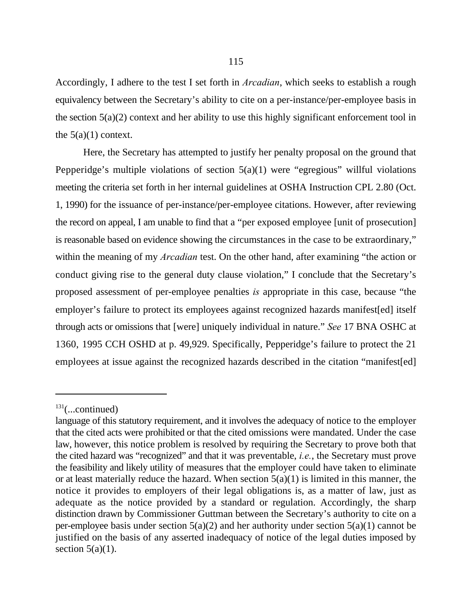Accordingly, I adhere to the test I set forth in *Arcadian*, which seeks to establish a rough equivalency between the Secretary's ability to cite on a per-instance/per-employee basis in the section  $5(a)(2)$  context and her ability to use this highly significant enforcement tool in the  $5(a)(1)$  context.

Here, the Secretary has attempted to justify her penalty proposal on the ground that Pepperidge's multiple violations of section  $5(a)(1)$  were "egregious" willful violations meeting the criteria set forth in her internal guidelines at OSHA Instruction CPL 2.80 (Oct. 1, 1990) for the issuance of per-instance/per-employee citations. However, after reviewing the record on appeal, I am unable to find that a "per exposed employee [unit of prosecution] is reasonable based on evidence showing the circumstances in the case to be extraordinary," within the meaning of my *Arcadian* test. On the other hand, after examining "the action or conduct giving rise to the general duty clause violation," I conclude that the Secretary's proposed assessment of per-employee penalties *is* appropriate in this case, because "the employer's failure to protect its employees against recognized hazards manifest[ed] itself through acts or omissions that [were] uniquely individual in nature." *See* 17 BNA OSHC at 1360, 1995 CCH OSHD at p. 49,929. Specifically, Pepperidge's failure to protect the 21 employees at issue against the recognized hazards described in the citation "manifest[ed]

 $131$ (...continued)

language of this statutory requirement, and it involves the adequacy of notice to the employer that the cited acts were prohibited or that the cited omissions were mandated. Under the case law, however, this notice problem is resolved by requiring the Secretary to prove both that the cited hazard was "recognized" and that it was preventable, *i.e.*, the Secretary must prove the feasibility and likely utility of measures that the employer could have taken to eliminate or at least materially reduce the hazard. When section  $5(a)(1)$  is limited in this manner, the notice it provides to employers of their legal obligations is, as a matter of law, just as adequate as the notice provided by a standard or regulation. Accordingly, the sharp distinction drawn by Commissioner Guttman between the Secretary's authority to cite on a per-employee basis under section  $5(a)(2)$  and her authority under section  $5(a)(1)$  cannot be justified on the basis of any asserted inadequacy of notice of the legal duties imposed by section  $5(a)(1)$ .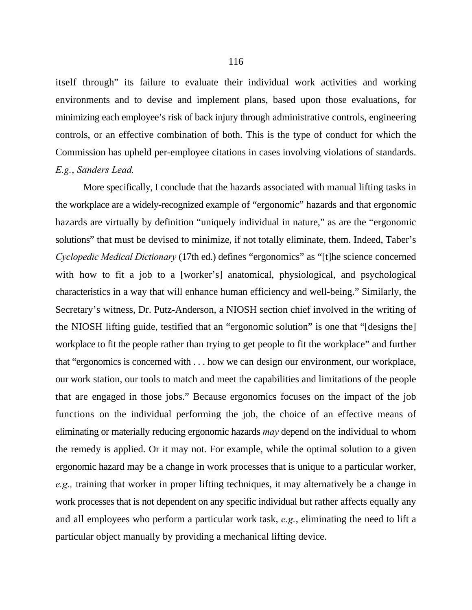itself through" its failure to evaluate their individual work activities and working environments and to devise and implement plans, based upon those evaluations, for minimizing each employee's risk of back injury through administrative controls, engineering controls, or an effective combination of both. This is the type of conduct for which the Commission has upheld per-employee citations in cases involving violations of standards. *E.g.*, *Sanders Lead.*

More specifically, I conclude that the hazards associated with manual lifting tasks in the workplace are a widely-recognized example of "ergonomic" hazards and that ergonomic hazards are virtually by definition "uniquely individual in nature," as are the "ergonomic solutions" that must be devised to minimize, if not totally eliminate, them. Indeed, Taber's *Cyclopedic Medical Dictionary* (17th ed.) defines "ergonomics" as "[t]he science concerned with how to fit a job to a [worker's] anatomical, physiological, and psychological characteristics in a way that will enhance human efficiency and well-being." Similarly, the Secretary's witness, Dr. Putz-Anderson, a NIOSH section chief involved in the writing of the NIOSH lifting guide, testified that an "ergonomic solution" is one that "[designs the] workplace to fit the people rather than trying to get people to fit the workplace" and further that "ergonomics is concerned with . . . how we can design our environment, our workplace, our work station, our tools to match and meet the capabilities and limitations of the people that are engaged in those jobs." Because ergonomics focuses on the impact of the job functions on the individual performing the job, the choice of an effective means of eliminating or materially reducing ergonomic hazards *may* depend on the individual to whom the remedy is applied. Or it may not. For example, while the optimal solution to a given ergonomic hazard may be a change in work processes that is unique to a particular worker, *e.g.,* training that worker in proper lifting techniques, it may alternatively be a change in work processes that is not dependent on any specific individual but rather affects equally any and all employees who perform a particular work task, *e.g.*, eliminating the need to lift a particular object manually by providing a mechanical lifting device.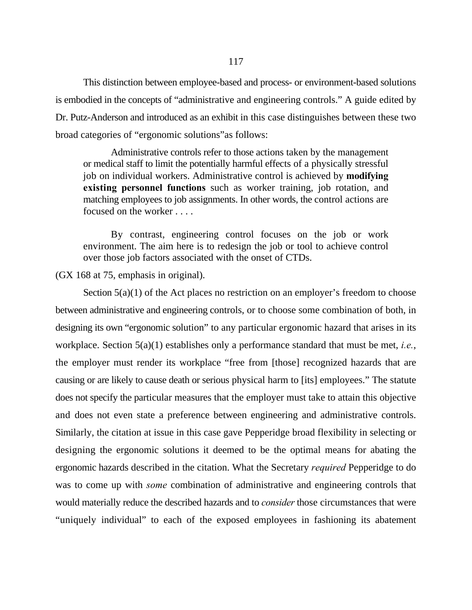This distinction between employee-based and process- or environment-based solutions is embodied in the concepts of "administrative and engineering controls." A guide edited by Dr. Putz-Anderson and introduced as an exhibit in this case distinguishes between these two broad categories of "ergonomic solutions"as follows:

Administrative controls refer to those actions taken by the management or medical staff to limit the potentially harmful effects of a physically stressful job on individual workers. Administrative control is achieved by **modifying existing personnel functions** such as worker training, job rotation, and matching employees to job assignments. In other words, the control actions are focused on the worker . . . .

By contrast, engineering control focuses on the job or work environment. The aim here is to redesign the job or tool to achieve control over those job factors associated with the onset of CTDs.

(GX 168 at 75, emphasis in original).

Section  $5(a)(1)$  of the Act places no restriction on an employer's freedom to choose between administrative and engineering controls, or to choose some combination of both, in designing its own "ergonomic solution" to any particular ergonomic hazard that arises in its workplace. Section 5(a)(1) establishes only a performance standard that must be met, *i.e.*, the employer must render its workplace "free from [those] recognized hazards that are causing or are likely to cause death or serious physical harm to [its] employees." The statute does not specify the particular measures that the employer must take to attain this objective and does not even state a preference between engineering and administrative controls. Similarly, the citation at issue in this case gave Pepperidge broad flexibility in selecting or designing the ergonomic solutions it deemed to be the optimal means for abating the ergonomic hazards described in the citation. What the Secretary *required* Pepperidge to do was to come up with *some* combination of administrative and engineering controls that would materially reduce the described hazards and to *consider* those circumstances that were "uniquely individual" to each of the exposed employees in fashioning its abatement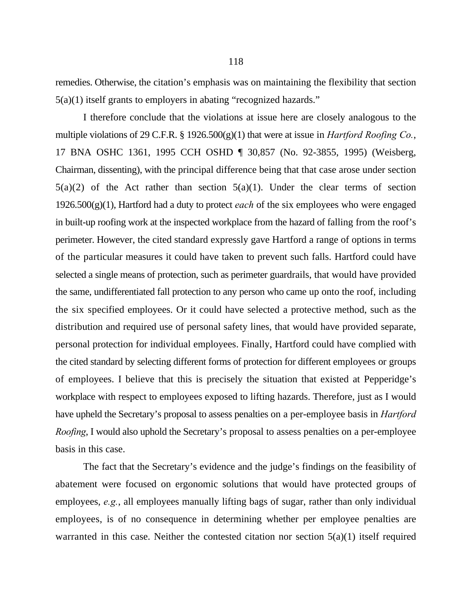remedies. Otherwise, the citation's emphasis was on maintaining the flexibility that section 5(a)(1) itself grants to employers in abating "recognized hazards."

I therefore conclude that the violations at issue here are closely analogous to the multiple violations of 29 C.F.R. § 1926.500(g)(1) that were at issue in *Hartford Roofing Co.*, 17 BNA OSHC 1361, 1995 CCH OSHD ¶ 30,857 (No. 92-3855, 1995) (Weisberg, Chairman, dissenting), with the principal difference being that that case arose under section  $5(a)(2)$  of the Act rather than section  $5(a)(1)$ . Under the clear terms of section 1926.500(g)(1), Hartford had a duty to protect *each* of the six employees who were engaged in built-up roofing work at the inspected workplace from the hazard of falling from the roof's perimeter. However, the cited standard expressly gave Hartford a range of options in terms of the particular measures it could have taken to prevent such falls. Hartford could have selected a single means of protection, such as perimeter guardrails, that would have provided the same, undifferentiated fall protection to any person who came up onto the roof, including the six specified employees. Or it could have selected a protective method, such as the distribution and required use of personal safety lines, that would have provided separate, personal protection for individual employees. Finally, Hartford could have complied with the cited standard by selecting different forms of protection for different employees or groups of employees. I believe that this is precisely the situation that existed at Pepperidge's workplace with respect to employees exposed to lifting hazards. Therefore, just as I would have upheld the Secretary's proposal to assess penalties on a per-employee basis in *Hartford Roofing*, I would also uphold the Secretary's proposal to assess penalties on a per-employee basis in this case.

The fact that the Secretary's evidence and the judge's findings on the feasibility of abatement were focused on ergonomic solutions that would have protected groups of employees, *e.g.*, all employees manually lifting bags of sugar, rather than only individual employees, is of no consequence in determining whether per employee penalties are warranted in this case. Neither the contested citation nor section  $5(a)(1)$  itself required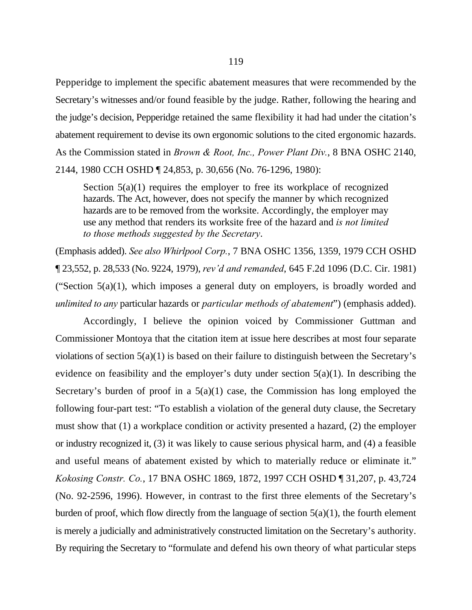Pepperidge to implement the specific abatement measures that were recommended by the Secretary's witnesses and/or found feasible by the judge. Rather, following the hearing and the judge's decision, Pepperidge retained the same flexibility it had had under the citation's abatement requirement to devise its own ergonomic solutions to the cited ergonomic hazards. As the Commission stated in *Brown & Root, Inc., Power Plant Div.*, 8 BNA OSHC 2140, 2144, 1980 CCH OSHD ¶ 24,853, p. 30,656 (No. 76-1296, 1980):

Section  $5(a)(1)$  requires the employer to free its workplace of recognized hazards. The Act, however, does not specify the manner by which recognized hazards are to be removed from the worksite. Accordingly, the employer may use any method that renders its worksite free of the hazard and *is not limited to those methods suggested by the Secretary*.

(Emphasis added). *See also Whirlpool Corp.*, 7 BNA OSHC 1356, 1359, 1979 CCH OSHD ¶ 23,552, p. 28,533 (No. 9224, 1979), *rev'd and remanded*, 645 F.2d 1096 (D.C. Cir. 1981) ("Section  $5(a)(1)$ , which imposes a general duty on employers, is broadly worded and *unlimited to any* particular hazards or *particular methods of abatement*") (emphasis added).

Accordingly, I believe the opinion voiced by Commissioner Guttman and Commissioner Montoya that the citation item at issue here describes at most four separate violations of section 5(a)(1) is based on their failure to distinguish between the Secretary's evidence on feasibility and the employer's duty under section  $5(a)(1)$ . In describing the Secretary's burden of proof in a  $5(a)(1)$  case, the Commission has long employed the following four-part test: "To establish a violation of the general duty clause, the Secretary must show that (1) a workplace condition or activity presented a hazard, (2) the employer or industry recognized it, (3) it was likely to cause serious physical harm, and (4) a feasible and useful means of abatement existed by which to materially reduce or eliminate it." *Kokosing Constr. Co.*, 17 BNA OSHC 1869, 1872, 1997 CCH OSHD ¶ 31,207, p. 43,724 (No. 92-2596, 1996). However, in contrast to the first three elements of the Secretary's burden of proof, which flow directly from the language of section  $5(a)(1)$ , the fourth element is merely a judicially and administratively constructed limitation on the Secretary's authority. By requiring the Secretary to "formulate and defend his own theory of what particular steps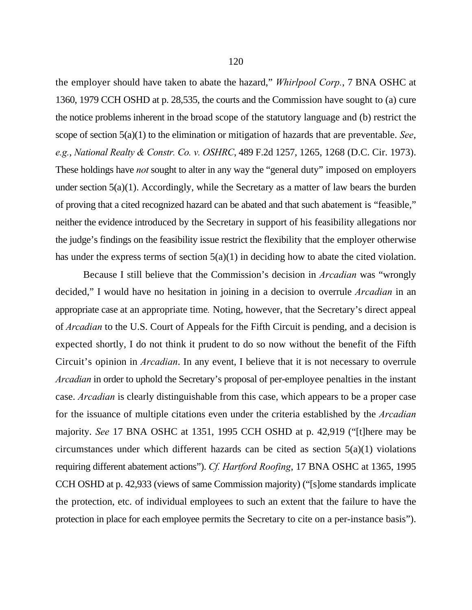the employer should have taken to abate the hazard," *Whirlpool Corp.*, 7 BNA OSHC at 1360, 1979 CCH OSHD at p. 28,535, the courts and the Commission have sought to (a) cure the notice problems inherent in the broad scope of the statutory language and (b) restrict the scope of section 5(a)(1) to the elimination or mitigation of hazards that are preventable. *See*, *e.g.*, *National Realty & Constr. Co. v. OSHRC*, 489 F.2d 1257, 1265, 1268 (D.C. Cir. 1973). These holdings have *not* sought to alter in any way the "general duty" imposed on employers under section  $5(a)(1)$ . Accordingly, while the Secretary as a matter of law bears the burden of proving that a cited recognized hazard can be abated and that such abatement is "feasible," neither the evidence introduced by the Secretary in support of his feasibility allegations nor the judge's findings on the feasibility issue restrict the flexibility that the employer otherwise has under the express terms of section 5(a)(1) in deciding how to abate the cited violation.

Because I still believe that the Commission's decision in *Arcadian* was "wrongly decided," I would have no hesitation in joining in a decision to overrule *Arcadian* in an appropriate case at an appropriate time*.* Noting, however, that the Secretary's direct appeal of *Arcadian* to the U.S. Court of Appeals for the Fifth Circuit is pending, and a decision is expected shortly, I do not think it prudent to do so now without the benefit of the Fifth Circuit's opinion in *Arcadian*. In any event, I believe that it is not necessary to overrule *Arcadian* in order to uphold the Secretary's proposal of per-employee penalties in the instant case. *Arcadian* is clearly distinguishable from this case, which appears to be a proper case for the issuance of multiple citations even under the criteria established by the *Arcadian* majority. *See* 17 BNA OSHC at 1351, 1995 CCH OSHD at p. 42,919 ("[t]here may be circumstances under which different hazards can be cited as section 5(a)(1) violations requiring different abatement actions"). *Cf. Hartford Roofing*, 17 BNA OSHC at 1365, 1995 CCH OSHD at p. 42,933 (views of same Commission majority) ("[s]ome standards implicate the protection, etc. of individual employees to such an extent that the failure to have the protection in place for each employee permits the Secretary to cite on a per-instance basis").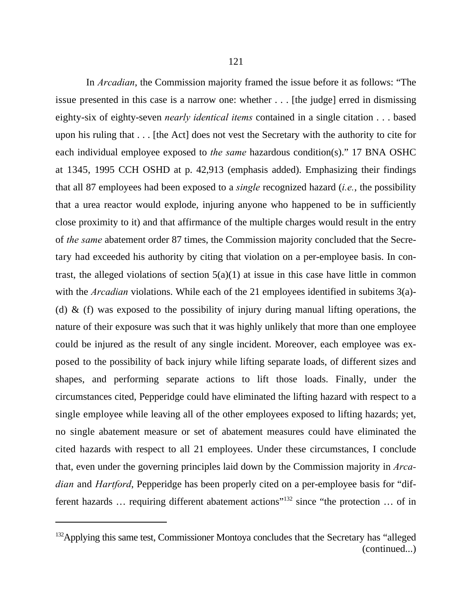In *Arcadian*, the Commission majority framed the issue before it as follows: "The issue presented in this case is a narrow one: whether . . . [the judge] erred in dismissing eighty-six of eighty-seven *nearly identical items* contained in a single citation . . . based upon his ruling that . . . [the Act] does not vest the Secretary with the authority to cite for each individual employee exposed to *the same* hazardous condition(s)." 17 BNA OSHC at 1345, 1995 CCH OSHD at p. 42,913 (emphasis added). Emphasizing their findings that all 87 employees had been exposed to a *single* recognized hazard (*i.e.*, the possibility that a urea reactor would explode, injuring anyone who happened to be in sufficiently close proximity to it) and that affirmance of the multiple charges would result in the entry of *the same* abatement order 87 times, the Commission majority concluded that the Secretary had exceeded his authority by citing that violation on a per-employee basis. In contrast, the alleged violations of section  $5(a)(1)$  at issue in this case have little in common with the *Arcadian* violations. While each of the 21 employees identified in subitems 3(a)-(d)  $\&$  (f) was exposed to the possibility of injury during manual lifting operations, the nature of their exposure was such that it was highly unlikely that more than one employee could be injured as the result of any single incident. Moreover, each employee was exposed to the possibility of back injury while lifting separate loads, of different sizes and shapes, and performing separate actions to lift those loads. Finally, under the circumstances cited, Pepperidge could have eliminated the lifting hazard with respect to a single employee while leaving all of the other employees exposed to lifting hazards; yet, no single abatement measure or set of abatement measures could have eliminated the cited hazards with respect to all 21 employees. Under these circumstances, I conclude that, even under the governing principles laid down by the Commission majority in *Arcadian* and *Hartford*, Pepperidge has been properly cited on a per-employee basis for "different hazards  $\ldots$  requiring different abatement actions"<sup>132</sup> since "the protection  $\ldots$  of in

<sup>&</sup>lt;sup>132</sup> Applying this same test, Commissioner Montoya concludes that the Secretary has "alleged (continued...)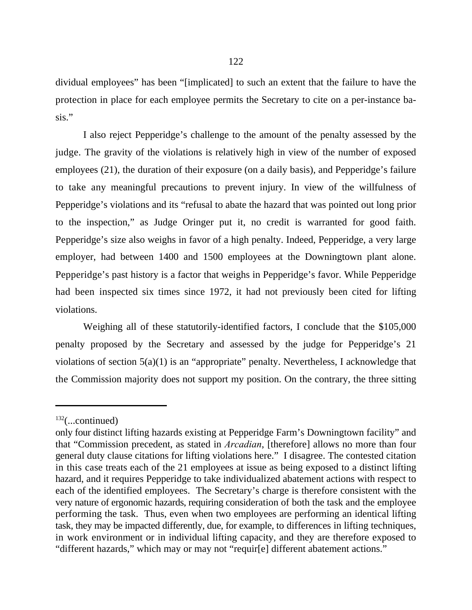dividual employees" has been "[implicated] to such an extent that the failure to have the protection in place for each employee permits the Secretary to cite on a per-instance basis."

I also reject Pepperidge's challenge to the amount of the penalty assessed by the judge. The gravity of the violations is relatively high in view of the number of exposed employees (21), the duration of their exposure (on a daily basis), and Pepperidge's failure to take any meaningful precautions to prevent injury. In view of the willfulness of Pepperidge's violations and its "refusal to abate the hazard that was pointed out long prior to the inspection," as Judge Oringer put it, no credit is warranted for good faith. Pepperidge's size also weighs in favor of a high penalty. Indeed, Pepperidge, a very large employer, had between 1400 and 1500 employees at the Downingtown plant alone. Pepperidge's past history is a factor that weighs in Pepperidge's favor. While Pepperidge had been inspected six times since 1972, it had not previously been cited for lifting violations.

Weighing all of these statutorily-identified factors, I conclude that the \$105,000 penalty proposed by the Secretary and assessed by the judge for Pepperidge's 21 violations of section 5(a)(1) is an "appropriate" penalty. Nevertheless, I acknowledge that the Commission majority does not support my position. On the contrary, the three sitting

 $132$ (...continued)

only four distinct lifting hazards existing at Pepperidge Farm's Downingtown facility" and that "Commission precedent, as stated in *Arcadian*, [therefore] allows no more than four general duty clause citations for lifting violations here." I disagree. The contested citation in this case treats each of the 21 employees at issue as being exposed to a distinct lifting hazard, and it requires Pepperidge to take individualized abatement actions with respect to each of the identified employees. The Secretary's charge is therefore consistent with the very nature of ergonomic hazards, requiring consideration of both the task and the employee performing the task. Thus, even when two employees are performing an identical lifting task, they may be impacted differently, due, for example, to differences in lifting techniques, in work environment or in individual lifting capacity, and they are therefore exposed to "different hazards," which may or may not "requir[e] different abatement actions."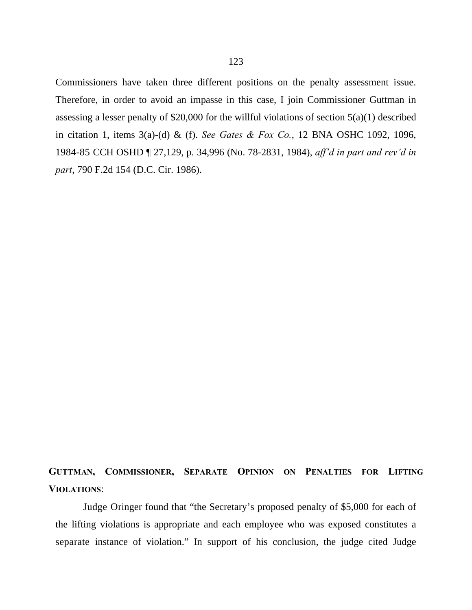Commissioners have taken three different positions on the penalty assessment issue. Therefore, in order to avoid an impasse in this case, I join Commissioner Guttman in assessing a lesser penalty of \$20,000 for the willful violations of section 5(a)(1) described in citation 1, items 3(a)-(d) & (f). *See Gates & Fox Co.*, 12 BNA OSHC 1092, 1096, 1984-85 CCH OSHD ¶ 27,129, p. 34,996 (No. 78-2831, 1984), *aff'd in part and rev'd in part*, 790 F.2d 154 (D.C. Cir. 1986).

# **GUTTMAN, COMMISSIONER, SEPARATE OPINION ON PENALTIES FOR LIFTING VIOLATIONS**:

Judge Oringer found that "the Secretary's proposed penalty of \$5,000 for each of the lifting violations is appropriate and each employee who was exposed constitutes a separate instance of violation." In support of his conclusion, the judge cited Judge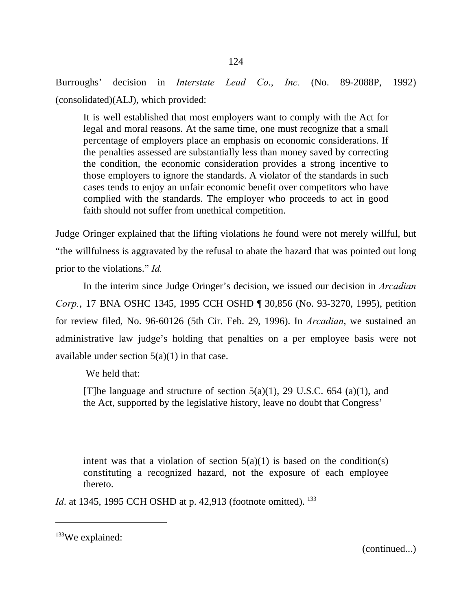Burroughs' decision in *Interstate Lead Co*., *Inc.* (No. 89-2088P, 1992) (consolidated)(ALJ), which provided:

It is well established that most employers want to comply with the Act for legal and moral reasons. At the same time, one must recognize that a small percentage of employers place an emphasis on economic considerations. If the penalties assessed are substantially less than money saved by correcting the condition, the economic consideration provides a strong incentive to those employers to ignore the standards. A violator of the standards in such cases tends to enjoy an unfair economic benefit over competitors who have complied with the standards. The employer who proceeds to act in good faith should not suffer from unethical competition.

Judge Oringer explained that the lifting violations he found were not merely willful, but "the willfulness is aggravated by the refusal to abate the hazard that was pointed out long prior to the violations." *Id.*

In the interim since Judge Oringer's decision, we issued our decision in *Arcadian Corp.*, 17 BNA OSHC 1345, 1995 CCH OSHD ¶ 30,856 (No. 93-3270, 1995), petition for review filed, No. 96-60126 (5th Cir. Feb. 29, 1996). In *Arcadian*, we sustained an administrative law judge's holding that penalties on a per employee basis were not available under section  $5(a)(1)$  in that case.

We held that:

[T]he language and structure of section  $5(a)(1)$ , 29 U.S.C. 654 (a)(1), and the Act, supported by the legislative history, leave no doubt that Congress'

intent was that a violation of section  $5(a)(1)$  is based on the condition(s) constituting a recognized hazard, not the exposure of each employee thereto.

*Id.* at 1345, 1995 CCH OSHD at p. 42,913 (footnote omitted). <sup>133</sup>

(continued...)

 $133$ We explained: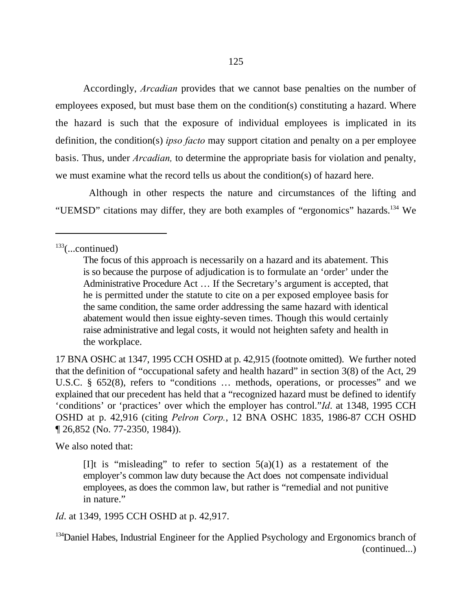Accordingly, *Arcadian* provides that we cannot base penalties on the number of employees exposed, but must base them on the condition(s) constituting a hazard. Where the hazard is such that the exposure of individual employees is implicated in its definition, the condition(s) *ipso facto* may support citation and penalty on a per employee basis. Thus, under *Arcadian,* to determine the appropriate basis for violation and penalty, we must examine what the record tells us about the condition(s) of hazard here.

 Although in other respects the nature and circumstances of the lifting and "UEMSD" citations may differ, they are both examples of "ergonomics" hazards.<sup>134</sup> We

17 BNA OSHC at 1347, 1995 CCH OSHD at p. 42,915 (footnote omitted). We further noted that the definition of "occupational safety and health hazard" in section 3(8) of the Act, 29 U.S.C. § 652(8), refers to "conditions … methods, operations, or processes" and we explained that our precedent has held that a "recognized hazard must be defined to identify 'conditions' or 'practices' over which the employer has control."*Id*. at 1348, 1995 CCH OSHD at p. 42,916 (citing *Pelron Corp.*, 12 BNA OSHC 1835, 1986-87 CCH OSHD ¶ 26,852 (No. 77-2350, 1984)).

We also noted that:

*Id*. at 1349, 1995 CCH OSHD at p. 42,917.

 $133$ (...continued)

The focus of this approach is necessarily on a hazard and its abatement. This is so because the purpose of adjudication is to formulate an 'order' under the Administrative Procedure Act … If the Secretary's argument is accepted, that he is permitted under the statute to cite on a per exposed employee basis for the same condition, the same order addressing the same hazard with identical abatement would then issue eighty-seven times. Though this would certainly raise administrative and legal costs, it would not heighten safety and health in the workplace.

<sup>[</sup>I]t is "misleading" to refer to section  $5(a)(1)$  as a restatement of the employer's common law duty because the Act does not compensate individual employees, as does the common law, but rather is "remedial and not punitive in nature."

 $134$ Daniel Habes, Industrial Engineer for the Applied Psychology and Ergonomics branch of (continued...)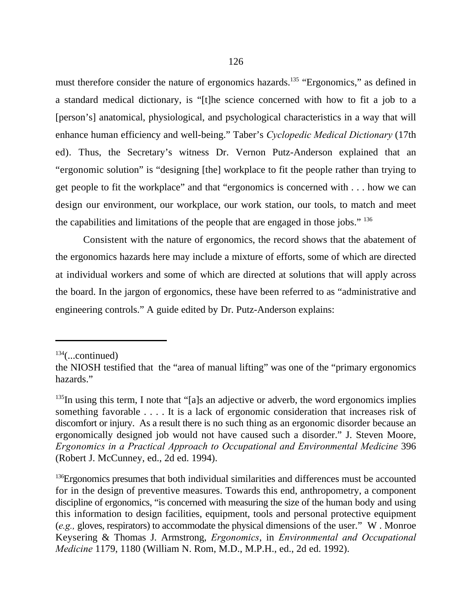must therefore consider the nature of ergonomics hazards.<sup>135</sup> "Ergonomics," as defined in a standard medical dictionary, is "[t]he science concerned with how to fit a job to a [person's] anatomical, physiological, and psychological characteristics in a way that will enhance human efficiency and well-being." Taber's *Cyclopedic Medical Dictionary* (17th ed). Thus, the Secretary's witness Dr. Vernon Putz-Anderson explained that an "ergonomic solution" is "designing [the] workplace to fit the people rather than trying to get people to fit the workplace" and that "ergonomics is concerned with . . . how we can design our environment, our workplace, our work station, our tools, to match and meet the capabilities and limitations of the people that are engaged in those jobs." <sup>136</sup>

Consistent with the nature of ergonomics, the record shows that the abatement of the ergonomics hazards here may include a mixture of efforts, some of which are directed at individual workers and some of which are directed at solutions that will apply across the board. In the jargon of ergonomics, these have been referred to as "administrative and engineering controls." A guide edited by Dr. Putz-Anderson explains:

 $134$ (...continued)

the NIOSH testified that the "area of manual lifting" was one of the "primary ergonomics hazards."

 $135$ In using this term, I note that "[a]s an adjective or adverb, the word ergonomics implies something favorable . . . . It is a lack of ergonomic consideration that increases risk of discomfort or injury. As a result there is no such thing as an ergonomic disorder because an ergonomically designed job would not have caused such a disorder." J. Steven Moore, *Ergonomics in a Practical Approach to Occupational and Environmental Medicine* 396 (Robert J. McCunney, ed., 2d ed. 1994).

 $136$  Ergonomics presumes that both individual similarities and differences must be accounted for in the design of preventive measures. Towards this end, anthropometry, a component discipline of ergonomics, "is concerned with measuring the size of the human body and using this information to design facilities, equipment, tools and personal protective equipment (*e.g.,* gloves, respirators) to accommodate the physical dimensions of the user." W . Monroe Keysering & Thomas J. Armstrong, *Ergonomics*, in *Environmental and Occupational Medicine* 1179, 1180 (William N. Rom, M.D., M.P.H., ed., 2d ed. 1992).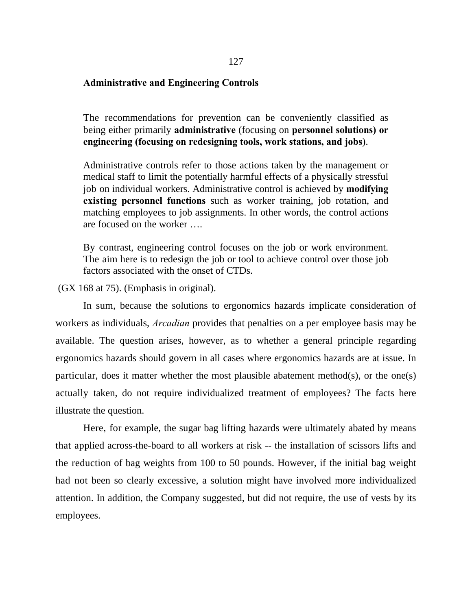# **Administrative and Engineering Controls**

The recommendations for prevention can be conveniently classified as being either primarily **administrative** (focusing on **personnel solutions) or engineering (focusing on redesigning tools, work stations, and jobs**).

Administrative controls refer to those actions taken by the management or medical staff to limit the potentially harmful effects of a physically stressful job on individual workers. Administrative control is achieved by **modifying existing personnel functions** such as worker training, job rotation, and matching employees to job assignments. In other words, the control actions are focused on the worker ….

By contrast, engineering control focuses on the job or work environment. The aim here is to redesign the job or tool to achieve control over those job factors associated with the onset of CTDs.

(GX 168 at 75). (Emphasis in original).

In sum, because the solutions to ergonomics hazards implicate consideration of workers as individuals, *Arcadian* provides that penalties on a per employee basis may be available. The question arises, however, as to whether a general principle regarding ergonomics hazards should govern in all cases where ergonomics hazards are at issue. In particular, does it matter whether the most plausible abatement method(s), or the one(s) actually taken, do not require individualized treatment of employees? The facts here illustrate the question.

Here, for example, the sugar bag lifting hazards were ultimately abated by means that applied across-the-board to all workers at risk -- the installation of scissors lifts and the reduction of bag weights from 100 to 50 pounds. However, if the initial bag weight had not been so clearly excessive, a solution might have involved more individualized attention. In addition, the Company suggested, but did not require, the use of vests by its employees.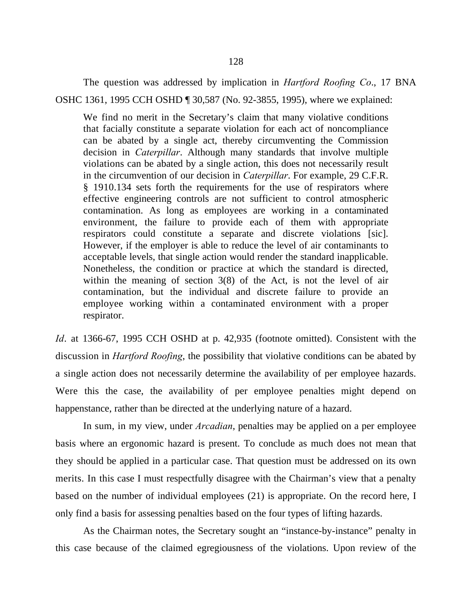The question was addressed by implication in *Hartford Roofing Co*., 17 BNA

OSHC 1361, 1995 CCH OSHD ¶ 30,587 (No. 92-3855, 1995), where we explained:

We find no merit in the Secretary's claim that many violative conditions that facially constitute a separate violation for each act of noncompliance can be abated by a single act, thereby circumventing the Commission decision in *Caterpillar*. Although many standards that involve multiple violations can be abated by a single action, this does not necessarily result in the circumvention of our decision in *Caterpillar*. For example, 29 C.F.R. § 1910.134 sets forth the requirements for the use of respirators where effective engineering controls are not sufficient to control atmospheric contamination. As long as employees are working in a contaminated environment, the failure to provide each of them with appropriate respirators could constitute a separate and discrete violations [sic]. However, if the employer is able to reduce the level of air contaminants to acceptable levels, that single action would render the standard inapplicable. Nonetheless, the condition or practice at which the standard is directed, within the meaning of section 3(8) of the Act, is not the level of air contamination, but the individual and discrete failure to provide an employee working within a contaminated environment with a proper respirator.

*Id*. at 1366-67, 1995 CCH OSHD at p. 42,935 (footnote omitted). Consistent with the discussion in *Hartford Roofing*, the possibility that violative conditions can be abated by a single action does not necessarily determine the availability of per employee hazards. Were this the case, the availability of per employee penalties might depend on happenstance, rather than be directed at the underlying nature of a hazard.

In sum, in my view, under *Arcadian*, penalties may be applied on a per employee basis where an ergonomic hazard is present. To conclude as much does not mean that they should be applied in a particular case. That question must be addressed on its own merits. In this case I must respectfully disagree with the Chairman's view that a penalty based on the number of individual employees (21) is appropriate. On the record here, I only find a basis for assessing penalties based on the four types of lifting hazards.

As the Chairman notes, the Secretary sought an "instance-by-instance" penalty in this case because of the claimed egregiousness of the violations. Upon review of the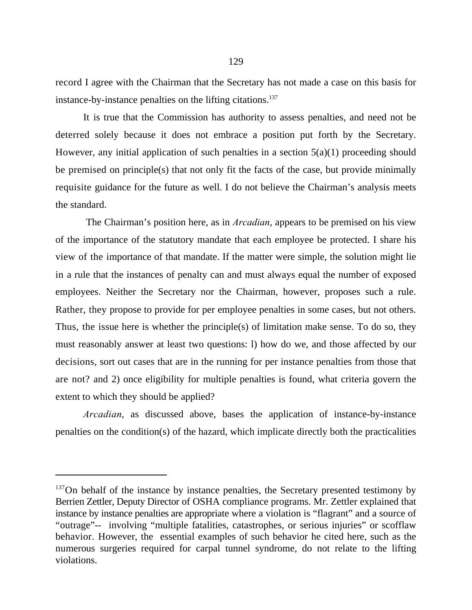record I agree with the Chairman that the Secretary has not made a case on this basis for instance-by-instance penalties on the lifting citations.<sup>137</sup>

It is true that the Commission has authority to assess penalties, and need not be deterred solely because it does not embrace a position put forth by the Secretary. However, any initial application of such penalties in a section  $5(a)(1)$  proceeding should be premised on principle(s) that not only fit the facts of the case, but provide minimally requisite guidance for the future as well. I do not believe the Chairman's analysis meets the standard.

 The Chairman's position here, as in *Arcadian*, appears to be premised on his view of the importance of the statutory mandate that each employee be protected. I share his view of the importance of that mandate. If the matter were simple, the solution might lie in a rule that the instances of penalty can and must always equal the number of exposed employees. Neither the Secretary nor the Chairman, however, proposes such a rule. Rather, they propose to provide for per employee penalties in some cases, but not others. Thus, the issue here is whether the principle(s) of limitation make sense. To do so, they must reasonably answer at least two questions: l) how do we, and those affected by our decisions, sort out cases that are in the running for per instance penalties from those that are not? and 2) once eligibility for multiple penalties is found, what criteria govern the extent to which they should be applied?

*Arcadian*, as discussed above, bases the application of instance-by-instance penalties on the condition(s) of the hazard, which implicate directly both the practicalities

<sup>&</sup>lt;sup>137</sup>On behalf of the instance by instance penalties, the Secretary presented testimony by Berrien Zettler, Deputy Director of OSHA compliance programs. Mr. Zettler explained that instance by instance penalties are appropriate where a violation is "flagrant" and a source of "outrage"-- involving "multiple fatalities, catastrophes, or serious injuries" or scofflaw behavior. However, the essential examples of such behavior he cited here, such as the numerous surgeries required for carpal tunnel syndrome, do not relate to the lifting violations.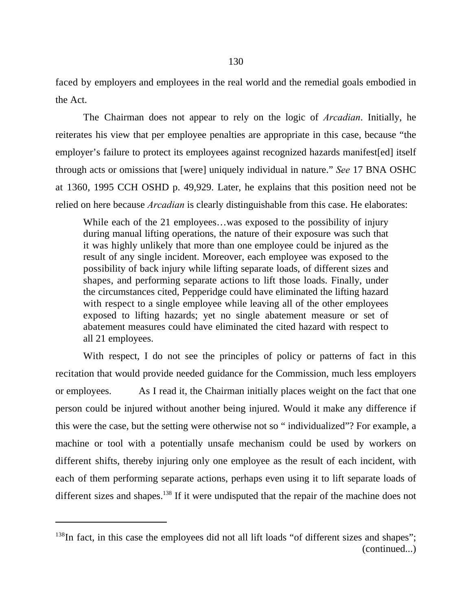faced by employers and employees in the real world and the remedial goals embodied in the Act.

The Chairman does not appear to rely on the logic of *Arcadian*. Initially, he reiterates his view that per employee penalties are appropriate in this case, because "the employer's failure to protect its employees against recognized hazards manifest[ed] itself through acts or omissions that [were] uniquely individual in nature." *See* 17 BNA OSHC at 1360, 1995 CCH OSHD p. 49,929. Later, he explains that this position need not be relied on here because *Arcadian* is clearly distinguishable from this case. He elaborates:

While each of the 21 employees…was exposed to the possibility of injury during manual lifting operations, the nature of their exposure was such that it was highly unlikely that more than one employee could be injured as the result of any single incident. Moreover, each employee was exposed to the possibility of back injury while lifting separate loads, of different sizes and shapes, and performing separate actions to lift those loads. Finally, under the circumstances cited, Pepperidge could have eliminated the lifting hazard with respect to a single employee while leaving all of the other employees exposed to lifting hazards; yet no single abatement measure or set of abatement measures could have eliminated the cited hazard with respect to all 21 employees.

With respect, I do not see the principles of policy or patterns of fact in this recitation that would provide needed guidance for the Commission, much less employers or employees. As I read it, the Chairman initially places weight on the fact that one person could be injured without another being injured. Would it make any difference if this were the case, but the setting were otherwise not so " individualized"? For example, a machine or tool with a potentially unsafe mechanism could be used by workers on different shifts, thereby injuring only one employee as the result of each incident, with each of them performing separate actions, perhaps even using it to lift separate loads of different sizes and shapes.<sup>138</sup> If it were undisputed that the repair of the machine does not

 $138$ In fact, in this case the employees did not all lift loads "of different sizes and shapes"; (continued...)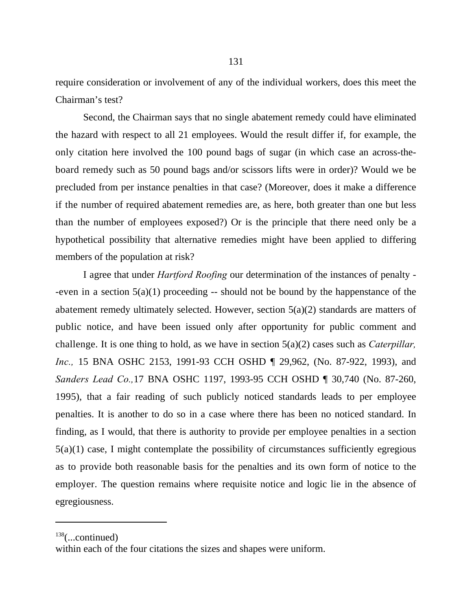require consideration or involvement of any of the individual workers, does this meet the Chairman's test?

Second, the Chairman says that no single abatement remedy could have eliminated the hazard with respect to all 21 employees. Would the result differ if, for example, the only citation here involved the 100 pound bags of sugar (in which case an across-theboard remedy such as 50 pound bags and/or scissors lifts were in order)? Would we be precluded from per instance penalties in that case? (Moreover, does it make a difference if the number of required abatement remedies are, as here, both greater than one but less than the number of employees exposed?) Or is the principle that there need only be a hypothetical possibility that alternative remedies might have been applied to differing members of the population at risk?

I agree that under *Hartford Roofing* our determination of the instances of penalty - -even in a section  $5(a)(1)$  proceeding -- should not be bound by the happenstance of the abatement remedy ultimately selected. However, section  $5(a)(2)$  standards are matters of public notice, and have been issued only after opportunity for public comment and challenge. It is one thing to hold, as we have in section 5(a)(2) cases such as *Caterpillar, Inc.*, 15 BNA OSHC 2153, 1991-93 CCH OSHD ¶ 29,962, (No. 87-922, 1993), and *Sanders Lead Co.,*17 BNA OSHC 1197, 1993-95 CCH OSHD ¶ 30,740 (No. 87-260, 1995), that a fair reading of such publicly noticed standards leads to per employee penalties. It is another to do so in a case where there has been no noticed standard. In finding, as I would, that there is authority to provide per employee penalties in a section  $5(a)(1)$  case, I might contemplate the possibility of circumstances sufficiently egregious as to provide both reasonable basis for the penalties and its own form of notice to the employer. The question remains where requisite notice and logic lie in the absence of egregiousness.

 $138$ (...continued)

within each of the four citations the sizes and shapes were uniform.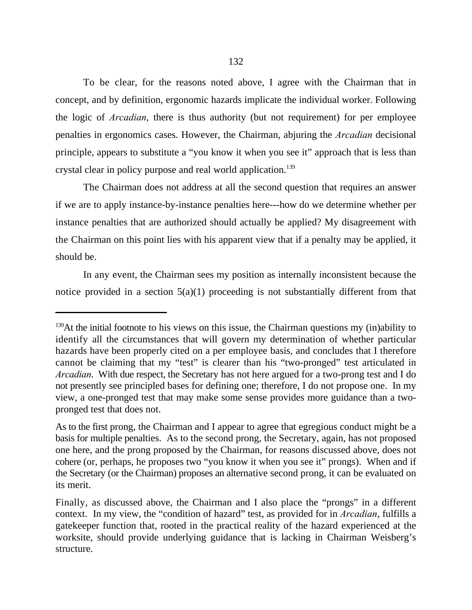To be clear, for the reasons noted above, I agree with the Chairman that in concept, and by definition, ergonomic hazards implicate the individual worker. Following the logic of *Arcadian*, there is thus authority (but not requirement) for per employee penalties in ergonomics cases. However, the Chairman, abjuring the *Arcadian* decisional principle, appears to substitute a "you know it when you see it" approach that is less than crystal clear in policy purpose and real world application.<sup>139</sup>

The Chairman does not address at all the second question that requires an answer if we are to apply instance-by-instance penalties here---how do we determine whether per instance penalties that are authorized should actually be applied? My disagreement with the Chairman on this point lies with his apparent view that if a penalty may be applied, it should be.

In any event, the Chairman sees my position as internally inconsistent because the notice provided in a section  $5(a)(1)$  proceeding is not substantially different from that

 $^{139}$ At the initial footnote to his views on this issue, the Chairman questions my (in)ability to identify all the circumstances that will govern my determination of whether particular hazards have been properly cited on a per employee basis, and concludes that I therefore cannot be claiming that my "test" is clearer than his "two-pronged" test articulated in *Arcadian*. With due respect, the Secretary has not here argued for a two-prong test and I do not presently see principled bases for defining one; therefore, I do not propose one. In my view, a one-pronged test that may make some sense provides more guidance than a twopronged test that does not.

As to the first prong, the Chairman and I appear to agree that egregious conduct might be a basis for multiple penalties. As to the second prong, the Secretary, again, has not proposed one here, and the prong proposed by the Chairman, for reasons discussed above, does not cohere (or, perhaps, he proposes two "you know it when you see it" prongs). When and if the Secretary (or the Chairman) proposes an alternative second prong, it can be evaluated on its merit.

Finally, as discussed above, the Chairman and I also place the "prongs" in a different context. In my view, the "condition of hazard" test, as provided for in *Arcadian*, fulfills a gatekeeper function that, rooted in the practical reality of the hazard experienced at the worksite, should provide underlying guidance that is lacking in Chairman Weisberg's structure.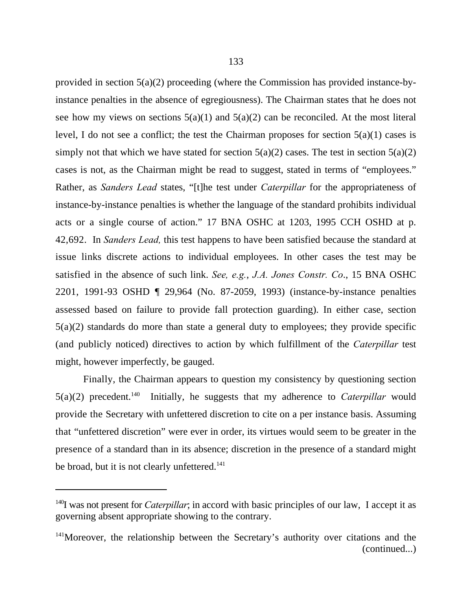provided in section 5(a)(2) proceeding (where the Commission has provided instance-byinstance penalties in the absence of egregiousness). The Chairman states that he does not see how my views on sections  $5(a)(1)$  and  $5(a)(2)$  can be reconciled. At the most literal level, I do not see a conflict; the test the Chairman proposes for section  $5(a)(1)$  cases is simply not that which we have stated for section  $5(a)(2)$  cases. The test in section  $5(a)(2)$ cases is not, as the Chairman might be read to suggest, stated in terms of "employees." Rather, as *Sanders Lead* states, "[t]he test under *Caterpillar* for the appropriateness of instance-by-instance penalties is whether the language of the standard prohibits individual acts or a single course of action." 17 BNA OSHC at 1203, 1995 CCH OSHD at p. 42,692. In *Sanders Lead,* this test happens to have been satisfied because the standard at issue links discrete actions to individual employees. In other cases the test may be satisfied in the absence of such link. *See, e.g.*, *J.A. Jones Constr. Co*., 15 BNA OSHC 2201, 1991-93 OSHD ¶ 29,964 (No. 87-2059, 1993) (instance-by-instance penalties assessed based on failure to provide fall protection guarding). In either case, section 5(a)(2) standards do more than state a general duty to employees; they provide specific (and publicly noticed) directives to action by which fulfillment of the *Caterpillar* test might, however imperfectly, be gauged.

Finally, the Chairman appears to question my consistency by questioning section  $5(a)(2)$  precedent.<sup>140</sup> Initially, he suggests that my adherence to *Caterpillar* would provide the Secretary with unfettered discretion to cite on a per instance basis. Assuming that "unfettered discretion" were ever in order, its virtues would seem to be greater in the presence of a standard than in its absence; discretion in the presence of a standard might be broad, but it is not clearly unfettered.<sup>141</sup>

 $\frac{140}{140}$  was not present for *Caterpillar*; in accord with basic principles of our law, I accept it as governing absent appropriate showing to the contrary.

<sup>&</sup>lt;sup>141</sup>Moreover, the relationship between the Secretary's authority over citations and the (continued...)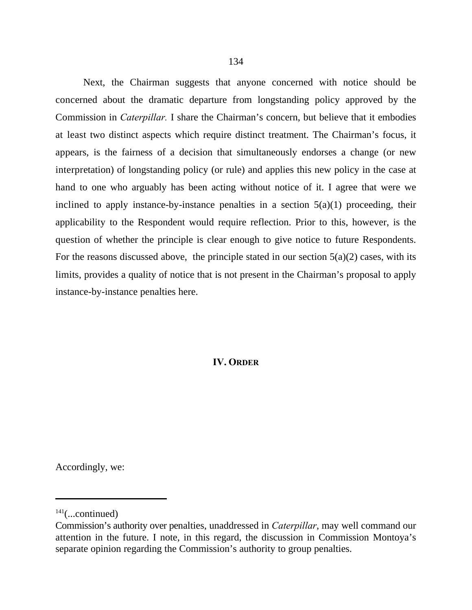Next, the Chairman suggests that anyone concerned with notice should be concerned about the dramatic departure from longstanding policy approved by the Commission in *Caterpillar.* I share the Chairman's concern, but believe that it embodies at least two distinct aspects which require distinct treatment. The Chairman's focus, it appears, is the fairness of a decision that simultaneously endorses a change (or new interpretation) of longstanding policy (or rule) and applies this new policy in the case at hand to one who arguably has been acting without notice of it. I agree that were we inclined to apply instance-by-instance penalties in a section  $5(a)(1)$  proceeding, their applicability to the Respondent would require reflection. Prior to this, however, is the question of whether the principle is clear enough to give notice to future Respondents. For the reasons discussed above, the principle stated in our section  $5(a)(2)$  cases, with its limits, provides a quality of notice that is not present in the Chairman's proposal to apply instance-by-instance penalties here.

## **IV. ORDER**

Accordingly, we:

 $141$ (...continued)

Commission's authority over penalties, unaddressed in *Caterpillar*, may well command our attention in the future. I note, in this regard, the discussion in Commission Montoya's separate opinion regarding the Commission's authority to group penalties.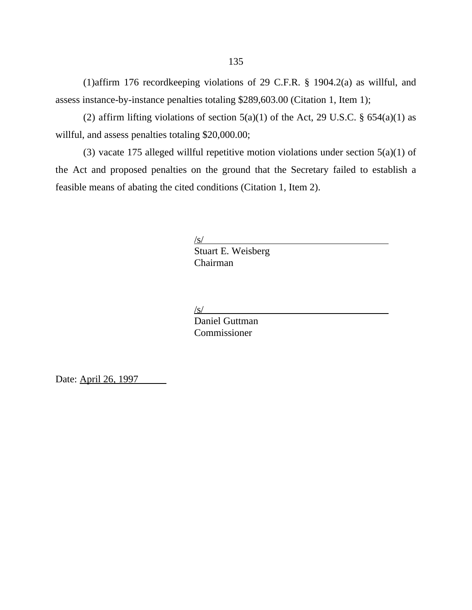(1)affirm 176 recordkeeping violations of 29 C.F.R. § 1904.2(a) as willful, and assess instance-by-instance penalties totaling \$289,603.00 (Citation 1, Item 1);

(2) affirm lifting violations of section  $5(a)(1)$  of the Act, 29 U.S.C. §  $654(a)(1)$  as willful, and assess penalties totaling \$20,000.00;

(3) vacate 175 alleged willful repetitive motion violations under section 5(a)(1) of the Act and proposed penalties on the ground that the Secretary failed to establish a feasible means of abating the cited conditions (Citation 1, Item 2).

 $\sqrt{s}$ /

Stuart E. Weisberg Chairman

 $\angle$ s/

Daniel Guttman Commissioner

Date: April 26, 1997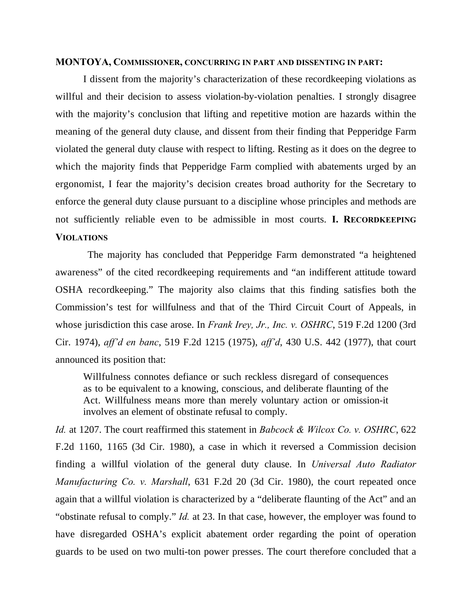### **MONTOYA, COMMISSIONER, CONCURRING IN PART AND DISSENTING IN PART:**

I dissent from the majority's characterization of these recordkeeping violations as willful and their decision to assess violation-by-violation penalties. I strongly disagree with the majority's conclusion that lifting and repetitive motion are hazards within the meaning of the general duty clause, and dissent from their finding that Pepperidge Farm violated the general duty clause with respect to lifting. Resting as it does on the degree to which the majority finds that Pepperidge Farm complied with abatements urged by an ergonomist, I fear the majority's decision creates broad authority for the Secretary to enforce the general duty clause pursuant to a discipline whose principles and methods are not sufficiently reliable even to be admissible in most courts. **I. RECORDKEEPING VIOLATIONS**

The majority has concluded that Pepperidge Farm demonstrated "a heightened awareness" of the cited recordkeeping requirements and "an indifferent attitude toward OSHA recordkeeping." The majority also claims that this finding satisfies both the Commission's test for willfulness and that of the Third Circuit Court of Appeals, in whose jurisdiction this case arose. In *Frank Irey, Jr., Inc. v. OSHRC*, 519 F.2d 1200 (3rd Cir. 1974), *aff'd en banc*, 519 F.2d 1215 (1975), *aff'd*, 430 U.S. 442 (1977), that court announced its position that:

Willfulness connotes defiance or such reckless disregard of consequences as to be equivalent to a knowing, conscious, and deliberate flaunting of the Act. Willfulness means more than merely voluntary action or omission-it involves an element of obstinate refusal to comply.

*Id.* at 1207. The court reaffirmed this statement in *Babcock & Wilcox Co. v. OSHRC*, 622 F.2d 1160, 1165 (3d Cir. 1980), a case in which it reversed a Commission decision finding a willful violation of the general duty clause. In *Universal Auto Radiator Manufacturing Co. v. Marshall*, 631 F.2d 20 (3d Cir. 1980), the court repeated once again that a willful violation is characterized by a "deliberate flaunting of the Act" and an "obstinate refusal to comply." *Id.* at 23. In that case, however, the employer was found to have disregarded OSHA's explicit abatement order regarding the point of operation guards to be used on two multi-ton power presses. The court therefore concluded that a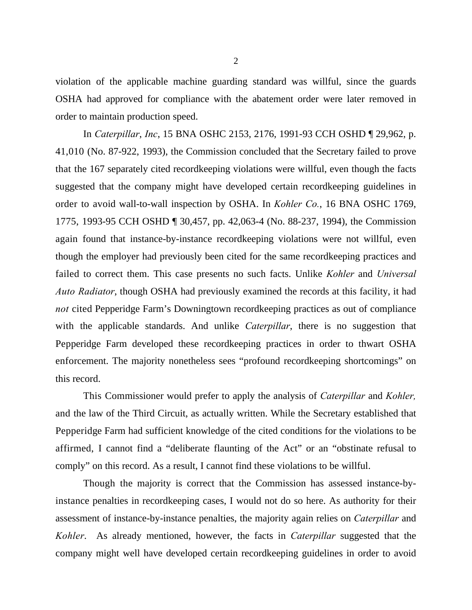violation of the applicable machine guarding standard was willful, since the guards OSHA had approved for compliance with the abatement order were later removed in order to maintain production speed.

In *Caterpillar*, *Inc*, 15 BNA OSHC 2153, 2176, 1991-93 CCH OSHD ¶ 29,962, p. 41,010 (No. 87-922, 1993), the Commission concluded that the Secretary failed to prove that the 167 separately cited recordkeeping violations were willful, even though the facts suggested that the company might have developed certain recordkeeping guidelines in order to avoid wall-to-wall inspection by OSHA. In *Kohler Co.*, 16 BNA OSHC 1769, 1775, 1993-95 CCH OSHD ¶ 30,457, pp. 42,063-4 (No. 88-237, 1994), the Commission again found that instance-by-instance recordkeeping violations were not willful, even though the employer had previously been cited for the same recordkeeping practices and failed to correct them. This case presents no such facts. Unlike *Kohler* and *Universal Auto Radiator*, though OSHA had previously examined the records at this facility, it had *not* cited Pepperidge Farm's Downingtown recordkeeping practices as out of compliance with the applicable standards. And unlike *Caterpillar*, there is no suggestion that Pepperidge Farm developed these recordkeeping practices in order to thwart OSHA enforcement. The majority nonetheless sees "profound recordkeeping shortcomings" on this record.

This Commissioner would prefer to apply the analysis of *Caterpillar* and *Kohler,* and the law of the Third Circuit, as actually written. While the Secretary established that Pepperidge Farm had sufficient knowledge of the cited conditions for the violations to be affirmed, I cannot find a "deliberate flaunting of the Act" or an "obstinate refusal to comply" on this record. As a result, I cannot find these violations to be willful.

Though the majority is correct that the Commission has assessed instance-byinstance penalties in recordkeeping cases, I would not do so here. As authority for their assessment of instance-by-instance penalties, the majority again relies on *Caterpillar* and *Kohler*. As already mentioned, however, the facts in *Caterpillar* suggested that the company might well have developed certain recordkeeping guidelines in order to avoid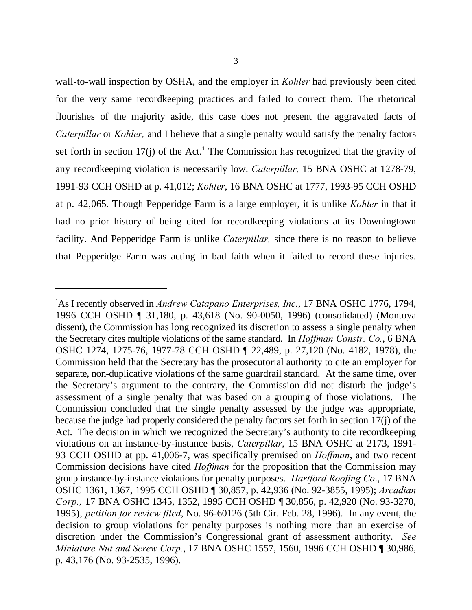wall-to-wall inspection by OSHA, and the employer in *Kohler* had previously been cited for the very same recordkeeping practices and failed to correct them. The rhetorical flourishes of the majority aside, this case does not present the aggravated facts of *Caterpillar* or *Kohler,* and I believe that a single penalty would satisfy the penalty factors set forth in section  $17(j)$  of the Act.<sup>1</sup> The Commission has recognized that the gravity of any recordkeeping violation is necessarily low. *Caterpillar,* 15 BNA OSHC at 1278-79, 1991-93 CCH OSHD at p. 41,012; *Kohler*, 16 BNA OSHC at 1777, 1993-95 CCH OSHD at p. 42,065. Though Pepperidge Farm is a large employer, it is unlike *Kohler* in that it had no prior history of being cited for recordkeeping violations at its Downingtown facility. And Pepperidge Farm is unlike *Caterpillar,* since there is no reason to believe that Pepperidge Farm was acting in bad faith when it failed to record these injuries.

<sup>&</sup>lt;sup>1</sup>As I recently observed in *Andrew Catapano Enterprises, Inc.*, 17 BNA OSHC 1776, 1794, 1996 CCH OSHD ¶ 31,180, p. 43,618 (No. 90-0050, 1996) (consolidated) (Montoya dissent), the Commission has long recognized its discretion to assess a single penalty when the Secretary cites multiple violations of the same standard. In *Hoffman Constr. Co.*, 6 BNA OSHC 1274, 1275-76, 1977-78 CCH OSHD ¶ 22,489, p. 27,120 (No. 4182, 1978), the Commission held that the Secretary has the prosecutorial authority to cite an employer for separate, non-duplicative violations of the same guardrail standard. At the same time, over the Secretary's argument to the contrary, the Commission did not disturb the judge's assessment of a single penalty that was based on a grouping of those violations. The Commission concluded that the single penalty assessed by the judge was appropriate, because the judge had properly considered the penalty factors set forth in section 17(j) of the Act. The decision in which we recognized the Secretary's authority to cite recordkeeping violations on an instance-by-instance basis, *Caterpillar*, 15 BNA OSHC at 2173, 1991- 93 CCH OSHD at pp. 41,006-7, was specifically premised on *Hoffman*, and two recent Commission decisions have cited *Hoffman* for the proposition that the Commission may group instance-by-instance violations for penalty purposes. *Hartford Roofing Co*., 17 BNA OSHC 1361, 1367, 1995 CCH OSHD ¶ 30,857, p. 42,936 (No. 92-3855, 1995); *Arcadian Corp.,* 17 BNA OSHC 1345, 1352, 1995 CCH OSHD ¶ 30,856, p. 42,920 (No. 93-3270, 1995), *petition for review filed*, No. 96-60126 (5th Cir. Feb. 28, 1996). In any event, the decision to group violations for penalty purposes is nothing more than an exercise of discretion under the Commission's Congressional grant of assessment authority. *See Miniature Nut and Screw Corp.*, 17 BNA OSHC 1557, 1560, 1996 CCH OSHD ¶ 30,986, p. 43,176 (No. 93-2535, 1996).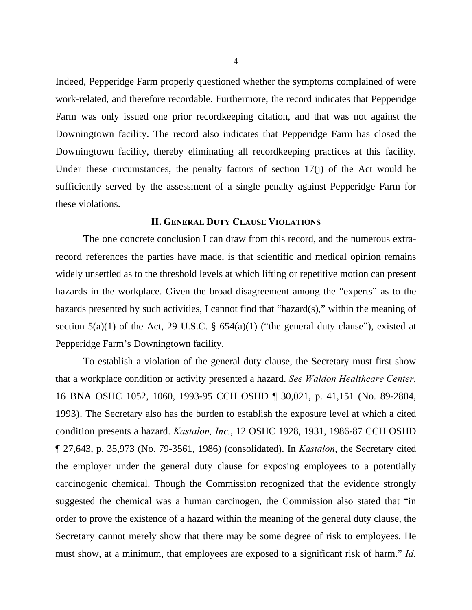Indeed, Pepperidge Farm properly questioned whether the symptoms complained of were work-related, and therefore recordable. Furthermore, the record indicates that Pepperidge Farm was only issued one prior recordkeeping citation, and that was not against the Downingtown facility. The record also indicates that Pepperidge Farm has closed the Downingtown facility, thereby eliminating all recordkeeping practices at this facility. Under these circumstances, the penalty factors of section 17(j) of the Act would be sufficiently served by the assessment of a single penalty against Pepperidge Farm for these violations.

### **II. GENERAL DUTY CLAUSE VIOLATIONS**

The one concrete conclusion I can draw from this record, and the numerous extrarecord references the parties have made, is that scientific and medical opinion remains widely unsettled as to the threshold levels at which lifting or repetitive motion can present hazards in the workplace. Given the broad disagreement among the "experts" as to the hazards presented by such activities, I cannot find that "hazard(s)," within the meaning of section  $5(a)(1)$  of the Act, 29 U.S.C. §  $654(a)(1)$  ("the general duty clause"), existed at Pepperidge Farm's Downingtown facility.

To establish a violation of the general duty clause, the Secretary must first show that a workplace condition or activity presented a hazard. *See Waldon Healthcare Center*, 16 BNA OSHC 1052, 1060, 1993-95 CCH OSHD ¶ 30,021, p. 41,151 (No. 89-2804, 1993). The Secretary also has the burden to establish the exposure level at which a cited condition presents a hazard. *Kastalon, Inc.*, 12 OSHC 1928, 1931, 1986-87 CCH OSHD ¶ 27,643, p. 35,973 (No. 79-3561, 1986) (consolidated). In *Kastalon*, the Secretary cited the employer under the general duty clause for exposing employees to a potentially carcinogenic chemical. Though the Commission recognized that the evidence strongly suggested the chemical was a human carcinogen, the Commission also stated that "in order to prove the existence of a hazard within the meaning of the general duty clause, the Secretary cannot merely show that there may be some degree of risk to employees. He must show, at a minimum, that employees are exposed to a significant risk of harm." *Id.*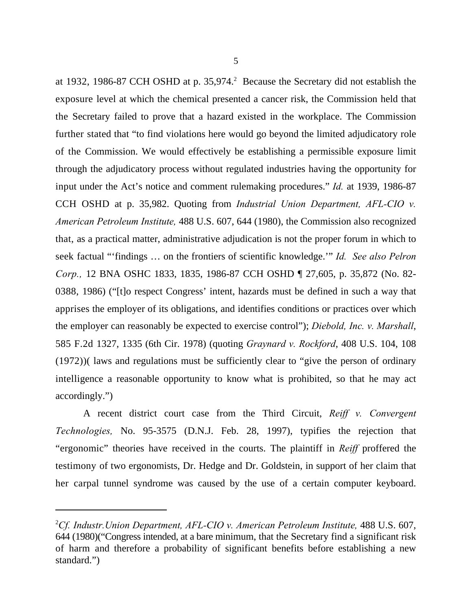at 1932, 1986-87 CCH OSHD at p. 35,974.<sup>2</sup> Because the Secretary did not establish the exposure level at which the chemical presented a cancer risk, the Commission held that the Secretary failed to prove that a hazard existed in the workplace. The Commission further stated that "to find violations here would go beyond the limited adjudicatory role of the Commission. We would effectively be establishing a permissible exposure limit through the adjudicatory process without regulated industries having the opportunity for input under the Act's notice and comment rulemaking procedures." *Id.* at 1939, 1986-87 CCH OSHD at p. 35,982. Quoting from *Industrial Union Department, AFL-CIO v. American Petroleum Institute,* 488 U.S. 607, 644 (1980), the Commission also recognized that, as a practical matter, administrative adjudication is not the proper forum in which to seek factual "'findings … on the frontiers of scientific knowledge.'" *Id. See also Pelron Corp.,* 12 BNA OSHC 1833, 1835, 1986-87 CCH OSHD ¶ 27,605, p. 35,872 (No. 82- 0388, 1986) ("[t]o respect Congress' intent, hazards must be defined in such a way that apprises the employer of its obligations, and identifies conditions or practices over which the employer can reasonably be expected to exercise control"); *Diebold, Inc. v. Marshall*, 585 F.2d 1327, 1335 (6th Cir. 1978) (quoting *Graynard v. Rockford*, 408 U.S. 104, 108 (1972))( laws and regulations must be sufficiently clear to "give the person of ordinary intelligence a reasonable opportunity to know what is prohibited, so that he may act accordingly.")

A recent district court case from the Third Circuit, *Reiff v. Convergent Technologies,* No. 95-3575 (D.N.J. Feb. 28, 1997), typifies the rejection that "ergonomic" theories have received in the courts. The plaintiff in *Reiff* proffered the testimony of two ergonomists, Dr. Hedge and Dr. Goldstein, in support of her claim that her carpal tunnel syndrome was caused by the use of a certain computer keyboard.

<sup>&</sup>lt;sup>2</sup>Cf. Industr. Union Department, AFL-CIO v. American Petroleum Institute, 488 U.S. 607, 644 (1980)("Congress intended, at a bare minimum, that the Secretary find a significant risk of harm and therefore a probability of significant benefits before establishing a new standard.")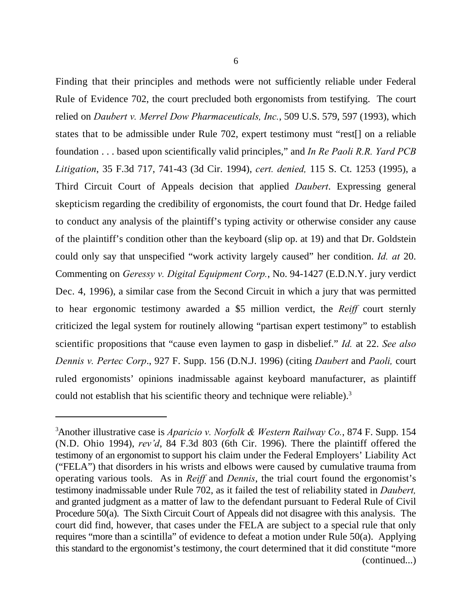Finding that their principles and methods were not sufficiently reliable under Federal Rule of Evidence 702, the court precluded both ergonomists from testifying. The court relied on *Daubert v. Merrel Dow Pharmaceuticals, Inc.*, 509 U.S. 579, 597 (1993), which states that to be admissible under Rule 702, expert testimony must "rest[] on a reliable foundation . . . based upon scientifically valid principles," and *In Re Paoli R.R. Yard PCB Litigation*, 35 F.3d 717, 741-43 (3d Cir. 1994), *cert. denied,* 115 S. Ct. 1253 (1995), a Third Circuit Court of Appeals decision that applied *Daubert*. Expressing general skepticism regarding the credibility of ergonomists, the court found that Dr. Hedge failed to conduct any analysis of the plaintiff's typing activity or otherwise consider any cause of the plaintiff's condition other than the keyboard (slip op. at 19) and that Dr. Goldstein could only say that unspecified "work activity largely caused" her condition. *Id. at* 20. Commenting on *Geressy v. Digital Equipment Corp.*, No. 94-1427 (E.D.N.Y. jury verdict Dec. 4, 1996), a similar case from the Second Circuit in which a jury that was permitted to hear ergonomic testimony awarded a \$5 million verdict, the *Reiff* court sternly criticized the legal system for routinely allowing "partisan expert testimony" to establish scientific propositions that "cause even laymen to gasp in disbelief." *Id.* at 22. *See also Dennis v. Pertec Corp*., 927 F. Supp. 156 (D.N.J. 1996) (citing *Daubert* and *Paoli,* court ruled ergonomists' opinions inadmissable against keyboard manufacturer, as plaintiff could not establish that his scientific theory and technique were reliable).<sup>3</sup>

Another illustrative case is *Aparicio v. Norfolk & Western Railway Co.*, 874 F. Supp. 154 <sup>3</sup> (N.D. Ohio 1994), *rev'd*, 84 F.3d 803 (6th Cir. 1996). There the plaintiff offered the testimony of an ergonomist to support his claim under the Federal Employers' Liability Act ("FELA") that disorders in his wrists and elbows were caused by cumulative trauma from operating various tools. As in *Reiff* and *Dennis*, the trial court found the ergonomist's testimony inadmissable under Rule 702, as it failed the test of reliability stated in *Daubert,* and granted judgment as a matter of law to the defendant pursuant to Federal Rule of Civil Procedure 50(a). The Sixth Circuit Court of Appeals did not disagree with this analysis. The court did find, however, that cases under the FELA are subject to a special rule that only requires "more than a scintilla" of evidence to defeat a motion under Rule 50(a). Applying this standard to the ergonomist's testimony, the court determined that it did constitute "more (continued...)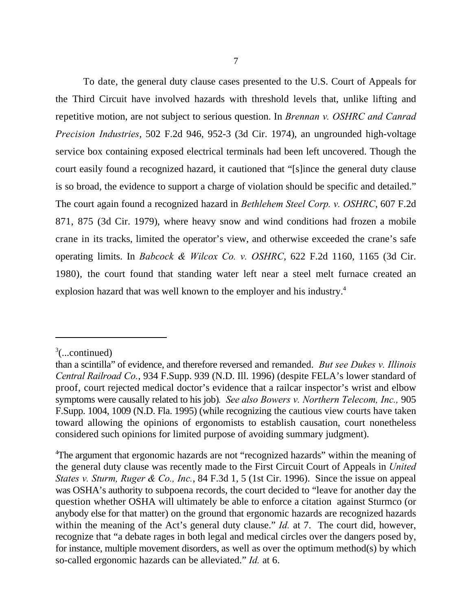To date, the general duty clause cases presented to the U.S. Court of Appeals for the Third Circuit have involved hazards with threshold levels that, unlike lifting and repetitive motion, are not subject to serious question. In *Brennan v. OSHRC and Canrad Precision Industries*, 502 F.2d 946, 952-3 (3d Cir. 1974), an ungrounded high-voltage service box containing exposed electrical terminals had been left uncovered. Though the court easily found a recognized hazard, it cautioned that "[s]ince the general duty clause is so broad, the evidence to support a charge of violation should be specific and detailed." The court again found a recognized hazard in *Bethlehem Steel Corp. v. OSHRC*, 607 F.2d 871, 875 (3d Cir. 1979), where heavy snow and wind conditions had frozen a mobile crane in its tracks, limited the operator's view, and otherwise exceeded the crane's safe operating limits. In *Babcock & Wilcox Co. v. OSHRC*, 622 F.2d 1160, 1165 (3d Cir. 1980), the court found that standing water left near a steel melt furnace created an explosion hazard that was well known to the employer and his industry.<sup>4</sup>

 $\frac{3}{2}$ (...continued)

than a scintilla" of evidence, and therefore reversed and remanded. *But see Dukes v. Illinois Central Railroad Co.*, 934 F.Supp. 939 (N.D. Ill. 1996) (despite FELA's lower standard of proof, court rejected medical doctor's evidence that a railcar inspector's wrist and elbow symptoms were causally related to his job)*. See also Bowers v. Northern Telecom, Inc.,* 905 F.Supp. 1004, 1009 (N.D. Fla. 1995) (while recognizing the cautious view courts have taken toward allowing the opinions of ergonomists to establish causation, court nonetheless considered such opinions for limited purpose of avoiding summary judgment).

<sup>&</sup>lt;sup>4</sup>The argument that ergonomic hazards are not "recognized hazards" within the meaning of the general duty clause was recently made to the First Circuit Court of Appeals in *United States v. Sturm, Ruger & Co., Inc.*, 84 F.3d 1, 5 (1st Cir. 1996). Since the issue on appeal was OSHA's authority to subpoena records, the court decided to "leave for another day the question whether OSHA will ultimately be able to enforce a citation against Sturmco (or anybody else for that matter) on the ground that ergonomic hazards are recognized hazards within the meaning of the Act's general duty clause." *Id.* at 7. The court did, however, recognize that "a debate rages in both legal and medical circles over the dangers posed by, for instance, multiple movement disorders, as well as over the optimum method(s) by which so-called ergonomic hazards can be alleviated." *Id.* at 6.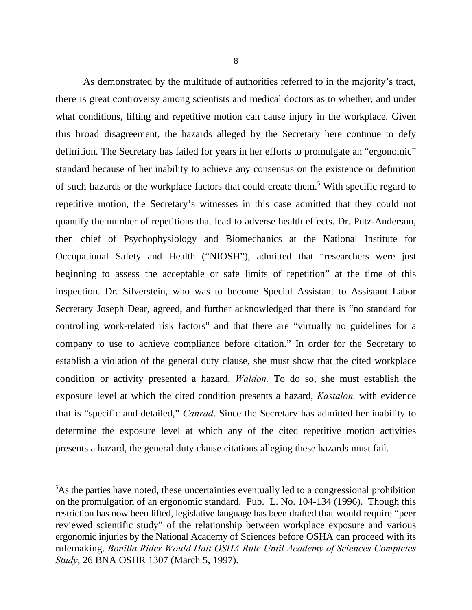As demonstrated by the multitude of authorities referred to in the majority's tract, there is great controversy among scientists and medical doctors as to whether, and under what conditions, lifting and repetitive motion can cause injury in the workplace. Given this broad disagreement, the hazards alleged by the Secretary here continue to defy definition. The Secretary has failed for years in her efforts to promulgate an "ergonomic" standard because of her inability to achieve any consensus on the existence or definition of such hazards or the workplace factors that could create them.<sup>5</sup> With specific regard to repetitive motion, the Secretary's witnesses in this case admitted that they could not quantify the number of repetitions that lead to adverse health effects. Dr. Putz-Anderson, then chief of Psychophysiology and Biomechanics at the National Institute for Occupational Safety and Health ("NIOSH"), admitted that "researchers were just beginning to assess the acceptable or safe limits of repetition" at the time of this inspection. Dr. Silverstein, who was to become Special Assistant to Assistant Labor Secretary Joseph Dear, agreed, and further acknowledged that there is "no standard for controlling work-related risk factors" and that there are "virtually no guidelines for a company to use to achieve compliance before citation." In order for the Secretary to establish a violation of the general duty clause, she must show that the cited workplace condition or activity presented a hazard. *Waldon.* To do so, she must establish the exposure level at which the cited condition presents a hazard, *Kastalon,* with evidence that is "specific and detailed," *Canrad*. Since the Secretary has admitted her inability to determine the exposure level at which any of the cited repetitive motion activities presents a hazard, the general duty clause citations alleging these hazards must fail.

<sup>&</sup>lt;sup>5</sup>As the parties have noted, these uncertainties eventually led to a congressional prohibition on the promulgation of an ergonomic standard. Pub. L. No. 104-134 (1996). Though this restriction has now been lifted, legislative language has been drafted that would require "peer reviewed scientific study" of the relationship between workplace exposure and various ergonomic injuries by the National Academy of Sciences before OSHA can proceed with its rulemaking. *Bonilla Rider Would Halt OSHA Rule Until Academy of Sciences Completes Study*, 26 BNA OSHR 1307 (March 5, 1997).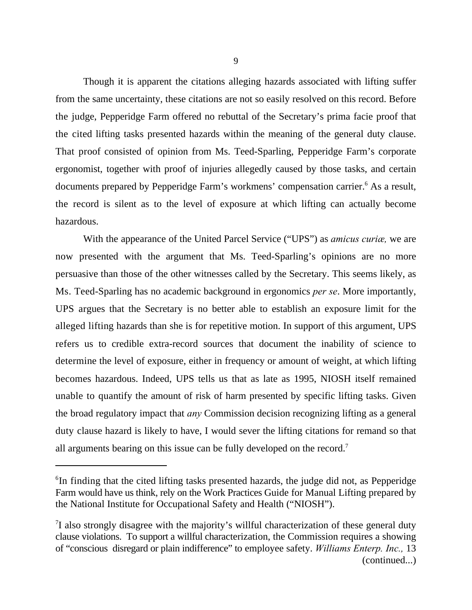Though it is apparent the citations alleging hazards associated with lifting suffer from the same uncertainty, these citations are not so easily resolved on this record. Before the judge, Pepperidge Farm offered no rebuttal of the Secretary's prima facie proof that the cited lifting tasks presented hazards within the meaning of the general duty clause. That proof consisted of opinion from Ms. Teed-Sparling, Pepperidge Farm's corporate ergonomist, together with proof of injuries allegedly caused by those tasks, and certain documents prepared by Pepperidge Farm's workmens' compensation carrier.<sup>6</sup> As a result, the record is silent as to the level of exposure at which lifting can actually become hazardous.

With the appearance of the United Parcel Service ("UPS") as *amicus curiæ,* we are now presented with the argument that Ms. Teed-Sparling's opinions are no more persuasive than those of the other witnesses called by the Secretary. This seems likely, as Ms. Teed-Sparling has no academic background in ergonomics *per se*. More importantly, UPS argues that the Secretary is no better able to establish an exposure limit for the alleged lifting hazards than she is for repetitive motion. In support of this argument, UPS refers us to credible extra-record sources that document the inability of science to determine the level of exposure, either in frequency or amount of weight, at which lifting becomes hazardous. Indeed, UPS tells us that as late as 1995, NIOSH itself remained unable to quantify the amount of risk of harm presented by specific lifting tasks. Given the broad regulatory impact that *any* Commission decision recognizing lifting as a general duty clause hazard is likely to have, I would sever the lifting citations for remand so that all arguments bearing on this issue can be fully developed on the record.<sup>7</sup>

 ${}^{6}$ In finding that the cited lifting tasks presented hazards, the judge did not, as Pepperidge Farm would have us think, rely on the Work Practices Guide for Manual Lifting prepared by the National Institute for Occupational Safety and Health ("NIOSH").

 $1$  also strongly disagree with the majority's willful characterization of these general duty clause violations. To support a willful characterization, the Commission requires a showing of "conscious disregard or plain indifference" to employee safety. *Williams Enterp. Inc.,* 13 (continued...)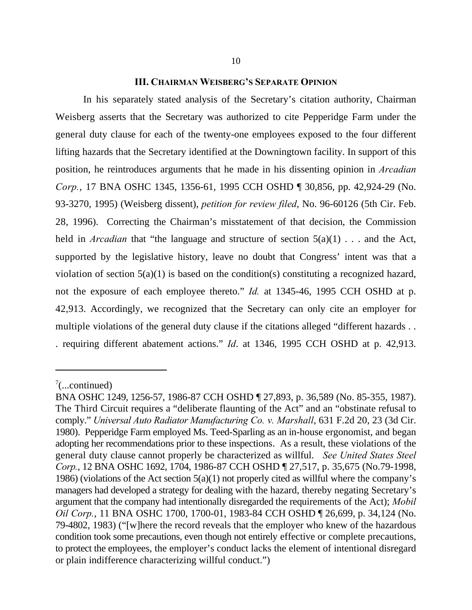## **III. CHAIRMAN WEISBERG'S SEPARATE OPINION**

In his separately stated analysis of the Secretary's citation authority, Chairman Weisberg asserts that the Secretary was authorized to cite Pepperidge Farm under the general duty clause for each of the twenty-one employees exposed to the four different lifting hazards that the Secretary identified at the Downingtown facility. In support of this position, he reintroduces arguments that he made in his dissenting opinion in *Arcadian Corp.*, 17 BNA OSHC 1345, 1356-61, 1995 CCH OSHD ¶ 30,856, pp. 42,924-29 (No. 93-3270, 1995) (Weisberg dissent), *petition for review filed*, No. 96-60126 (5th Cir. Feb. 28, 1996). Correcting the Chairman's misstatement of that decision, the Commission held in *Arcadian* that "the language and structure of section  $5(a)(1)$ ... and the Act, supported by the legislative history, leave no doubt that Congress' intent was that a violation of section 5(a)(1) is based on the condition(s) constituting a recognized hazard, not the exposure of each employee thereto." *Id.* at 1345-46, 1995 CCH OSHD at p. 42,913. Accordingly, we recognized that the Secretary can only cite an employer for multiple violations of the general duty clause if the citations alleged "different hazards... . requiring different abatement actions." *Id*. at 1346, 1995 CCH OSHD at p. 42,913.

 $\frac{7}{2}$ ...continued)

BNA OSHC 1249, 1256-57, 1986-87 CCH OSHD ¶ 27,893, p. 36,589 (No. 85-355, 1987). The Third Circuit requires a "deliberate flaunting of the Act" and an "obstinate refusal to comply." *Universal Auto Radiator Manufacturing Co. v. Marshall*, 631 F.2d 20, 23 (3d Cir. 1980). Pepperidge Farm employed Ms. Teed-Sparling as an in-house ergonomist, and began adopting her recommendations prior to these inspections. As a result, these violations of the general duty clause cannot properly be characterized as willful. *See United States Steel Corp.*, 12 BNA OSHC 1692, 1704, 1986-87 CCH OSHD ¶ 27,517, p. 35,675 (No.79-1998, 1986) (violations of the Act section  $5(a)(1)$  not properly cited as willful where the company's managers had developed a strategy for dealing with the hazard, thereby negating Secretary's argument that the company had intentionally disregarded the requirements of the Act); *Mobil Oil Corp.*, 11 BNA OSHC 1700, 1700-01, 1983-84 CCH OSHD ¶ 26,699, p. 34,124 (No. 79-4802, 1983) ("[w]here the record reveals that the employer who knew of the hazardous condition took some precautions, even though not entirely effective or complete precautions, to protect the employees, the employer's conduct lacks the element of intentional disregard or plain indifference characterizing willful conduct.")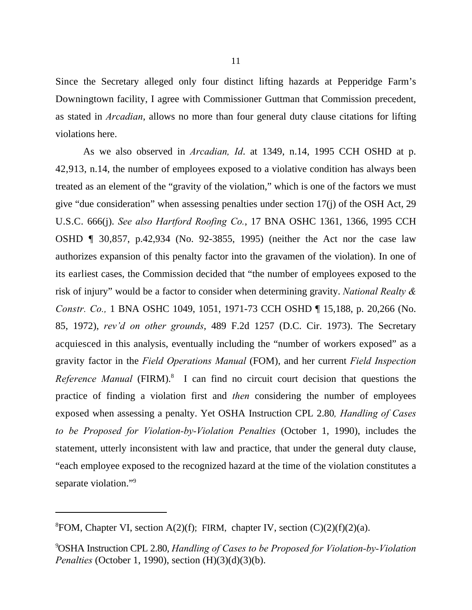Since the Secretary alleged only four distinct lifting hazards at Pepperidge Farm's Downingtown facility, I agree with Commissioner Guttman that Commission precedent, as stated in *Arcadian*, allows no more than four general duty clause citations for lifting violations here.

As we also observed in *Arcadian, Id*. at 1349, n.14, 1995 CCH OSHD at p. 42,913, n.14, the number of employees exposed to a violative condition has always been treated as an element of the "gravity of the violation," which is one of the factors we must give "due consideration" when assessing penalties under section 17(j) of the OSH Act, 29 U.S.C. 666(j). *See also Hartford Roofing Co.*, 17 BNA OSHC 1361, 1366, 1995 CCH OSHD ¶ 30,857, p.42,934 (No. 92-3855, 1995) (neither the Act nor the case law authorizes expansion of this penalty factor into the gravamen of the violation). In one of its earliest cases, the Commission decided that "the number of employees exposed to the risk of injury" would be a factor to consider when determining gravity. *National Realty & Constr. Co.,* 1 BNA OSHC 1049, 1051, 1971-73 CCH OSHD ¶ 15,188, p. 20,266 (No. 85, 1972), *rev'd on other grounds*, 489 F.2d 1257 (D.C. Cir. 1973). The Secretary acquiesced in this analysis, eventually including the "number of workers exposed" as a gravity factor in the *Field Operations Manual* (FOM), and her current *Field Inspection* Reference Manual (FIRM).<sup>8</sup> I can find no circuit court decision that questions the practice of finding a violation first and *then* considering the number of employees exposed when assessing a penalty. Yet OSHA Instruction CPL 2.80*, Handling of Cases to be Proposed for Violation-by-Violation Penalties* (October 1, 1990), includes the statement, utterly inconsistent with law and practice, that under the general duty clause, "each employee exposed to the recognized hazard at the time of the violation constitutes a separate violation."<sup>9</sup>

<sup>&</sup>lt;sup>8</sup>FOM, Chapter VI, section A(2)(f); FIRM, chapter IV, section  $(C)(2)(f)(2)(a)$ .

OSHA Instruction CPL 2.80, *Handling of Cases to be Proposed for Violation-by-Violation* <sup>9</sup> *Penalties* (October 1, 1990), section (H)(3)(d)(3)(b).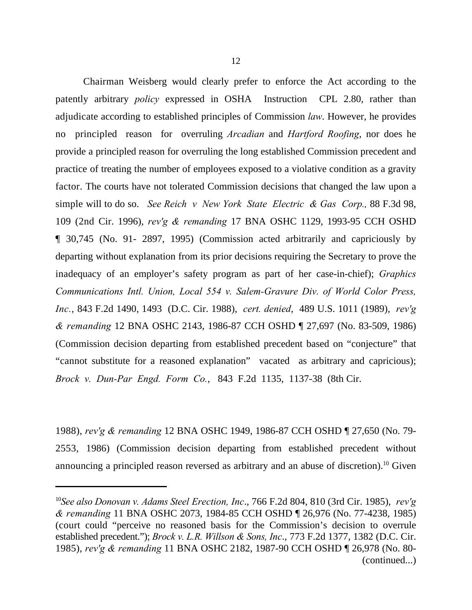Chairman Weisberg would clearly prefer to enforce the Act according to the patently arbitrary *policy* expressed in OSHA Instruction CPL 2.80, rather than adjudicate according to established principles of Commission *law*. However, he provides no principled reason for overruling *Arcadian* and *Hartford Roofing*, nor does he provide a principled reason for overruling the long established Commission precedent and practice of treating the number of employees exposed to a violative condition as a gravity factor. The courts have not tolerated Commission decisions that changed the law upon a simple will to do so. *See Reich v New York State Electric & Gas Corp.,* 88 F.3d 98, 109 (2nd Cir. 1996), *rev'g & remanding* 17 BNA OSHC 1129, 1993-95 CCH OSHD ¶ 30,745 (No. 91- 2897, 1995) (Commission acted arbitrarily and capriciously by departing without explanation from its prior decisions requiring the Secretary to prove the inadequacy of an employer's safety program as part of her case-in-chief); *Graphics Communications Intl. Union, Local 554 v. Salem-Gravure Div. of World Color Press, Inc.*, 843 F.2d 1490, 1493 (D.C. Cir. 1988), *cert. denied*, 489 U.S. 1011 (1989), *rev'g & remanding* 12 BNA OSHC 2143, 1986-87 CCH OSHD ¶ 27,697 (No. 83-509, 1986) (Commission decision departing from established precedent based on "conjecture" that "cannot substitute for a reasoned explanation" vacated as arbitrary and capricious); *Brock v. Dun-Par Engd. Form Co.*, 843 F.2d 1135, 1137-38 (8th Cir.

1988), *rev'g & remanding* 12 BNA OSHC 1949, 1986-87 CCH OSHD ¶ 27,650 (No. 79- 2553, 1986) (Commission decision departing from established precedent without announcing a principled reason reversed as arbitrary and an abuse of discretion).<sup>10</sup> Given

*See also Donovan v. Adams Steel Erection, Inc*., 766 F.2d 804, 810 (3rd Cir. 1985), *rev'g* <sup>10</sup> *& remanding* 11 BNA OSHC 2073, 1984-85 CCH OSHD ¶ 26,976 (No. 77-4238, 1985) (court could "perceive no reasoned basis for the Commission's decision to overrule established precedent."); *Brock v. L.R. Willson & Sons, Inc*., 773 F.2d 1377, 1382 (D.C. Cir. 1985), *rev'g & remanding* 11 BNA OSHC 2182, 1987-90 CCH OSHD ¶ 26,978 (No. 80- (continued...)